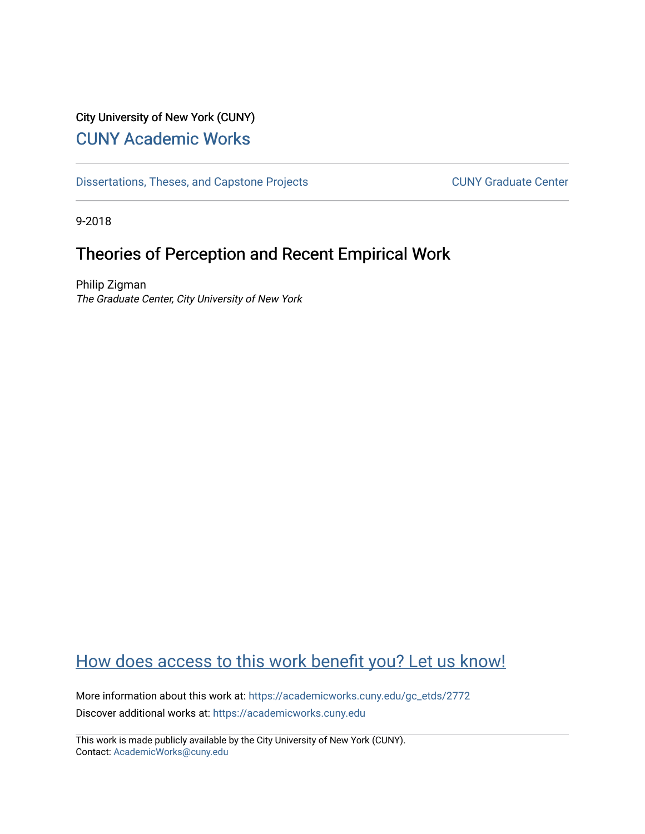# City University of New York (CUNY) [CUNY Academic Works](https://academicworks.cuny.edu/)

[Dissertations, Theses, and Capstone Projects](https://academicworks.cuny.edu/gc_etds) CUNY Graduate Center

9-2018

# Theories of Perception and Recent Empirical Work

Philip Zigman The Graduate Center, City University of New York

# [How does access to this work benefit you? Let us know!](http://ols.cuny.edu/academicworks/?ref=https://academicworks.cuny.edu/gc_etds/2772)

More information about this work at: [https://academicworks.cuny.edu/gc\\_etds/2772](https://academicworks.cuny.edu/gc_etds/2772) Discover additional works at: [https://academicworks.cuny.edu](https://academicworks.cuny.edu/?)

This work is made publicly available by the City University of New York (CUNY). Contact: [AcademicWorks@cuny.edu](mailto:AcademicWorks@cuny.edu)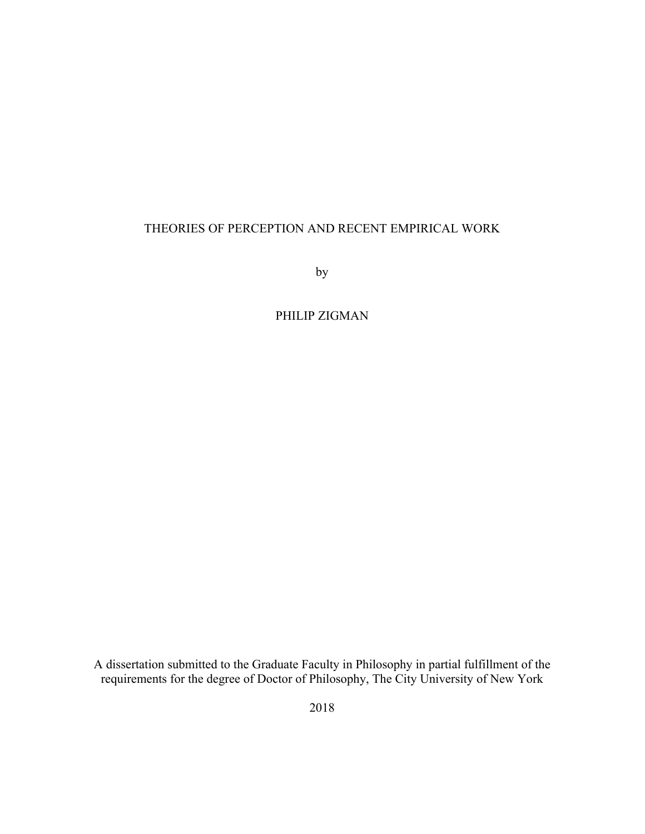### THEORIES OF PERCEPTION AND RECENT EMPIRICAL WORK

by

PHILIP ZIGMAN

A dissertation submitted to the Graduate Faculty in Philosophy in partial fulfillment of the requirements for the degree of Doctor of Philosophy, The City University of New York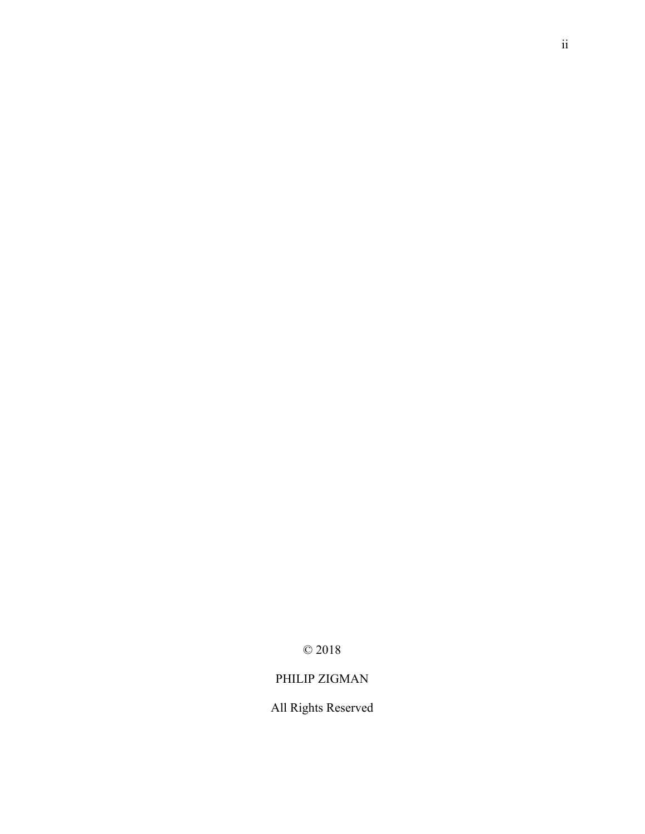© 2018

## PHILIP ZIGMAN

All Rights Reserved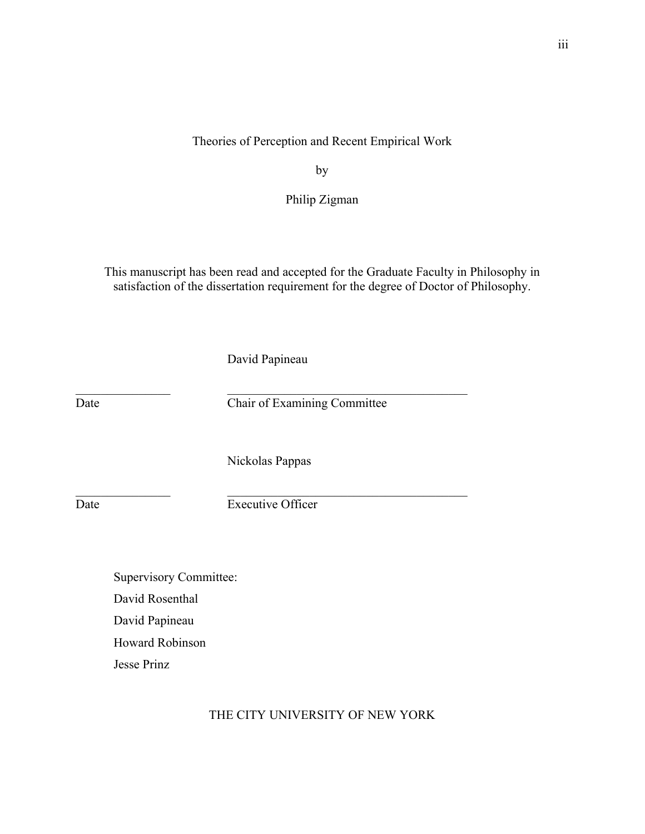Theories of Perception and Recent Empirical Work

by

Philip Zigman

This manuscript has been read and accepted for the Graduate Faculty in Philosophy in satisfaction of the dissertation requirement for the degree of Doctor of Philosophy.

David Papineau

 $\mathcal{L}_\text{max}$  and the contract of the contract of the contract of the contract of the contract of the contract of the contract of the contract of the contract of the contract of the contract of the contract of the contrac

Date Chair of Examining Committee

Nickolas Pappas

 $\mathcal{L}_\text{max}$  and the contract of the contract of the contract of the contract of the contract of the contract of the contract of the contract of the contract of the contract of the contract of the contract of the contrac Date Executive Officer

Supervisory Committee: David Rosenthal David Papineau

Howard Robinson

Jesse Prinz

THE CITY UNIVERSITY OF NEW YORK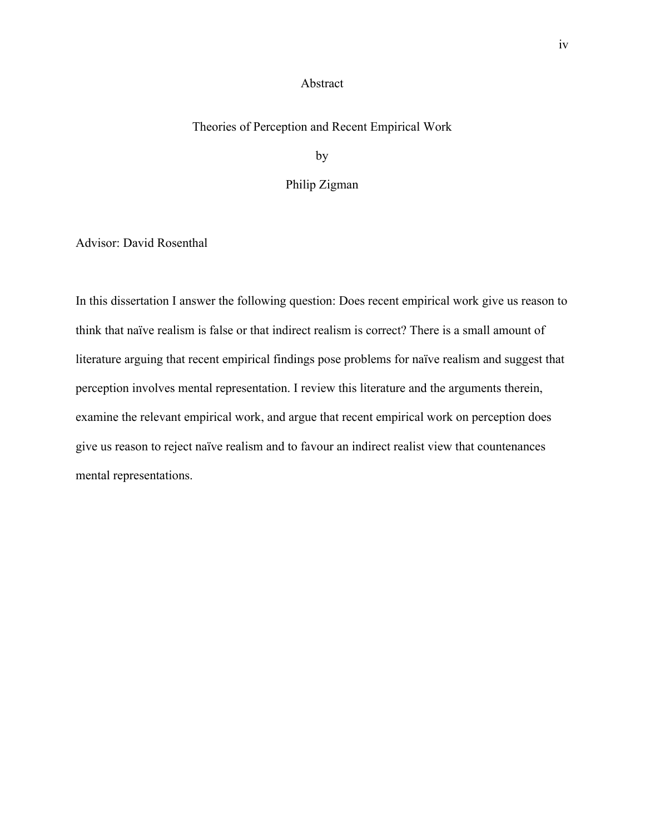#### Abstract

### Theories of Perception and Recent Empirical Work

by

#### Philip Zigman

Advisor: David Rosenthal

In this dissertation I answer the following question: Does recent empirical work give us reason to think that naïve realism is false or that indirect realism is correct? There is a small amount of literature arguing that recent empirical findings pose problems for naïve realism and suggest that perception involves mental representation. I review this literature and the arguments therein, examine the relevant empirical work, and argue that recent empirical work on perception does give us reason to reject naïve realism and to favour an indirect realist view that countenances mental representations.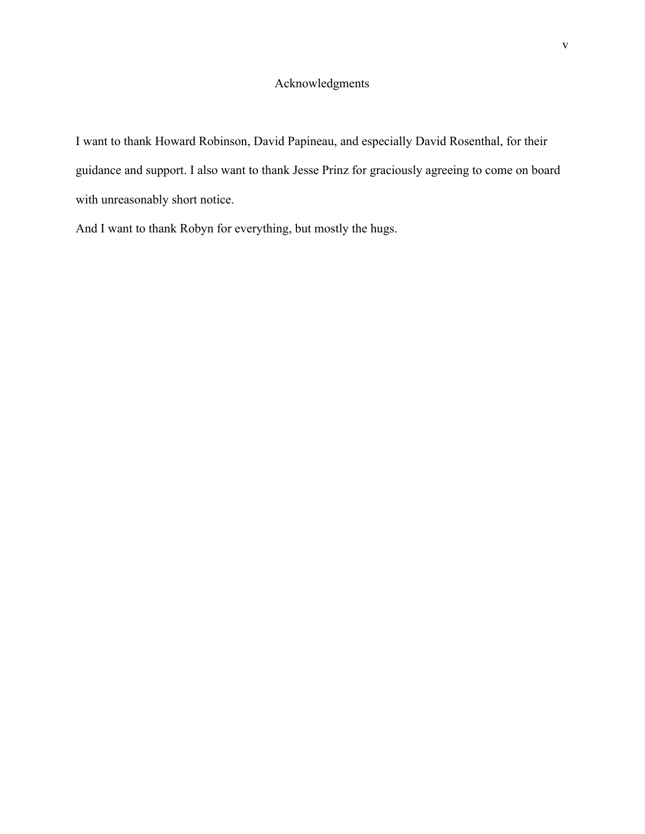### Acknowledgments

I want to thank Howard Robinson, David Papineau, and especially David Rosenthal, for their guidance and support. I also want to thank Jesse Prinz for graciously agreeing to come on board with unreasonably short notice.

And I want to thank Robyn for everything, but mostly the hugs.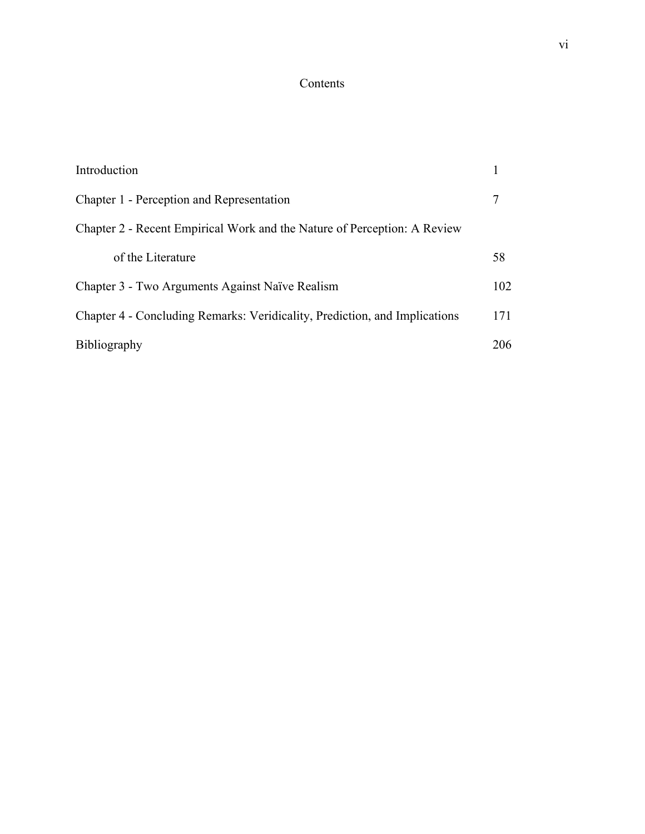## Contents

| Introduction                                                               |     |
|----------------------------------------------------------------------------|-----|
| Chapter 1 - Perception and Representation                                  |     |
| Chapter 2 - Recent Empirical Work and the Nature of Perception: A Review   |     |
| of the Literature                                                          | 58  |
| Chapter 3 - Two Arguments Against Naïve Realism                            | 102 |
| Chapter 4 - Concluding Remarks: Veridicality, Prediction, and Implications | 171 |
| <b>Bibliography</b>                                                        | 206 |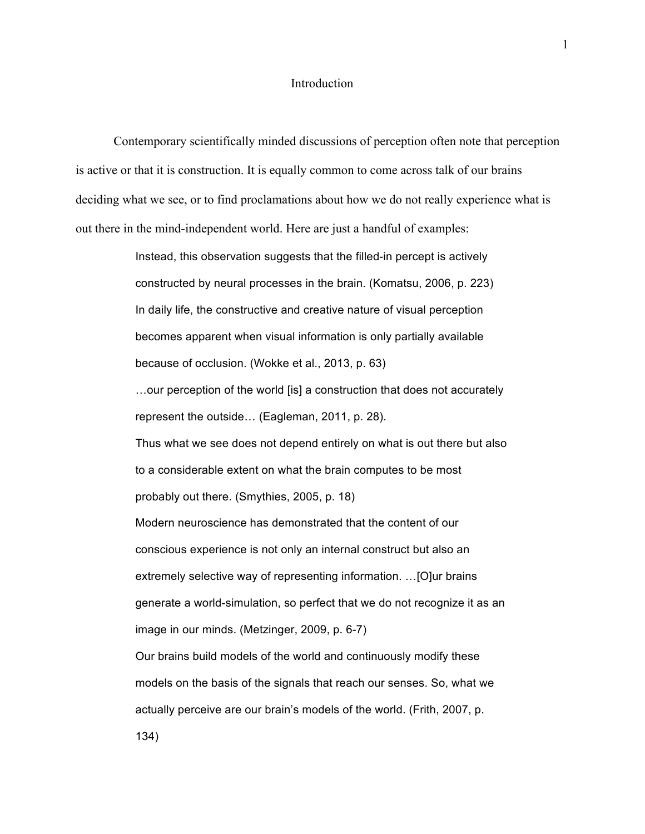#### Introduction

Contemporary scientifically minded discussions of perception often note that perception is active or that it is construction. It is equally common to come across talk of our brains deciding what we see, or to find proclamations about how we do not really experience what is out there in the mind-independent world. Here are just a handful of examples:

> Instead, this observation suggests that the filled-in percept is actively constructed by neural processes in the brain. (Komatsu, 2006, p. 223) In daily life, the constructive and creative nature of visual perception becomes apparent when visual information is only partially available because of occlusion. (Wokke et al., 2013, p. 63)

…our perception of the world [is] a construction that does not accurately represent the outside… (Eagleman, 2011, p. 28).

Thus what we see does not depend entirely on what is out there but also to a considerable extent on what the brain computes to be most probably out there. (Smythies, 2005, p. 18)

Modern neuroscience has demonstrated that the content of our conscious experience is not only an internal construct but also an extremely selective way of representing information. …[O]ur brains generate a world-simulation, so perfect that we do not recognize it as an image in our minds. (Metzinger, 2009, p. 6-7)

Our brains build models of the world and continuously modify these models on the basis of the signals that reach our senses. So, what we actually perceive are our brain's models of the world. (Frith, 2007, p. 134)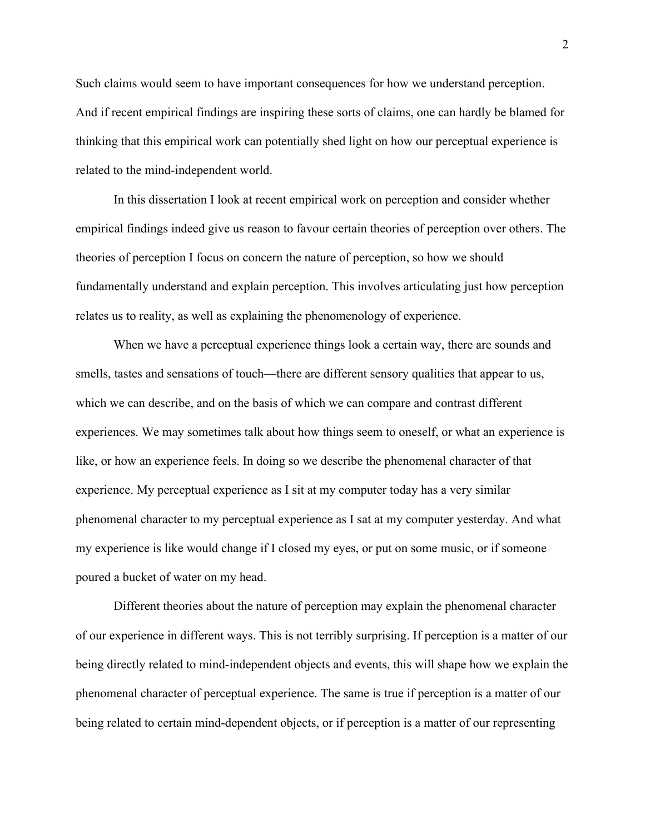Such claims would seem to have important consequences for how we understand perception. And if recent empirical findings are inspiring these sorts of claims, one can hardly be blamed for thinking that this empirical work can potentially shed light on how our perceptual experience is related to the mind-independent world.

In this dissertation I look at recent empirical work on perception and consider whether empirical findings indeed give us reason to favour certain theories of perception over others. The theories of perception I focus on concern the nature of perception, so how we should fundamentally understand and explain perception. This involves articulating just how perception relates us to reality, as well as explaining the phenomenology of experience.

When we have a perceptual experience things look a certain way, there are sounds and smells, tastes and sensations of touch—there are different sensory qualities that appear to us, which we can describe, and on the basis of which we can compare and contrast different experiences. We may sometimes talk about how things seem to oneself, or what an experience is like, or how an experience feels. In doing so we describe the phenomenal character of that experience. My perceptual experience as I sit at my computer today has a very similar phenomenal character to my perceptual experience as I sat at my computer yesterday. And what my experience is like would change if I closed my eyes, or put on some music, or if someone poured a bucket of water on my head.

Different theories about the nature of perception may explain the phenomenal character of our experience in different ways. This is not terribly surprising. If perception is a matter of our being directly related to mind-independent objects and events, this will shape how we explain the phenomenal character of perceptual experience. The same is true if perception is a matter of our being related to certain mind-dependent objects, or if perception is a matter of our representing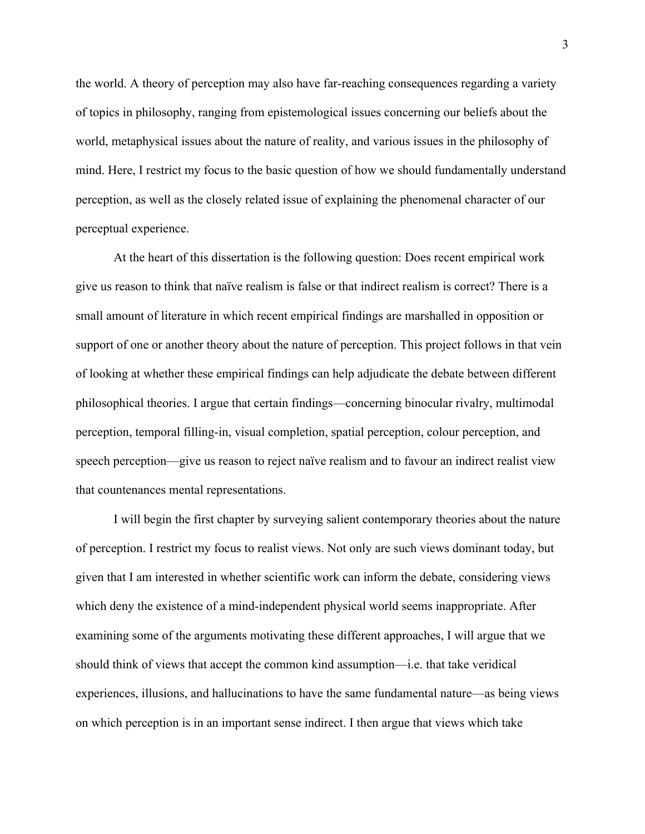the world. A theory of perception may also have far-reaching consequences regarding a variety of topics in philosophy, ranging from epistemological issues concerning our beliefs about the world, metaphysical issues about the nature of reality, and various issues in the philosophy of mind. Here, I restrict my focus to the basic question of how we should fundamentally understand perception, as well as the closely related issue of explaining the phenomenal character of our perceptual experience.

At the heart of this dissertation is the following question: Does recent empirical work give us reason to think that naïve realism is false or that indirect realism is correct? There is a small amount of literature in which recent empirical findings are marshalled in opposition or support of one or another theory about the nature of perception. This project follows in that vein of looking at whether these empirical findings can help adjudicate the debate between different philosophical theories. I argue that certain findings—concerning binocular rivalry, multimodal perception, temporal filling-in, visual completion, spatial perception, colour perception, and speech perception—give us reason to reject naïve realism and to favour an indirect realist view that countenances mental representations.

I will begin the first chapter by surveying salient contemporary theories about the nature of perception. I restrict my focus to realist views. Not only are such views dominant today, but given that I am interested in whether scientific work can inform the debate, considering views which deny the existence of a mind-independent physical world seems inappropriate. After examining some of the arguments motivating these different approaches, I will argue that we should think of views that accept the common kind assumption—i.e. that take veridical experiences, illusions, and hallucinations to have the same fundamental nature—as being views on which perception is in an important sense indirect. I then argue that views which take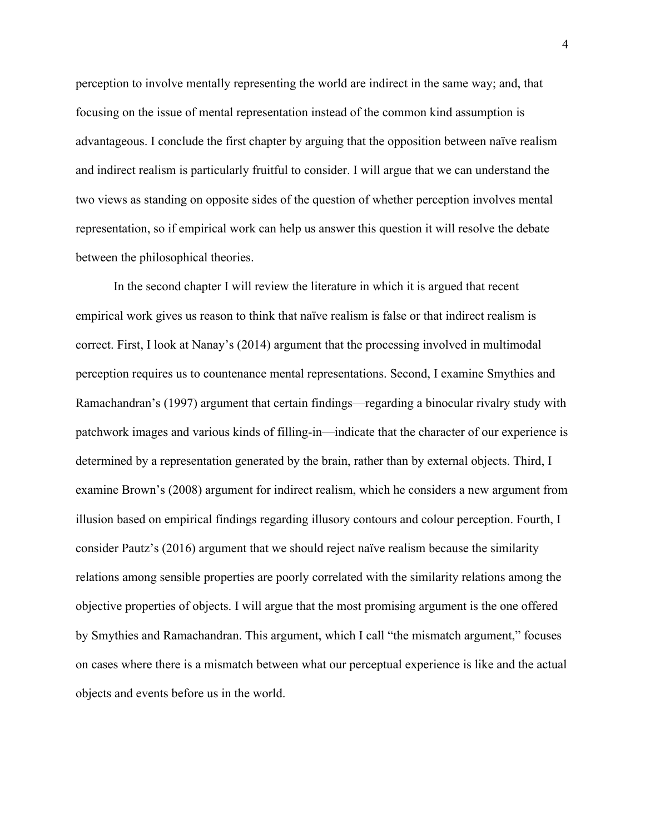perception to involve mentally representing the world are indirect in the same way; and, that focusing on the issue of mental representation instead of the common kind assumption is advantageous. I conclude the first chapter by arguing that the opposition between naïve realism and indirect realism is particularly fruitful to consider. I will argue that we can understand the two views as standing on opposite sides of the question of whether perception involves mental representation, so if empirical work can help us answer this question it will resolve the debate between the philosophical theories.

In the second chapter I will review the literature in which it is argued that recent empirical work gives us reason to think that naïve realism is false or that indirect realism is correct. First, I look at Nanay's (2014) argument that the processing involved in multimodal perception requires us to countenance mental representations. Second, I examine Smythies and Ramachandran's (1997) argument that certain findings—regarding a binocular rivalry study with patchwork images and various kinds of filling-in—indicate that the character of our experience is determined by a representation generated by the brain, rather than by external objects. Third, I examine Brown's (2008) argument for indirect realism, which he considers a new argument from illusion based on empirical findings regarding illusory contours and colour perception. Fourth, I consider Pautz's (2016) argument that we should reject naïve realism because the similarity relations among sensible properties are poorly correlated with the similarity relations among the objective properties of objects. I will argue that the most promising argument is the one offered by Smythies and Ramachandran. This argument, which I call "the mismatch argument," focuses on cases where there is a mismatch between what our perceptual experience is like and the actual objects and events before us in the world.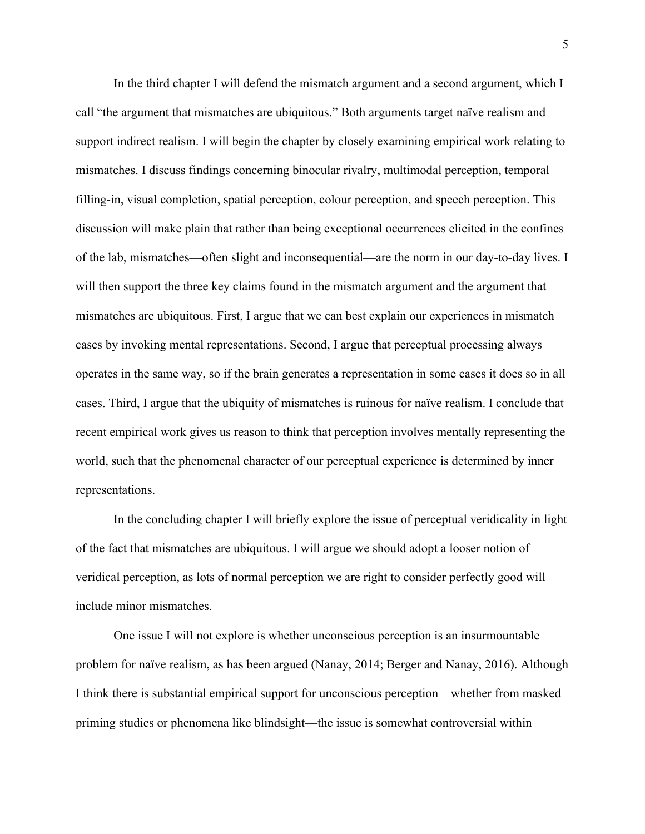In the third chapter I will defend the mismatch argument and a second argument, which I call "the argument that mismatches are ubiquitous." Both arguments target naïve realism and support indirect realism. I will begin the chapter by closely examining empirical work relating to mismatches. I discuss findings concerning binocular rivalry, multimodal perception, temporal filling-in, visual completion, spatial perception, colour perception, and speech perception. This discussion will make plain that rather than being exceptional occurrences elicited in the confines of the lab, mismatches—often slight and inconsequential—are the norm in our day-to-day lives. I will then support the three key claims found in the mismatch argument and the argument that mismatches are ubiquitous. First, I argue that we can best explain our experiences in mismatch cases by invoking mental representations. Second, I argue that perceptual processing always operates in the same way, so if the brain generates a representation in some cases it does so in all cases. Third, I argue that the ubiquity of mismatches is ruinous for naïve realism. I conclude that recent empirical work gives us reason to think that perception involves mentally representing the world, such that the phenomenal character of our perceptual experience is determined by inner representations.

In the concluding chapter I will briefly explore the issue of perceptual veridicality in light of the fact that mismatches are ubiquitous. I will argue we should adopt a looser notion of veridical perception, as lots of normal perception we are right to consider perfectly good will include minor mismatches.

One issue I will not explore is whether unconscious perception is an insurmountable problem for naïve realism, as has been argued (Nanay, 2014; Berger and Nanay, 2016). Although I think there is substantial empirical support for unconscious perception—whether from masked priming studies or phenomena like blindsight—the issue is somewhat controversial within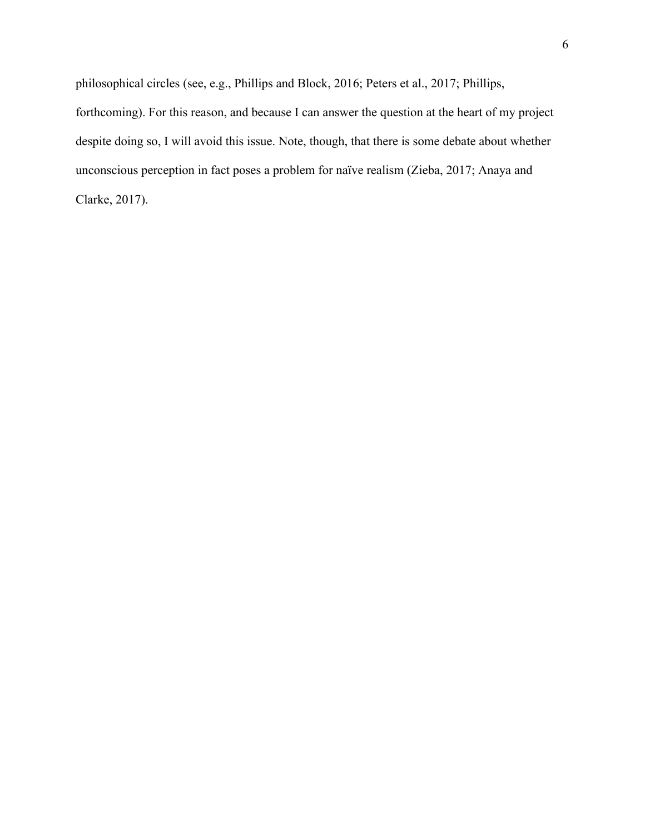philosophical circles (see, e.g., Phillips and Block, 2016; Peters et al., 2017; Phillips, forthcoming). For this reason, and because I can answer the question at the heart of my project despite doing so, I will avoid this issue. Note, though, that there is some debate about whether unconscious perception in fact poses a problem for naïve realism (Zieba, 2017; Anaya and Clarke, 2017).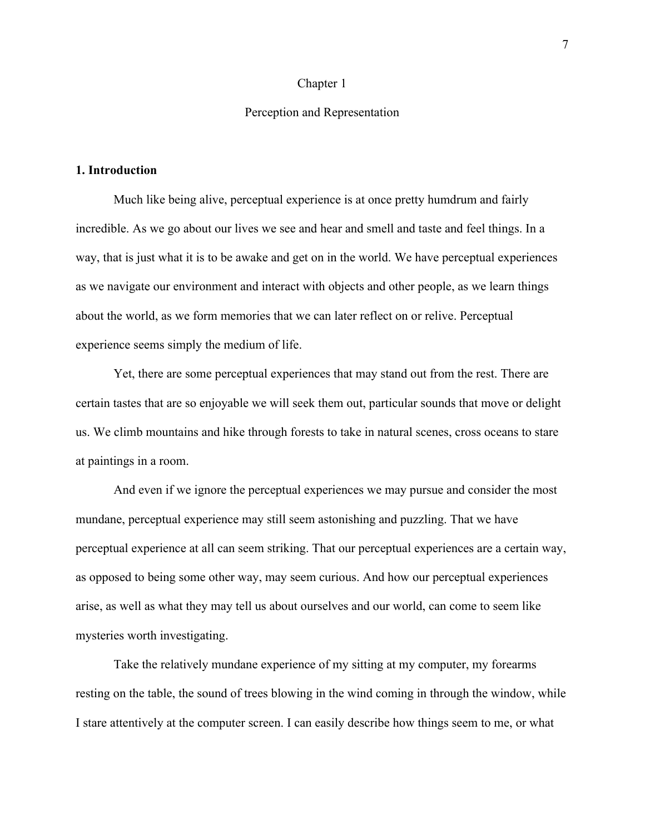#### Chapter 1

#### Perception and Representation

#### **1. Introduction**

Much like being alive, perceptual experience is at once pretty humdrum and fairly incredible. As we go about our lives we see and hear and smell and taste and feel things. In a way, that is just what it is to be awake and get on in the world. We have perceptual experiences as we navigate our environment and interact with objects and other people, as we learn things about the world, as we form memories that we can later reflect on or relive. Perceptual experience seems simply the medium of life.

Yet, there are some perceptual experiences that may stand out from the rest. There are certain tastes that are so enjoyable we will seek them out, particular sounds that move or delight us. We climb mountains and hike through forests to take in natural scenes, cross oceans to stare at paintings in a room.

And even if we ignore the perceptual experiences we may pursue and consider the most mundane, perceptual experience may still seem astonishing and puzzling. That we have perceptual experience at all can seem striking. That our perceptual experiences are a certain way, as opposed to being some other way, may seem curious. And how our perceptual experiences arise, as well as what they may tell us about ourselves and our world, can come to seem like mysteries worth investigating.

Take the relatively mundane experience of my sitting at my computer, my forearms resting on the table, the sound of trees blowing in the wind coming in through the window, while I stare attentively at the computer screen. I can easily describe how things seem to me, or what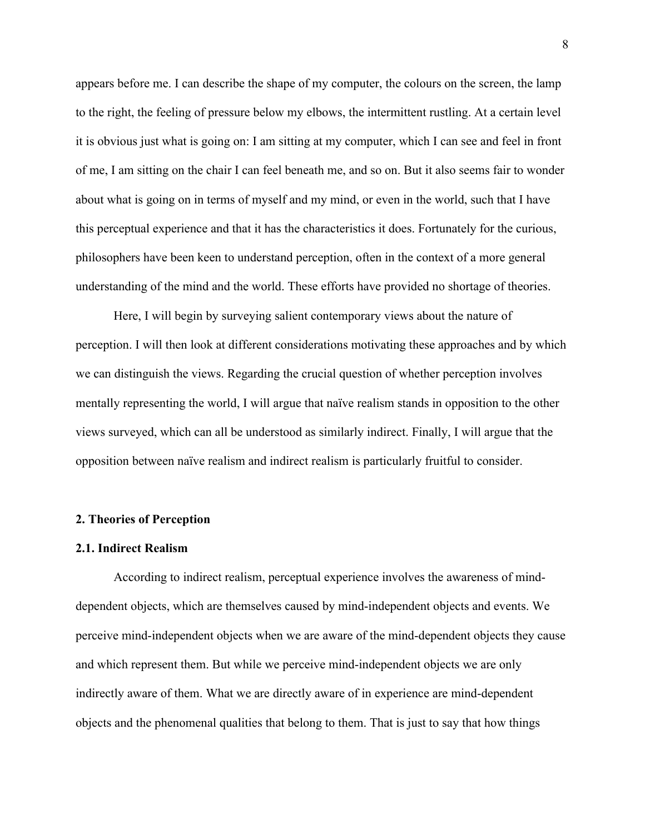appears before me. I can describe the shape of my computer, the colours on the screen, the lamp to the right, the feeling of pressure below my elbows, the intermittent rustling. At a certain level it is obvious just what is going on: I am sitting at my computer, which I can see and feel in front of me, I am sitting on the chair I can feel beneath me, and so on. But it also seems fair to wonder about what is going on in terms of myself and my mind, or even in the world, such that I have this perceptual experience and that it has the characteristics it does. Fortunately for the curious, philosophers have been keen to understand perception, often in the context of a more general understanding of the mind and the world. These efforts have provided no shortage of theories.

Here, I will begin by surveying salient contemporary views about the nature of perception. I will then look at different considerations motivating these approaches and by which we can distinguish the views. Regarding the crucial question of whether perception involves mentally representing the world, I will argue that naïve realism stands in opposition to the other views surveyed, which can all be understood as similarly indirect. Finally, I will argue that the opposition between naïve realism and indirect realism is particularly fruitful to consider.

#### **2. Theories of Perception**

#### **2.1. Indirect Realism**

According to indirect realism, perceptual experience involves the awareness of minddependent objects, which are themselves caused by mind-independent objects and events. We perceive mind-independent objects when we are aware of the mind-dependent objects they cause and which represent them. But while we perceive mind-independent objects we are only indirectly aware of them. What we are directly aware of in experience are mind-dependent objects and the phenomenal qualities that belong to them. That is just to say that how things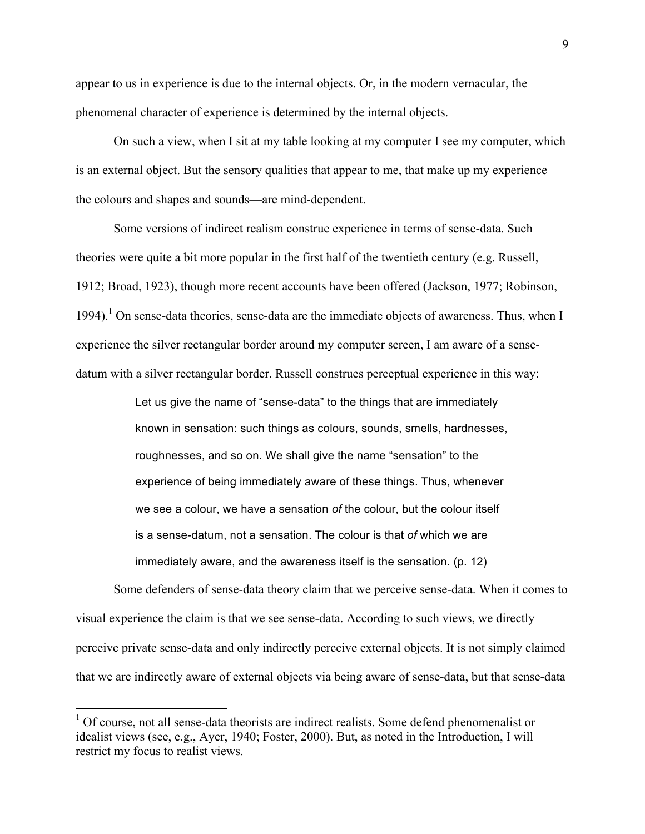appear to us in experience is due to the internal objects. Or, in the modern vernacular, the phenomenal character of experience is determined by the internal objects.

On such a view, when I sit at my table looking at my computer I see my computer, which is an external object. But the sensory qualities that appear to me, that make up my experience the colours and shapes and sounds—are mind-dependent.

Some versions of indirect realism construe experience in terms of sense-data. Such theories were quite a bit more popular in the first half of the twentieth century (e.g. Russell, 1912; Broad, 1923), though more recent accounts have been offered (Jackson, 1977; Robinson, 1994).<sup>1</sup> On sense-data theories, sense-data are the immediate objects of awareness. Thus, when I experience the silver rectangular border around my computer screen, I am aware of a sensedatum with a silver rectangular border. Russell construes perceptual experience in this way:

> Let us give the name of "sense-data" to the things that are immediately known in sensation: such things as colours, sounds, smells, hardnesses, roughnesses, and so on. We shall give the name "sensation" to the experience of being immediately aware of these things. Thus, whenever we see a colour, we have a sensation *of* the colour, but the colour itself is a sense-datum, not a sensation. The colour is that *of* which we are immediately aware, and the awareness itself is the sensation. (p. 12)

Some defenders of sense-data theory claim that we perceive sense-data. When it comes to visual experience the claim is that we see sense-data. According to such views, we directly perceive private sense-data and only indirectly perceive external objects. It is not simply claimed that we are indirectly aware of external objects via being aware of sense-data, but that sense-data

 $<sup>1</sup>$  Of course, not all sense-data theorists are indirect realists. Some defend phenomenalist or</sup> idealist views (see, e.g., Ayer, 1940; Foster, 2000). But, as noted in the Introduction, I will restrict my focus to realist views.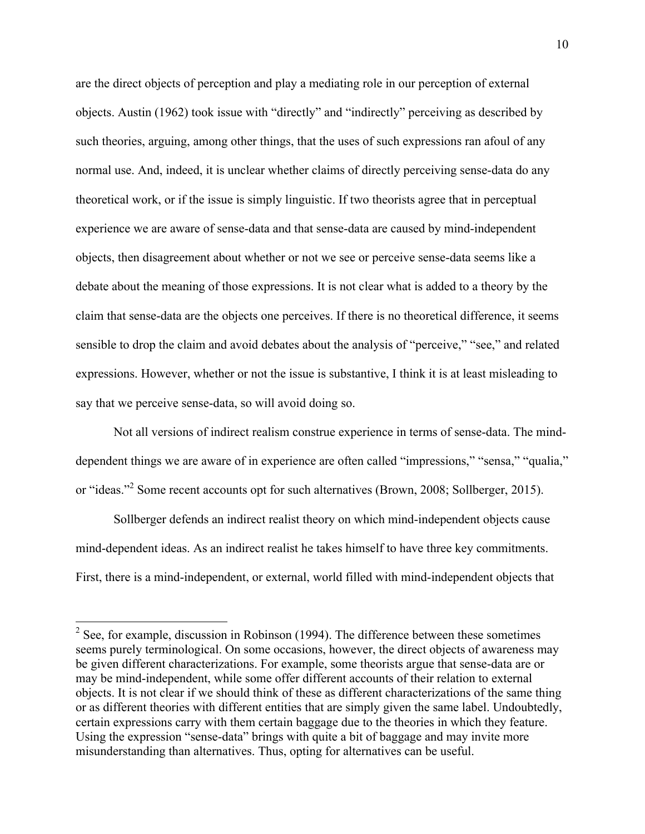are the direct objects of perception and play a mediating role in our perception of external objects. Austin (1962) took issue with "directly" and "indirectly" perceiving as described by such theories, arguing, among other things, that the uses of such expressions ran afoul of any normal use. And, indeed, it is unclear whether claims of directly perceiving sense-data do any theoretical work, or if the issue is simply linguistic. If two theorists agree that in perceptual experience we are aware of sense-data and that sense-data are caused by mind-independent objects, then disagreement about whether or not we see or perceive sense-data seems like a debate about the meaning of those expressions. It is not clear what is added to a theory by the claim that sense-data are the objects one perceives. If there is no theoretical difference, it seems sensible to drop the claim and avoid debates about the analysis of "perceive," "see," and related expressions. However, whether or not the issue is substantive, I think it is at least misleading to say that we perceive sense-data, so will avoid doing so.

Not all versions of indirect realism construe experience in terms of sense-data. The minddependent things we are aware of in experience are often called "impressions," "sensa," "qualia," or "ideas."<sup>2</sup> Some recent accounts opt for such alternatives (Brown, 2008; Sollberger, 2015).

Sollberger defends an indirect realist theory on which mind-independent objects cause mind-dependent ideas. As an indirect realist he takes himself to have three key commitments. First, there is a mind-independent, or external, world filled with mind-independent objects that

 $2$  See, for example, discussion in Robinson (1994). The difference between these sometimes seems purely terminological. On some occasions, however, the direct objects of awareness may be given different characterizations. For example, some theorists argue that sense-data are or may be mind-independent, while some offer different accounts of their relation to external objects. It is not clear if we should think of these as different characterizations of the same thing or as different theories with different entities that are simply given the same label. Undoubtedly, certain expressions carry with them certain baggage due to the theories in which they feature. Using the expression "sense-data" brings with quite a bit of baggage and may invite more misunderstanding than alternatives. Thus, opting for alternatives can be useful.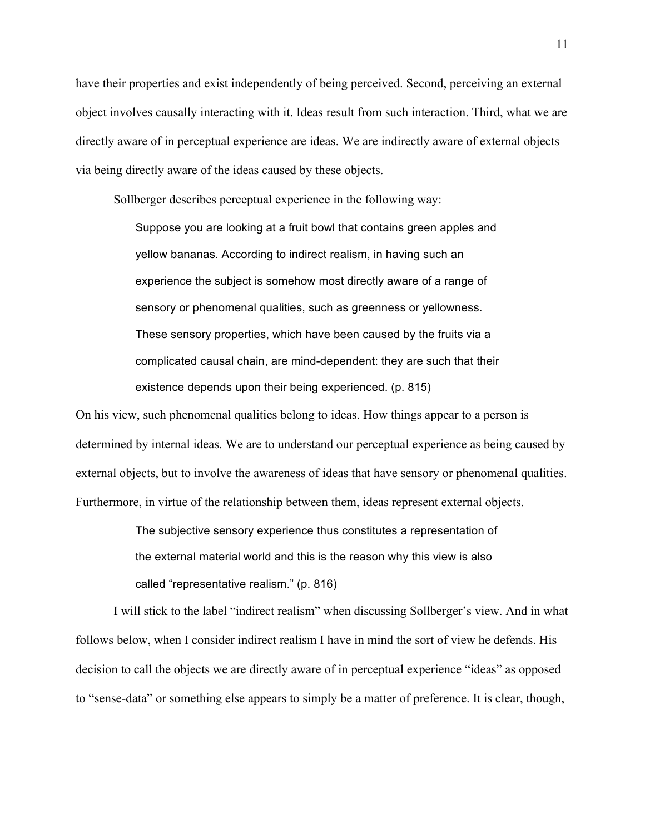have their properties and exist independently of being perceived. Second, perceiving an external object involves causally interacting with it. Ideas result from such interaction. Third, what we are directly aware of in perceptual experience are ideas. We are indirectly aware of external objects via being directly aware of the ideas caused by these objects.

Sollberger describes perceptual experience in the following way:

Suppose you are looking at a fruit bowl that contains green apples and yellow bananas. According to indirect realism, in having such an experience the subject is somehow most directly aware of a range of sensory or phenomenal qualities, such as greenness or yellowness. These sensory properties, which have been caused by the fruits via a complicated causal chain, are mind-dependent: they are such that their existence depends upon their being experienced. (p. 815)

On his view, such phenomenal qualities belong to ideas. How things appear to a person is determined by internal ideas. We are to understand our perceptual experience as being caused by external objects, but to involve the awareness of ideas that have sensory or phenomenal qualities. Furthermore, in virtue of the relationship between them, ideas represent external objects.

> The subjective sensory experience thus constitutes a representation of the external material world and this is the reason why this view is also called "representative realism." (p. 816)

I will stick to the label "indirect realism" when discussing Sollberger's view. And in what follows below, when I consider indirect realism I have in mind the sort of view he defends. His decision to call the objects we are directly aware of in perceptual experience "ideas" as opposed to "sense-data" or something else appears to simply be a matter of preference. It is clear, though,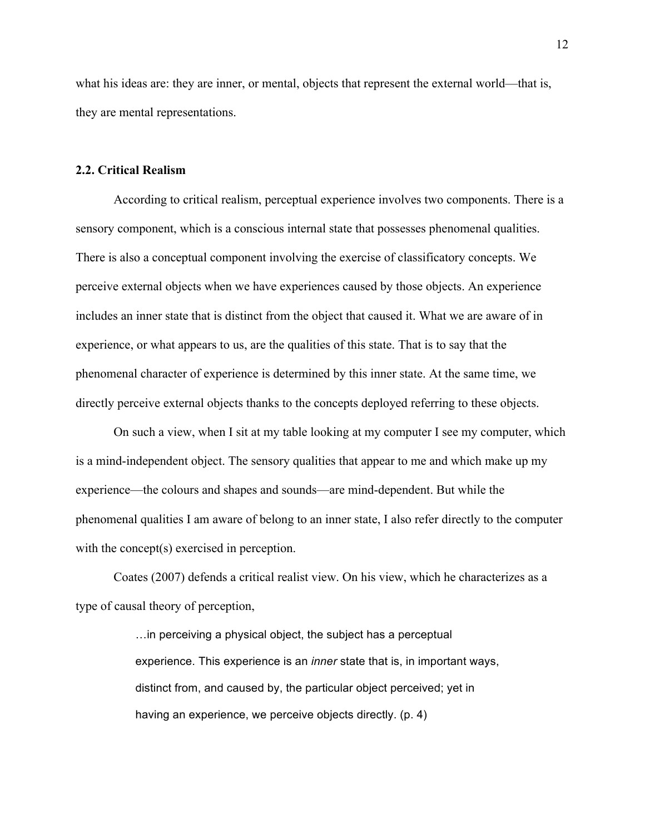what his ideas are: they are inner, or mental, objects that represent the external world—that is, they are mental representations.

#### **2.2. Critical Realism**

According to critical realism, perceptual experience involves two components. There is a sensory component, which is a conscious internal state that possesses phenomenal qualities. There is also a conceptual component involving the exercise of classificatory concepts. We perceive external objects when we have experiences caused by those objects. An experience includes an inner state that is distinct from the object that caused it. What we are aware of in experience, or what appears to us, are the qualities of this state. That is to say that the phenomenal character of experience is determined by this inner state. At the same time, we directly perceive external objects thanks to the concepts deployed referring to these objects.

On such a view, when I sit at my table looking at my computer I see my computer, which is a mind-independent object. The sensory qualities that appear to me and which make up my experience—the colours and shapes and sounds—are mind-dependent. But while the phenomenal qualities I am aware of belong to an inner state, I also refer directly to the computer with the concept(s) exercised in perception.

Coates (2007) defends a critical realist view. On his view, which he characterizes as a type of causal theory of perception,

> …in perceiving a physical object, the subject has a perceptual experience. This experience is an *inner* state that is, in important ways, distinct from, and caused by, the particular object perceived; yet in having an experience, we perceive objects directly. (p. 4)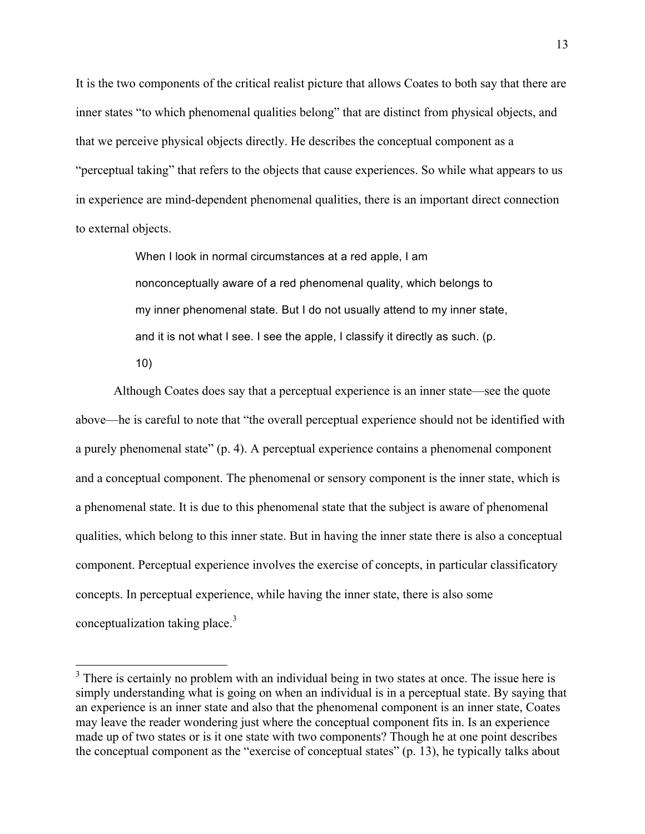It is the two components of the critical realist picture that allows Coates to both say that there are inner states "to which phenomenal qualities belong" that are distinct from physical objects, and that we perceive physical objects directly. He describes the conceptual component as a "perceptual taking" that refers to the objects that cause experiences. So while what appears to us in experience are mind-dependent phenomenal qualities, there is an important direct connection to external objects.

> When I look in normal circumstances at a red apple, I am nonconceptually aware of a red phenomenal quality, which belongs to my inner phenomenal state. But I do not usually attend to my inner state, and it is not what I see. I see the apple, I classify it directly as such. (p. 10)

Although Coates does say that a perceptual experience is an inner state—see the quote above—he is careful to note that "the overall perceptual experience should not be identified with a purely phenomenal state" (p. 4). A perceptual experience contains a phenomenal component and a conceptual component. The phenomenal or sensory component is the inner state, which is a phenomenal state. It is due to this phenomenal state that the subject is aware of phenomenal qualities, which belong to this inner state. But in having the inner state there is also a conceptual component. Perceptual experience involves the exercise of concepts, in particular classificatory concepts. In perceptual experience, while having the inner state, there is also some conceptualization taking place. $3$ 

<sup>&</sup>lt;sup>3</sup> There is certainly no problem with an individual being in two states at once. The issue here is simply understanding what is going on when an individual is in a perceptual state. By saying that an experience is an inner state and also that the phenomenal component is an inner state, Coates may leave the reader wondering just where the conceptual component fits in. Is an experience made up of two states or is it one state with two components? Though he at one point describes the conceptual component as the "exercise of conceptual states" (p. 13), he typically talks about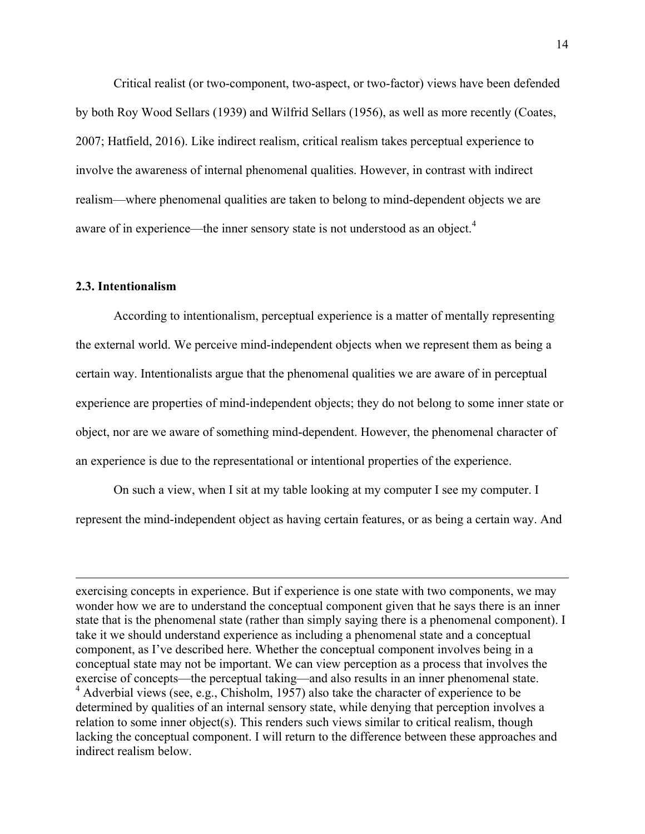Critical realist (or two-component, two-aspect, or two-factor) views have been defended by both Roy Wood Sellars (1939) and Wilfrid Sellars (1956), as well as more recently (Coates, 2007; Hatfield, 2016). Like indirect realism, critical realism takes perceptual experience to involve the awareness of internal phenomenal qualities. However, in contrast with indirect realism—where phenomenal qualities are taken to belong to mind-dependent objects we are aware of in experience—the inner sensory state is not understood as an object.<sup>4</sup>

#### **2.3. Intentionalism**

According to intentionalism, perceptual experience is a matter of mentally representing the external world. We perceive mind-independent objects when we represent them as being a certain way. Intentionalists argue that the phenomenal qualities we are aware of in perceptual experience are properties of mind-independent objects; they do not belong to some inner state or object, nor are we aware of something mind-dependent. However, the phenomenal character of an experience is due to the representational or intentional properties of the experience.

On such a view, when I sit at my table looking at my computer I see my computer. I represent the mind-independent object as having certain features, or as being a certain way. And

<u> 1989 - Andrea Santa Alemania, amerikana amerikana amerikana amerikana amerikana amerikana amerikana amerikana</u>

exercising concepts in experience. But if experience is one state with two components, we may wonder how we are to understand the conceptual component given that he says there is an inner state that is the phenomenal state (rather than simply saying there is a phenomenal component). I take it we should understand experience as including a phenomenal state and a conceptual component, as I've described here. Whether the conceptual component involves being in a conceptual state may not be important. We can view perception as a process that involves the exercise of concepts—the perceptual taking—and also results in an inner phenomenal state.  $4$  Adverbial views (see, e.g., Chisholm, 1957) also take the character of experience to be determined by qualities of an internal sensory state, while denying that perception involves a relation to some inner object(s). This renders such views similar to critical realism, though lacking the conceptual component. I will return to the difference between these approaches and indirect realism below.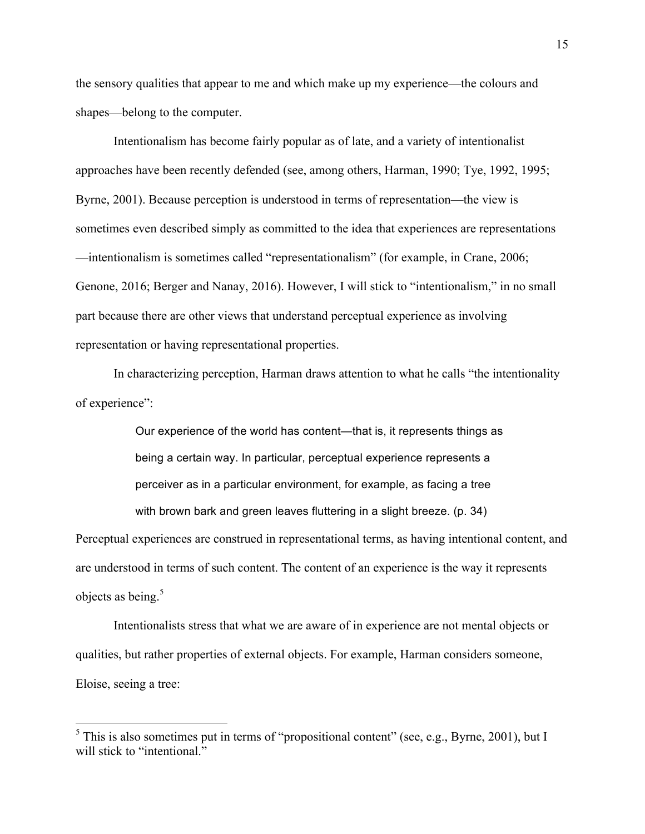the sensory qualities that appear to me and which make up my experience—the colours and shapes—belong to the computer.

Intentionalism has become fairly popular as of late, and a variety of intentionalist approaches have been recently defended (see, among others, Harman, 1990; Tye, 1992, 1995; Byrne, 2001). Because perception is understood in terms of representation—the view is sometimes even described simply as committed to the idea that experiences are representations —intentionalism is sometimes called "representationalism" (for example, in Crane, 2006; Genone, 2016; Berger and Nanay, 2016). However, I will stick to "intentionalism," in no small part because there are other views that understand perceptual experience as involving representation or having representational properties.

In characterizing perception, Harman draws attention to what he calls "the intentionality of experience":

> Our experience of the world has content—that is, it represents things as being a certain way. In particular, perceptual experience represents a perceiver as in a particular environment, for example, as facing a tree with brown bark and green leaves fluttering in a slight breeze. (p. 34)

Perceptual experiences are construed in representational terms, as having intentional content, and are understood in terms of such content. The content of an experience is the way it represents objects as being.<sup>5</sup>

Intentionalists stress that what we are aware of in experience are not mental objects or qualities, but rather properties of external objects. For example, Harman considers someone, Eloise, seeing a tree:

 $<sup>5</sup>$  This is also sometimes put in terms of "propositional content" (see, e.g., Byrne, 2001), but I</sup> will stick to "intentional"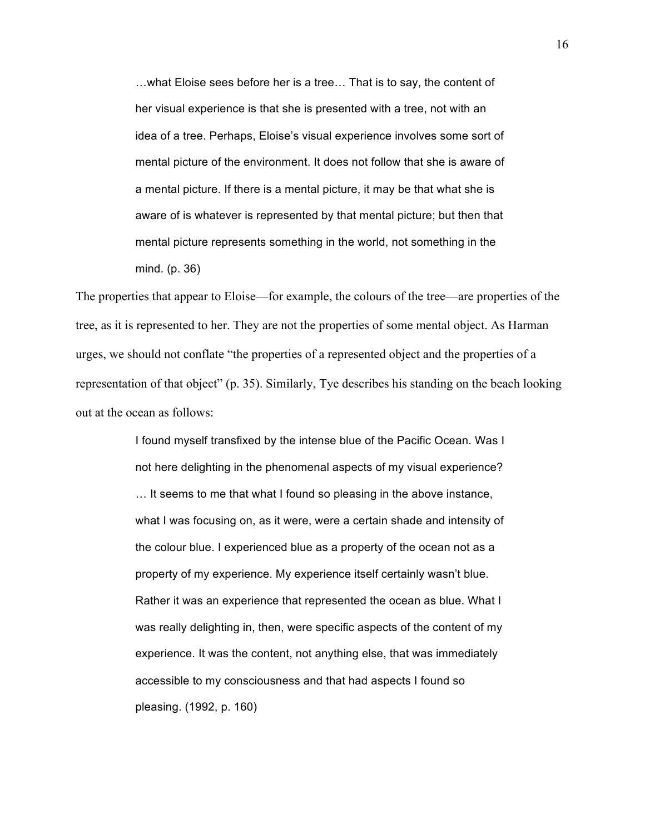…what Eloise sees before her is a tree… That is to say, the content of her visual experience is that she is presented with a tree, not with an idea of a tree. Perhaps, Eloise's visual experience involves some sort of mental picture of the environment. It does not follow that she is aware of a mental picture. If there is a mental picture, it may be that what she is aware of is whatever is represented by that mental picture; but then that mental picture represents something in the world, not something in the mind. (p. 36)

The properties that appear to Eloise—for example, the colours of the tree—are properties of the tree, as it is represented to her. They are not the properties of some mental object. As Harman urges, we should not conflate "the properties of a represented object and the properties of a representation of that object" (p. 35). Similarly, Tye describes his standing on the beach looking out at the ocean as follows:

> I found myself transfixed by the intense blue of the Pacific Ocean. Was I not here delighting in the phenomenal aspects of my visual experience? … It seems to me that what I found so pleasing in the above instance, what I was focusing on, as it were, were a certain shade and intensity of the colour blue. I experienced blue as a property of the ocean not as a property of my experience. My experience itself certainly wasn't blue. Rather it was an experience that represented the ocean as blue. What I was really delighting in, then, were specific aspects of the content of my experience. It was the content, not anything else, that was immediately accessible to my consciousness and that had aspects I found so pleasing. (1992, p. 160)

16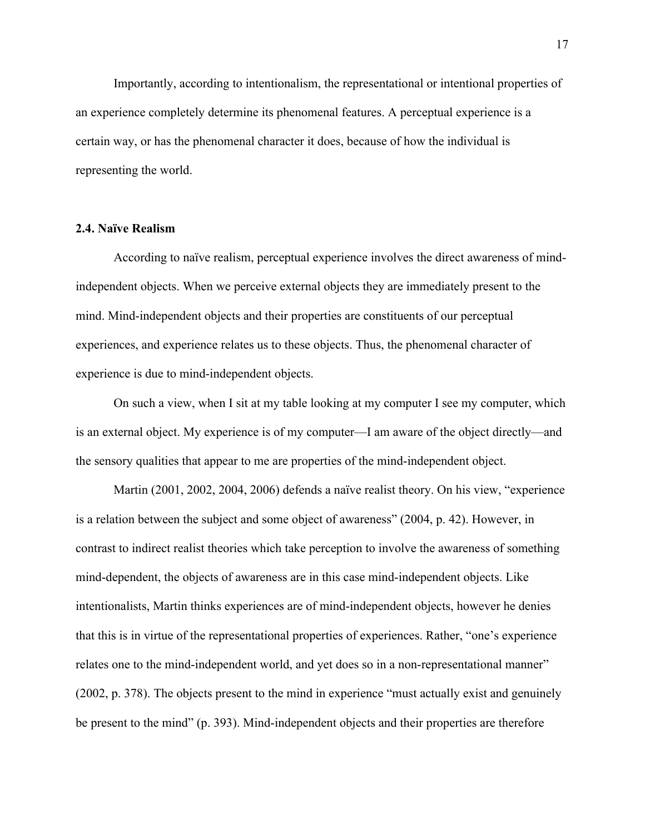Importantly, according to intentionalism, the representational or intentional properties of an experience completely determine its phenomenal features. A perceptual experience is a certain way, or has the phenomenal character it does, because of how the individual is representing the world.

#### **2.4. Naïve Realism**

According to naïve realism, perceptual experience involves the direct awareness of mindindependent objects. When we perceive external objects they are immediately present to the mind. Mind-independent objects and their properties are constituents of our perceptual experiences, and experience relates us to these objects. Thus, the phenomenal character of experience is due to mind-independent objects.

On such a view, when I sit at my table looking at my computer I see my computer, which is an external object. My experience is of my computer—I am aware of the object directly—and the sensory qualities that appear to me are properties of the mind-independent object.

Martin (2001, 2002, 2004, 2006) defends a naïve realist theory. On his view, "experience is a relation between the subject and some object of awareness" (2004, p. 42). However, in contrast to indirect realist theories which take perception to involve the awareness of something mind-dependent, the objects of awareness are in this case mind-independent objects. Like intentionalists, Martin thinks experiences are of mind-independent objects, however he denies that this is in virtue of the representational properties of experiences. Rather, "one's experience relates one to the mind-independent world, and yet does so in a non-representational manner" (2002, p. 378). The objects present to the mind in experience "must actually exist and genuinely be present to the mind" (p. 393). Mind-independent objects and their properties are therefore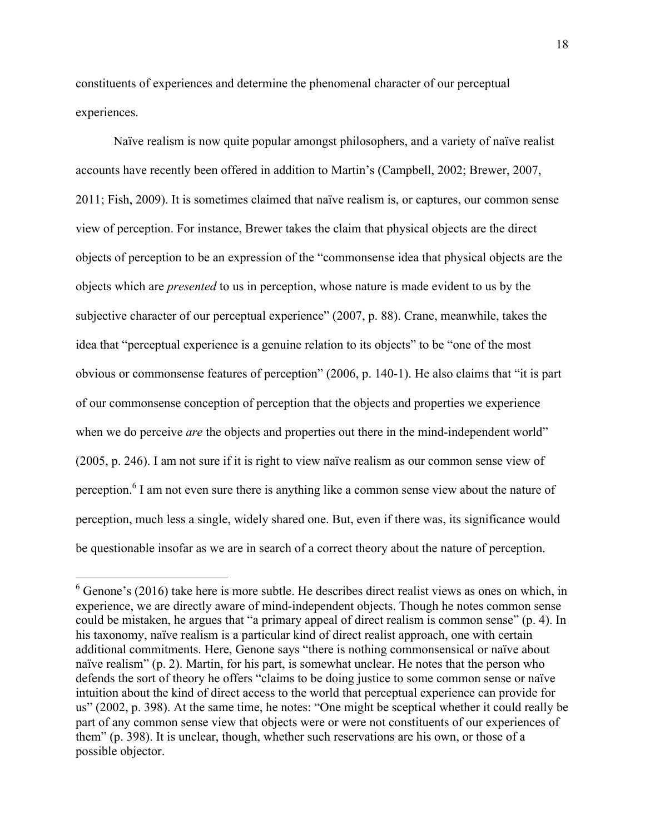constituents of experiences and determine the phenomenal character of our perceptual experiences.

Naïve realism is now quite popular amongst philosophers, and a variety of naïve realist accounts have recently been offered in addition to Martin's (Campbell, 2002; Brewer, 2007, 2011; Fish, 2009). It is sometimes claimed that naïve realism is, or captures, our common sense view of perception. For instance, Brewer takes the claim that physical objects are the direct objects of perception to be an expression of the "commonsense idea that physical objects are the objects which are *presented* to us in perception, whose nature is made evident to us by the subjective character of our perceptual experience" (2007, p. 88). Crane, meanwhile, takes the idea that "perceptual experience is a genuine relation to its objects" to be "one of the most obvious or commonsense features of perception" (2006, p. 140-1). He also claims that "it is part of our commonsense conception of perception that the objects and properties we experience when we do perceive *are* the objects and properties out there in the mind-independent world" (2005, p. 246). I am not sure if it is right to view naïve realism as our common sense view of perception.<sup>6</sup> I am not even sure there is anything like a common sense view about the nature of perception, much less a single, widely shared one. But, even if there was, its significance would be questionable insofar as we are in search of a correct theory about the nature of perception.

 $<sup>6</sup>$  Genone's (2016) take here is more subtle. He describes direct realist views as ones on which, in</sup> experience, we are directly aware of mind-independent objects. Though he notes common sense could be mistaken, he argues that "a primary appeal of direct realism is common sense" (p. 4). In his taxonomy, naïve realism is a particular kind of direct realist approach, one with certain additional commitments. Here, Genone says "there is nothing commonsensical or naïve about naïve realism" (p. 2). Martin, for his part, is somewhat unclear. He notes that the person who defends the sort of theory he offers "claims to be doing justice to some common sense or naïve intuition about the kind of direct access to the world that perceptual experience can provide for us" (2002, p. 398). At the same time, he notes: "One might be sceptical whether it could really be part of any common sense view that objects were or were not constituents of our experiences of them" (p. 398). It is unclear, though, whether such reservations are his own, or those of a possible objector.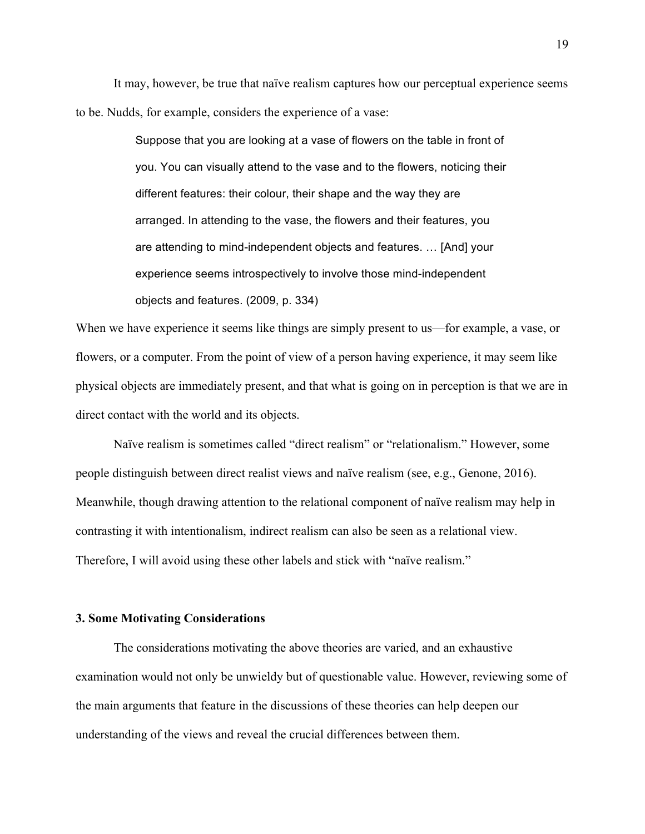It may, however, be true that naïve realism captures how our perceptual experience seems to be. Nudds, for example, considers the experience of a vase:

> Suppose that you are looking at a vase of flowers on the table in front of you. You can visually attend to the vase and to the flowers, noticing their different features: their colour, their shape and the way they are arranged. In attending to the vase, the flowers and their features, you are attending to mind-independent objects and features. … [And] your experience seems introspectively to involve those mind-independent objects and features. (2009, p. 334)

When we have experience it seems like things are simply present to us—for example, a vase, or flowers, or a computer. From the point of view of a person having experience, it may seem like physical objects are immediately present, and that what is going on in perception is that we are in direct contact with the world and its objects.

Naïve realism is sometimes called "direct realism" or "relationalism." However, some people distinguish between direct realist views and naïve realism (see, e.g., Genone, 2016). Meanwhile, though drawing attention to the relational component of naïve realism may help in contrasting it with intentionalism, indirect realism can also be seen as a relational view. Therefore, I will avoid using these other labels and stick with "naïve realism."

### **3. Some Motivating Considerations**

The considerations motivating the above theories are varied, and an exhaustive examination would not only be unwieldy but of questionable value. However, reviewing some of the main arguments that feature in the discussions of these theories can help deepen our understanding of the views and reveal the crucial differences between them.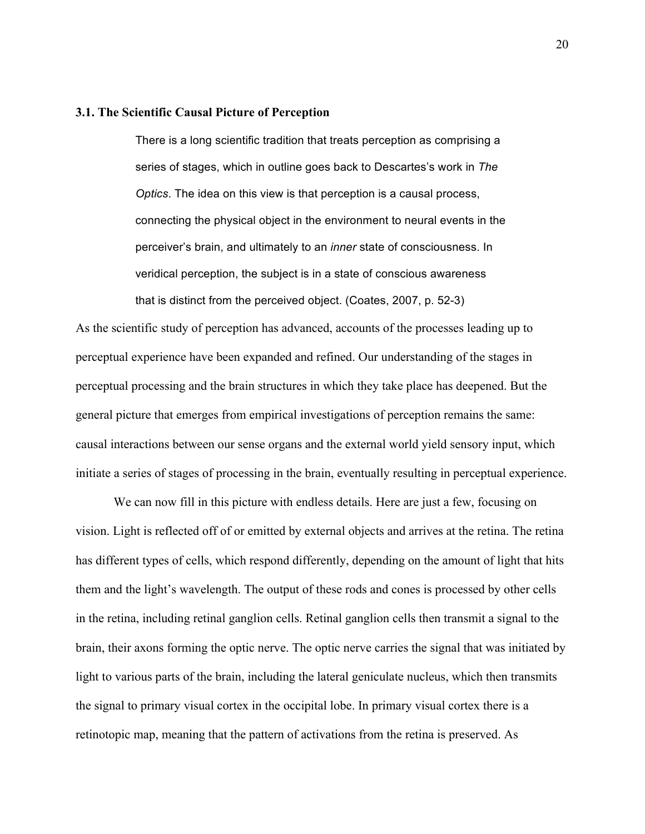#### **3.1. The Scientific Causal Picture of Perception**

There is a long scientific tradition that treats perception as comprising a series of stages, which in outline goes back to Descartes's work in *The Optics*. The idea on this view is that perception is a causal process, connecting the physical object in the environment to neural events in the perceiver's brain, and ultimately to an *inner* state of consciousness. In veridical perception, the subject is in a state of conscious awareness that is distinct from the perceived object. (Coates, 2007, p. 52-3)

As the scientific study of perception has advanced, accounts of the processes leading up to perceptual experience have been expanded and refined. Our understanding of the stages in perceptual processing and the brain structures in which they take place has deepened. But the general picture that emerges from empirical investigations of perception remains the same: causal interactions between our sense organs and the external world yield sensory input, which initiate a series of stages of processing in the brain, eventually resulting in perceptual experience.

We can now fill in this picture with endless details. Here are just a few, focusing on vision. Light is reflected off of or emitted by external objects and arrives at the retina. The retina has different types of cells, which respond differently, depending on the amount of light that hits them and the light's wavelength. The output of these rods and cones is processed by other cells in the retina, including retinal ganglion cells. Retinal ganglion cells then transmit a signal to the brain, their axons forming the optic nerve. The optic nerve carries the signal that was initiated by light to various parts of the brain, including the lateral geniculate nucleus, which then transmits the signal to primary visual cortex in the occipital lobe. In primary visual cortex there is a retinotopic map, meaning that the pattern of activations from the retina is preserved. As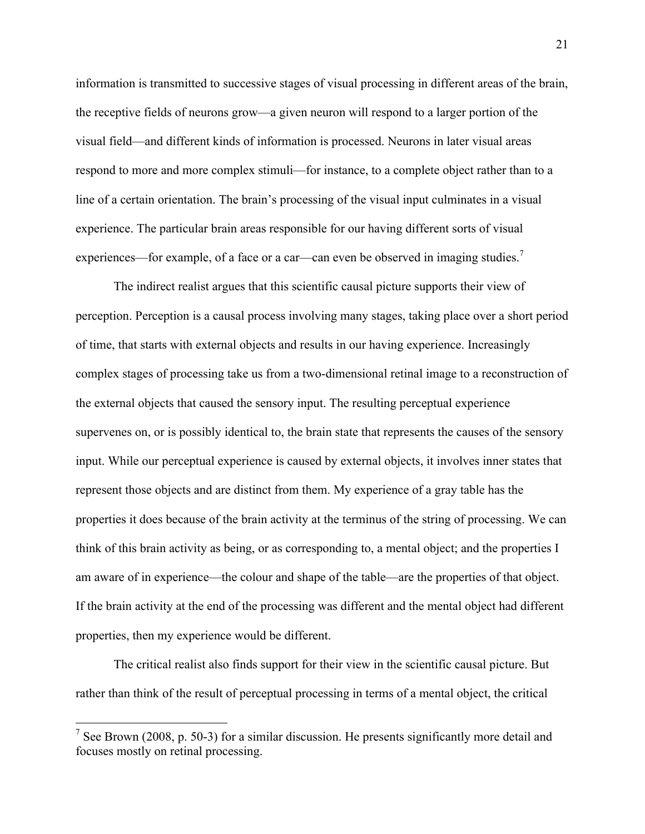information is transmitted to successive stages of visual processing in different areas of the brain, the receptive fields of neurons grow—a given neuron will respond to a larger portion of the visual field—and different kinds of information is processed. Neurons in later visual areas respond to more and more complex stimuli—for instance, to a complete object rather than to a line of a certain orientation. The brain's processing of the visual input culminates in a visual experience. The particular brain areas responsible for our having different sorts of visual experiences—for example, of a face or a car—can even be observed in imaging studies.<sup>7</sup>

The indirect realist argues that this scientific causal picture supports their view of perception. Perception is a causal process involving many stages, taking place over a short period of time, that starts with external objects and results in our having experience. Increasingly complex stages of processing take us from a two-dimensional retinal image to a reconstruction of the external objects that caused the sensory input. The resulting perceptual experience supervenes on, or is possibly identical to, the brain state that represents the causes of the sensory input. While our perceptual experience is caused by external objects, it involves inner states that represent those objects and are distinct from them. My experience of a gray table has the properties it does because of the brain activity at the terminus of the string of processing. We can think of this brain activity as being, or as corresponding to, a mental object; and the properties I am aware of in experience—the colour and shape of the table—are the properties of that object. If the brain activity at the end of the processing was different and the mental object had different properties, then my experience would be different.

The critical realist also finds support for their view in the scientific causal picture. But rather than think of the result of perceptual processing in terms of a mental object, the critical

<sup>&</sup>lt;sup>7</sup> See Brown (2008, p. 50-3) for a similar discussion. He presents significantly more detail and focuses mostly on retinal processing.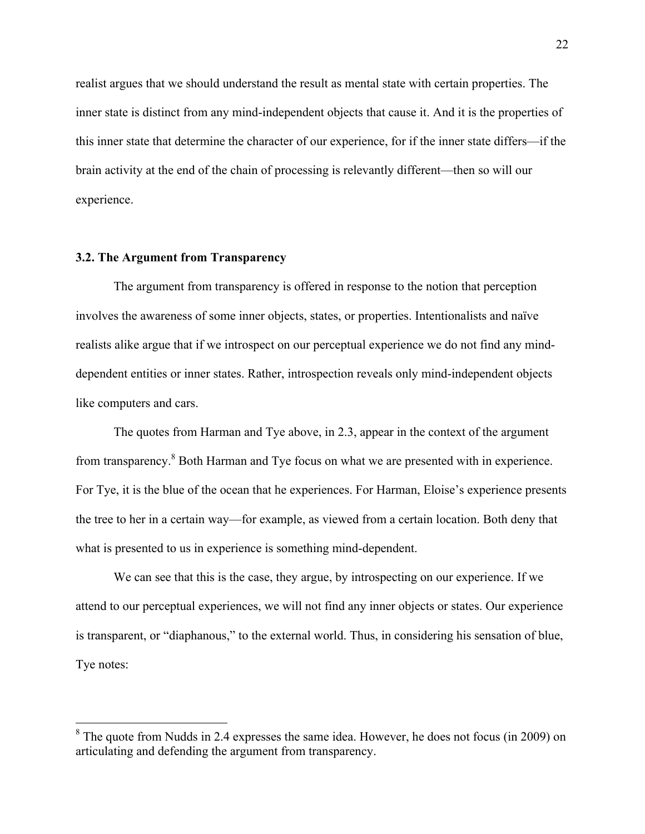realist argues that we should understand the result as mental state with certain properties. The inner state is distinct from any mind-independent objects that cause it. And it is the properties of this inner state that determine the character of our experience, for if the inner state differs—if the brain activity at the end of the chain of processing is relevantly different—then so will our experience.

#### **3.2. The Argument from Transparency**

The argument from transparency is offered in response to the notion that perception involves the awareness of some inner objects, states, or properties. Intentionalists and naïve realists alike argue that if we introspect on our perceptual experience we do not find any minddependent entities or inner states. Rather, introspection reveals only mind-independent objects like computers and cars.

The quotes from Harman and Tye above, in 2.3, appear in the context of the argument from transparency.<sup>8</sup> Both Harman and Tye focus on what we are presented with in experience. For Tye, it is the blue of the ocean that he experiences. For Harman, Eloise's experience presents the tree to her in a certain way—for example, as viewed from a certain location. Both deny that what is presented to us in experience is something mind-dependent.

We can see that this is the case, they argue, by introspecting on our experience. If we attend to our perceptual experiences, we will not find any inner objects or states. Our experience is transparent, or "diaphanous," to the external world. Thus, in considering his sensation of blue, Tye notes:

 $8$  The quote from Nudds in 2.4 expresses the same idea. However, he does not focus (in 2009) on articulating and defending the argument from transparency.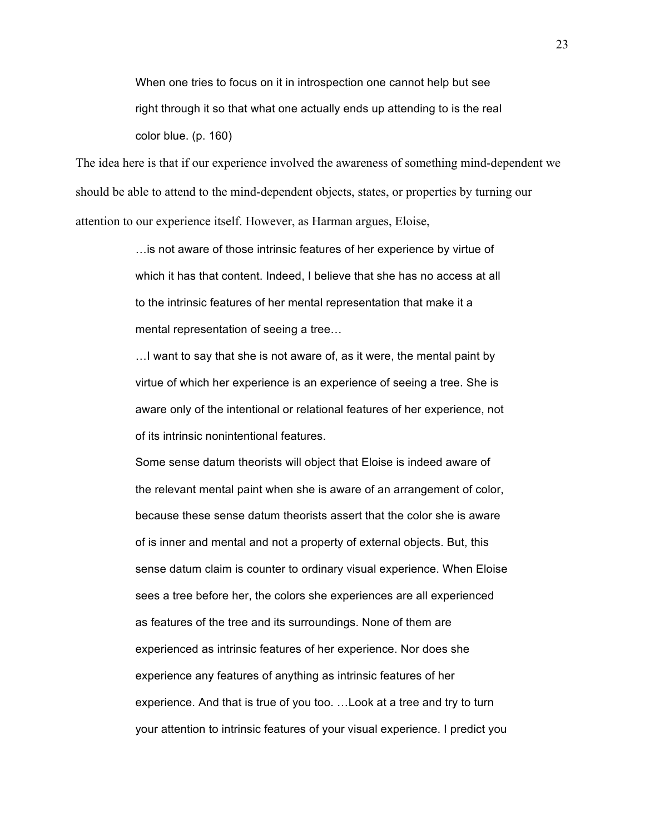When one tries to focus on it in introspection one cannot help but see right through it so that what one actually ends up attending to is the real color blue. (p. 160)

The idea here is that if our experience involved the awareness of something mind-dependent we should be able to attend to the mind-dependent objects, states, or properties by turning our attention to our experience itself. However, as Harman argues, Eloise,

> …is not aware of those intrinsic features of her experience by virtue of which it has that content. Indeed, I believe that she has no access at all to the intrinsic features of her mental representation that make it a mental representation of seeing a tree…

…I want to say that she is not aware of, as it were, the mental paint by virtue of which her experience is an experience of seeing a tree. She is aware only of the intentional or relational features of her experience, not of its intrinsic nonintentional features.

Some sense datum theorists will object that Eloise is indeed aware of the relevant mental paint when she is aware of an arrangement of color, because these sense datum theorists assert that the color she is aware of is inner and mental and not a property of external objects. But, this sense datum claim is counter to ordinary visual experience. When Eloise sees a tree before her, the colors she experiences are all experienced as features of the tree and its surroundings. None of them are experienced as intrinsic features of her experience. Nor does she experience any features of anything as intrinsic features of her experience. And that is true of you too. …Look at a tree and try to turn your attention to intrinsic features of your visual experience. I predict you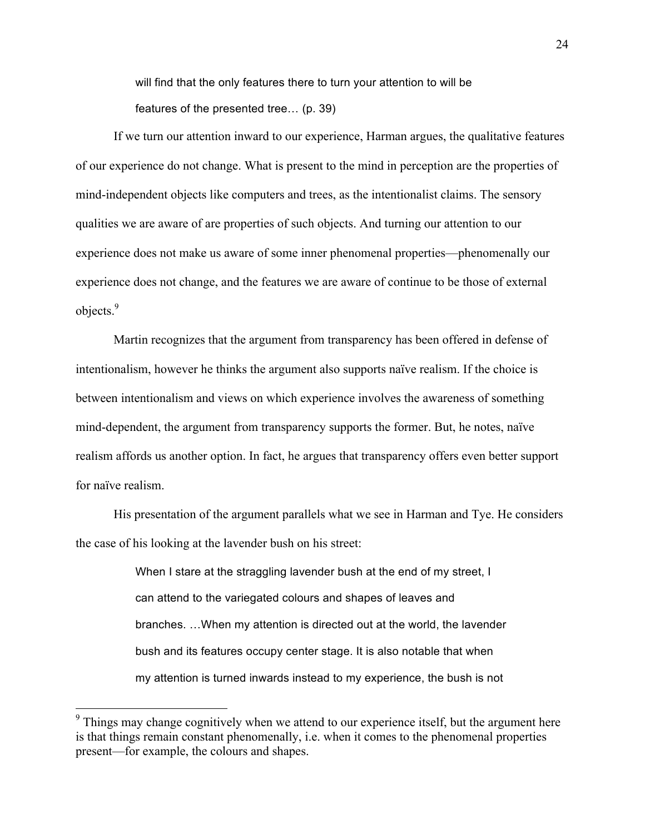will find that the only features there to turn your attention to will be features of the presented tree… (p. 39)

If we turn our attention inward to our experience, Harman argues, the qualitative features of our experience do not change. What is present to the mind in perception are the properties of mind-independent objects like computers and trees, as the intentionalist claims. The sensory qualities we are aware of are properties of such objects. And turning our attention to our experience does not make us aware of some inner phenomenal properties—phenomenally our experience does not change, and the features we are aware of continue to be those of external objects.<sup>9</sup>

Martin recognizes that the argument from transparency has been offered in defense of intentionalism, however he thinks the argument also supports naïve realism. If the choice is between intentionalism and views on which experience involves the awareness of something mind-dependent, the argument from transparency supports the former. But, he notes, naïve realism affords us another option. In fact, he argues that transparency offers even better support for naïve realism.

His presentation of the argument parallels what we see in Harman and Tye. He considers the case of his looking at the lavender bush on his street:

> When I stare at the straggling lavender bush at the end of my street, I can attend to the variegated colours and shapes of leaves and branches. …When my attention is directed out at the world, the lavender bush and its features occupy center stage. It is also notable that when my attention is turned inwards instead to my experience, the bush is not

 $9$  Things may change cognitively when we attend to our experience itself, but the argument here is that things remain constant phenomenally, i.e. when it comes to the phenomenal properties present—for example, the colours and shapes.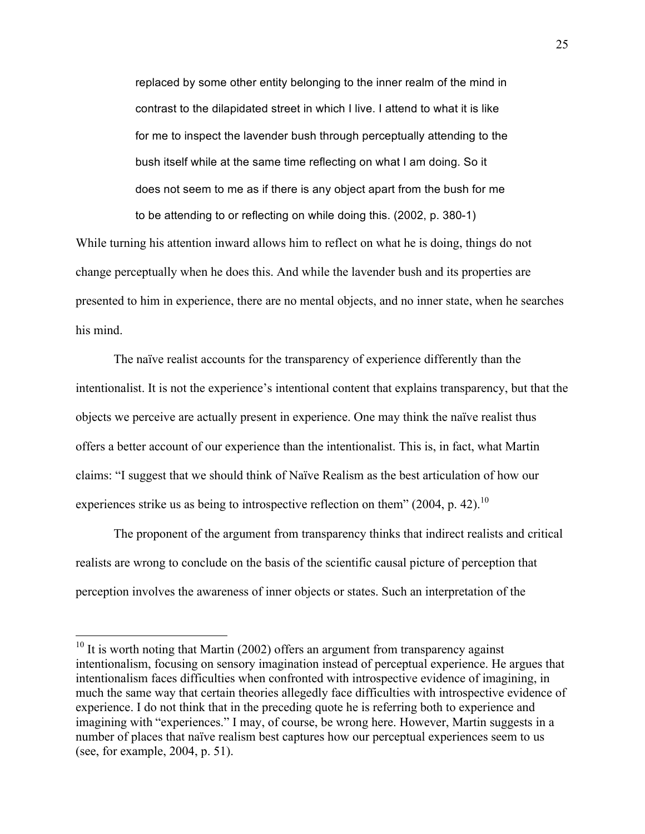replaced by some other entity belonging to the inner realm of the mind in contrast to the dilapidated street in which I live. I attend to what it is like for me to inspect the lavender bush through perceptually attending to the bush itself while at the same time reflecting on what I am doing. So it does not seem to me as if there is any object apart from the bush for me to be attending to or reflecting on while doing this. (2002, p. 380-1)

While turning his attention inward allows him to reflect on what he is doing, things do not change perceptually when he does this. And while the lavender bush and its properties are presented to him in experience, there are no mental objects, and no inner state, when he searches his mind.

The naïve realist accounts for the transparency of experience differently than the intentionalist. It is not the experience's intentional content that explains transparency, but that the objects we perceive are actually present in experience. One may think the naïve realist thus offers a better account of our experience than the intentionalist. This is, in fact, what Martin claims: "I suggest that we should think of Naïve Realism as the best articulation of how our experiences strike us as being to introspective reflection on them" (2004, p. 42).<sup>10</sup>

The proponent of the argument from transparency thinks that indirect realists and critical realists are wrong to conclude on the basis of the scientific causal picture of perception that perception involves the awareness of inner objects or states. Such an interpretation of the

 $10$  It is worth noting that Martin (2002) offers an argument from transparency against intentionalism, focusing on sensory imagination instead of perceptual experience. He argues that intentionalism faces difficulties when confronted with introspective evidence of imagining, in much the same way that certain theories allegedly face difficulties with introspective evidence of experience. I do not think that in the preceding quote he is referring both to experience and imagining with "experiences." I may, of course, be wrong here. However, Martin suggests in a number of places that naïve realism best captures how our perceptual experiences seem to us (see, for example, 2004, p. 51).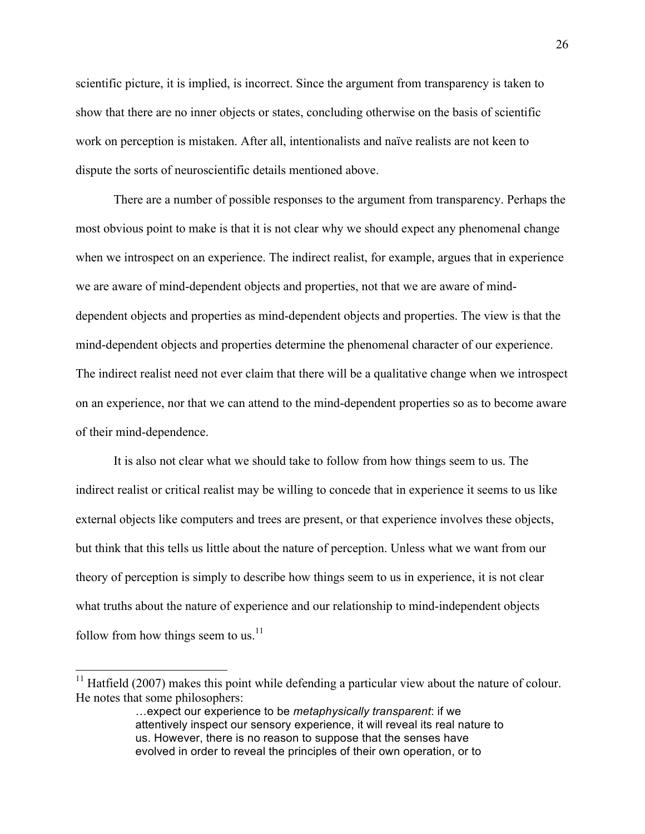scientific picture, it is implied, is incorrect. Since the argument from transparency is taken to show that there are no inner objects or states, concluding otherwise on the basis of scientific work on perception is mistaken. After all, intentionalists and naïve realists are not keen to dispute the sorts of neuroscientific details mentioned above.

There are a number of possible responses to the argument from transparency. Perhaps the most obvious point to make is that it is not clear why we should expect any phenomenal change when we introspect on an experience. The indirect realist, for example, argues that in experience we are aware of mind-dependent objects and properties, not that we are aware of minddependent objects and properties as mind-dependent objects and properties. The view is that the mind-dependent objects and properties determine the phenomenal character of our experience. The indirect realist need not ever claim that there will be a qualitative change when we introspect on an experience, nor that we can attend to the mind-dependent properties so as to become aware of their mind-dependence.

It is also not clear what we should take to follow from how things seem to us. The indirect realist or critical realist may be willing to concede that in experience it seems to us like external objects like computers and trees are present, or that experience involves these objects, but think that this tells us little about the nature of perception. Unless what we want from our theory of perception is simply to describe how things seem to us in experience, it is not clear what truths about the nature of experience and our relationship to mind-independent objects follow from how things seem to us. $^{11}$ 

<sup>&</sup>lt;sup>11</sup> Hatfield (2007) makes this point while defending a particular view about the nature of colour. He notes that some philosophers:

<sup>…</sup>expect our experience to be *metaphysically transparent*: if we attentively inspect our sensory experience, it will reveal its real nature to us. However, there is no reason to suppose that the senses have evolved in order to reveal the principles of their own operation, or to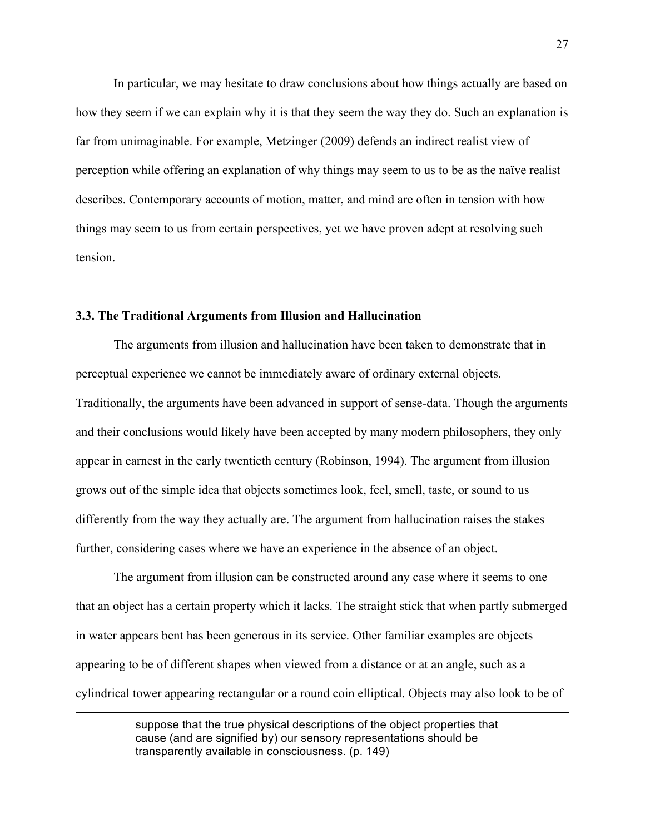In particular, we may hesitate to draw conclusions about how things actually are based on how they seem if we can explain why it is that they seem the way they do. Such an explanation is far from unimaginable. For example, Metzinger (2009) defends an indirect realist view of perception while offering an explanation of why things may seem to us to be as the naïve realist describes. Contemporary accounts of motion, matter, and mind are often in tension with how things may seem to us from certain perspectives, yet we have proven adept at resolving such tension.

#### **3.3. The Traditional Arguments from Illusion and Hallucination**

The arguments from illusion and hallucination have been taken to demonstrate that in perceptual experience we cannot be immediately aware of ordinary external objects. Traditionally, the arguments have been advanced in support of sense-data. Though the arguments and their conclusions would likely have been accepted by many modern philosophers, they only appear in earnest in the early twentieth century (Robinson, 1994). The argument from illusion grows out of the simple idea that objects sometimes look, feel, smell, taste, or sound to us differently from the way they actually are. The argument from hallucination raises the stakes further, considering cases where we have an experience in the absence of an object.

The argument from illusion can be constructed around any case where it seems to one that an object has a certain property which it lacks. The straight stick that when partly submerged in water appears bent has been generous in its service. Other familiar examples are objects appearing to be of different shapes when viewed from a distance or at an angle, such as a cylindrical tower appearing rectangular or a round coin elliptical. Objects may also look to be of

> suppose that the true physical descriptions of the object properties that cause (and are signified by) our sensory representations should be transparently available in consciousness. (p. 149)

<u> Alexandro de la contrada de la contrada de la contrada de la contrada de la contrada de la contrada de la co</u>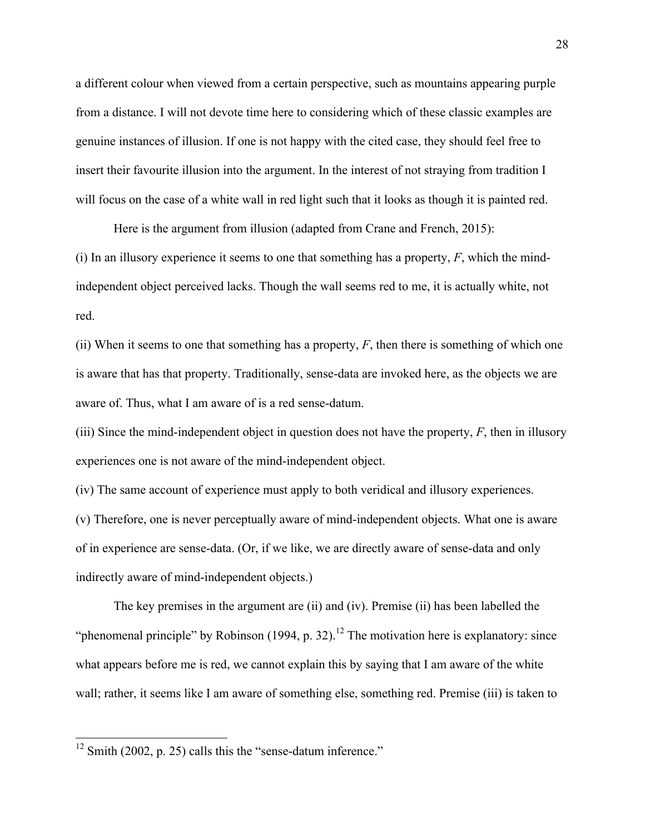a different colour when viewed from a certain perspective, such as mountains appearing purple from a distance. I will not devote time here to considering which of these classic examples are genuine instances of illusion. If one is not happy with the cited case, they should feel free to insert their favourite illusion into the argument. In the interest of not straying from tradition I will focus on the case of a white wall in red light such that it looks as though it is painted red.

Here is the argument from illusion (adapted from Crane and French, 2015): (i) In an illusory experience it seems to one that something has a property, *F*, which the mindindependent object perceived lacks. Though the wall seems red to me, it is actually white, not red.

(ii) When it seems to one that something has a property, *F*, then there is something of which one is aware that has that property. Traditionally, sense-data are invoked here, as the objects we are aware of. Thus, what I am aware of is a red sense-datum.

(iii) Since the mind-independent object in question does not have the property, *F*, then in illusory experiences one is not aware of the mind-independent object.

(iv) The same account of experience must apply to both veridical and illusory experiences.

(v) Therefore, one is never perceptually aware of mind-independent objects. What one is aware of in experience are sense-data. (Or, if we like, we are directly aware of sense-data and only indirectly aware of mind-independent objects.)

The key premises in the argument are (ii) and (iv). Premise (ii) has been labelled the "phenomenal principle" by Robinson  $(1994, p. 32)$ .<sup>12</sup> The motivation here is explanatory: since what appears before me is red, we cannot explain this by saying that I am aware of the white wall; rather, it seems like I am aware of something else, something red. Premise (iii) is taken to

 $12$  Smith (2002, p. 25) calls this the "sense-datum inference."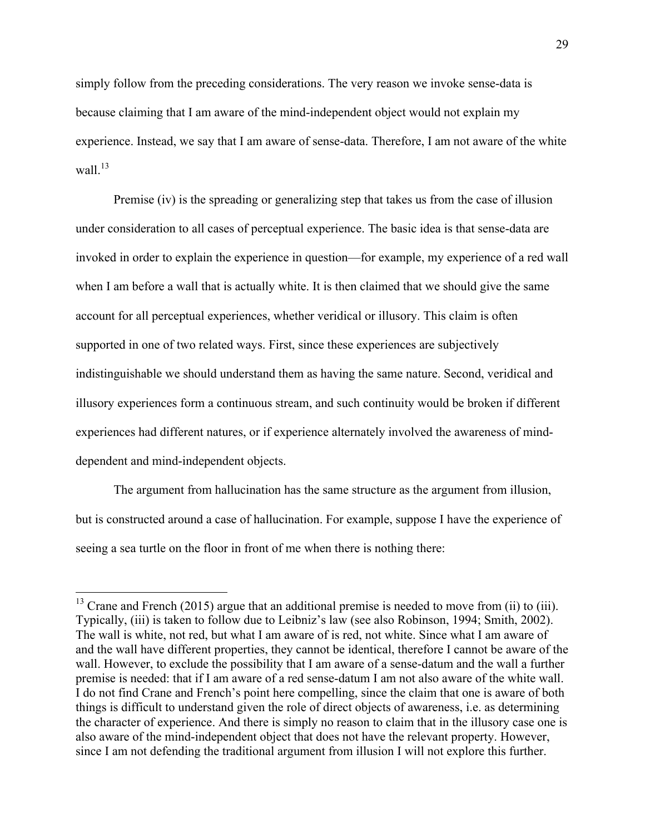simply follow from the preceding considerations. The very reason we invoke sense-data is because claiming that I am aware of the mind-independent object would not explain my experience. Instead, we say that I am aware of sense-data. Therefore, I am not aware of the white wall $^{13}$ 

Premise (iv) is the spreading or generalizing step that takes us from the case of illusion under consideration to all cases of perceptual experience. The basic idea is that sense-data are invoked in order to explain the experience in question—for example, my experience of a red wall when I am before a wall that is actually white. It is then claimed that we should give the same account for all perceptual experiences, whether veridical or illusory. This claim is often supported in one of two related ways. First, since these experiences are subjectively indistinguishable we should understand them as having the same nature. Second, veridical and illusory experiences form a continuous stream, and such continuity would be broken if different experiences had different natures, or if experience alternately involved the awareness of minddependent and mind-independent objects.

The argument from hallucination has the same structure as the argument from illusion, but is constructed around a case of hallucination. For example, suppose I have the experience of seeing a sea turtle on the floor in front of me when there is nothing there:

 $13$  Crane and French (2015) argue that an additional premise is needed to move from (ii) to (iii). Typically, (iii) is taken to follow due to Leibniz's law (see also Robinson, 1994; Smith, 2002). The wall is white, not red, but what I am aware of is red, not white. Since what I am aware of and the wall have different properties, they cannot be identical, therefore I cannot be aware of the wall. However, to exclude the possibility that I am aware of a sense-datum and the wall a further premise is needed: that if I am aware of a red sense-datum I am not also aware of the white wall. I do not find Crane and French's point here compelling, since the claim that one is aware of both things is difficult to understand given the role of direct objects of awareness, i.e. as determining the character of experience. And there is simply no reason to claim that in the illusory case one is also aware of the mind-independent object that does not have the relevant property. However, since I am not defending the traditional argument from illusion I will not explore this further.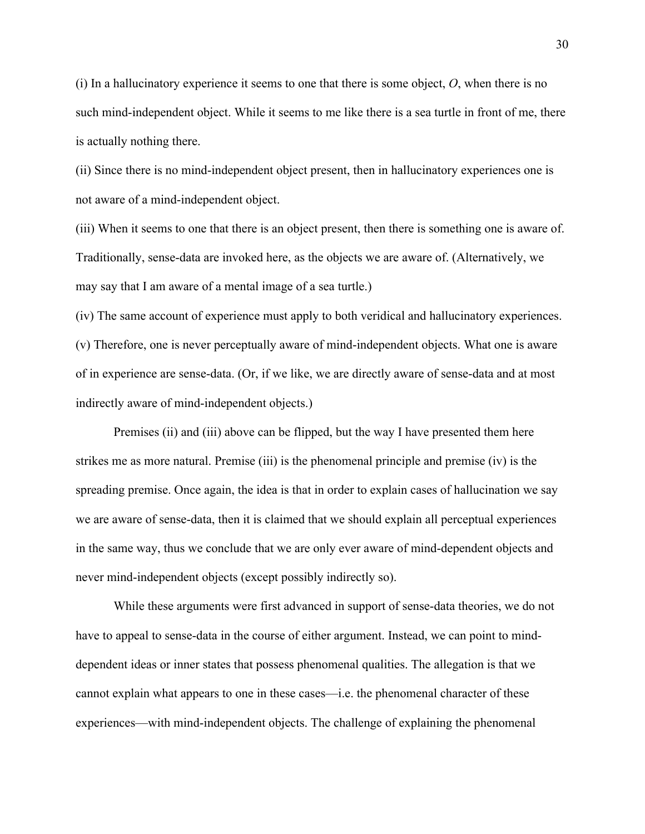(i) In a hallucinatory experience it seems to one that there is some object, *O*, when there is no such mind-independent object. While it seems to me like there is a sea turtle in front of me, there is actually nothing there.

(ii) Since there is no mind-independent object present, then in hallucinatory experiences one is not aware of a mind-independent object.

(iii) When it seems to one that there is an object present, then there is something one is aware of. Traditionally, sense-data are invoked here, as the objects we are aware of. (Alternatively, we may say that I am aware of a mental image of a sea turtle.)

(iv) The same account of experience must apply to both veridical and hallucinatory experiences. (v) Therefore, one is never perceptually aware of mind-independent objects. What one is aware of in experience are sense-data. (Or, if we like, we are directly aware of sense-data and at most indirectly aware of mind-independent objects.)

Premises (ii) and (iii) above can be flipped, but the way I have presented them here strikes me as more natural. Premise (iii) is the phenomenal principle and premise (iv) is the spreading premise. Once again, the idea is that in order to explain cases of hallucination we say we are aware of sense-data, then it is claimed that we should explain all perceptual experiences in the same way, thus we conclude that we are only ever aware of mind-dependent objects and never mind-independent objects (except possibly indirectly so).

While these arguments were first advanced in support of sense-data theories, we do not have to appeal to sense-data in the course of either argument. Instead, we can point to minddependent ideas or inner states that possess phenomenal qualities. The allegation is that we cannot explain what appears to one in these cases—i.e. the phenomenal character of these experiences—with mind-independent objects. The challenge of explaining the phenomenal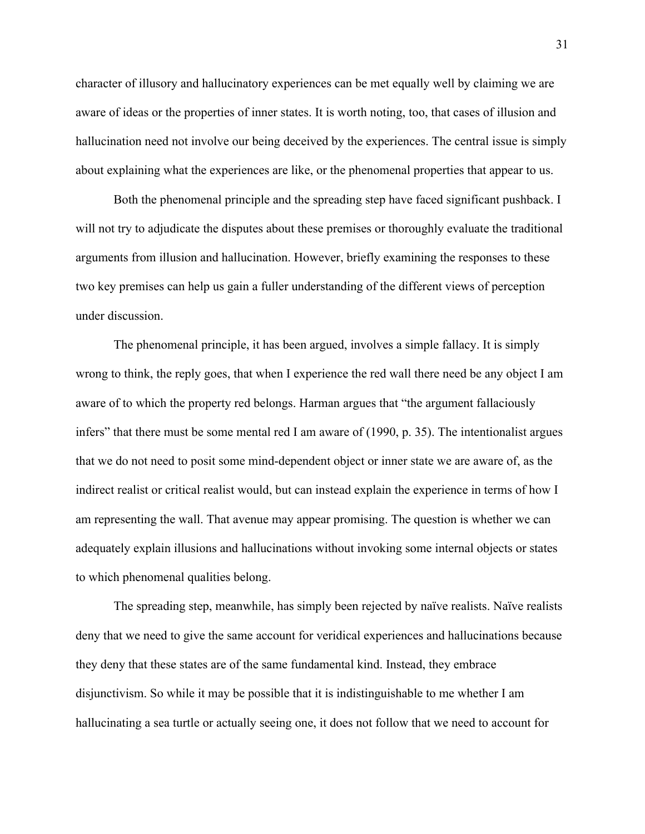character of illusory and hallucinatory experiences can be met equally well by claiming we are aware of ideas or the properties of inner states. It is worth noting, too, that cases of illusion and hallucination need not involve our being deceived by the experiences. The central issue is simply about explaining what the experiences are like, or the phenomenal properties that appear to us.

Both the phenomenal principle and the spreading step have faced significant pushback. I will not try to adjudicate the disputes about these premises or thoroughly evaluate the traditional arguments from illusion and hallucination. However, briefly examining the responses to these two key premises can help us gain a fuller understanding of the different views of perception under discussion.

The phenomenal principle, it has been argued, involves a simple fallacy. It is simply wrong to think, the reply goes, that when I experience the red wall there need be any object I am aware of to which the property red belongs. Harman argues that "the argument fallaciously infers" that there must be some mental red I am aware of (1990, p. 35). The intentionalist argues that we do not need to posit some mind-dependent object or inner state we are aware of, as the indirect realist or critical realist would, but can instead explain the experience in terms of how I am representing the wall. That avenue may appear promising. The question is whether we can adequately explain illusions and hallucinations without invoking some internal objects or states to which phenomenal qualities belong.

The spreading step, meanwhile, has simply been rejected by naïve realists. Naïve realists deny that we need to give the same account for veridical experiences and hallucinations because they deny that these states are of the same fundamental kind. Instead, they embrace disjunctivism. So while it may be possible that it is indistinguishable to me whether I am hallucinating a sea turtle or actually seeing one, it does not follow that we need to account for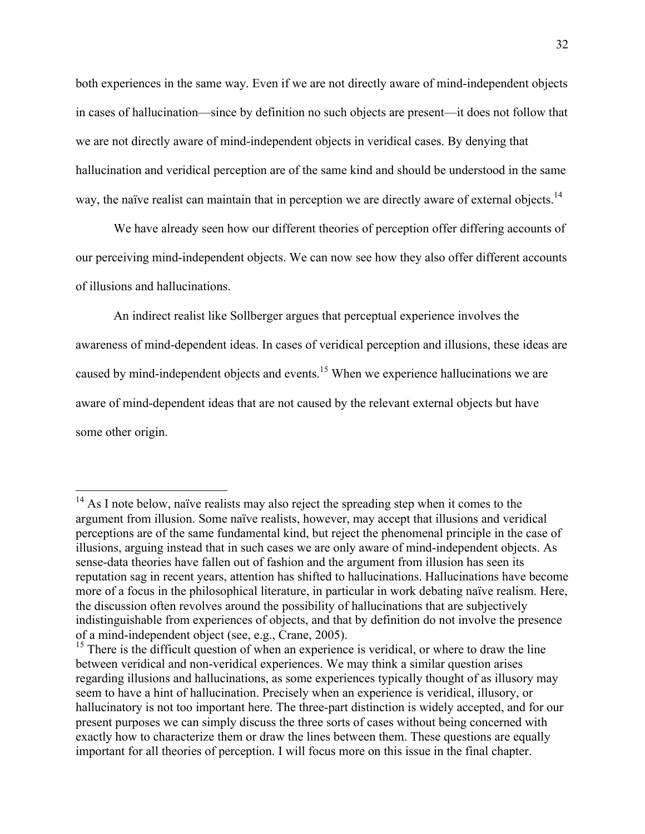both experiences in the same way. Even if we are not directly aware of mind-independent objects in cases of hallucination—since by definition no such objects are present—it does not follow that we are not directly aware of mind-independent objects in veridical cases. By denying that hallucination and veridical perception are of the same kind and should be understood in the same way, the naïve realist can maintain that in perception we are directly aware of external objects.<sup>14</sup>

We have already seen how our different theories of perception offer differing accounts of our perceiving mind-independent objects. We can now see how they also offer different accounts of illusions and hallucinations.

An indirect realist like Sollberger argues that perceptual experience involves the awareness of mind-dependent ideas. In cases of veridical perception and illusions, these ideas are caused by mind-independent objects and events.<sup>15</sup> When we experience hallucinations we are aware of mind-dependent ideas that are not caused by the relevant external objects but have some other origin.

 $14$  As I note below, naïve realists may also reject the spreading step when it comes to the argument from illusion. Some naïve realists, however, may accept that illusions and veridical perceptions are of the same fundamental kind, but reject the phenomenal principle in the case of illusions, arguing instead that in such cases we are only aware of mind-independent objects. As sense-data theories have fallen out of fashion and the argument from illusion has seen its reputation sag in recent years, attention has shifted to hallucinations. Hallucinations have become more of a focus in the philosophical literature, in particular in work debating naïve realism. Here, the discussion often revolves around the possibility of hallucinations that are subjectively indistinguishable from experiences of objects, and that by definition do not involve the presence of a mind-independent object (see, e.g., Crane, 2005).

<sup>&</sup>lt;sup>15</sup> There is the difficult question of when an experience is veridical, or where to draw the line between veridical and non-veridical experiences. We may think a similar question arises regarding illusions and hallucinations, as some experiences typically thought of as illusory may seem to have a hint of hallucination. Precisely when an experience is veridical, illusory, or hallucinatory is not too important here. The three-part distinction is widely accepted, and for our present purposes we can simply discuss the three sorts of cases without being concerned with exactly how to characterize them or draw the lines between them. These questions are equally important for all theories of perception. I will focus more on this issue in the final chapter.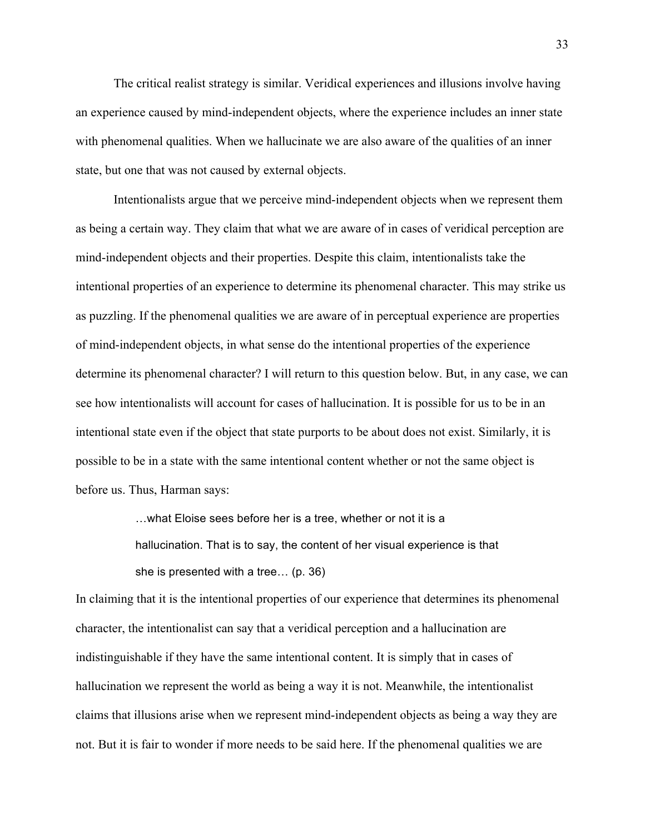The critical realist strategy is similar. Veridical experiences and illusions involve having an experience caused by mind-independent objects, where the experience includes an inner state with phenomenal qualities. When we hallucinate we are also aware of the qualities of an inner state, but one that was not caused by external objects.

Intentionalists argue that we perceive mind-independent objects when we represent them as being a certain way. They claim that what we are aware of in cases of veridical perception are mind-independent objects and their properties. Despite this claim, intentionalists take the intentional properties of an experience to determine its phenomenal character. This may strike us as puzzling. If the phenomenal qualities we are aware of in perceptual experience are properties of mind-independent objects, in what sense do the intentional properties of the experience determine its phenomenal character? I will return to this question below. But, in any case, we can see how intentionalists will account for cases of hallucination. It is possible for us to be in an intentional state even if the object that state purports to be about does not exist. Similarly, it is possible to be in a state with the same intentional content whether or not the same object is before us. Thus, Harman says:

> …what Eloise sees before her is a tree, whether or not it is a hallucination. That is to say, the content of her visual experience is that she is presented with a tree… (p. 36)

In claiming that it is the intentional properties of our experience that determines its phenomenal character, the intentionalist can say that a veridical perception and a hallucination are indistinguishable if they have the same intentional content. It is simply that in cases of hallucination we represent the world as being a way it is not. Meanwhile, the intentionalist claims that illusions arise when we represent mind-independent objects as being a way they are not. But it is fair to wonder if more needs to be said here. If the phenomenal qualities we are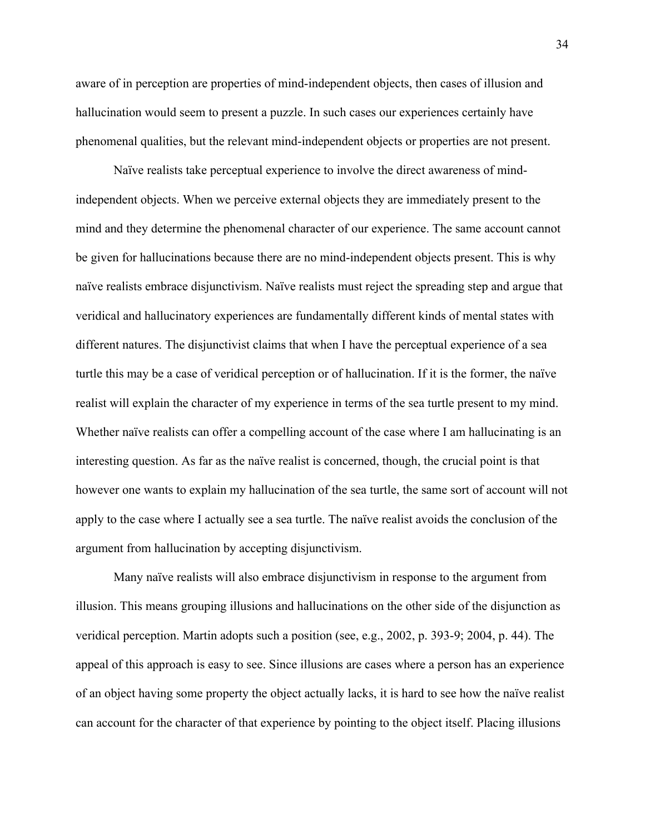aware of in perception are properties of mind-independent objects, then cases of illusion and hallucination would seem to present a puzzle. In such cases our experiences certainly have phenomenal qualities, but the relevant mind-independent objects or properties are not present.

Naïve realists take perceptual experience to involve the direct awareness of mindindependent objects. When we perceive external objects they are immediately present to the mind and they determine the phenomenal character of our experience. The same account cannot be given for hallucinations because there are no mind-independent objects present. This is why naïve realists embrace disjunctivism. Naïve realists must reject the spreading step and argue that veridical and hallucinatory experiences are fundamentally different kinds of mental states with different natures. The disjunctivist claims that when I have the perceptual experience of a sea turtle this may be a case of veridical perception or of hallucination. If it is the former, the naïve realist will explain the character of my experience in terms of the sea turtle present to my mind. Whether naïve realists can offer a compelling account of the case where I am hallucinating is an interesting question. As far as the naïve realist is concerned, though, the crucial point is that however one wants to explain my hallucination of the sea turtle, the same sort of account will not apply to the case where I actually see a sea turtle. The naïve realist avoids the conclusion of the argument from hallucination by accepting disjunctivism.

Many naïve realists will also embrace disjunctivism in response to the argument from illusion. This means grouping illusions and hallucinations on the other side of the disjunction as veridical perception. Martin adopts such a position (see, e.g., 2002, p. 393-9; 2004, p. 44). The appeal of this approach is easy to see. Since illusions are cases where a person has an experience of an object having some property the object actually lacks, it is hard to see how the naïve realist can account for the character of that experience by pointing to the object itself. Placing illusions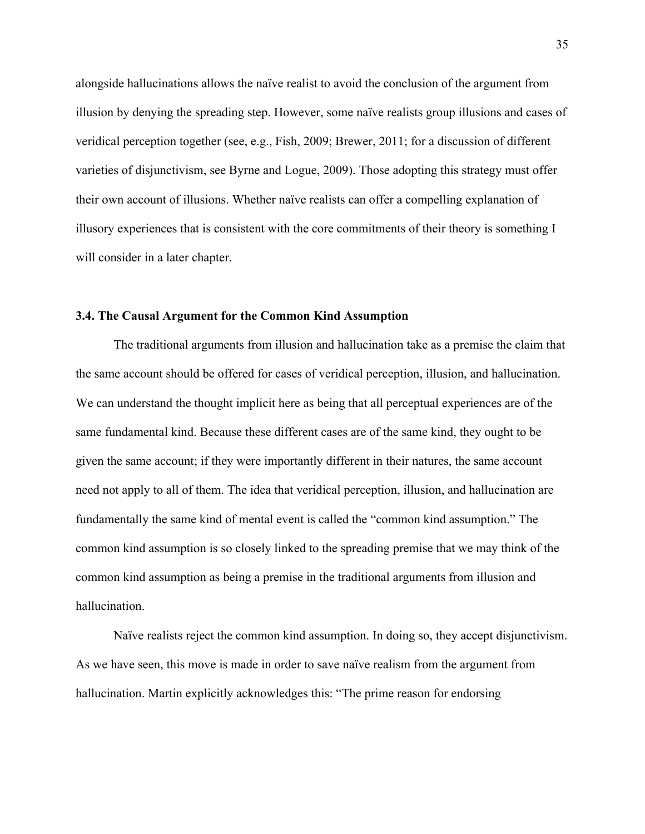alongside hallucinations allows the naïve realist to avoid the conclusion of the argument from illusion by denying the spreading step. However, some naïve realists group illusions and cases of veridical perception together (see, e.g., Fish, 2009; Brewer, 2011; for a discussion of different varieties of disjunctivism, see Byrne and Logue, 2009). Those adopting this strategy must offer their own account of illusions. Whether naïve realists can offer a compelling explanation of illusory experiences that is consistent with the core commitments of their theory is something I will consider in a later chapter.

### **3.4. The Causal Argument for the Common Kind Assumption**

The traditional arguments from illusion and hallucination take as a premise the claim that the same account should be offered for cases of veridical perception, illusion, and hallucination. We can understand the thought implicit here as being that all perceptual experiences are of the same fundamental kind. Because these different cases are of the same kind, they ought to be given the same account; if they were importantly different in their natures, the same account need not apply to all of them. The idea that veridical perception, illusion, and hallucination are fundamentally the same kind of mental event is called the "common kind assumption." The common kind assumption is so closely linked to the spreading premise that we may think of the common kind assumption as being a premise in the traditional arguments from illusion and hallucination.

Naïve realists reject the common kind assumption. In doing so, they accept disjunctivism. As we have seen, this move is made in order to save naïve realism from the argument from hallucination. Martin explicitly acknowledges this: "The prime reason for endorsing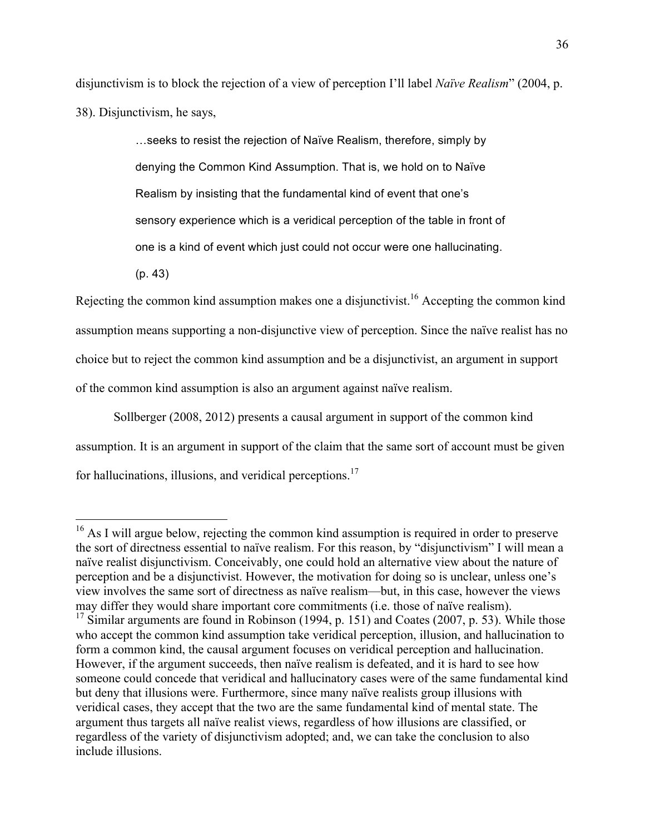disjunctivism is to block the rejection of a view of perception I'll label *Naïve Realism*" (2004, p. 38). Disjunctivism, he says,

> …seeks to resist the rejection of Naïve Realism, therefore, simply by denying the Common Kind Assumption. That is, we hold on to Naïve Realism by insisting that the fundamental kind of event that one's sensory experience which is a veridical perception of the table in front of one is a kind of event which just could not occur were one hallucinating. (p. 43)

Rejecting the common kind assumption makes one a disjunctivist.<sup>16</sup> Accepting the common kind assumption means supporting a non-disjunctive view of perception. Since the naïve realist has no choice but to reject the common kind assumption and be a disjunctivist, an argument in support of the common kind assumption is also an argument against naïve realism.

Sollberger (2008, 2012) presents a causal argument in support of the common kind assumption. It is an argument in support of the claim that the same sort of account must be given for hallucinations, illusions, and veridical perceptions.<sup>17</sup>

<sup>&</sup>lt;sup>16</sup> As I will argue below, rejecting the common kind assumption is required in order to preserve the sort of directness essential to naïve realism. For this reason, by "disjunctivism" I will mean a naïve realist disjunctivism. Conceivably, one could hold an alternative view about the nature of perception and be a disjunctivist. However, the motivation for doing so is unclear, unless one's view involves the same sort of directness as naïve realism—but, in this case, however the views may differ they would share important core commitments (i.e. those of naïve realism).<br><sup>17</sup> Similar arguments are found in Robinson (1994, p. 151) and Coates (2007, p. 53). While those

who accept the common kind assumption take veridical perception, illusion, and hallucination to form a common kind, the causal argument focuses on veridical perception and hallucination. However, if the argument succeeds, then naïve realism is defeated, and it is hard to see how someone could concede that veridical and hallucinatory cases were of the same fundamental kind but deny that illusions were. Furthermore, since many naïve realists group illusions with veridical cases, they accept that the two are the same fundamental kind of mental state. The argument thus targets all naïve realist views, regardless of how illusions are classified, or regardless of the variety of disjunctivism adopted; and, we can take the conclusion to also include illusions.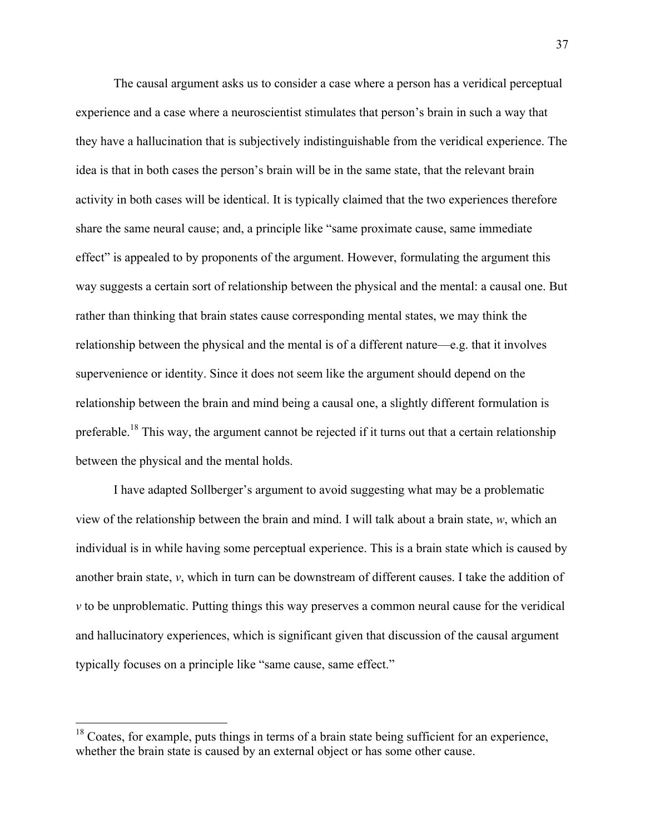The causal argument asks us to consider a case where a person has a veridical perceptual experience and a case where a neuroscientist stimulates that person's brain in such a way that they have a hallucination that is subjectively indistinguishable from the veridical experience. The idea is that in both cases the person's brain will be in the same state, that the relevant brain activity in both cases will be identical. It is typically claimed that the two experiences therefore share the same neural cause; and, a principle like "same proximate cause, same immediate effect" is appealed to by proponents of the argument. However, formulating the argument this way suggests a certain sort of relationship between the physical and the mental: a causal one. But rather than thinking that brain states cause corresponding mental states, we may think the relationship between the physical and the mental is of a different nature—e.g. that it involves supervenience or identity. Since it does not seem like the argument should depend on the relationship between the brain and mind being a causal one, a slightly different formulation is preferable.18 This way, the argument cannot be rejected if it turns out that a certain relationship between the physical and the mental holds.

I have adapted Sollberger's argument to avoid suggesting what may be a problematic view of the relationship between the brain and mind. I will talk about a brain state, *w*, which an individual is in while having some perceptual experience. This is a brain state which is caused by another brain state, *v*, which in turn can be downstream of different causes. I take the addition of *v* to be unproblematic. Putting things this way preserves a common neural cause for the veridical and hallucinatory experiences, which is significant given that discussion of the causal argument typically focuses on a principle like "same cause, same effect."

<sup>&</sup>lt;sup>18</sup> Coates, for example, puts things in terms of a brain state being sufficient for an experience, whether the brain state is caused by an external object or has some other cause.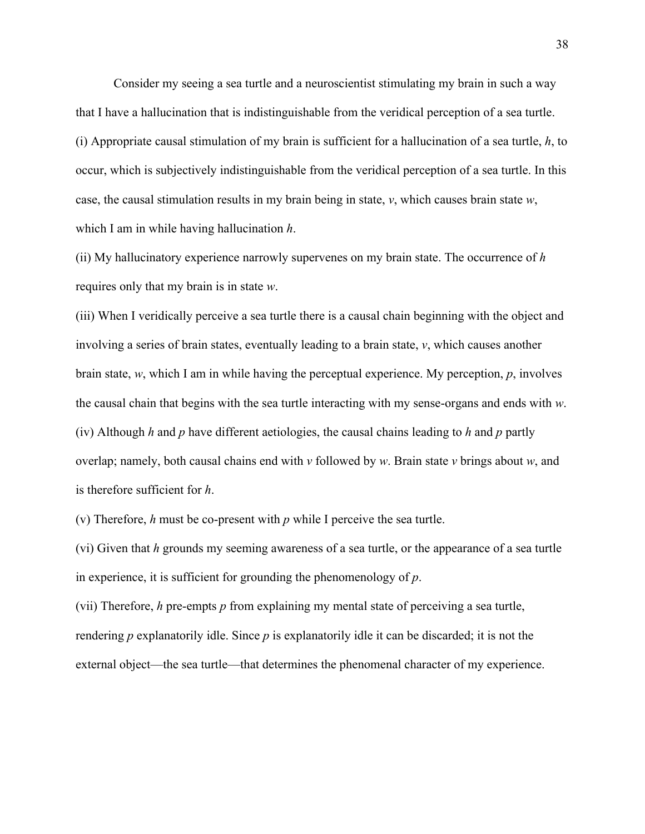Consider my seeing a sea turtle and a neuroscientist stimulating my brain in such a way that I have a hallucination that is indistinguishable from the veridical perception of a sea turtle. (i) Appropriate causal stimulation of my brain is sufficient for a hallucination of a sea turtle, *h*, to occur, which is subjectively indistinguishable from the veridical perception of a sea turtle. In this case, the causal stimulation results in my brain being in state, *v*, which causes brain state *w*, which I am in while having hallucination *h*.

(ii) My hallucinatory experience narrowly supervenes on my brain state. The occurrence of *h* requires only that my brain is in state *w*.

(iii) When I veridically perceive a sea turtle there is a causal chain beginning with the object and involving a series of brain states, eventually leading to a brain state, *v*, which causes another brain state, *w*, which I am in while having the perceptual experience. My perception, *p*, involves the causal chain that begins with the sea turtle interacting with my sense-organs and ends with *w*. (iv) Although *h* and *p* have different aetiologies, the causal chains leading to *h* and *p* partly overlap; namely, both causal chains end with *v* followed by *w*. Brain state *v* brings about *w*, and is therefore sufficient for *h*.

(v) Therefore, *h* must be co-present with *p* while I perceive the sea turtle.

(vi) Given that *h* grounds my seeming awareness of a sea turtle, or the appearance of a sea turtle in experience, it is sufficient for grounding the phenomenology of *p*.

(vii) Therefore, *h* pre-empts *p* from explaining my mental state of perceiving a sea turtle, rendering *p* explanatorily idle. Since *p* is explanatorily idle it can be discarded; it is not the external object—the sea turtle—that determines the phenomenal character of my experience.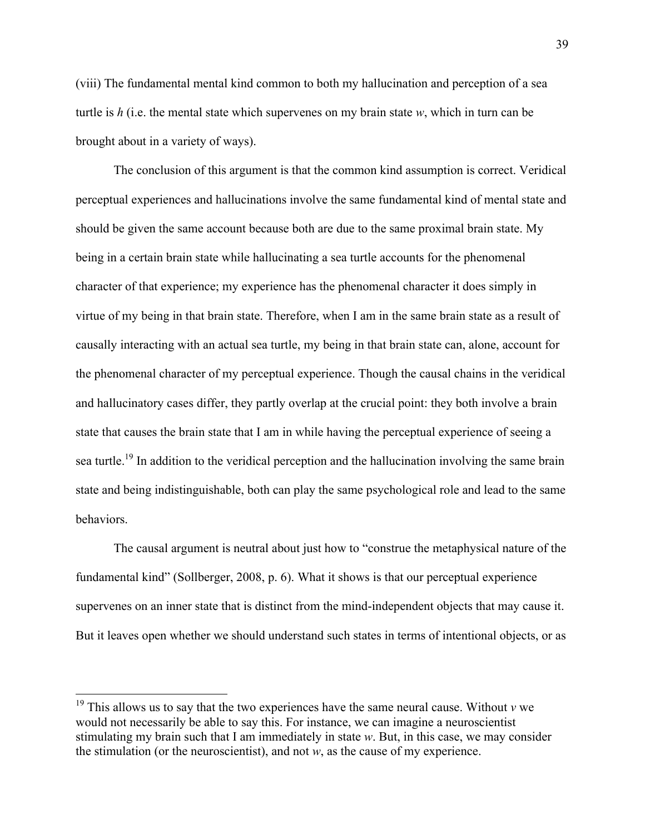(viii) The fundamental mental kind common to both my hallucination and perception of a sea turtle is *h* (i.e. the mental state which supervenes on my brain state *w*, which in turn can be brought about in a variety of ways).

The conclusion of this argument is that the common kind assumption is correct. Veridical perceptual experiences and hallucinations involve the same fundamental kind of mental state and should be given the same account because both are due to the same proximal brain state. My being in a certain brain state while hallucinating a sea turtle accounts for the phenomenal character of that experience; my experience has the phenomenal character it does simply in virtue of my being in that brain state. Therefore, when I am in the same brain state as a result of causally interacting with an actual sea turtle, my being in that brain state can, alone, account for the phenomenal character of my perceptual experience. Though the causal chains in the veridical and hallucinatory cases differ, they partly overlap at the crucial point: they both involve a brain state that causes the brain state that I am in while having the perceptual experience of seeing a sea turtle.<sup>19</sup> In addition to the veridical perception and the hallucination involving the same brain state and being indistinguishable, both can play the same psychological role and lead to the same behaviors.

The causal argument is neutral about just how to "construe the metaphysical nature of the fundamental kind" (Sollberger, 2008, p. 6). What it shows is that our perceptual experience supervenes on an inner state that is distinct from the mind-independent objects that may cause it. But it leaves open whether we should understand such states in terms of intentional objects, or as

<sup>&</sup>lt;sup>19</sup> This allows us to say that the two experiences have the same neural cause. Without  $\nu$  we would not necessarily be able to say this. For instance, we can imagine a neuroscientist stimulating my brain such that I am immediately in state *w*. But, in this case, we may consider the stimulation (or the neuroscientist), and not *w*, as the cause of my experience.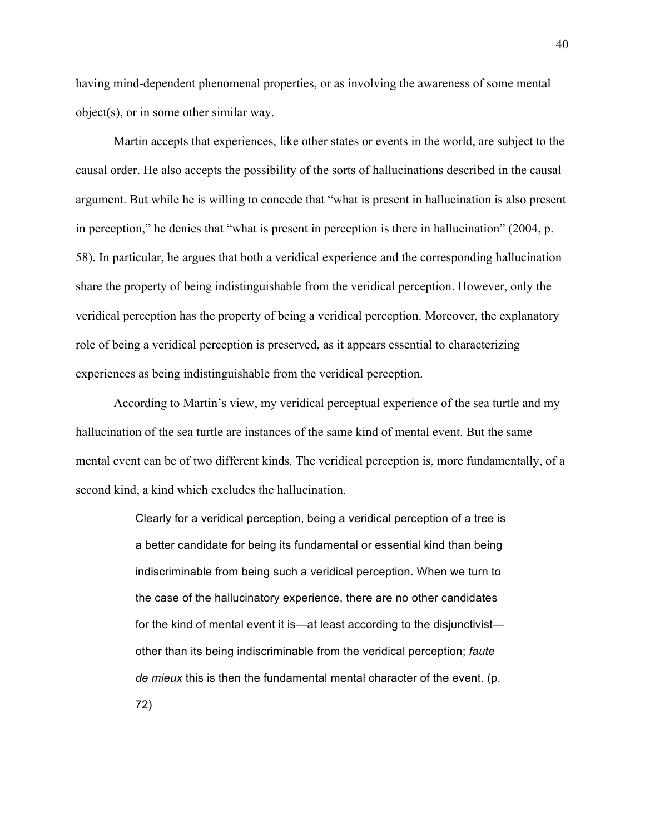having mind-dependent phenomenal properties, or as involving the awareness of some mental object(s), or in some other similar way.

Martin accepts that experiences, like other states or events in the world, are subject to the causal order. He also accepts the possibility of the sorts of hallucinations described in the causal argument. But while he is willing to concede that "what is present in hallucination is also present in perception," he denies that "what is present in perception is there in hallucination" (2004, p. 58). In particular, he argues that both a veridical experience and the corresponding hallucination share the property of being indistinguishable from the veridical perception. However, only the veridical perception has the property of being a veridical perception. Moreover, the explanatory role of being a veridical perception is preserved, as it appears essential to characterizing experiences as being indistinguishable from the veridical perception.

According to Martin's view, my veridical perceptual experience of the sea turtle and my hallucination of the sea turtle are instances of the same kind of mental event. But the same mental event can be of two different kinds. The veridical perception is, more fundamentally, of a second kind, a kind which excludes the hallucination.

> Clearly for a veridical perception, being a veridical perception of a tree is a better candidate for being its fundamental or essential kind than being indiscriminable from being such a veridical perception. When we turn to the case of the hallucinatory experience, there are no other candidates for the kind of mental event it is—at least according to the disjunctivist other than its being indiscriminable from the veridical perception; *faute de mieux* this is then the fundamental mental character of the event. (p. 72)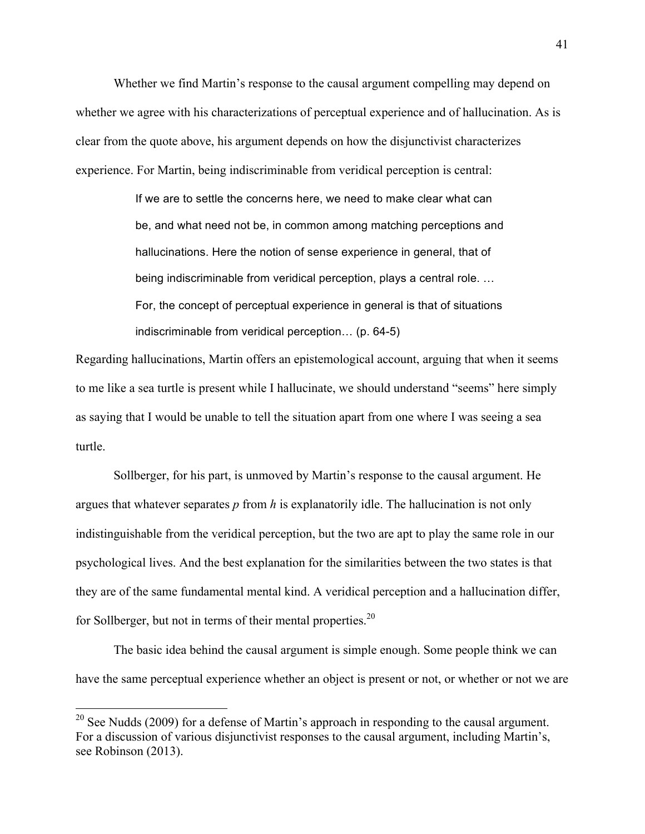Whether we find Martin's response to the causal argument compelling may depend on whether we agree with his characterizations of perceptual experience and of hallucination. As is clear from the quote above, his argument depends on how the disjunctivist characterizes experience. For Martin, being indiscriminable from veridical perception is central:

> If we are to settle the concerns here, we need to make clear what can be, and what need not be, in common among matching perceptions and hallucinations. Here the notion of sense experience in general, that of being indiscriminable from veridical perception, plays a central role. … For, the concept of perceptual experience in general is that of situations indiscriminable from veridical perception… (p. 64-5)

Regarding hallucinations, Martin offers an epistemological account, arguing that when it seems to me like a sea turtle is present while I hallucinate, we should understand "seems" here simply as saying that I would be unable to tell the situation apart from one where I was seeing a sea turtle.

Sollberger, for his part, is unmoved by Martin's response to the causal argument. He argues that whatever separates *p* from *h* is explanatorily idle. The hallucination is not only indistinguishable from the veridical perception, but the two are apt to play the same role in our psychological lives. And the best explanation for the similarities between the two states is that they are of the same fundamental mental kind. A veridical perception and a hallucination differ, for Sollberger, but not in terms of their mental properties. $20$ 

The basic idea behind the causal argument is simple enough. Some people think we can have the same perceptual experience whether an object is present or not, or whether or not we are

 $20$  See Nudds (2009) for a defense of Martin's approach in responding to the causal argument. For a discussion of various disjunctivist responses to the causal argument, including Martin's, see Robinson (2013).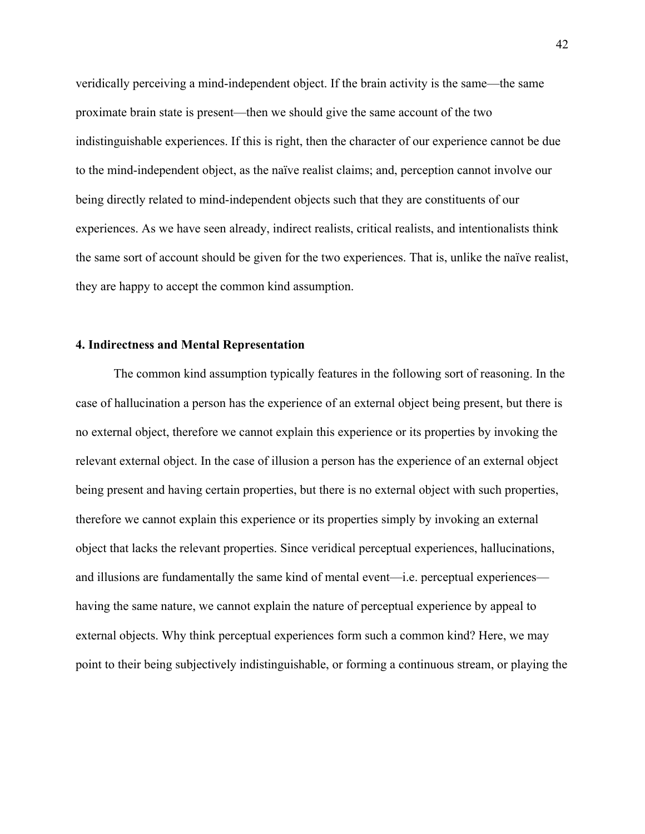veridically perceiving a mind-independent object. If the brain activity is the same—the same proximate brain state is present—then we should give the same account of the two indistinguishable experiences. If this is right, then the character of our experience cannot be due to the mind-independent object, as the naïve realist claims; and, perception cannot involve our being directly related to mind-independent objects such that they are constituents of our experiences. As we have seen already, indirect realists, critical realists, and intentionalists think the same sort of account should be given for the two experiences. That is, unlike the naïve realist, they are happy to accept the common kind assumption.

# **4. Indirectness and Mental Representation**

The common kind assumption typically features in the following sort of reasoning. In the case of hallucination a person has the experience of an external object being present, but there is no external object, therefore we cannot explain this experience or its properties by invoking the relevant external object. In the case of illusion a person has the experience of an external object being present and having certain properties, but there is no external object with such properties, therefore we cannot explain this experience or its properties simply by invoking an external object that lacks the relevant properties. Since veridical perceptual experiences, hallucinations, and illusions are fundamentally the same kind of mental event—i.e. perceptual experiences having the same nature, we cannot explain the nature of perceptual experience by appeal to external objects. Why think perceptual experiences form such a common kind? Here, we may point to their being subjectively indistinguishable, or forming a continuous stream, or playing the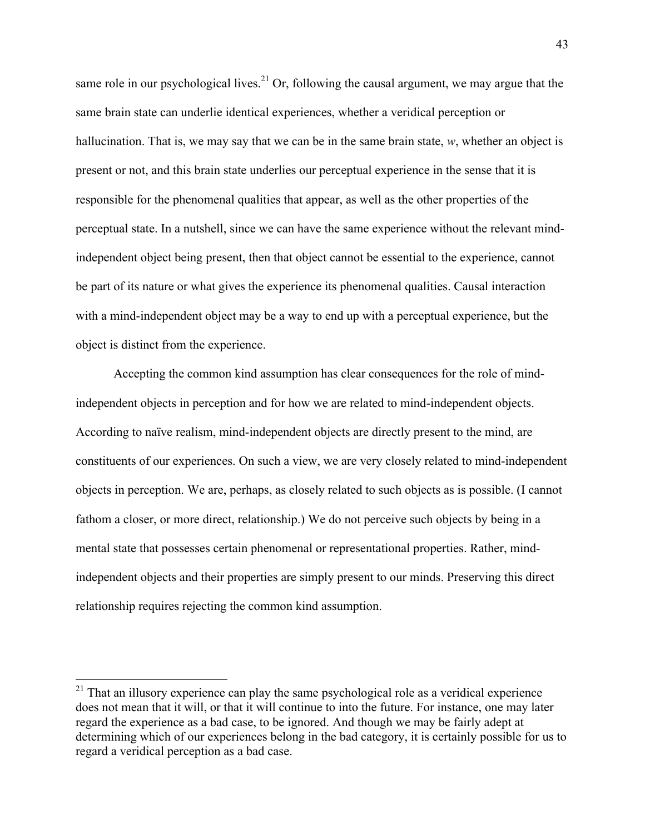same role in our psychological lives.<sup>21</sup> Or, following the causal argument, we may argue that the same brain state can underlie identical experiences, whether a veridical perception or hallucination. That is, we may say that we can be in the same brain state, *w*, whether an object is present or not, and this brain state underlies our perceptual experience in the sense that it is responsible for the phenomenal qualities that appear, as well as the other properties of the perceptual state. In a nutshell, since we can have the same experience without the relevant mindindependent object being present, then that object cannot be essential to the experience, cannot be part of its nature or what gives the experience its phenomenal qualities. Causal interaction with a mind-independent object may be a way to end up with a perceptual experience, but the object is distinct from the experience.

Accepting the common kind assumption has clear consequences for the role of mindindependent objects in perception and for how we are related to mind-independent objects. According to naïve realism, mind-independent objects are directly present to the mind, are constituents of our experiences. On such a view, we are very closely related to mind-independent objects in perception. We are, perhaps, as closely related to such objects as is possible. (I cannot fathom a closer, or more direct, relationship.) We do not perceive such objects by being in a mental state that possesses certain phenomenal or representational properties. Rather, mindindependent objects and their properties are simply present to our minds. Preserving this direct relationship requires rejecting the common kind assumption.

<sup>&</sup>lt;sup>21</sup> That an illusory experience can play the same psychological role as a veridical experience does not mean that it will, or that it will continue to into the future. For instance, one may later regard the experience as a bad case, to be ignored. And though we may be fairly adept at determining which of our experiences belong in the bad category, it is certainly possible for us to regard a veridical perception as a bad case.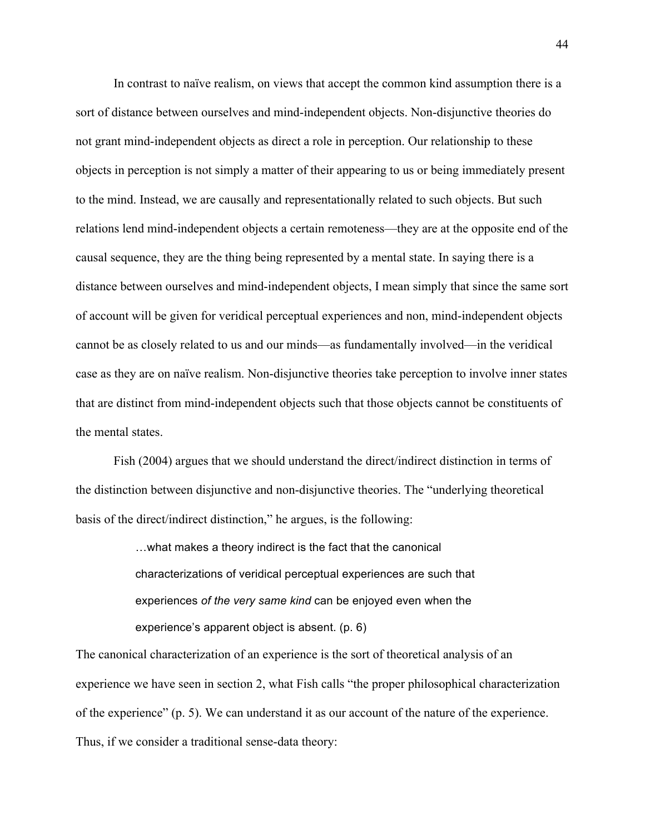In contrast to naïve realism, on views that accept the common kind assumption there is a sort of distance between ourselves and mind-independent objects. Non-disjunctive theories do not grant mind-independent objects as direct a role in perception. Our relationship to these objects in perception is not simply a matter of their appearing to us or being immediately present to the mind. Instead, we are causally and representationally related to such objects. But such relations lend mind-independent objects a certain remoteness—they are at the opposite end of the causal sequence, they are the thing being represented by a mental state. In saying there is a distance between ourselves and mind-independent objects, I mean simply that since the same sort of account will be given for veridical perceptual experiences and non, mind-independent objects cannot be as closely related to us and our minds—as fundamentally involved—in the veridical case as they are on naïve realism. Non-disjunctive theories take perception to involve inner states that are distinct from mind-independent objects such that those objects cannot be constituents of the mental states.

Fish (2004) argues that we should understand the direct/indirect distinction in terms of the distinction between disjunctive and non-disjunctive theories. The "underlying theoretical basis of the direct/indirect distinction," he argues, is the following:

> …what makes a theory indirect is the fact that the canonical characterizations of veridical perceptual experiences are such that experiences *of the very same kind* can be enjoyed even when the experience's apparent object is absent. (p. 6)

The canonical characterization of an experience is the sort of theoretical analysis of an experience we have seen in section 2, what Fish calls "the proper philosophical characterization of the experience" (p. 5). We can understand it as our account of the nature of the experience. Thus, if we consider a traditional sense-data theory: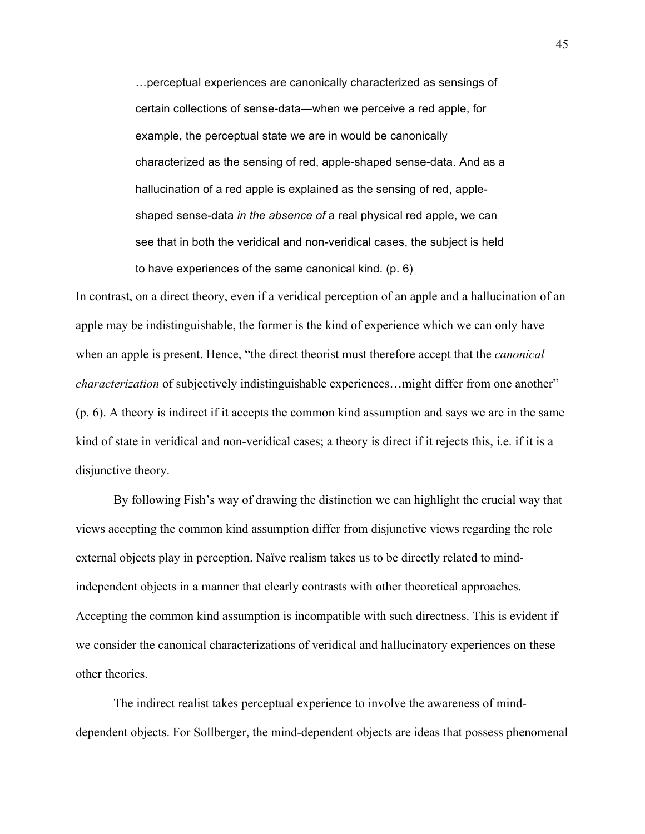…perceptual experiences are canonically characterized as sensings of certain collections of sense-data—when we perceive a red apple, for example, the perceptual state we are in would be canonically characterized as the sensing of red, apple-shaped sense-data. And as a hallucination of a red apple is explained as the sensing of red, appleshaped sense-data *in the absence of* a real physical red apple, we can see that in both the veridical and non-veridical cases, the subject is held to have experiences of the same canonical kind. (p. 6)

In contrast, on a direct theory, even if a veridical perception of an apple and a hallucination of an apple may be indistinguishable, the former is the kind of experience which we can only have when an apple is present. Hence, "the direct theorist must therefore accept that the *canonical characterization* of subjectively indistinguishable experiences…might differ from one another" (p. 6). A theory is indirect if it accepts the common kind assumption and says we are in the same kind of state in veridical and non-veridical cases; a theory is direct if it rejects this, i.e. if it is a disjunctive theory.

By following Fish's way of drawing the distinction we can highlight the crucial way that views accepting the common kind assumption differ from disjunctive views regarding the role external objects play in perception. Naïve realism takes us to be directly related to mindindependent objects in a manner that clearly contrasts with other theoretical approaches. Accepting the common kind assumption is incompatible with such directness. This is evident if we consider the canonical characterizations of veridical and hallucinatory experiences on these other theories.

The indirect realist takes perceptual experience to involve the awareness of minddependent objects. For Sollberger, the mind-dependent objects are ideas that possess phenomenal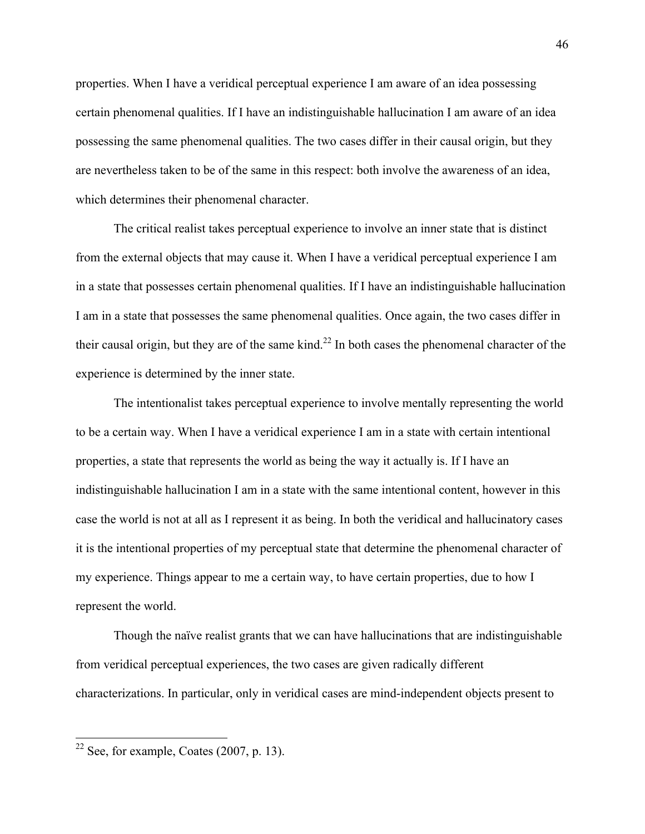properties. When I have a veridical perceptual experience I am aware of an idea possessing certain phenomenal qualities. If I have an indistinguishable hallucination I am aware of an idea possessing the same phenomenal qualities. The two cases differ in their causal origin, but they are nevertheless taken to be of the same in this respect: both involve the awareness of an idea, which determines their phenomenal character.

The critical realist takes perceptual experience to involve an inner state that is distinct from the external objects that may cause it. When I have a veridical perceptual experience I am in a state that possesses certain phenomenal qualities. If I have an indistinguishable hallucination I am in a state that possesses the same phenomenal qualities. Once again, the two cases differ in their causal origin, but they are of the same kind.<sup>22</sup> In both cases the phenomenal character of the experience is determined by the inner state.

The intentionalist takes perceptual experience to involve mentally representing the world to be a certain way. When I have a veridical experience I am in a state with certain intentional properties, a state that represents the world as being the way it actually is. If I have an indistinguishable hallucination I am in a state with the same intentional content, however in this case the world is not at all as I represent it as being. In both the veridical and hallucinatory cases it is the intentional properties of my perceptual state that determine the phenomenal character of my experience. Things appear to me a certain way, to have certain properties, due to how I represent the world.

Though the naïve realist grants that we can have hallucinations that are indistinguishable from veridical perceptual experiences, the two cases are given radically different characterizations. In particular, only in veridical cases are mind-independent objects present to

 $22$  See, for example, Coates (2007, p. 13).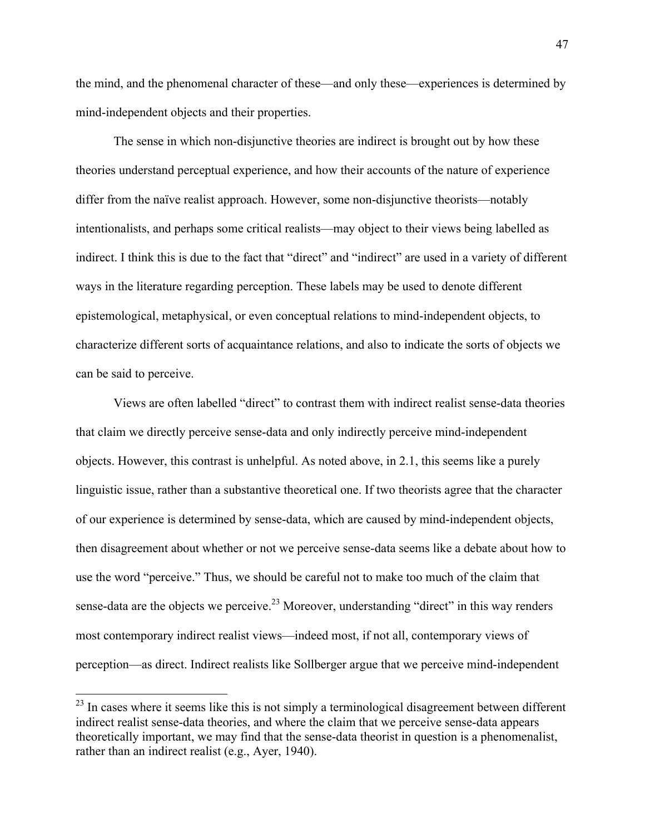the mind, and the phenomenal character of these—and only these—experiences is determined by mind-independent objects and their properties.

The sense in which non-disjunctive theories are indirect is brought out by how these theories understand perceptual experience, and how their accounts of the nature of experience differ from the naïve realist approach. However, some non-disjunctive theorists—notably intentionalists, and perhaps some critical realists—may object to their views being labelled as indirect. I think this is due to the fact that "direct" and "indirect" are used in a variety of different ways in the literature regarding perception. These labels may be used to denote different epistemological, metaphysical, or even conceptual relations to mind-independent objects, to characterize different sorts of acquaintance relations, and also to indicate the sorts of objects we can be said to perceive.

Views are often labelled "direct" to contrast them with indirect realist sense-data theories that claim we directly perceive sense-data and only indirectly perceive mind-independent objects. However, this contrast is unhelpful. As noted above, in 2.1, this seems like a purely linguistic issue, rather than a substantive theoretical one. If two theorists agree that the character of our experience is determined by sense-data, which are caused by mind-independent objects, then disagreement about whether or not we perceive sense-data seems like a debate about how to use the word "perceive." Thus, we should be careful not to make too much of the claim that sense-data are the objects we perceive.<sup>23</sup> Moreover, understanding "direct" in this way renders most contemporary indirect realist views—indeed most, if not all, contemporary views of perception—as direct. Indirect realists like Sollberger argue that we perceive mind-independent

<sup>&</sup>lt;sup>23</sup> In cases where it seems like this is not simply a terminological disagreement between different indirect realist sense-data theories, and where the claim that we perceive sense-data appears theoretically important, we may find that the sense-data theorist in question is a phenomenalist, rather than an indirect realist (e.g., Ayer, 1940).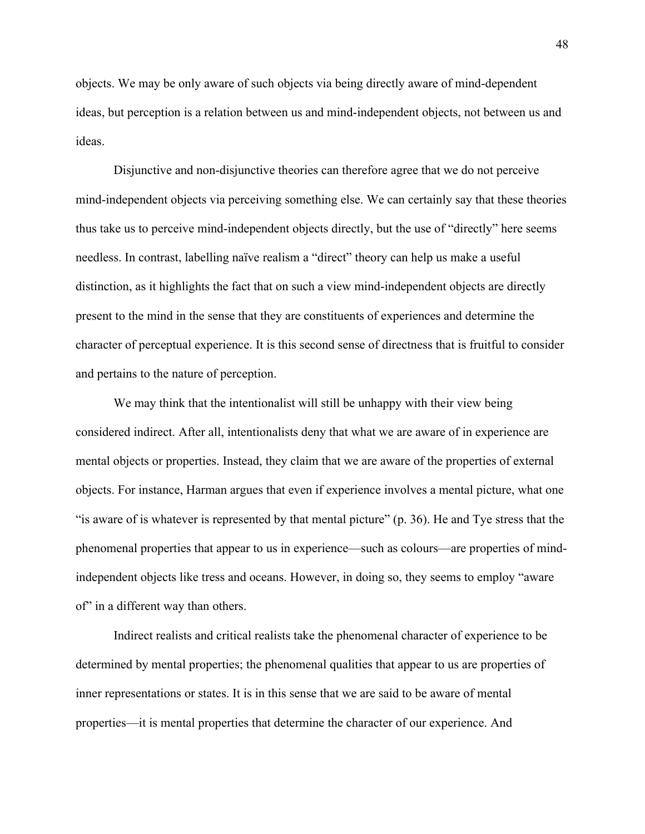objects. We may be only aware of such objects via being directly aware of mind-dependent ideas, but perception is a relation between us and mind-independent objects, not between us and ideas.

Disjunctive and non-disjunctive theories can therefore agree that we do not perceive mind-independent objects via perceiving something else. We can certainly say that these theories thus take us to perceive mind-independent objects directly, but the use of "directly" here seems needless. In contrast, labelling naïve realism a "direct" theory can help us make a useful distinction, as it highlights the fact that on such a view mind-independent objects are directly present to the mind in the sense that they are constituents of experiences and determine the character of perceptual experience. It is this second sense of directness that is fruitful to consider and pertains to the nature of perception.

We may think that the intentionalist will still be unhappy with their view being considered indirect. After all, intentionalists deny that what we are aware of in experience are mental objects or properties. Instead, they claim that we are aware of the properties of external objects. For instance, Harman argues that even if experience involves a mental picture, what one "is aware of is whatever is represented by that mental picture" (p. 36). He and Tye stress that the phenomenal properties that appear to us in experience—such as colours—are properties of mindindependent objects like tress and oceans. However, in doing so, they seems to employ "aware of" in a different way than others.

Indirect realists and critical realists take the phenomenal character of experience to be determined by mental properties; the phenomenal qualities that appear to us are properties of inner representations or states. It is in this sense that we are said to be aware of mental properties—it is mental properties that determine the character of our experience. And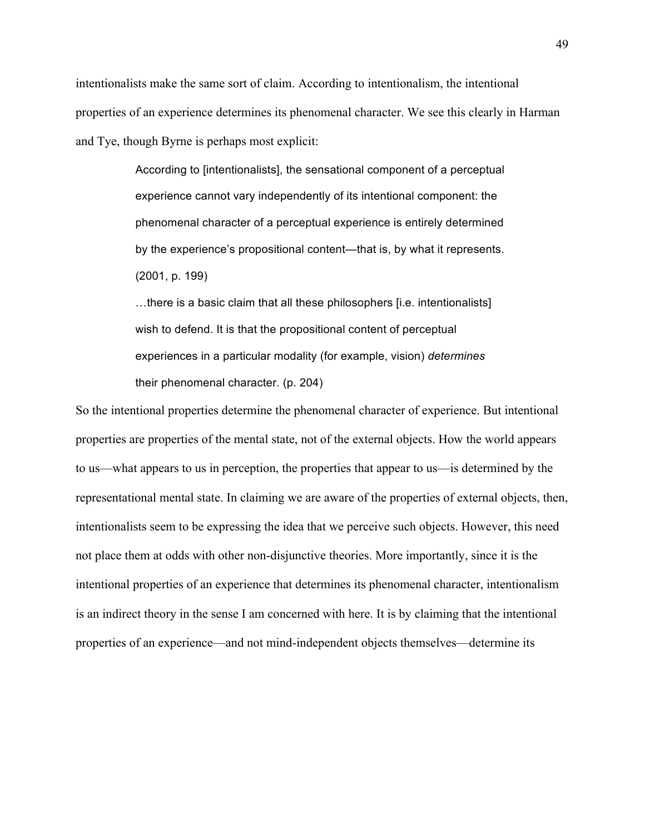intentionalists make the same sort of claim. According to intentionalism, the intentional properties of an experience determines its phenomenal character. We see this clearly in Harman and Tye, though Byrne is perhaps most explicit:

> According to [intentionalists], the sensational component of a perceptual experience cannot vary independently of its intentional component: the phenomenal character of a perceptual experience is entirely determined by the experience's propositional content—that is, by what it represents. (2001, p. 199)

…there is a basic claim that all these philosophers [i.e. intentionalists] wish to defend. It is that the propositional content of perceptual experiences in a particular modality (for example, vision) *determines* their phenomenal character. (p. 204)

So the intentional properties determine the phenomenal character of experience. But intentional properties are properties of the mental state, not of the external objects. How the world appears to us—what appears to us in perception, the properties that appear to us—is determined by the representational mental state. In claiming we are aware of the properties of external objects, then, intentionalists seem to be expressing the idea that we perceive such objects. However, this need not place them at odds with other non-disjunctive theories. More importantly, since it is the intentional properties of an experience that determines its phenomenal character, intentionalism is an indirect theory in the sense I am concerned with here. It is by claiming that the intentional properties of an experience—and not mind-independent objects themselves—determine its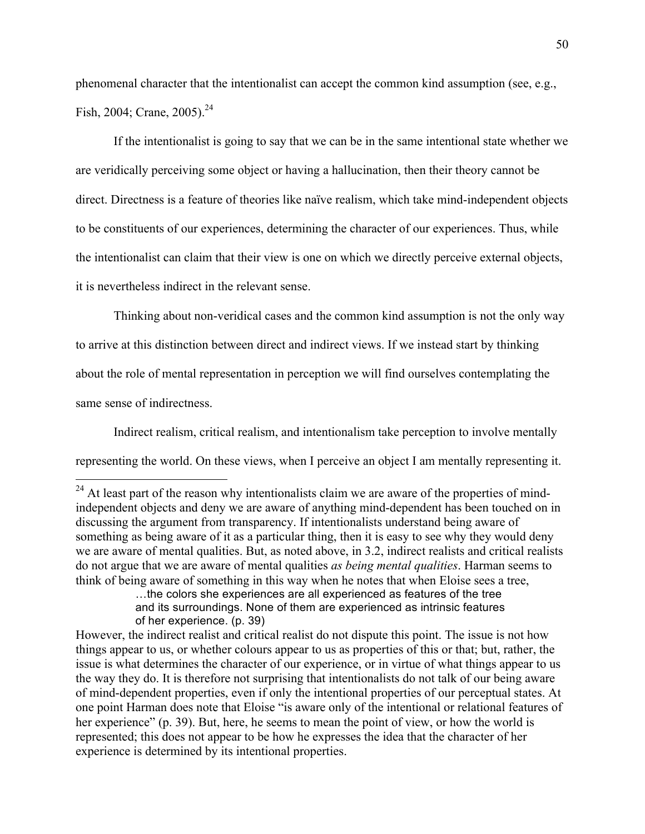phenomenal character that the intentionalist can accept the common kind assumption (see, e.g., Fish, 2004; Crane, 2005).<sup>24</sup>

If the intentionalist is going to say that we can be in the same intentional state whether we are veridically perceiving some object or having a hallucination, then their theory cannot be direct. Directness is a feature of theories like naïve realism, which take mind-independent objects to be constituents of our experiences, determining the character of our experiences. Thus, while the intentionalist can claim that their view is one on which we directly perceive external objects, it is nevertheless indirect in the relevant sense.

Thinking about non-veridical cases and the common kind assumption is not the only way to arrive at this distinction between direct and indirect views. If we instead start by thinking about the role of mental representation in perception we will find ourselves contemplating the same sense of indirectness.

Indirect realism, critical realism, and intentionalism take perception to involve mentally representing the world. On these views, when I perceive an object I am mentally representing it.

<sup>&</sup>lt;sup>24</sup> At least part of the reason why intentionalists claim we are aware of the properties of mindindependent objects and deny we are aware of anything mind-dependent has been touched on in discussing the argument from transparency. If intentionalists understand being aware of something as being aware of it as a particular thing, then it is easy to see why they would deny we are aware of mental qualities. But, as noted above, in 3.2, indirect realists and critical realists do not argue that we are aware of mental qualities *as being mental qualities*. Harman seems to think of being aware of something in this way when he notes that when Eloise sees a tree,

<sup>…</sup>the colors she experiences are all experienced as features of the tree and its surroundings. None of them are experienced as intrinsic features of her experience. (p. 39)

However, the indirect realist and critical realist do not dispute this point. The issue is not how things appear to us, or whether colours appear to us as properties of this or that; but, rather, the issue is what determines the character of our experience, or in virtue of what things appear to us the way they do. It is therefore not surprising that intentionalists do not talk of our being aware of mind-dependent properties, even if only the intentional properties of our perceptual states. At one point Harman does note that Eloise "is aware only of the intentional or relational features of her experience" (p. 39). But, here, he seems to mean the point of view, or how the world is represented; this does not appear to be how he expresses the idea that the character of her experience is determined by its intentional properties.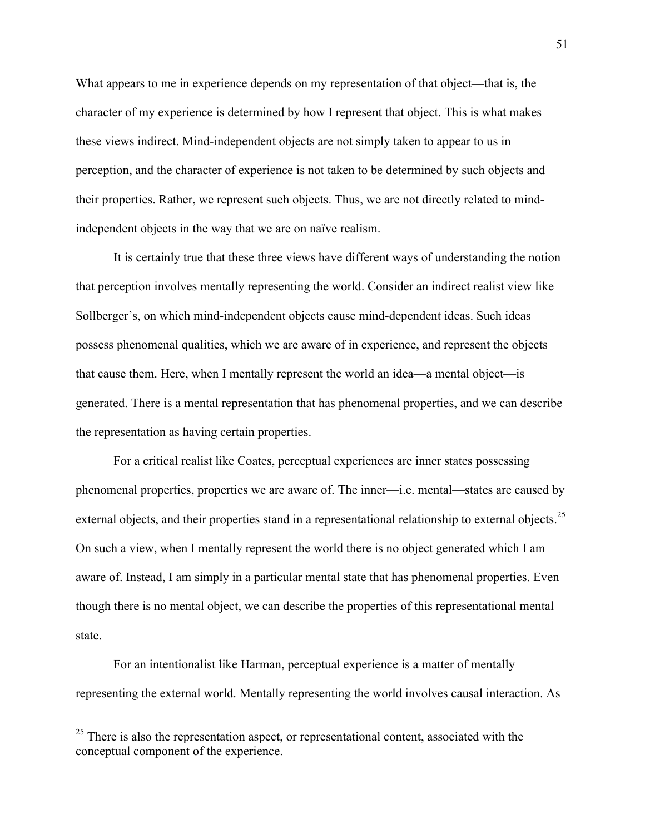What appears to me in experience depends on my representation of that object—that is, the character of my experience is determined by how I represent that object. This is what makes these views indirect. Mind-independent objects are not simply taken to appear to us in perception, and the character of experience is not taken to be determined by such objects and their properties. Rather, we represent such objects. Thus, we are not directly related to mindindependent objects in the way that we are on naïve realism.

It is certainly true that these three views have different ways of understanding the notion that perception involves mentally representing the world. Consider an indirect realist view like Sollberger's, on which mind-independent objects cause mind-dependent ideas. Such ideas possess phenomenal qualities, which we are aware of in experience, and represent the objects that cause them. Here, when I mentally represent the world an idea—a mental object—is generated. There is a mental representation that has phenomenal properties, and we can describe the representation as having certain properties.

For a critical realist like Coates, perceptual experiences are inner states possessing phenomenal properties, properties we are aware of. The inner—i.e. mental—states are caused by external objects, and their properties stand in a representational relationship to external objects.<sup>25</sup> On such a view, when I mentally represent the world there is no object generated which I am aware of. Instead, I am simply in a particular mental state that has phenomenal properties. Even though there is no mental object, we can describe the properties of this representational mental state.

For an intentionalist like Harman, perceptual experience is a matter of mentally representing the external world. Mentally representing the world involves causal interaction. As

 $25$  There is also the representation aspect, or representational content, associated with the conceptual component of the experience.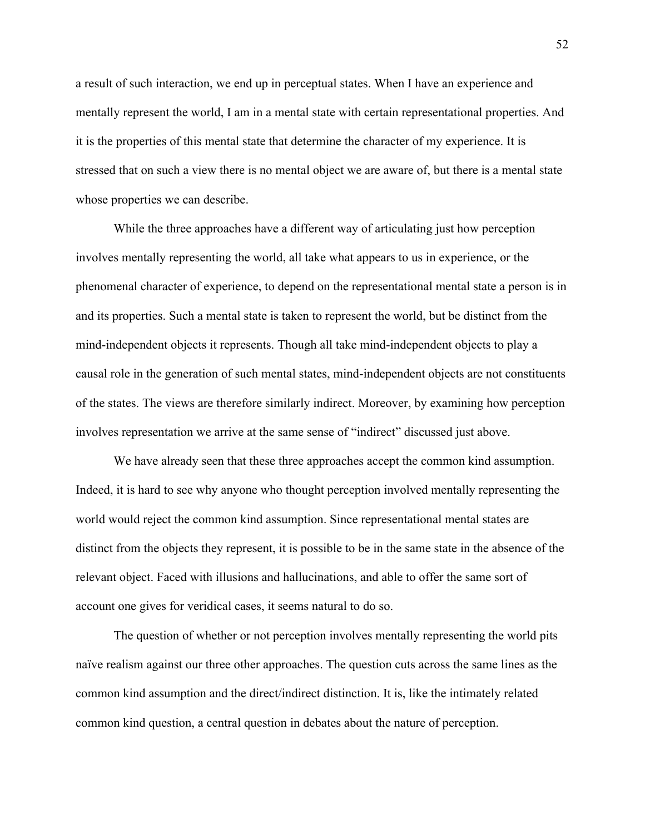a result of such interaction, we end up in perceptual states. When I have an experience and mentally represent the world, I am in a mental state with certain representational properties. And it is the properties of this mental state that determine the character of my experience. It is stressed that on such a view there is no mental object we are aware of, but there is a mental state whose properties we can describe.

While the three approaches have a different way of articulating just how perception involves mentally representing the world, all take what appears to us in experience, or the phenomenal character of experience, to depend on the representational mental state a person is in and its properties. Such a mental state is taken to represent the world, but be distinct from the mind-independent objects it represents. Though all take mind-independent objects to play a causal role in the generation of such mental states, mind-independent objects are not constituents of the states. The views are therefore similarly indirect. Moreover, by examining how perception involves representation we arrive at the same sense of "indirect" discussed just above.

We have already seen that these three approaches accept the common kind assumption. Indeed, it is hard to see why anyone who thought perception involved mentally representing the world would reject the common kind assumption. Since representational mental states are distinct from the objects they represent, it is possible to be in the same state in the absence of the relevant object. Faced with illusions and hallucinations, and able to offer the same sort of account one gives for veridical cases, it seems natural to do so.

The question of whether or not perception involves mentally representing the world pits naïve realism against our three other approaches. The question cuts across the same lines as the common kind assumption and the direct/indirect distinction. It is, like the intimately related common kind question, a central question in debates about the nature of perception.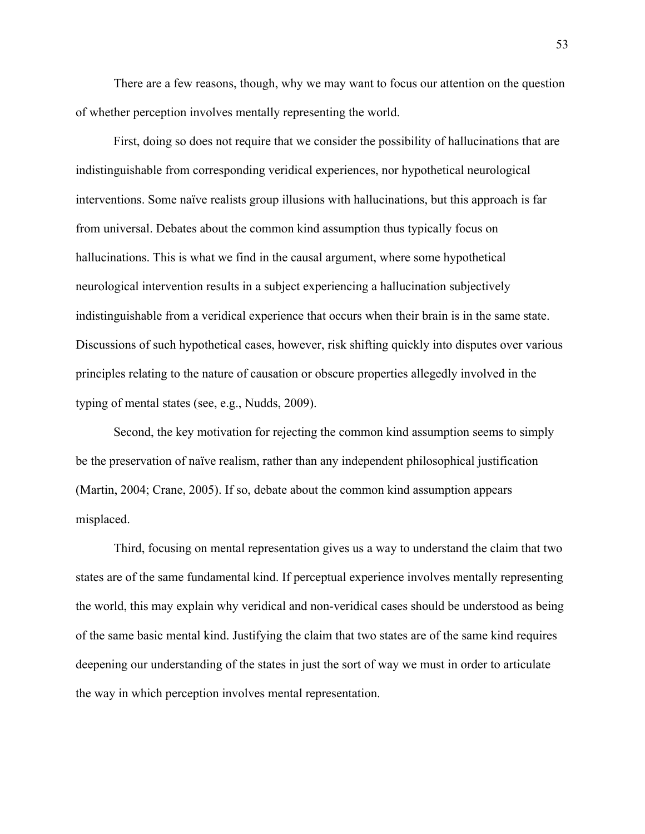There are a few reasons, though, why we may want to focus our attention on the question of whether perception involves mentally representing the world.

First, doing so does not require that we consider the possibility of hallucinations that are indistinguishable from corresponding veridical experiences, nor hypothetical neurological interventions. Some naïve realists group illusions with hallucinations, but this approach is far from universal. Debates about the common kind assumption thus typically focus on hallucinations. This is what we find in the causal argument, where some hypothetical neurological intervention results in a subject experiencing a hallucination subjectively indistinguishable from a veridical experience that occurs when their brain is in the same state. Discussions of such hypothetical cases, however, risk shifting quickly into disputes over various principles relating to the nature of causation or obscure properties allegedly involved in the typing of mental states (see, e.g., Nudds, 2009).

Second, the key motivation for rejecting the common kind assumption seems to simply be the preservation of naïve realism, rather than any independent philosophical justification (Martin, 2004; Crane, 2005). If so, debate about the common kind assumption appears misplaced.

Third, focusing on mental representation gives us a way to understand the claim that two states are of the same fundamental kind. If perceptual experience involves mentally representing the world, this may explain why veridical and non-veridical cases should be understood as being of the same basic mental kind. Justifying the claim that two states are of the same kind requires deepening our understanding of the states in just the sort of way we must in order to articulate the way in which perception involves mental representation.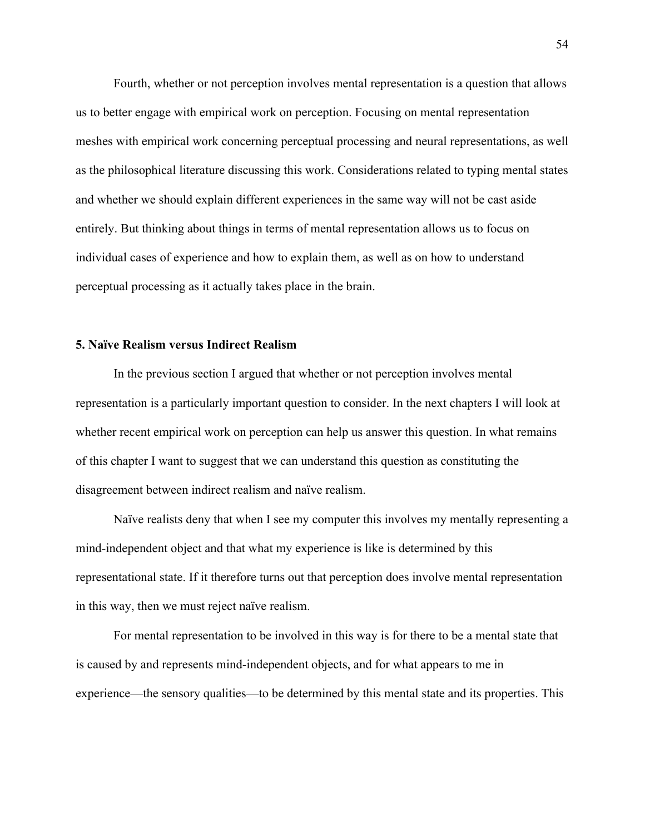Fourth, whether or not perception involves mental representation is a question that allows us to better engage with empirical work on perception. Focusing on mental representation meshes with empirical work concerning perceptual processing and neural representations, as well as the philosophical literature discussing this work. Considerations related to typing mental states and whether we should explain different experiences in the same way will not be cast aside entirely. But thinking about things in terms of mental representation allows us to focus on individual cases of experience and how to explain them, as well as on how to understand perceptual processing as it actually takes place in the brain.

# **5. Naïve Realism versus Indirect Realism**

In the previous section I argued that whether or not perception involves mental representation is a particularly important question to consider. In the next chapters I will look at whether recent empirical work on perception can help us answer this question. In what remains of this chapter I want to suggest that we can understand this question as constituting the disagreement between indirect realism and naïve realism.

Naïve realists deny that when I see my computer this involves my mentally representing a mind-independent object and that what my experience is like is determined by this representational state. If it therefore turns out that perception does involve mental representation in this way, then we must reject naïve realism.

For mental representation to be involved in this way is for there to be a mental state that is caused by and represents mind-independent objects, and for what appears to me in experience—the sensory qualities—to be determined by this mental state and its properties. This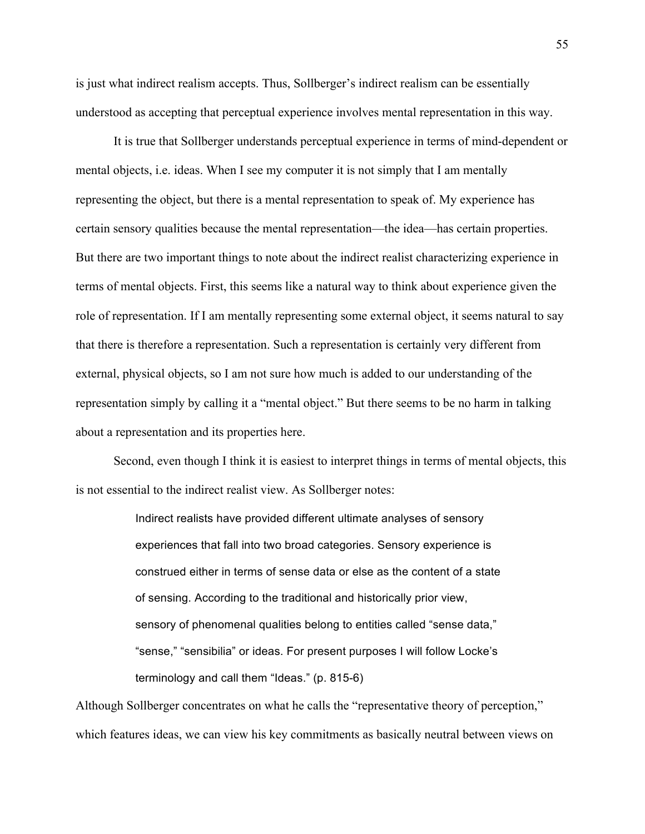is just what indirect realism accepts. Thus, Sollberger's indirect realism can be essentially understood as accepting that perceptual experience involves mental representation in this way.

It is true that Sollberger understands perceptual experience in terms of mind-dependent or mental objects, i.e. ideas. When I see my computer it is not simply that I am mentally representing the object, but there is a mental representation to speak of. My experience has certain sensory qualities because the mental representation—the idea—has certain properties. But there are two important things to note about the indirect realist characterizing experience in terms of mental objects. First, this seems like a natural way to think about experience given the role of representation. If I am mentally representing some external object, it seems natural to say that there is therefore a representation. Such a representation is certainly very different from external, physical objects, so I am not sure how much is added to our understanding of the representation simply by calling it a "mental object." But there seems to be no harm in talking about a representation and its properties here.

Second, even though I think it is easiest to interpret things in terms of mental objects, this is not essential to the indirect realist view. As Sollberger notes:

> Indirect realists have provided different ultimate analyses of sensory experiences that fall into two broad categories. Sensory experience is construed either in terms of sense data or else as the content of a state of sensing. According to the traditional and historically prior view, sensory of phenomenal qualities belong to entities called "sense data," "sense," "sensibilia" or ideas. For present purposes I will follow Locke's terminology and call them "Ideas." (p. 815-6)

Although Sollberger concentrates on what he calls the "representative theory of perception," which features ideas, we can view his key commitments as basically neutral between views on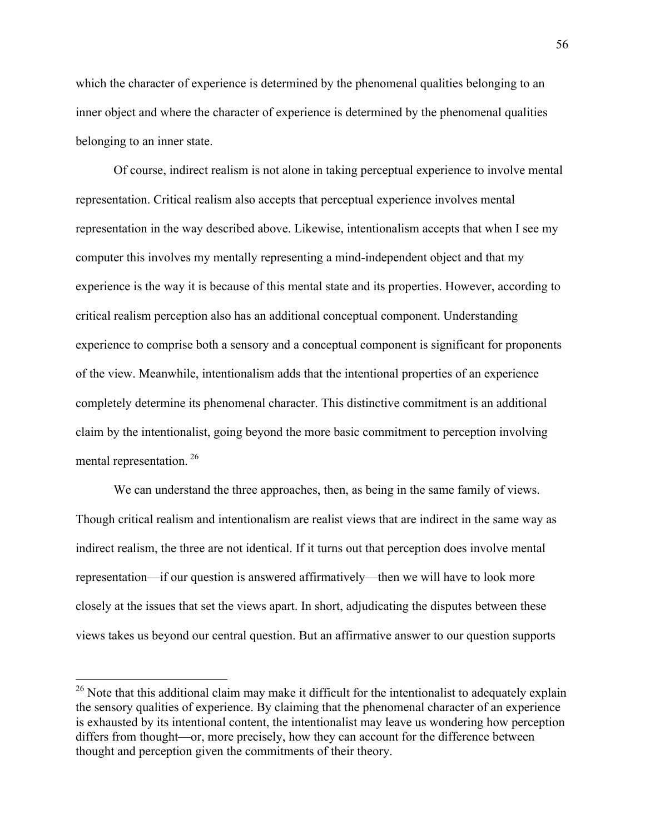which the character of experience is determined by the phenomenal qualities belonging to an inner object and where the character of experience is determined by the phenomenal qualities belonging to an inner state.

Of course, indirect realism is not alone in taking perceptual experience to involve mental representation. Critical realism also accepts that perceptual experience involves mental representation in the way described above. Likewise, intentionalism accepts that when I see my computer this involves my mentally representing a mind-independent object and that my experience is the way it is because of this mental state and its properties. However, according to critical realism perception also has an additional conceptual component. Understanding experience to comprise both a sensory and a conceptual component is significant for proponents of the view. Meanwhile, intentionalism adds that the intentional properties of an experience completely determine its phenomenal character. This distinctive commitment is an additional claim by the intentionalist, going beyond the more basic commitment to perception involving mental representation. <sup>26</sup>

We can understand the three approaches, then, as being in the same family of views. Though critical realism and intentionalism are realist views that are indirect in the same way as indirect realism, the three are not identical. If it turns out that perception does involve mental representation—if our question is answered affirmatively—then we will have to look more closely at the issues that set the views apart. In short, adjudicating the disputes between these views takes us beyond our central question. But an affirmative answer to our question supports

<sup>&</sup>lt;sup>26</sup> Note that this additional claim may make it difficult for the intentionalist to adequately explain the sensory qualities of experience. By claiming that the phenomenal character of an experience is exhausted by its intentional content, the intentionalist may leave us wondering how perception differs from thought—or, more precisely, how they can account for the difference between thought and perception given the commitments of their theory.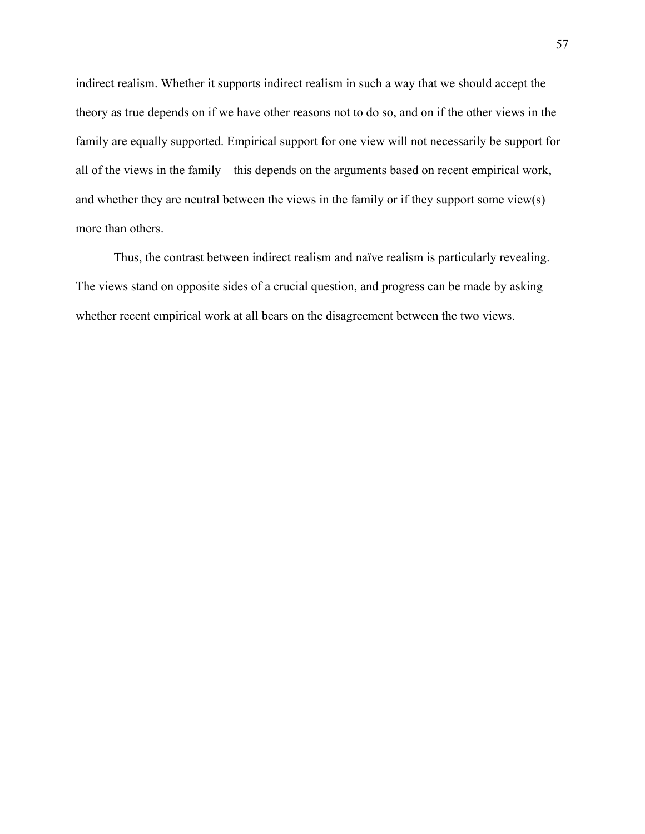indirect realism. Whether it supports indirect realism in such a way that we should accept the theory as true depends on if we have other reasons not to do so, and on if the other views in the family are equally supported. Empirical support for one view will not necessarily be support for all of the views in the family—this depends on the arguments based on recent empirical work, and whether they are neutral between the views in the family or if they support some view(s) more than others.

Thus, the contrast between indirect realism and naïve realism is particularly revealing. The views stand on opposite sides of a crucial question, and progress can be made by asking whether recent empirical work at all bears on the disagreement between the two views.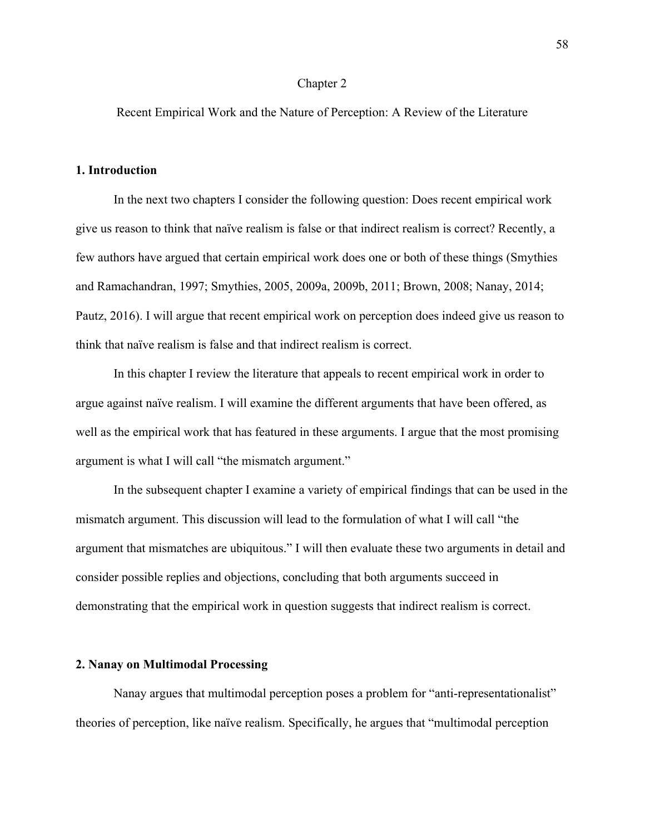#### Chapter 2

Recent Empirical Work and the Nature of Perception: A Review of the Literature

### **1. Introduction**

In the next two chapters I consider the following question: Does recent empirical work give us reason to think that naïve realism is false or that indirect realism is correct? Recently, a few authors have argued that certain empirical work does one or both of these things (Smythies and Ramachandran, 1997; Smythies, 2005, 2009a, 2009b, 2011; Brown, 2008; Nanay, 2014; Pautz, 2016). I will argue that recent empirical work on perception does indeed give us reason to think that naïve realism is false and that indirect realism is correct.

In this chapter I review the literature that appeals to recent empirical work in order to argue against naïve realism. I will examine the different arguments that have been offered, as well as the empirical work that has featured in these arguments. I argue that the most promising argument is what I will call "the mismatch argument."

In the subsequent chapter I examine a variety of empirical findings that can be used in the mismatch argument. This discussion will lead to the formulation of what I will call "the argument that mismatches are ubiquitous." I will then evaluate these two arguments in detail and consider possible replies and objections, concluding that both arguments succeed in demonstrating that the empirical work in question suggests that indirect realism is correct.

#### **2. Nanay on Multimodal Processing**

Nanay argues that multimodal perception poses a problem for "anti-representationalist" theories of perception, like naïve realism. Specifically, he argues that "multimodal perception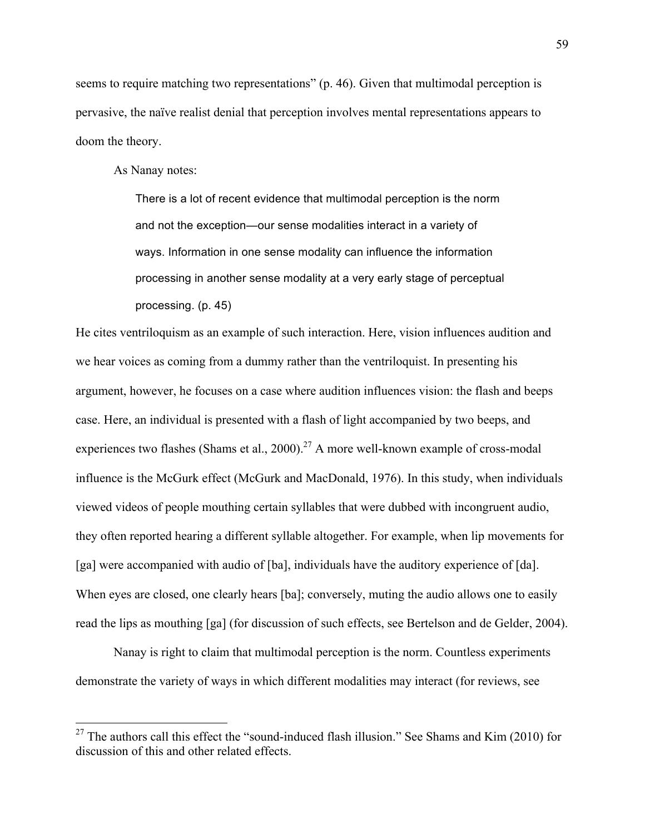seems to require matching two representations" (p. 46). Given that multimodal perception is pervasive, the naïve realist denial that perception involves mental representations appears to doom the theory.

As Nanay notes:

There is a lot of recent evidence that multimodal perception is the norm and not the exception—our sense modalities interact in a variety of ways. Information in one sense modality can influence the information processing in another sense modality at a very early stage of perceptual processing. (p. 45)

He cites ventriloquism as an example of such interaction. Here, vision influences audition and we hear voices as coming from a dummy rather than the ventriloquist. In presenting his argument, however, he focuses on a case where audition influences vision: the flash and beeps case. Here, an individual is presented with a flash of light accompanied by two beeps, and experiences two flashes (Shams et al., 2000).<sup>27</sup> A more well-known example of cross-modal influence is the McGurk effect (McGurk and MacDonald, 1976). In this study, when individuals viewed videos of people mouthing certain syllables that were dubbed with incongruent audio, they often reported hearing a different syllable altogether. For example, when lip movements for [ga] were accompanied with audio of [ba], individuals have the auditory experience of [da]. When eyes are closed, one clearly hears [ba]; conversely, muting the audio allows one to easily read the lips as mouthing [ga] (for discussion of such effects, see Bertelson and de Gelder, 2004).

Nanay is right to claim that multimodal perception is the norm. Countless experiments demonstrate the variety of ways in which different modalities may interact (for reviews, see

 $27$  The authors call this effect the "sound-induced flash illusion." See Shams and Kim (2010) for discussion of this and other related effects.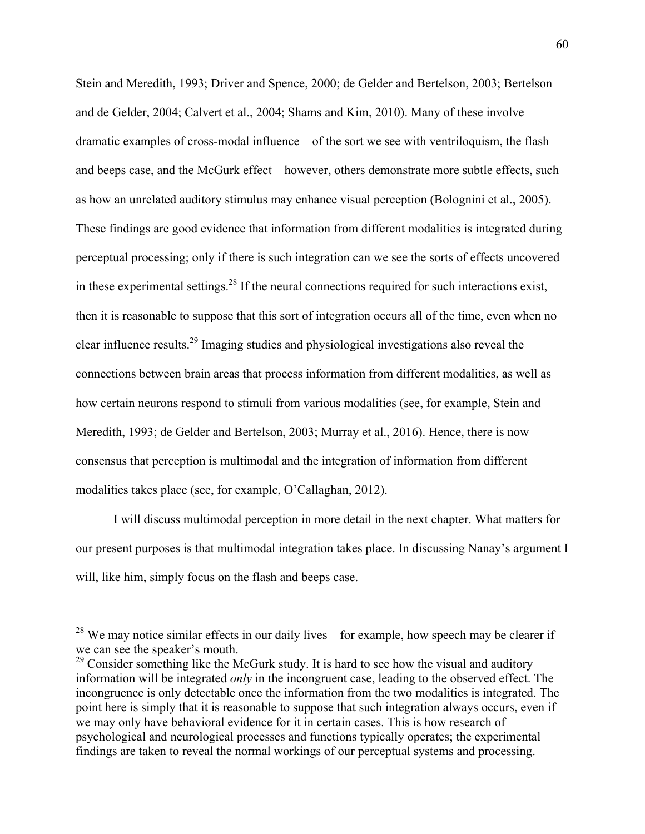Stein and Meredith, 1993; Driver and Spence, 2000; de Gelder and Bertelson, 2003; Bertelson and de Gelder, 2004; Calvert et al., 2004; Shams and Kim, 2010). Many of these involve dramatic examples of cross-modal influence—of the sort we see with ventriloquism, the flash and beeps case, and the McGurk effect—however, others demonstrate more subtle effects, such as how an unrelated auditory stimulus may enhance visual perception (Bolognini et al., 2005). These findings are good evidence that information from different modalities is integrated during perceptual processing; only if there is such integration can we see the sorts of effects uncovered in these experimental settings.<sup>28</sup> If the neural connections required for such interactions exist, then it is reasonable to suppose that this sort of integration occurs all of the time, even when no clear influence results.29 Imaging studies and physiological investigations also reveal the connections between brain areas that process information from different modalities, as well as how certain neurons respond to stimuli from various modalities (see, for example, Stein and Meredith, 1993; de Gelder and Bertelson, 2003; Murray et al., 2016). Hence, there is now consensus that perception is multimodal and the integration of information from different modalities takes place (see, for example, O'Callaghan, 2012).

I will discuss multimodal perception in more detail in the next chapter. What matters for our present purposes is that multimodal integration takes place. In discussing Nanay's argument I will, like him, simply focus on the flash and beeps case.

 $28$  We may notice similar effects in our daily lives—for example, how speech may be clearer if we can see the speaker's mouth.

 $^{29}$  Consider something like the McGurk study. It is hard to see how the visual and auditory information will be integrated *only* in the incongruent case, leading to the observed effect. The incongruence is only detectable once the information from the two modalities is integrated. The point here is simply that it is reasonable to suppose that such integration always occurs, even if we may only have behavioral evidence for it in certain cases. This is how research of psychological and neurological processes and functions typically operates; the experimental findings are taken to reveal the normal workings of our perceptual systems and processing.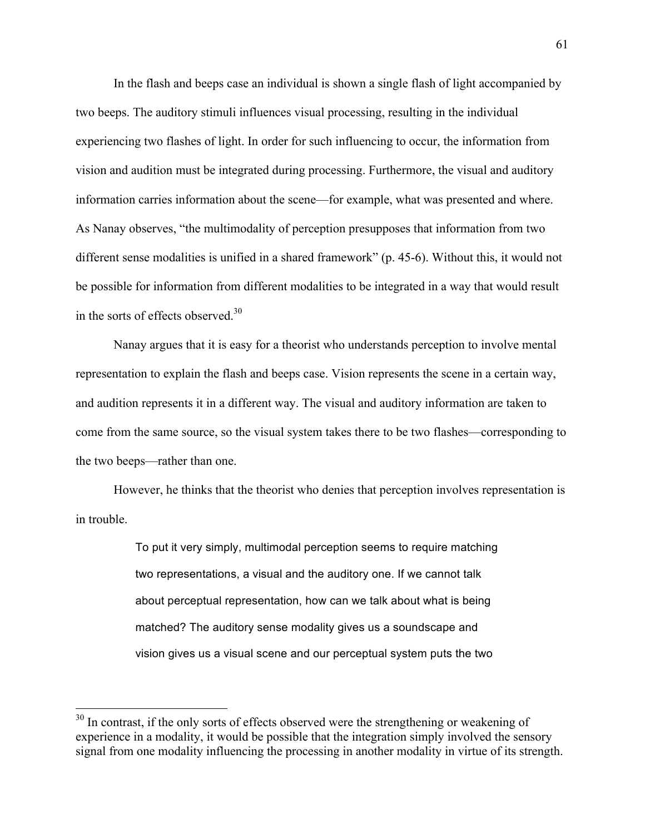In the flash and beeps case an individual is shown a single flash of light accompanied by two beeps. The auditory stimuli influences visual processing, resulting in the individual experiencing two flashes of light. In order for such influencing to occur, the information from vision and audition must be integrated during processing. Furthermore, the visual and auditory information carries information about the scene—for example, what was presented and where. As Nanay observes, "the multimodality of perception presupposes that information from two different sense modalities is unified in a shared framework" (p. 45-6). Without this, it would not be possible for information from different modalities to be integrated in a way that would result in the sorts of effects observed.<sup>30</sup>

Nanay argues that it is easy for a theorist who understands perception to involve mental representation to explain the flash and beeps case. Vision represents the scene in a certain way, and audition represents it in a different way. The visual and auditory information are taken to come from the same source, so the visual system takes there to be two flashes—corresponding to the two beeps—rather than one.

However, he thinks that the theorist who denies that perception involves representation is in trouble.

> To put it very simply, multimodal perception seems to require matching two representations, a visual and the auditory one. If we cannot talk about perceptual representation, how can we talk about what is being matched? The auditory sense modality gives us a soundscape and vision gives us a visual scene and our perceptual system puts the two

 $30$  In contrast, if the only sorts of effects observed were the strengthening or weakening of experience in a modality, it would be possible that the integration simply involved the sensory signal from one modality influencing the processing in another modality in virtue of its strength.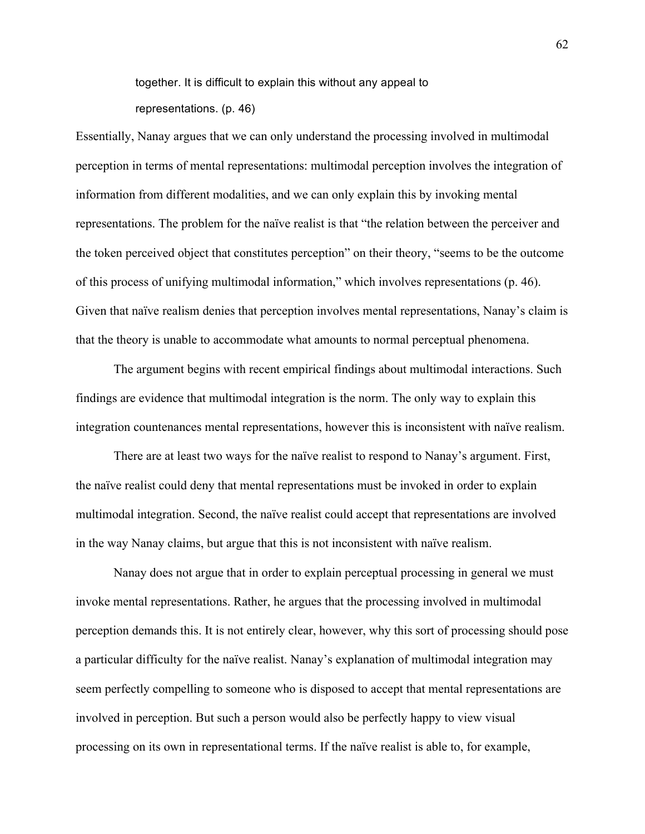together. It is difficult to explain this without any appeal to

representations. (p. 46)

Essentially, Nanay argues that we can only understand the processing involved in multimodal perception in terms of mental representations: multimodal perception involves the integration of information from different modalities, and we can only explain this by invoking mental representations. The problem for the naïve realist is that "the relation between the perceiver and the token perceived object that constitutes perception" on their theory, "seems to be the outcome of this process of unifying multimodal information," which involves representations (p. 46). Given that naïve realism denies that perception involves mental representations, Nanay's claim is that the theory is unable to accommodate what amounts to normal perceptual phenomena.

The argument begins with recent empirical findings about multimodal interactions. Such findings are evidence that multimodal integration is the norm. The only way to explain this integration countenances mental representations, however this is inconsistent with naïve realism.

There are at least two ways for the naïve realist to respond to Nanay's argument. First, the naïve realist could deny that mental representations must be invoked in order to explain multimodal integration. Second, the naïve realist could accept that representations are involved in the way Nanay claims, but argue that this is not inconsistent with naïve realism.

Nanay does not argue that in order to explain perceptual processing in general we must invoke mental representations. Rather, he argues that the processing involved in multimodal perception demands this. It is not entirely clear, however, why this sort of processing should pose a particular difficulty for the naïve realist. Nanay's explanation of multimodal integration may seem perfectly compelling to someone who is disposed to accept that mental representations are involved in perception. But such a person would also be perfectly happy to view visual processing on its own in representational terms. If the naïve realist is able to, for example,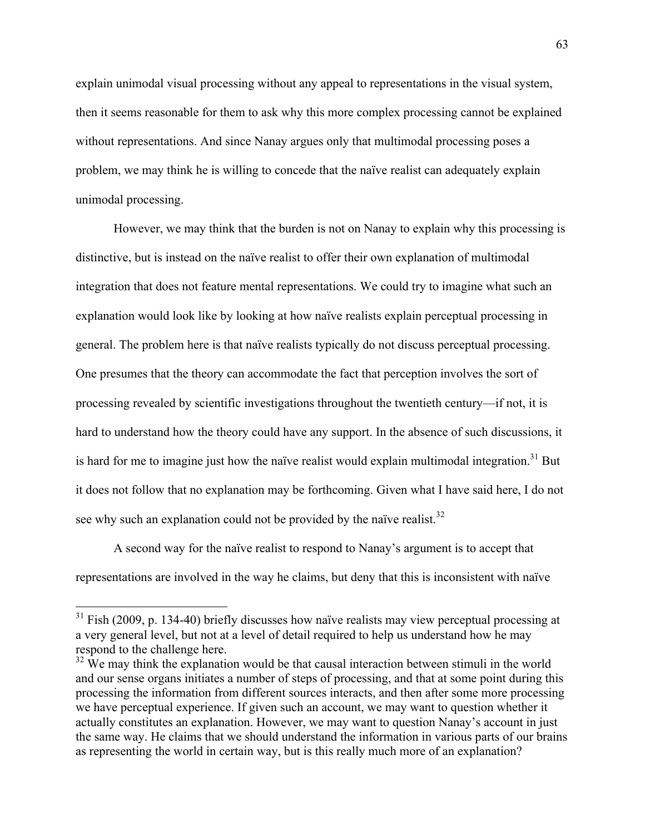explain unimodal visual processing without any appeal to representations in the visual system, then it seems reasonable for them to ask why this more complex processing cannot be explained without representations. And since Nanay argues only that multimodal processing poses a problem, we may think he is willing to concede that the naïve realist can adequately explain unimodal processing.

However, we may think that the burden is not on Nanay to explain why this processing is distinctive, but is instead on the naïve realist to offer their own explanation of multimodal integration that does not feature mental representations. We could try to imagine what such an explanation would look like by looking at how naïve realists explain perceptual processing in general. The problem here is that naïve realists typically do not discuss perceptual processing. One presumes that the theory can accommodate the fact that perception involves the sort of processing revealed by scientific investigations throughout the twentieth century—if not, it is hard to understand how the theory could have any support. In the absence of such discussions, it is hard for me to imagine just how the naïve realist would explain multimodal integration.<sup>31</sup> But it does not follow that no explanation may be forthcoming. Given what I have said here, I do not see why such an explanation could not be provided by the naïve realist.<sup>32</sup>

A second way for the naïve realist to respond to Nanay's argument is to accept that representations are involved in the way he claims, but deny that this is inconsistent with naïve

 $31$  Fish (2009, p. 134-40) briefly discusses how naïve realists may view perceptual processing at a very general level, but not at a level of detail required to help us understand how he may respond to the challenge here.

 $32$  We may think the explanation would be that causal interaction between stimuli in the world and our sense organs initiates a number of steps of processing, and that at some point during this processing the information from different sources interacts, and then after some more processing we have perceptual experience. If given such an account, we may want to question whether it actually constitutes an explanation. However, we may want to question Nanay's account in just the same way. He claims that we should understand the information in various parts of our brains as representing the world in certain way, but is this really much more of an explanation?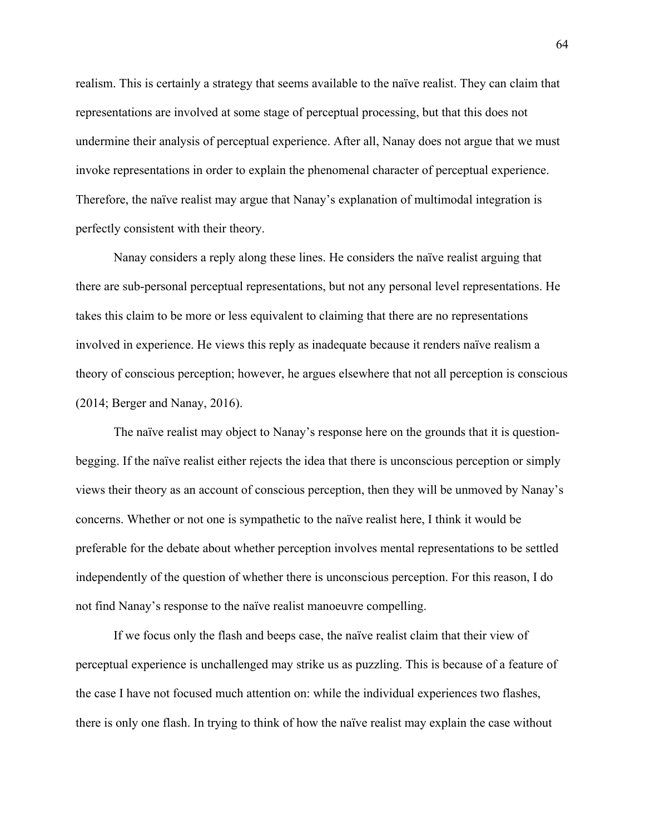realism. This is certainly a strategy that seems available to the naïve realist. They can claim that representations are involved at some stage of perceptual processing, but that this does not undermine their analysis of perceptual experience. After all, Nanay does not argue that we must invoke representations in order to explain the phenomenal character of perceptual experience. Therefore, the naïve realist may argue that Nanay's explanation of multimodal integration is perfectly consistent with their theory.

Nanay considers a reply along these lines. He considers the naïve realist arguing that there are sub-personal perceptual representations, but not any personal level representations. He takes this claim to be more or less equivalent to claiming that there are no representations involved in experience. He views this reply as inadequate because it renders naïve realism a theory of conscious perception; however, he argues elsewhere that not all perception is conscious (2014; Berger and Nanay, 2016).

The naïve realist may object to Nanay's response here on the grounds that it is questionbegging. If the naïve realist either rejects the idea that there is unconscious perception or simply views their theory as an account of conscious perception, then they will be unmoved by Nanay's concerns. Whether or not one is sympathetic to the naïve realist here, I think it would be preferable for the debate about whether perception involves mental representations to be settled independently of the question of whether there is unconscious perception. For this reason, I do not find Nanay's response to the naïve realist manoeuvre compelling.

If we focus only the flash and beeps case, the naïve realist claim that their view of perceptual experience is unchallenged may strike us as puzzling. This is because of a feature of the case I have not focused much attention on: while the individual experiences two flashes, there is only one flash. In trying to think of how the naïve realist may explain the case without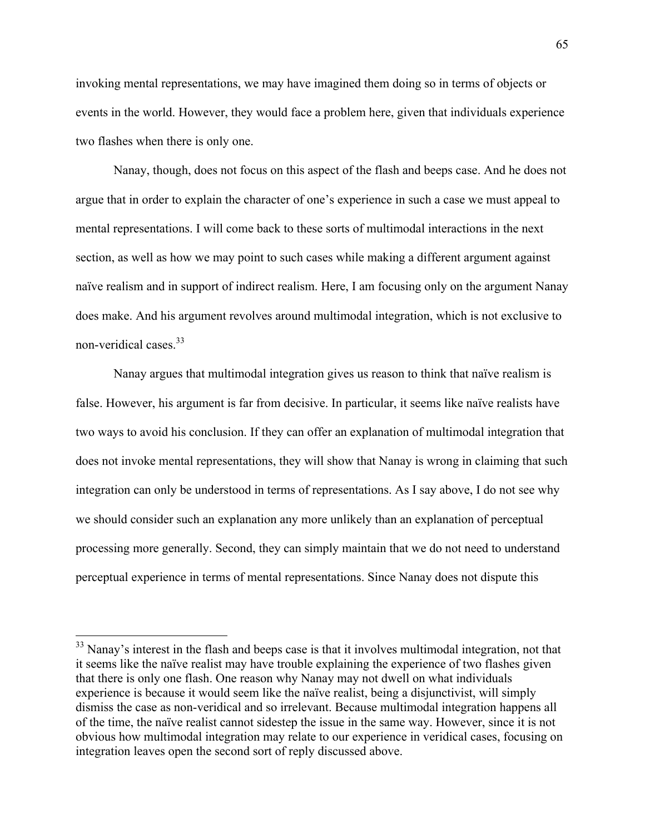invoking mental representations, we may have imagined them doing so in terms of objects or events in the world. However, they would face a problem here, given that individuals experience two flashes when there is only one.

Nanay, though, does not focus on this aspect of the flash and beeps case. And he does not argue that in order to explain the character of one's experience in such a case we must appeal to mental representations. I will come back to these sorts of multimodal interactions in the next section, as well as how we may point to such cases while making a different argument against naïve realism and in support of indirect realism. Here, I am focusing only on the argument Nanay does make. And his argument revolves around multimodal integration, which is not exclusive to non-veridical cases<sup>33</sup>

Nanay argues that multimodal integration gives us reason to think that naïve realism is false. However, his argument is far from decisive. In particular, it seems like naïve realists have two ways to avoid his conclusion. If they can offer an explanation of multimodal integration that does not invoke mental representations, they will show that Nanay is wrong in claiming that such integration can only be understood in terms of representations. As I say above, I do not see why we should consider such an explanation any more unlikely than an explanation of perceptual processing more generally. Second, they can simply maintain that we do not need to understand perceptual experience in terms of mental representations. Since Nanay does not dispute this

<sup>&</sup>lt;sup>33</sup> Nanay's interest in the flash and beeps case is that it involves multimodal integration, not that it seems like the naïve realist may have trouble explaining the experience of two flashes given that there is only one flash. One reason why Nanay may not dwell on what individuals experience is because it would seem like the naïve realist, being a disjunctivist, will simply dismiss the case as non-veridical and so irrelevant. Because multimodal integration happens all of the time, the naïve realist cannot sidestep the issue in the same way. However, since it is not obvious how multimodal integration may relate to our experience in veridical cases, focusing on integration leaves open the second sort of reply discussed above.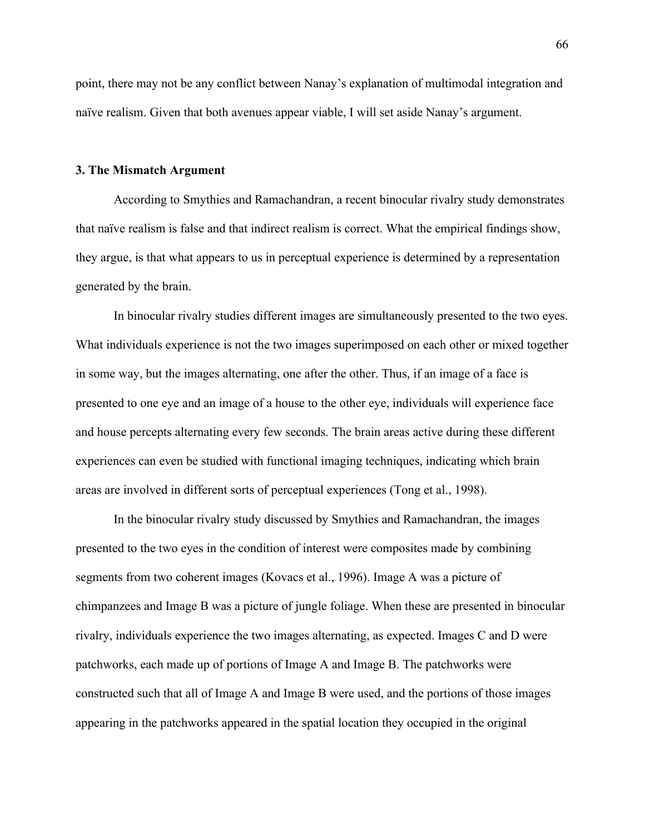point, there may not be any conflict between Nanay's explanation of multimodal integration and naïve realism. Given that both avenues appear viable, I will set aside Nanay's argument.

## **3. The Mismatch Argument**

According to Smythies and Ramachandran, a recent binocular rivalry study demonstrates that naïve realism is false and that indirect realism is correct. What the empirical findings show, they argue, is that what appears to us in perceptual experience is determined by a representation generated by the brain.

In binocular rivalry studies different images are simultaneously presented to the two eyes. What individuals experience is not the two images superimposed on each other or mixed together in some way, but the images alternating, one after the other. Thus, if an image of a face is presented to one eye and an image of a house to the other eye, individuals will experience face and house percepts alternating every few seconds. The brain areas active during these different experiences can even be studied with functional imaging techniques, indicating which brain areas are involved in different sorts of perceptual experiences (Tong et al., 1998).

In the binocular rivalry study discussed by Smythies and Ramachandran, the images presented to the two eyes in the condition of interest were composites made by combining segments from two coherent images (Kovacs et al., 1996). Image A was a picture of chimpanzees and Image B was a picture of jungle foliage. When these are presented in binocular rivalry, individuals experience the two images alternating, as expected. Images C and D were patchworks, each made up of portions of Image A and Image B. The patchworks were constructed such that all of Image A and Image B were used, and the portions of those images appearing in the patchworks appeared in the spatial location they occupied in the original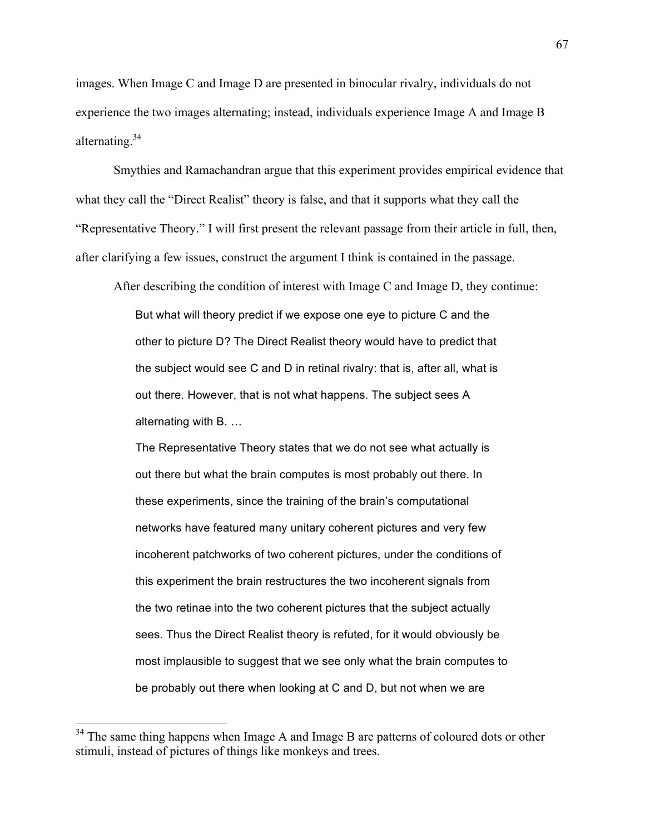images. When Image C and Image D are presented in binocular rivalry, individuals do not experience the two images alternating; instead, individuals experience Image A and Image B alternating.34

Smythies and Ramachandran argue that this experiment provides empirical evidence that what they call the "Direct Realist" theory is false, and that it supports what they call the "Representative Theory." I will first present the relevant passage from their article in full, then, after clarifying a few issues, construct the argument I think is contained in the passage.

After describing the condition of interest with Image C and Image D, they continue:

But what will theory predict if we expose one eye to picture C and the other to picture D? The Direct Realist theory would have to predict that the subject would see C and D in retinal rivalry: that is, after all, what is out there. However, that is not what happens. The subject sees A alternating with B. …

The Representative Theory states that we do not see what actually is out there but what the brain computes is most probably out there. In these experiments, since the training of the brain's computational networks have featured many unitary coherent pictures and very few incoherent patchworks of two coherent pictures, under the conditions of this experiment the brain restructures the two incoherent signals from the two retinae into the two coherent pictures that the subject actually sees. Thus the Direct Realist theory is refuted, for it would obviously be most implausible to suggest that we see only what the brain computes to be probably out there when looking at C and D, but not when we are

<sup>&</sup>lt;sup>34</sup> The same thing happens when Image A and Image B are patterns of coloured dots or other stimuli, instead of pictures of things like monkeys and trees.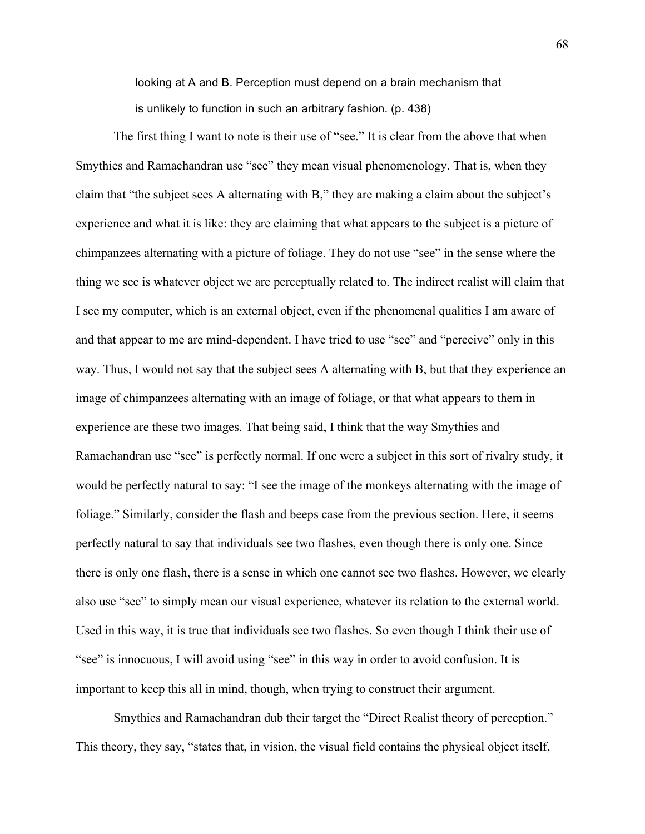looking at A and B. Perception must depend on a brain mechanism that

is unlikely to function in such an arbitrary fashion. (p. 438)

The first thing I want to note is their use of "see." It is clear from the above that when Smythies and Ramachandran use "see" they mean visual phenomenology. That is, when they claim that "the subject sees A alternating with B," they are making a claim about the subject's experience and what it is like: they are claiming that what appears to the subject is a picture of chimpanzees alternating with a picture of foliage. They do not use "see" in the sense where the thing we see is whatever object we are perceptually related to. The indirect realist will claim that I see my computer, which is an external object, even if the phenomenal qualities I am aware of and that appear to me are mind-dependent. I have tried to use "see" and "perceive" only in this way. Thus, I would not say that the subject sees A alternating with B, but that they experience an image of chimpanzees alternating with an image of foliage, or that what appears to them in experience are these two images. That being said, I think that the way Smythies and Ramachandran use "see" is perfectly normal. If one were a subject in this sort of rivalry study, it would be perfectly natural to say: "I see the image of the monkeys alternating with the image of foliage." Similarly, consider the flash and beeps case from the previous section. Here, it seems perfectly natural to say that individuals see two flashes, even though there is only one. Since there is only one flash, there is a sense in which one cannot see two flashes. However, we clearly also use "see" to simply mean our visual experience, whatever its relation to the external world. Used in this way, it is true that individuals see two flashes. So even though I think their use of "see" is innocuous, I will avoid using "see" in this way in order to avoid confusion. It is important to keep this all in mind, though, when trying to construct their argument.

Smythies and Ramachandran dub their target the "Direct Realist theory of perception." This theory, they say, "states that, in vision, the visual field contains the physical object itself,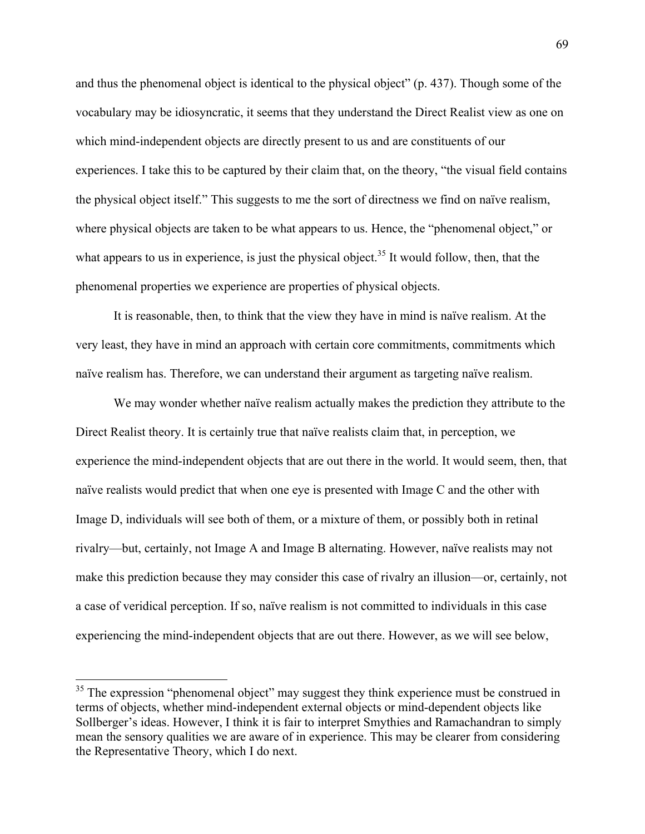and thus the phenomenal object is identical to the physical object" (p. 437). Though some of the vocabulary may be idiosyncratic, it seems that they understand the Direct Realist view as one on which mind-independent objects are directly present to us and are constituents of our experiences. I take this to be captured by their claim that, on the theory, "the visual field contains the physical object itself." This suggests to me the sort of directness we find on naïve realism, where physical objects are taken to be what appears to us. Hence, the "phenomenal object," or what appears to us in experience, is just the physical object.<sup>35</sup> It would follow, then, that the phenomenal properties we experience are properties of physical objects.

It is reasonable, then, to think that the view they have in mind is naïve realism. At the very least, they have in mind an approach with certain core commitments, commitments which naïve realism has. Therefore, we can understand their argument as targeting naïve realism.

We may wonder whether naïve realism actually makes the prediction they attribute to the Direct Realist theory. It is certainly true that naïve realists claim that, in perception, we experience the mind-independent objects that are out there in the world. It would seem, then, that naïve realists would predict that when one eye is presented with Image C and the other with Image D, individuals will see both of them, or a mixture of them, or possibly both in retinal rivalry—but, certainly, not Image A and Image B alternating. However, naïve realists may not make this prediction because they may consider this case of rivalry an illusion—or, certainly, not a case of veridical perception. If so, naïve realism is not committed to individuals in this case experiencing the mind-independent objects that are out there. However, as we will see below,

<sup>&</sup>lt;sup>35</sup> The expression "phenomenal object" may suggest they think experience must be construed in terms of objects, whether mind-independent external objects or mind-dependent objects like Sollberger's ideas. However, I think it is fair to interpret Smythies and Ramachandran to simply mean the sensory qualities we are aware of in experience. This may be clearer from considering the Representative Theory, which I do next.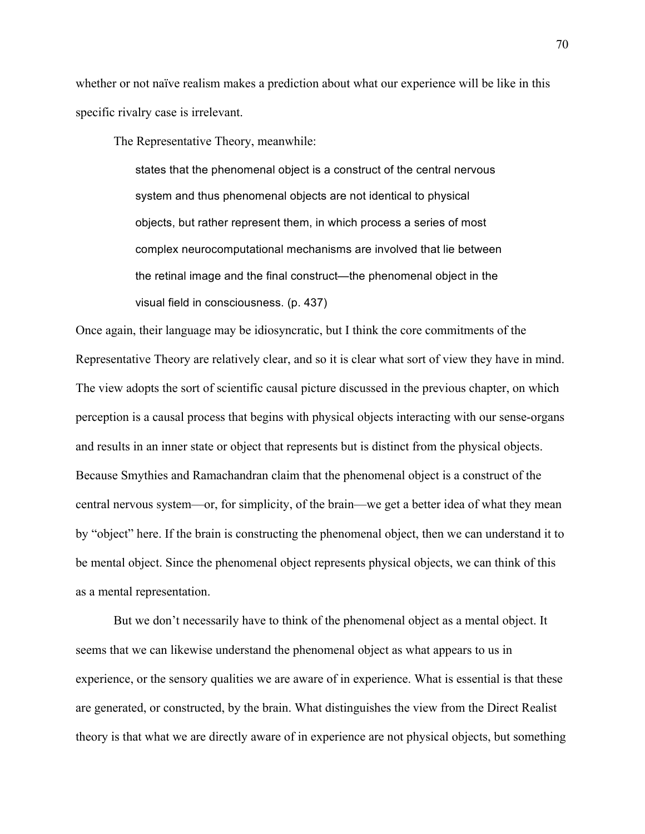whether or not naïve realism makes a prediction about what our experience will be like in this specific rivalry case is irrelevant.

The Representative Theory, meanwhile:

states that the phenomenal object is a construct of the central nervous system and thus phenomenal objects are not identical to physical objects, but rather represent them, in which process a series of most complex neurocomputational mechanisms are involved that lie between the retinal image and the final construct—the phenomenal object in the visual field in consciousness. (p. 437)

Once again, their language may be idiosyncratic, but I think the core commitments of the Representative Theory are relatively clear, and so it is clear what sort of view they have in mind. The view adopts the sort of scientific causal picture discussed in the previous chapter, on which perception is a causal process that begins with physical objects interacting with our sense-organs and results in an inner state or object that represents but is distinct from the physical objects. Because Smythies and Ramachandran claim that the phenomenal object is a construct of the central nervous system—or, for simplicity, of the brain—we get a better idea of what they mean by "object" here. If the brain is constructing the phenomenal object, then we can understand it to be mental object. Since the phenomenal object represents physical objects, we can think of this as a mental representation.

But we don't necessarily have to think of the phenomenal object as a mental object. It seems that we can likewise understand the phenomenal object as what appears to us in experience, or the sensory qualities we are aware of in experience. What is essential is that these are generated, or constructed, by the brain. What distinguishes the view from the Direct Realist theory is that what we are directly aware of in experience are not physical objects, but something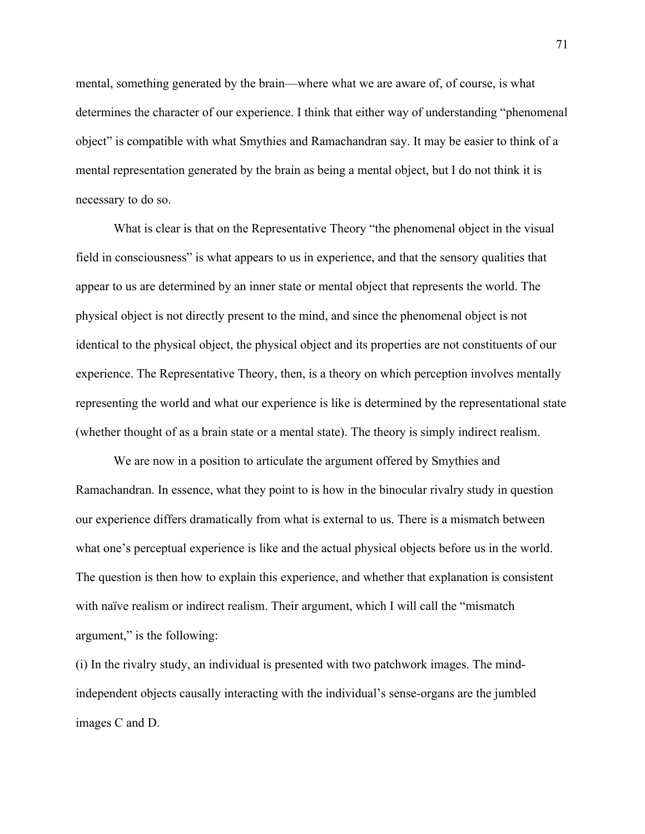mental, something generated by the brain—where what we are aware of, of course, is what determines the character of our experience. I think that either way of understanding "phenomenal object" is compatible with what Smythies and Ramachandran say. It may be easier to think of a mental representation generated by the brain as being a mental object, but I do not think it is necessary to do so.

What is clear is that on the Representative Theory "the phenomenal object in the visual field in consciousness" is what appears to us in experience, and that the sensory qualities that appear to us are determined by an inner state or mental object that represents the world. The physical object is not directly present to the mind, and since the phenomenal object is not identical to the physical object, the physical object and its properties are not constituents of our experience. The Representative Theory, then, is a theory on which perception involves mentally representing the world and what our experience is like is determined by the representational state (whether thought of as a brain state or a mental state). The theory is simply indirect realism.

We are now in a position to articulate the argument offered by Smythies and Ramachandran. In essence, what they point to is how in the binocular rivalry study in question our experience differs dramatically from what is external to us. There is a mismatch between what one's perceptual experience is like and the actual physical objects before us in the world. The question is then how to explain this experience, and whether that explanation is consistent with naïve realism or indirect realism. Their argument, which I will call the "mismatch" argument," is the following:

(i) In the rivalry study, an individual is presented with two patchwork images. The mindindependent objects causally interacting with the individual's sense-organs are the jumbled images C and D.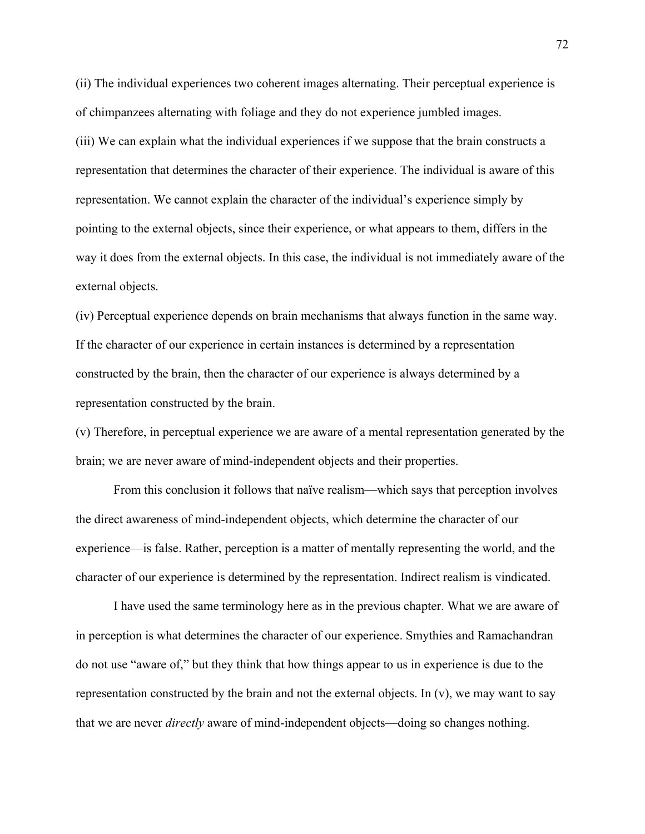(ii) The individual experiences two coherent images alternating. Their perceptual experience is of chimpanzees alternating with foliage and they do not experience jumbled images. (iii) We can explain what the individual experiences if we suppose that the brain constructs a representation that determines the character of their experience. The individual is aware of this representation. We cannot explain the character of the individual's experience simply by pointing to the external objects, since their experience, or what appears to them, differs in the way it does from the external objects. In this case, the individual is not immediately aware of the external objects.

(iv) Perceptual experience depends on brain mechanisms that always function in the same way. If the character of our experience in certain instances is determined by a representation constructed by the brain, then the character of our experience is always determined by a representation constructed by the brain.

(v) Therefore, in perceptual experience we are aware of a mental representation generated by the brain; we are never aware of mind-independent objects and their properties.

From this conclusion it follows that naïve realism—which says that perception involves the direct awareness of mind-independent objects, which determine the character of our experience—is false. Rather, perception is a matter of mentally representing the world, and the character of our experience is determined by the representation. Indirect realism is vindicated.

I have used the same terminology here as in the previous chapter. What we are aware of in perception is what determines the character of our experience. Smythies and Ramachandran do not use "aware of," but they think that how things appear to us in experience is due to the representation constructed by the brain and not the external objects. In (v), we may want to say that we are never *directly* aware of mind-independent objects—doing so changes nothing.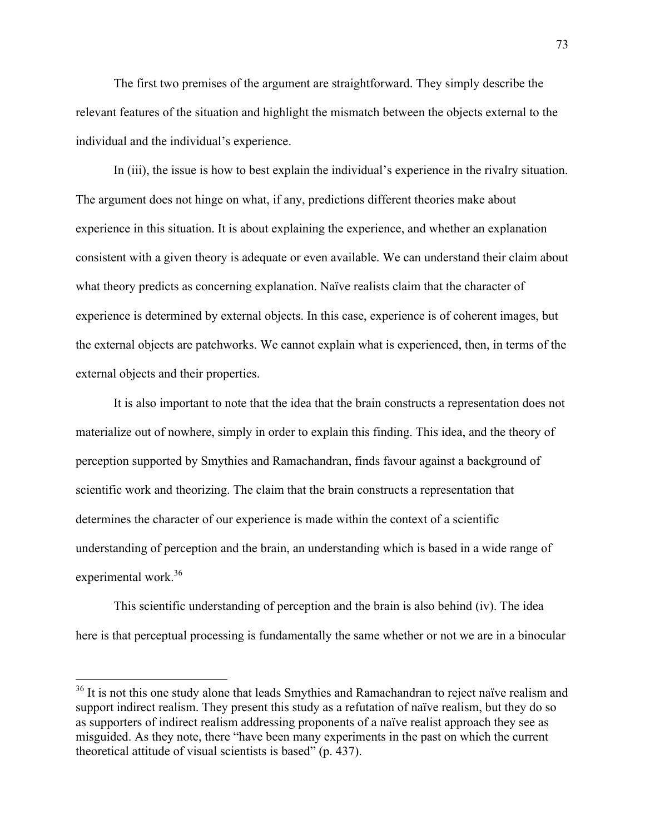The first two premises of the argument are straightforward. They simply describe the relevant features of the situation and highlight the mismatch between the objects external to the individual and the individual's experience.

In (iii), the issue is how to best explain the individual's experience in the rivalry situation. The argument does not hinge on what, if any, predictions different theories make about experience in this situation. It is about explaining the experience, and whether an explanation consistent with a given theory is adequate or even available. We can understand their claim about what theory predicts as concerning explanation. Naïve realists claim that the character of experience is determined by external objects. In this case, experience is of coherent images, but the external objects are patchworks. We cannot explain what is experienced, then, in terms of the external objects and their properties.

It is also important to note that the idea that the brain constructs a representation does not materialize out of nowhere, simply in order to explain this finding. This idea, and the theory of perception supported by Smythies and Ramachandran, finds favour against a background of scientific work and theorizing. The claim that the brain constructs a representation that determines the character of our experience is made within the context of a scientific understanding of perception and the brain, an understanding which is based in a wide range of experimental work.<sup>36</sup>

This scientific understanding of perception and the brain is also behind (iv). The idea here is that perceptual processing is fundamentally the same whether or not we are in a binocular

<sup>&</sup>lt;sup>36</sup> It is not this one study alone that leads Smythies and Ramachandran to reject naïve realism and support indirect realism. They present this study as a refutation of naïve realism, but they do so as supporters of indirect realism addressing proponents of a naïve realist approach they see as misguided. As they note, there "have been many experiments in the past on which the current theoretical attitude of visual scientists is based" (p. 437).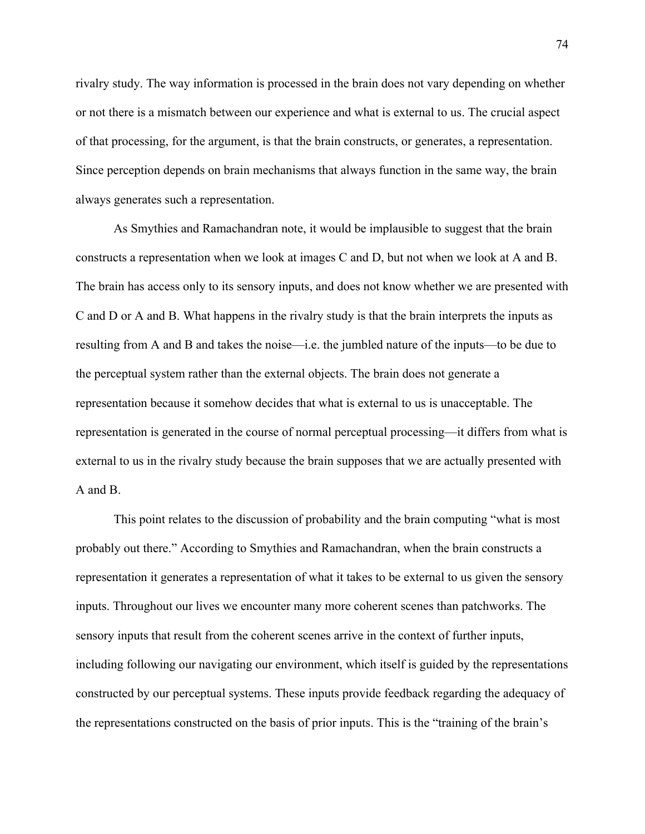rivalry study. The way information is processed in the brain does not vary depending on whether or not there is a mismatch between our experience and what is external to us. The crucial aspect of that processing, for the argument, is that the brain constructs, or generates, a representation. Since perception depends on brain mechanisms that always function in the same way, the brain always generates such a representation.

As Smythies and Ramachandran note, it would be implausible to suggest that the brain constructs a representation when we look at images C and D, but not when we look at A and B. The brain has access only to its sensory inputs, and does not know whether we are presented with C and D or A and B. What happens in the rivalry study is that the brain interprets the inputs as resulting from A and B and takes the noise—i.e. the jumbled nature of the inputs—to be due to the perceptual system rather than the external objects. The brain does not generate a representation because it somehow decides that what is external to us is unacceptable. The representation is generated in the course of normal perceptual processing—it differs from what is external to us in the rivalry study because the brain supposes that we are actually presented with A and B.

This point relates to the discussion of probability and the brain computing "what is most probably out there." According to Smythies and Ramachandran, when the brain constructs a representation it generates a representation of what it takes to be external to us given the sensory inputs. Throughout our lives we encounter many more coherent scenes than patchworks. The sensory inputs that result from the coherent scenes arrive in the context of further inputs, including following our navigating our environment, which itself is guided by the representations constructed by our perceptual systems. These inputs provide feedback regarding the adequacy of the representations constructed on the basis of prior inputs. This is the "training of the brain's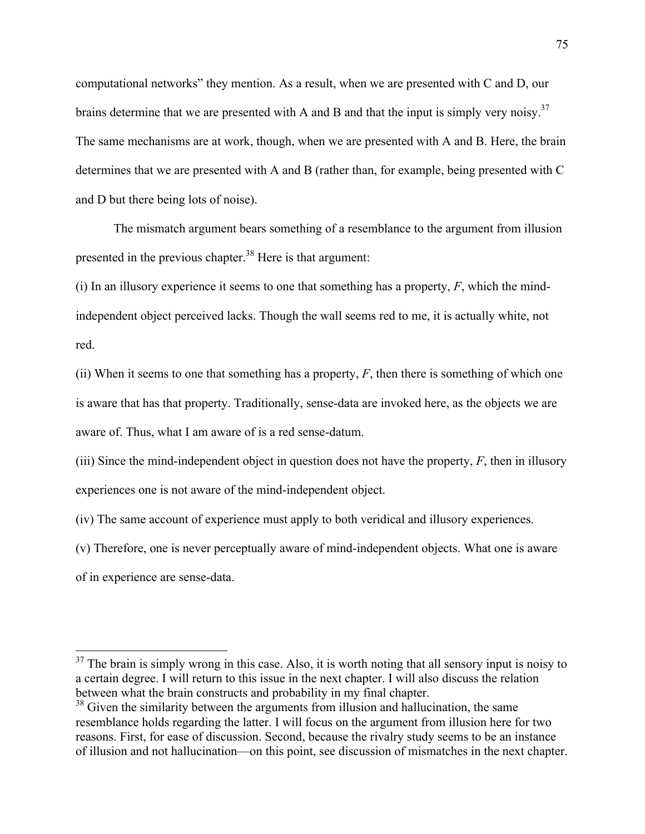computational networks" they mention. As a result, when we are presented with C and D, our brains determine that we are presented with A and B and that the input is simply very noisy.<sup>37</sup> The same mechanisms are at work, though, when we are presented with A and B. Here, the brain determines that we are presented with A and B (rather than, for example, being presented with C and D but there being lots of noise).

The mismatch argument bears something of a resemblance to the argument from illusion presented in the previous chapter.<sup>38</sup> Here is that argument:

(i) In an illusory experience it seems to one that something has a property,  $F$ , which the mindindependent object perceived lacks. Though the wall seems red to me, it is actually white, not red.

(ii) When it seems to one that something has a property,  $F$ , then there is something of which one is aware that has that property. Traditionally, sense-data are invoked here, as the objects we are aware of. Thus, what I am aware of is a red sense-datum.

(iii) Since the mind-independent object in question does not have the property, *F*, then in illusory experiences one is not aware of the mind-independent object.

(iv) The same account of experience must apply to both veridical and illusory experiences.

(v) Therefore, one is never perceptually aware of mind-independent objects. What one is aware of in experience are sense-data.

 $37$  The brain is simply wrong in this case. Also, it is worth noting that all sensory input is noisy to a certain degree. I will return to this issue in the next chapter. I will also discuss the relation between what the brain constructs and probability in my final chapter.

<sup>&</sup>lt;sup>38</sup> Given the similarity between the arguments from illusion and hallucination, the same resemblance holds regarding the latter. I will focus on the argument from illusion here for two reasons. First, for ease of discussion. Second, because the rivalry study seems to be an instance of illusion and not hallucination—on this point, see discussion of mismatches in the next chapter.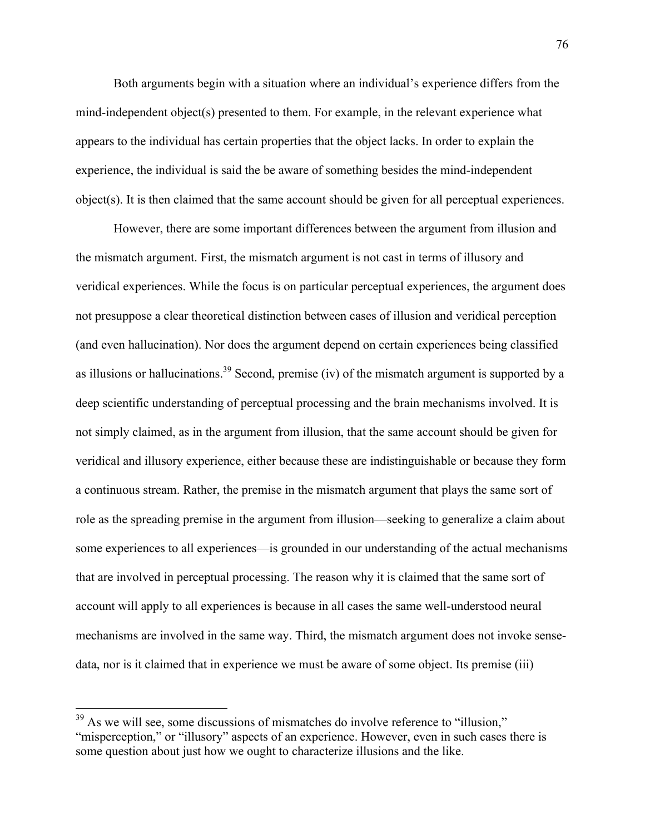Both arguments begin with a situation where an individual's experience differs from the mind-independent object(s) presented to them. For example, in the relevant experience what appears to the individual has certain properties that the object lacks. In order to explain the experience, the individual is said the be aware of something besides the mind-independent object(s). It is then claimed that the same account should be given for all perceptual experiences.

However, there are some important differences between the argument from illusion and the mismatch argument. First, the mismatch argument is not cast in terms of illusory and veridical experiences. While the focus is on particular perceptual experiences, the argument does not presuppose a clear theoretical distinction between cases of illusion and veridical perception (and even hallucination). Nor does the argument depend on certain experiences being classified as illusions or hallucinations.<sup>39</sup> Second, premise (iv) of the mismatch argument is supported by a deep scientific understanding of perceptual processing and the brain mechanisms involved. It is not simply claimed, as in the argument from illusion, that the same account should be given for veridical and illusory experience, either because these are indistinguishable or because they form a continuous stream. Rather, the premise in the mismatch argument that plays the same sort of role as the spreading premise in the argument from illusion—seeking to generalize a claim about some experiences to all experiences—is grounded in our understanding of the actual mechanisms that are involved in perceptual processing. The reason why it is claimed that the same sort of account will apply to all experiences is because in all cases the same well-understood neural mechanisms are involved in the same way. Third, the mismatch argument does not invoke sensedata, nor is it claimed that in experience we must be aware of some object. Its premise (iii)

<sup>&</sup>lt;sup>39</sup> As we will see, some discussions of mismatches do involve reference to "illusion," "misperception," or "illusory" aspects of an experience. However, even in such cases there is some question about just how we ought to characterize illusions and the like.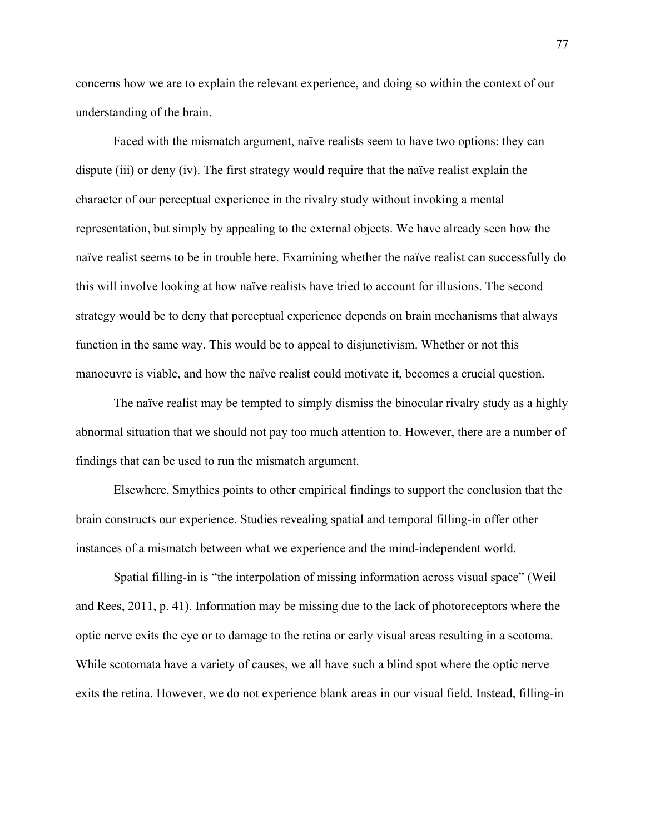concerns how we are to explain the relevant experience, and doing so within the context of our understanding of the brain.

Faced with the mismatch argument, naïve realists seem to have two options: they can dispute (iii) or deny (iv). The first strategy would require that the naïve realist explain the character of our perceptual experience in the rivalry study without invoking a mental representation, but simply by appealing to the external objects. We have already seen how the naïve realist seems to be in trouble here. Examining whether the naïve realist can successfully do this will involve looking at how naïve realists have tried to account for illusions. The second strategy would be to deny that perceptual experience depends on brain mechanisms that always function in the same way. This would be to appeal to disjunctivism. Whether or not this manoeuvre is viable, and how the naïve realist could motivate it, becomes a crucial question.

The naïve realist may be tempted to simply dismiss the binocular rivalry study as a highly abnormal situation that we should not pay too much attention to. However, there are a number of findings that can be used to run the mismatch argument.

Elsewhere, Smythies points to other empirical findings to support the conclusion that the brain constructs our experience. Studies revealing spatial and temporal filling-in offer other instances of a mismatch between what we experience and the mind-independent world.

Spatial filling-in is "the interpolation of missing information across visual space" (Weil and Rees, 2011, p. 41). Information may be missing due to the lack of photoreceptors where the optic nerve exits the eye or to damage to the retina or early visual areas resulting in a scotoma. While scotomata have a variety of causes, we all have such a blind spot where the optic nerve exits the retina. However, we do not experience blank areas in our visual field. Instead, filling-in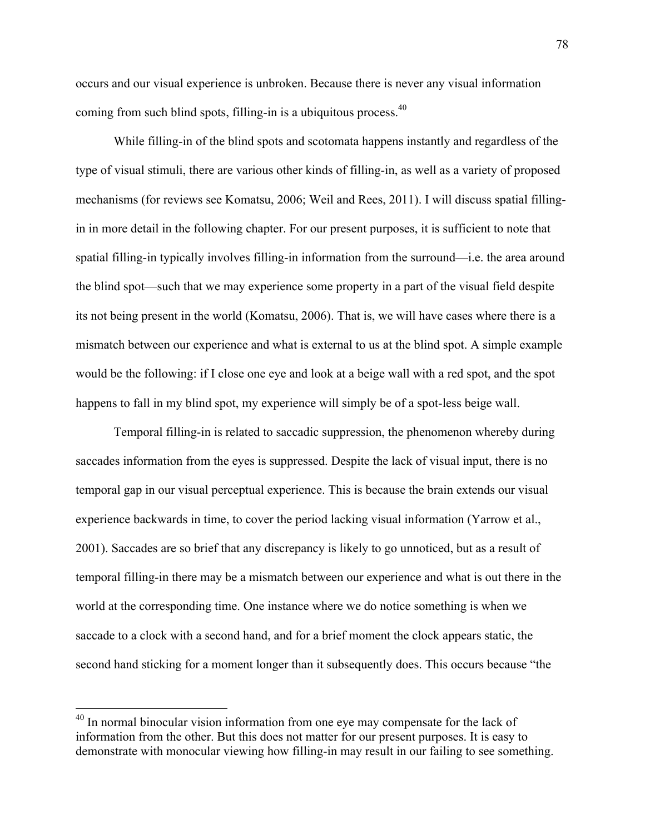occurs and our visual experience is unbroken. Because there is never any visual information coming from such blind spots, filling-in is a ubiquitous process.  $40$ 

While filling-in of the blind spots and scotomata happens instantly and regardless of the type of visual stimuli, there are various other kinds of filling-in, as well as a variety of proposed mechanisms (for reviews see Komatsu, 2006; Weil and Rees, 2011). I will discuss spatial fillingin in more detail in the following chapter. For our present purposes, it is sufficient to note that spatial filling-in typically involves filling-in information from the surround—i.e. the area around the blind spot—such that we may experience some property in a part of the visual field despite its not being present in the world (Komatsu, 2006). That is, we will have cases where there is a mismatch between our experience and what is external to us at the blind spot. A simple example would be the following: if I close one eye and look at a beige wall with a red spot, and the spot happens to fall in my blind spot, my experience will simply be of a spot-less beige wall.

Temporal filling-in is related to saccadic suppression, the phenomenon whereby during saccades information from the eyes is suppressed. Despite the lack of visual input, there is no temporal gap in our visual perceptual experience. This is because the brain extends our visual experience backwards in time, to cover the period lacking visual information (Yarrow et al., 2001). Saccades are so brief that any discrepancy is likely to go unnoticed, but as a result of temporal filling-in there may be a mismatch between our experience and what is out there in the world at the corresponding time. One instance where we do notice something is when we saccade to a clock with a second hand, and for a brief moment the clock appears static, the second hand sticking for a moment longer than it subsequently does. This occurs because "the

<sup>&</sup>lt;sup>40</sup> In normal binocular vision information from one eye may compensate for the lack of information from the other. But this does not matter for our present purposes. It is easy to demonstrate with monocular viewing how filling-in may result in our failing to see something.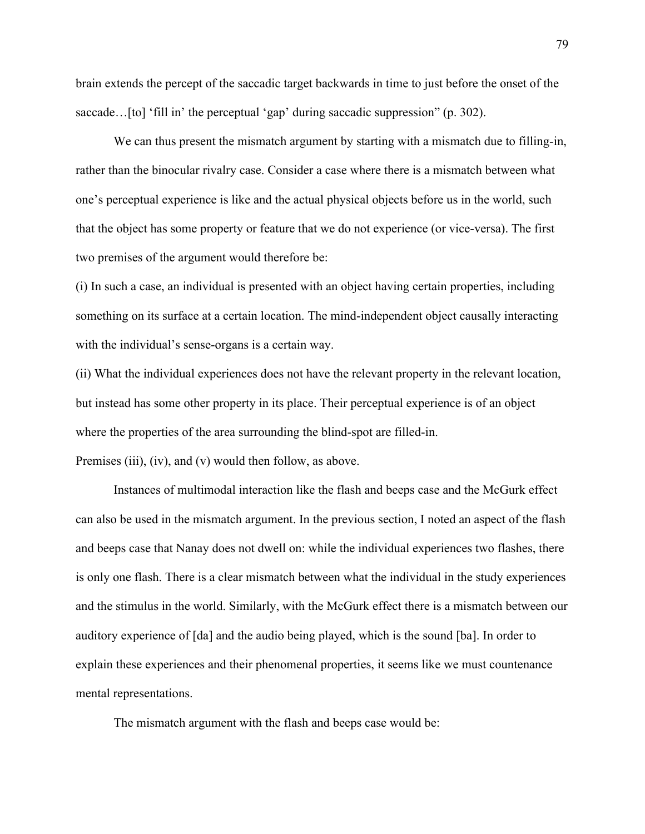brain extends the percept of the saccadic target backwards in time to just before the onset of the saccade…[to] 'fill in' the perceptual 'gap' during saccadic suppression'' (p. 302).

We can thus present the mismatch argument by starting with a mismatch due to filling-in, rather than the binocular rivalry case. Consider a case where there is a mismatch between what one's perceptual experience is like and the actual physical objects before us in the world, such that the object has some property or feature that we do not experience (or vice-versa). The first two premises of the argument would therefore be:

(i) In such a case, an individual is presented with an object having certain properties, including something on its surface at a certain location. The mind-independent object causally interacting with the individual's sense-organs is a certain way.

(ii) What the individual experiences does not have the relevant property in the relevant location, but instead has some other property in its place. Their perceptual experience is of an object where the properties of the area surrounding the blind-spot are filled-in.

Premises (iii), (iv), and (v) would then follow, as above.

Instances of multimodal interaction like the flash and beeps case and the McGurk effect can also be used in the mismatch argument. In the previous section, I noted an aspect of the flash and beeps case that Nanay does not dwell on: while the individual experiences two flashes, there is only one flash. There is a clear mismatch between what the individual in the study experiences and the stimulus in the world. Similarly, with the McGurk effect there is a mismatch between our auditory experience of [da] and the audio being played, which is the sound [ba]. In order to explain these experiences and their phenomenal properties, it seems like we must countenance mental representations.

The mismatch argument with the flash and beeps case would be: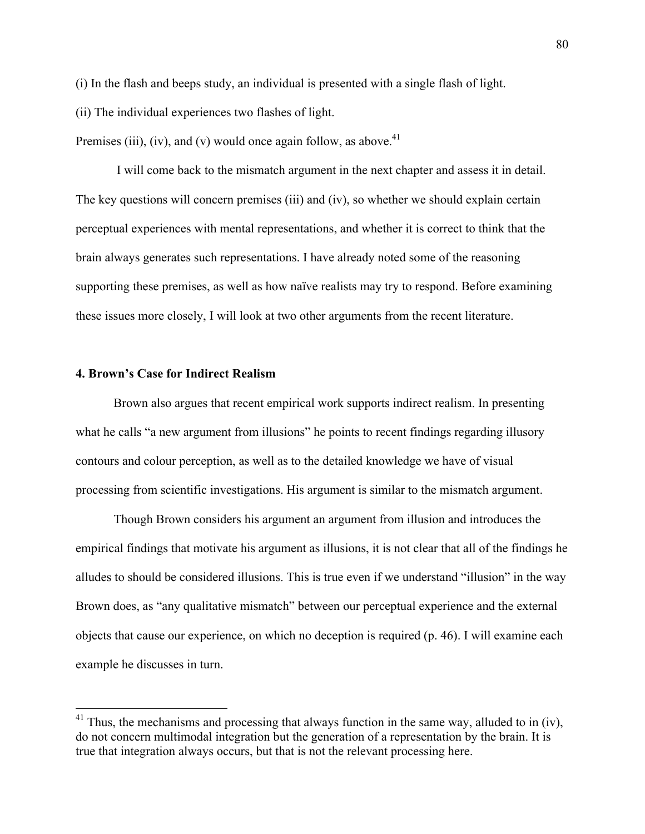(i) In the flash and beeps study, an individual is presented with a single flash of light.

(ii) The individual experiences two flashes of light.

Premises (iii), (iv), and (v) would once again follow, as above.<sup>41</sup>

I will come back to the mismatch argument in the next chapter and assess it in detail. The key questions will concern premises (iii) and (iv), so whether we should explain certain perceptual experiences with mental representations, and whether it is correct to think that the brain always generates such representations. I have already noted some of the reasoning supporting these premises, as well as how naïve realists may try to respond. Before examining these issues more closely, I will look at two other arguments from the recent literature.

## **4. Brown's Case for Indirect Realism**

Brown also argues that recent empirical work supports indirect realism. In presenting what he calls "a new argument from illusions" he points to recent findings regarding illusory contours and colour perception, as well as to the detailed knowledge we have of visual processing from scientific investigations. His argument is similar to the mismatch argument.

Though Brown considers his argument an argument from illusion and introduces the empirical findings that motivate his argument as illusions, it is not clear that all of the findings he alludes to should be considered illusions. This is true even if we understand "illusion" in the way Brown does, as "any qualitative mismatch" between our perceptual experience and the external objects that cause our experience, on which no deception is required (p. 46). I will examine each example he discusses in turn.

 $41$  Thus, the mechanisms and processing that always function in the same way, alluded to in (iv), do not concern multimodal integration but the generation of a representation by the brain. It is true that integration always occurs, but that is not the relevant processing here.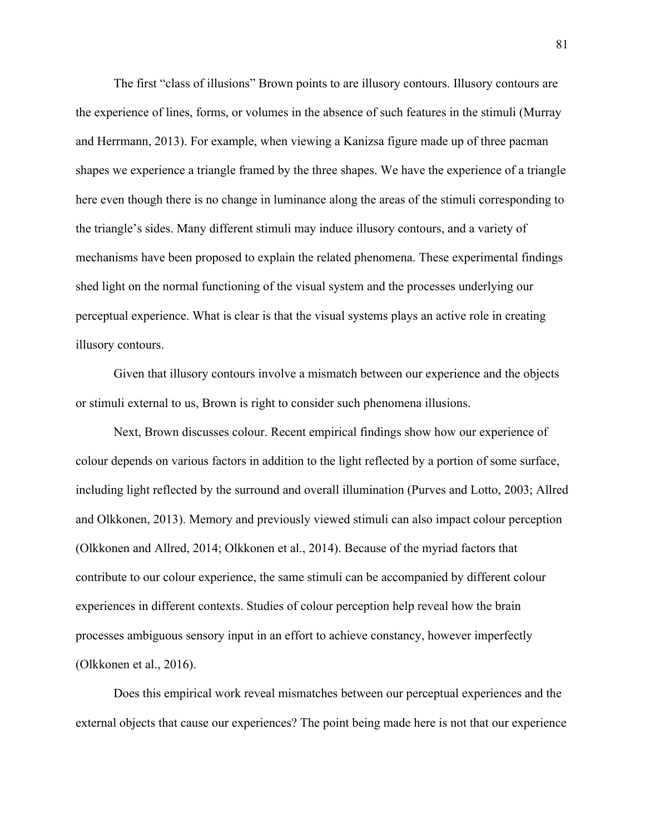The first "class of illusions" Brown points to are illusory contours. Illusory contours are the experience of lines, forms, or volumes in the absence of such features in the stimuli (Murray and Herrmann, 2013). For example, when viewing a Kanizsa figure made up of three pacman shapes we experience a triangle framed by the three shapes. We have the experience of a triangle here even though there is no change in luminance along the areas of the stimuli corresponding to the triangle's sides. Many different stimuli may induce illusory contours, and a variety of mechanisms have been proposed to explain the related phenomena. These experimental findings shed light on the normal functioning of the visual system and the processes underlying our perceptual experience. What is clear is that the visual systems plays an active role in creating illusory contours.

Given that illusory contours involve a mismatch between our experience and the objects or stimuli external to us, Brown is right to consider such phenomena illusions.

Next, Brown discusses colour. Recent empirical findings show how our experience of colour depends on various factors in addition to the light reflected by a portion of some surface, including light reflected by the surround and overall illumination (Purves and Lotto, 2003; Allred and Olkkonen, 2013). Memory and previously viewed stimuli can also impact colour perception (Olkkonen and Allred, 2014; Olkkonen et al., 2014). Because of the myriad factors that contribute to our colour experience, the same stimuli can be accompanied by different colour experiences in different contexts. Studies of colour perception help reveal how the brain processes ambiguous sensory input in an effort to achieve constancy, however imperfectly (Olkkonen et al., 2016).

Does this empirical work reveal mismatches between our perceptual experiences and the external objects that cause our experiences? The point being made here is not that our experience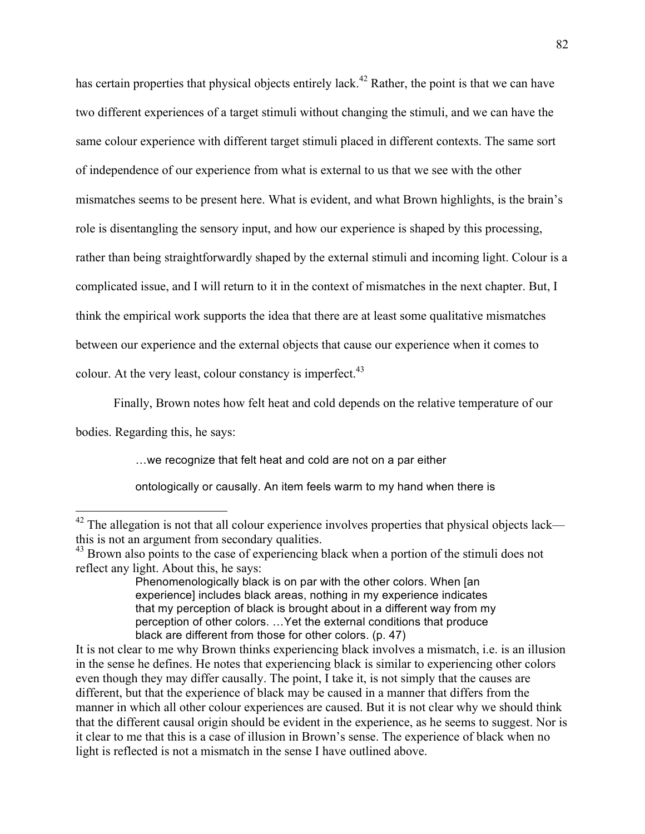has certain properties that physical objects entirely lack.<sup>42</sup> Rather, the point is that we can have two different experiences of a target stimuli without changing the stimuli, and we can have the same colour experience with different target stimuli placed in different contexts. The same sort of independence of our experience from what is external to us that we see with the other mismatches seems to be present here. What is evident, and what Brown highlights, is the brain's role is disentangling the sensory input, and how our experience is shaped by this processing, rather than being straightforwardly shaped by the external stimuli and incoming light. Colour is a complicated issue, and I will return to it in the context of mismatches in the next chapter. But, I think the empirical work supports the idea that there are at least some qualitative mismatches between our experience and the external objects that cause our experience when it comes to colour. At the very least, colour constancy is imperfect.<sup>43</sup>

Finally, Brown notes how felt heat and cold depends on the relative temperature of our

bodies. Regarding this, he says:

…we recognize that felt heat and cold are not on a par either

ontologically or causally. An item feels warm to my hand when there is

 $42$  The allegation is not that all colour experience involves properties that physical objects lack this is not an argument from secondary qualities.<br><sup>43</sup> Brown also points to the case of experiencing black when a portion of the stimuli does not

reflect any light. About this, he says:

Phenomenologically black is on par with the other colors. When [an experience] includes black areas, nothing in my experience indicates that my perception of black is brought about in a different way from my perception of other colors. …Yet the external conditions that produce black are different from those for other colors. (p. 47)

It is not clear to me why Brown thinks experiencing black involves a mismatch, i.e. is an illusion in the sense he defines. He notes that experiencing black is similar to experiencing other colors even though they may differ causally. The point, I take it, is not simply that the causes are different, but that the experience of black may be caused in a manner that differs from the manner in which all other colour experiences are caused. But it is not clear why we should think that the different causal origin should be evident in the experience, as he seems to suggest. Nor is it clear to me that this is a case of illusion in Brown's sense. The experience of black when no light is reflected is not a mismatch in the sense I have outlined above.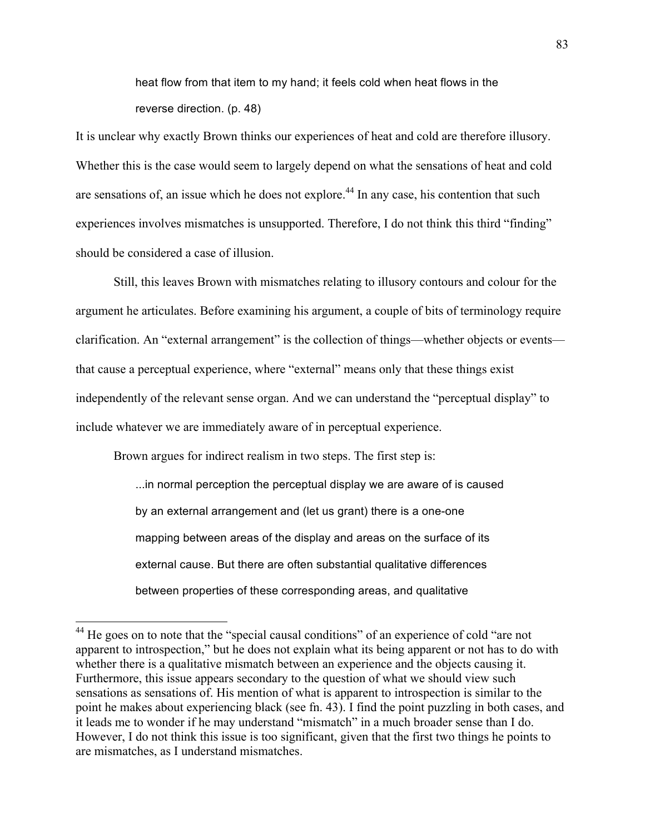heat flow from that item to my hand; it feels cold when heat flows in the reverse direction. (p. 48)

It is unclear why exactly Brown thinks our experiences of heat and cold are therefore illusory. Whether this is the case would seem to largely depend on what the sensations of heat and cold are sensations of, an issue which he does not explore.<sup>44</sup> In any case, his contention that such experiences involves mismatches is unsupported. Therefore, I do not think this third "finding" should be considered a case of illusion.

Still, this leaves Brown with mismatches relating to illusory contours and colour for the argument he articulates. Before examining his argument, a couple of bits of terminology require clarification. An "external arrangement" is the collection of things—whether objects or events that cause a perceptual experience, where "external" means only that these things exist independently of the relevant sense organ. And we can understand the "perceptual display" to include whatever we are immediately aware of in perceptual experience.

Brown argues for indirect realism in two steps. The first step is:

...in normal perception the perceptual display we are aware of is caused by an external arrangement and (let us grant) there is a one-one mapping between areas of the display and areas on the surface of its external cause. But there are often substantial qualitative differences between properties of these corresponding areas, and qualitative

<sup>&</sup>lt;sup>44</sup> He goes on to note that the "special causal conditions" of an experience of cold "are not apparent to introspection," but he does not explain what its being apparent or not has to do with whether there is a qualitative mismatch between an experience and the objects causing it. Furthermore, this issue appears secondary to the question of what we should view such sensations as sensations of. His mention of what is apparent to introspection is similar to the point he makes about experiencing black (see fn. 43). I find the point puzzling in both cases, and it leads me to wonder if he may understand "mismatch" in a much broader sense than I do. However, I do not think this issue is too significant, given that the first two things he points to are mismatches, as I understand mismatches.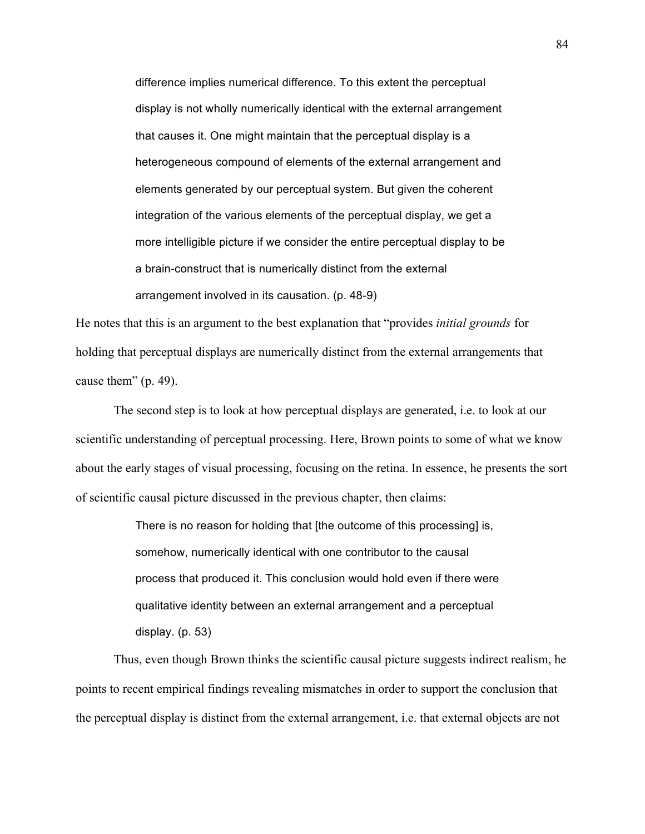difference implies numerical difference. To this extent the perceptual display is not wholly numerically identical with the external arrangement that causes it. One might maintain that the perceptual display is a heterogeneous compound of elements of the external arrangement and elements generated by our perceptual system. But given the coherent integration of the various elements of the perceptual display, we get a more intelligible picture if we consider the entire perceptual display to be a brain-construct that is numerically distinct from the external arrangement involved in its causation. (p. 48-9)

He notes that this is an argument to the best explanation that "provides *initial grounds* for holding that perceptual displays are numerically distinct from the external arrangements that cause them" (p. 49).

The second step is to look at how perceptual displays are generated, i.e. to look at our scientific understanding of perceptual processing. Here, Brown points to some of what we know about the early stages of visual processing, focusing on the retina. In essence, he presents the sort of scientific causal picture discussed in the previous chapter, then claims:

> There is no reason for holding that [the outcome of this processing] is, somehow, numerically identical with one contributor to the causal process that produced it. This conclusion would hold even if there were qualitative identity between an external arrangement and a perceptual display. (p. 53)

Thus, even though Brown thinks the scientific causal picture suggests indirect realism, he points to recent empirical findings revealing mismatches in order to support the conclusion that the perceptual display is distinct from the external arrangement, i.e. that external objects are not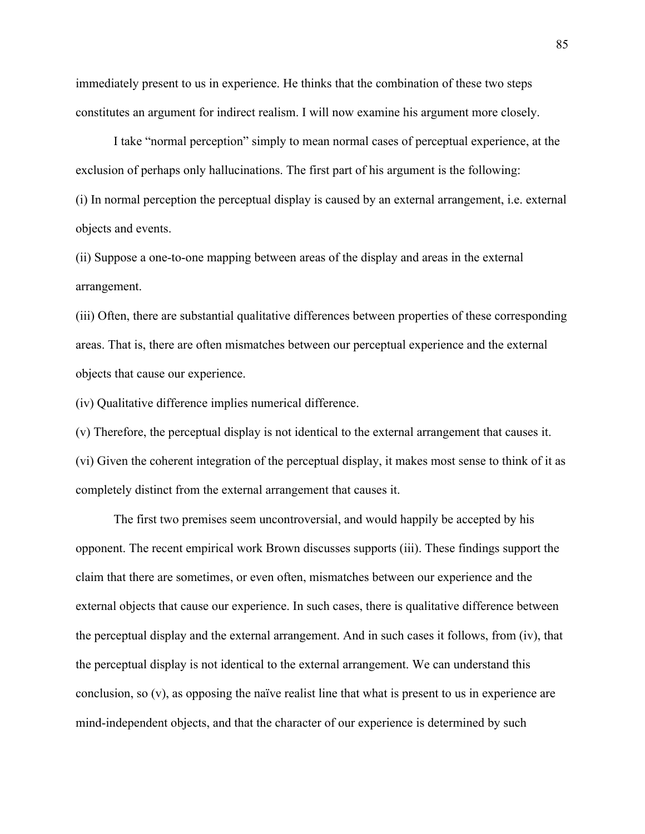immediately present to us in experience. He thinks that the combination of these two steps constitutes an argument for indirect realism. I will now examine his argument more closely.

I take "normal perception" simply to mean normal cases of perceptual experience, at the exclusion of perhaps only hallucinations. The first part of his argument is the following: (i) In normal perception the perceptual display is caused by an external arrangement, i.e. external objects and events.

(ii) Suppose a one-to-one mapping between areas of the display and areas in the external arrangement.

(iii) Often, there are substantial qualitative differences between properties of these corresponding areas. That is, there are often mismatches between our perceptual experience and the external objects that cause our experience.

(iv) Qualitative difference implies numerical difference.

(v) Therefore, the perceptual display is not identical to the external arrangement that causes it. (vi) Given the coherent integration of the perceptual display, it makes most sense to think of it as completely distinct from the external arrangement that causes it.

The first two premises seem uncontroversial, and would happily be accepted by his opponent. The recent empirical work Brown discusses supports (iii). These findings support the claim that there are sometimes, or even often, mismatches between our experience and the external objects that cause our experience. In such cases, there is qualitative difference between the perceptual display and the external arrangement. And in such cases it follows, from (iv), that the perceptual display is not identical to the external arrangement. We can understand this conclusion, so (v), as opposing the naïve realist line that what is present to us in experience are mind-independent objects, and that the character of our experience is determined by such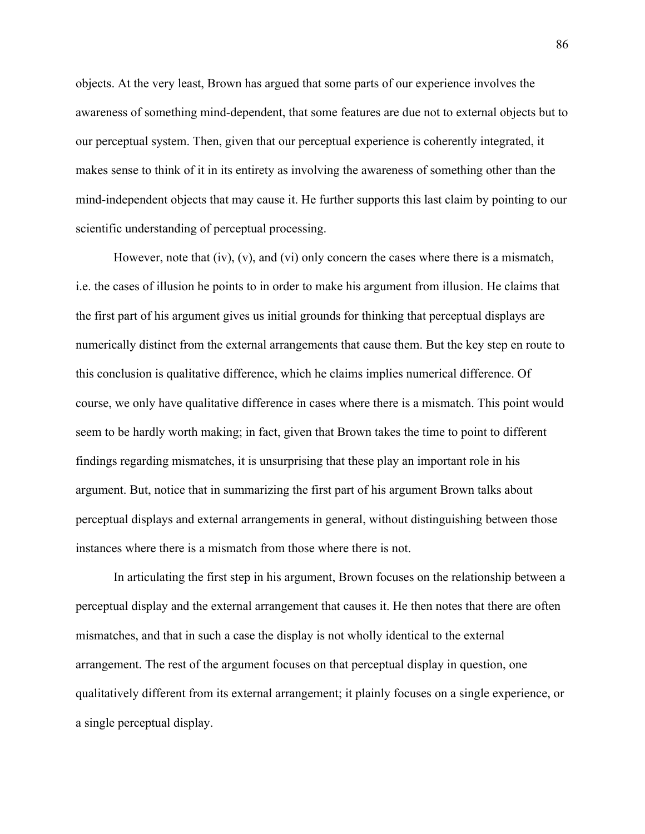objects. At the very least, Brown has argued that some parts of our experience involves the awareness of something mind-dependent, that some features are due not to external objects but to our perceptual system. Then, given that our perceptual experience is coherently integrated, it makes sense to think of it in its entirety as involving the awareness of something other than the mind-independent objects that may cause it. He further supports this last claim by pointing to our scientific understanding of perceptual processing.

However, note that (iv), (v), and (vi) only concern the cases where there is a mismatch, i.e. the cases of illusion he points to in order to make his argument from illusion. He claims that the first part of his argument gives us initial grounds for thinking that perceptual displays are numerically distinct from the external arrangements that cause them. But the key step en route to this conclusion is qualitative difference, which he claims implies numerical difference. Of course, we only have qualitative difference in cases where there is a mismatch. This point would seem to be hardly worth making; in fact, given that Brown takes the time to point to different findings regarding mismatches, it is unsurprising that these play an important role in his argument. But, notice that in summarizing the first part of his argument Brown talks about perceptual displays and external arrangements in general, without distinguishing between those instances where there is a mismatch from those where there is not.

In articulating the first step in his argument, Brown focuses on the relationship between a perceptual display and the external arrangement that causes it. He then notes that there are often mismatches, and that in such a case the display is not wholly identical to the external arrangement. The rest of the argument focuses on that perceptual display in question, one qualitatively different from its external arrangement; it plainly focuses on a single experience, or a single perceptual display.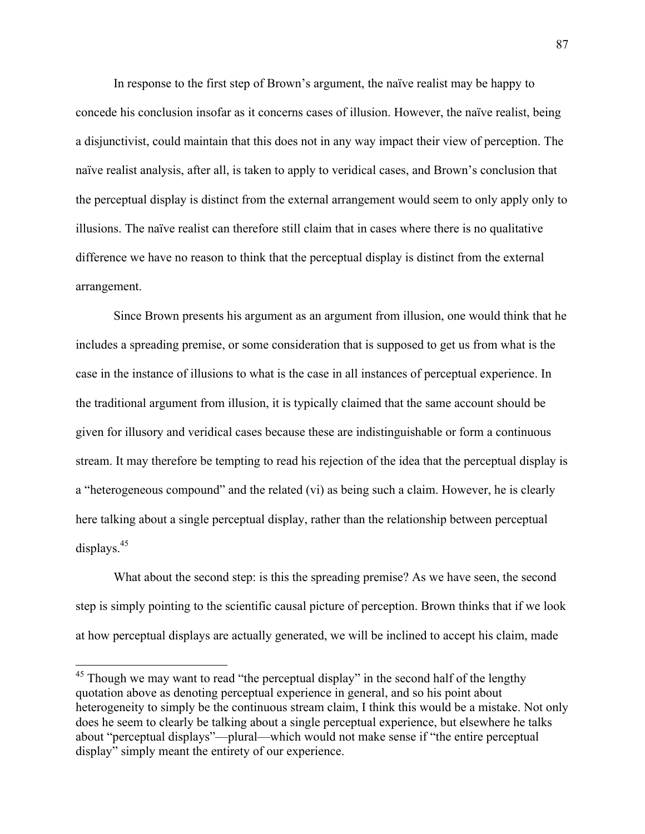In response to the first step of Brown's argument, the naïve realist may be happy to concede his conclusion insofar as it concerns cases of illusion. However, the naïve realist, being a disjunctivist, could maintain that this does not in any way impact their view of perception. The naïve realist analysis, after all, is taken to apply to veridical cases, and Brown's conclusion that the perceptual display is distinct from the external arrangement would seem to only apply only to illusions. The naïve realist can therefore still claim that in cases where there is no qualitative difference we have no reason to think that the perceptual display is distinct from the external arrangement.

Since Brown presents his argument as an argument from illusion, one would think that he includes a spreading premise, or some consideration that is supposed to get us from what is the case in the instance of illusions to what is the case in all instances of perceptual experience. In the traditional argument from illusion, it is typically claimed that the same account should be given for illusory and veridical cases because these are indistinguishable or form a continuous stream. It may therefore be tempting to read his rejection of the idea that the perceptual display is a "heterogeneous compound" and the related (vi) as being such a claim. However, he is clearly here talking about a single perceptual display, rather than the relationship between perceptual displays. $45$ 

What about the second step: is this the spreading premise? As we have seen, the second step is simply pointing to the scientific causal picture of perception. Brown thinks that if we look at how perceptual displays are actually generated, we will be inclined to accept his claim, made

 $45$  Though we may want to read "the perceptual display" in the second half of the lengthy quotation above as denoting perceptual experience in general, and so his point about heterogeneity to simply be the continuous stream claim, I think this would be a mistake. Not only does he seem to clearly be talking about a single perceptual experience, but elsewhere he talks about "perceptual displays"—plural—which would not make sense if "the entire perceptual display" simply meant the entirety of our experience.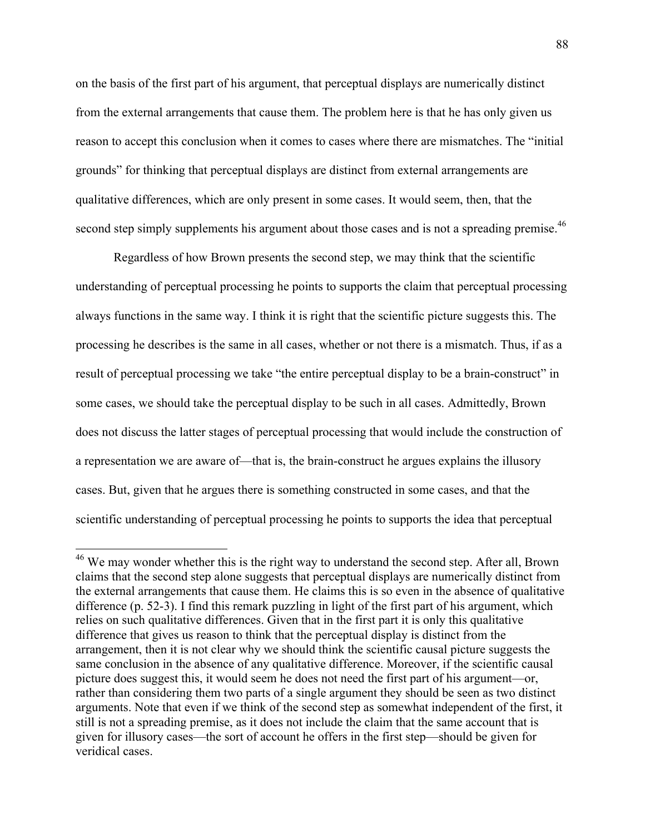on the basis of the first part of his argument, that perceptual displays are numerically distinct from the external arrangements that cause them. The problem here is that he has only given us reason to accept this conclusion when it comes to cases where there are mismatches. The "initial grounds" for thinking that perceptual displays are distinct from external arrangements are qualitative differences, which are only present in some cases. It would seem, then, that the second step simply supplements his argument about those cases and is not a spreading premise.<sup>46</sup>

Regardless of how Brown presents the second step, we may think that the scientific understanding of perceptual processing he points to supports the claim that perceptual processing always functions in the same way. I think it is right that the scientific picture suggests this. The processing he describes is the same in all cases, whether or not there is a mismatch. Thus, if as a result of perceptual processing we take "the entire perceptual display to be a brain-construct" in some cases, we should take the perceptual display to be such in all cases. Admittedly, Brown does not discuss the latter stages of perceptual processing that would include the construction of a representation we are aware of—that is, the brain-construct he argues explains the illusory cases. But, given that he argues there is something constructed in some cases, and that the scientific understanding of perceptual processing he points to supports the idea that perceptual

<sup>&</sup>lt;sup>46</sup> We may wonder whether this is the right way to understand the second step. After all, Brown claims that the second step alone suggests that perceptual displays are numerically distinct from the external arrangements that cause them. He claims this is so even in the absence of qualitative difference (p. 52-3). I find this remark puzzling in light of the first part of his argument, which relies on such qualitative differences. Given that in the first part it is only this qualitative difference that gives us reason to think that the perceptual display is distinct from the arrangement, then it is not clear why we should think the scientific causal picture suggests the same conclusion in the absence of any qualitative difference. Moreover, if the scientific causal picture does suggest this, it would seem he does not need the first part of his argument—or, rather than considering them two parts of a single argument they should be seen as two distinct arguments. Note that even if we think of the second step as somewhat independent of the first, it still is not a spreading premise, as it does not include the claim that the same account that is given for illusory cases—the sort of account he offers in the first step—should be given for veridical cases.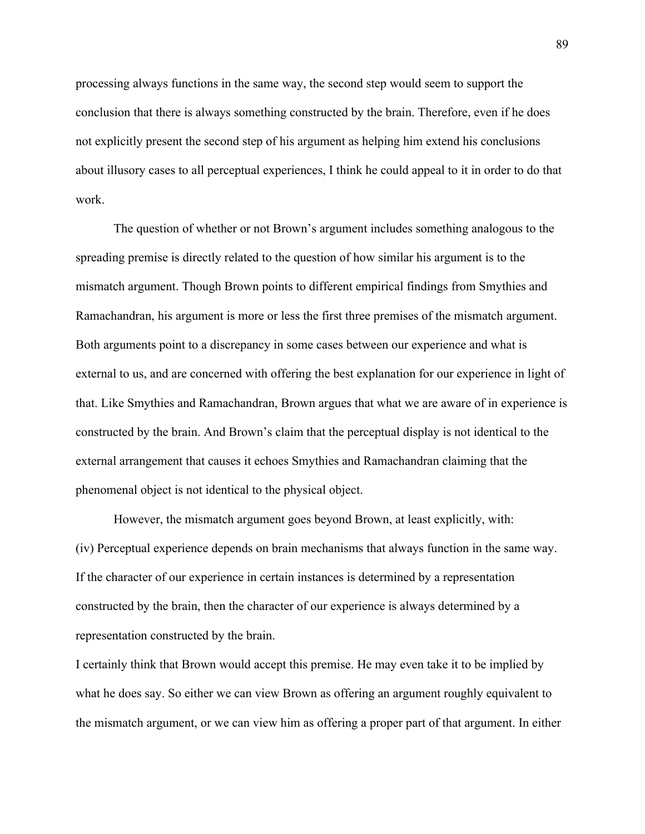processing always functions in the same way, the second step would seem to support the conclusion that there is always something constructed by the brain. Therefore, even if he does not explicitly present the second step of his argument as helping him extend his conclusions about illusory cases to all perceptual experiences, I think he could appeal to it in order to do that work.

The question of whether or not Brown's argument includes something analogous to the spreading premise is directly related to the question of how similar his argument is to the mismatch argument. Though Brown points to different empirical findings from Smythies and Ramachandran, his argument is more or less the first three premises of the mismatch argument. Both arguments point to a discrepancy in some cases between our experience and what is external to us, and are concerned with offering the best explanation for our experience in light of that. Like Smythies and Ramachandran, Brown argues that what we are aware of in experience is constructed by the brain. And Brown's claim that the perceptual display is not identical to the external arrangement that causes it echoes Smythies and Ramachandran claiming that the phenomenal object is not identical to the physical object.

However, the mismatch argument goes beyond Brown, at least explicitly, with: (iv) Perceptual experience depends on brain mechanisms that always function in the same way. If the character of our experience in certain instances is determined by a representation constructed by the brain, then the character of our experience is always determined by a representation constructed by the brain.

I certainly think that Brown would accept this premise. He may even take it to be implied by what he does say. So either we can view Brown as offering an argument roughly equivalent to the mismatch argument, or we can view him as offering a proper part of that argument. In either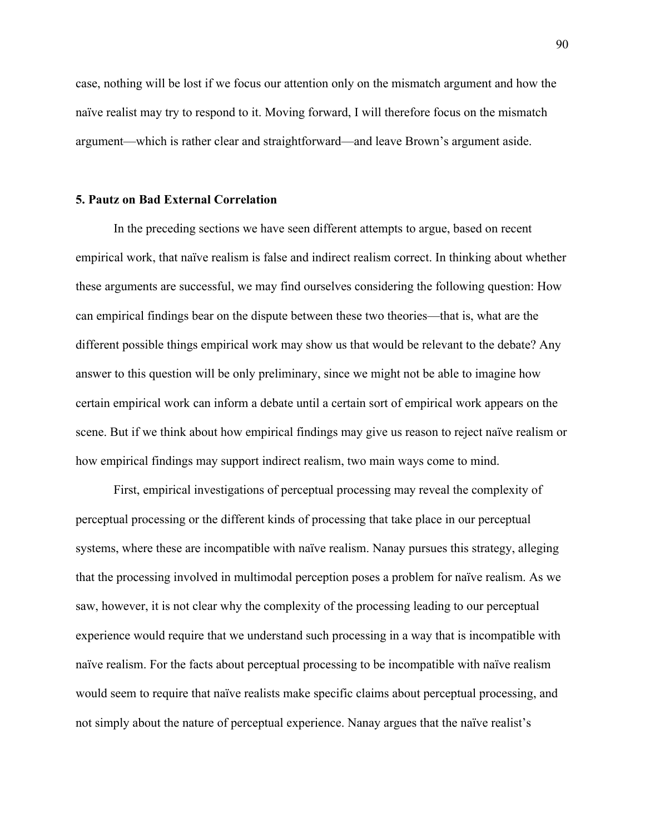case, nothing will be lost if we focus our attention only on the mismatch argument and how the naïve realist may try to respond to it. Moving forward, I will therefore focus on the mismatch argument—which is rather clear and straightforward—and leave Brown's argument aside.

## **5. Pautz on Bad External Correlation**

In the preceding sections we have seen different attempts to argue, based on recent empirical work, that naïve realism is false and indirect realism correct. In thinking about whether these arguments are successful, we may find ourselves considering the following question: How can empirical findings bear on the dispute between these two theories—that is, what are the different possible things empirical work may show us that would be relevant to the debate? Any answer to this question will be only preliminary, since we might not be able to imagine how certain empirical work can inform a debate until a certain sort of empirical work appears on the scene. But if we think about how empirical findings may give us reason to reject naïve realism or how empirical findings may support indirect realism, two main ways come to mind.

First, empirical investigations of perceptual processing may reveal the complexity of perceptual processing or the different kinds of processing that take place in our perceptual systems, where these are incompatible with naïve realism. Nanay pursues this strategy, alleging that the processing involved in multimodal perception poses a problem for naïve realism. As we saw, however, it is not clear why the complexity of the processing leading to our perceptual experience would require that we understand such processing in a way that is incompatible with naïve realism. For the facts about perceptual processing to be incompatible with naïve realism would seem to require that naïve realists make specific claims about perceptual processing, and not simply about the nature of perceptual experience. Nanay argues that the naïve realist's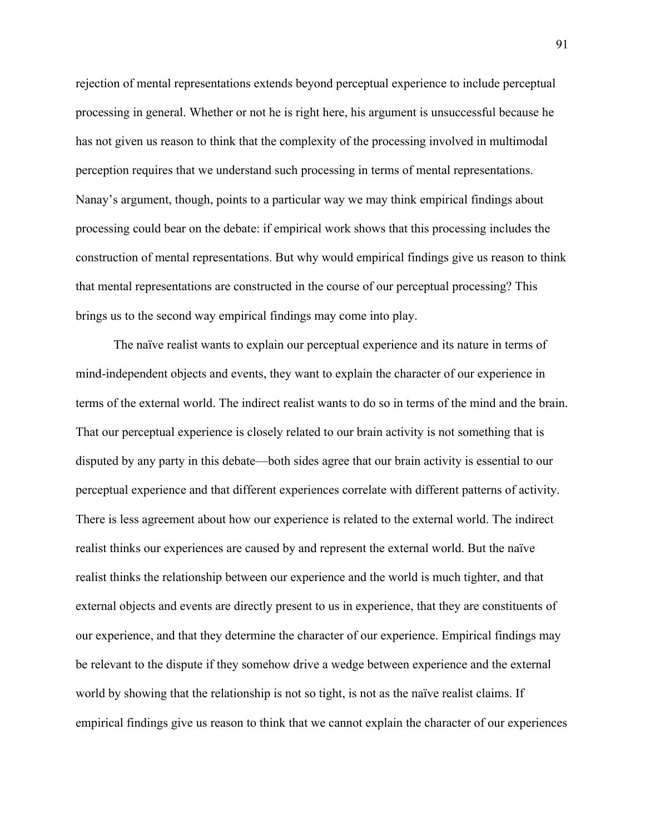rejection of mental representations extends beyond perceptual experience to include perceptual processing in general. Whether or not he is right here, his argument is unsuccessful because he has not given us reason to think that the complexity of the processing involved in multimodal perception requires that we understand such processing in terms of mental representations. Nanay's argument, though, points to a particular way we may think empirical findings about processing could bear on the debate: if empirical work shows that this processing includes the construction of mental representations. But why would empirical findings give us reason to think that mental representations are constructed in the course of our perceptual processing? This brings us to the second way empirical findings may come into play.

The naïve realist wants to explain our perceptual experience and its nature in terms of mind-independent objects and events, they want to explain the character of our experience in terms of the external world. The indirect realist wants to do so in terms of the mind and the brain. That our perceptual experience is closely related to our brain activity is not something that is disputed by any party in this debate—both sides agree that our brain activity is essential to our perceptual experience and that different experiences correlate with different patterns of activity. There is less agreement about how our experience is related to the external world. The indirect realist thinks our experiences are caused by and represent the external world. But the naïve realist thinks the relationship between our experience and the world is much tighter, and that external objects and events are directly present to us in experience, that they are constituents of our experience, and that they determine the character of our experience. Empirical findings may be relevant to the dispute if they somehow drive a wedge between experience and the external world by showing that the relationship is not so tight, is not as the naïve realist claims. If empirical findings give us reason to think that we cannot explain the character of our experiences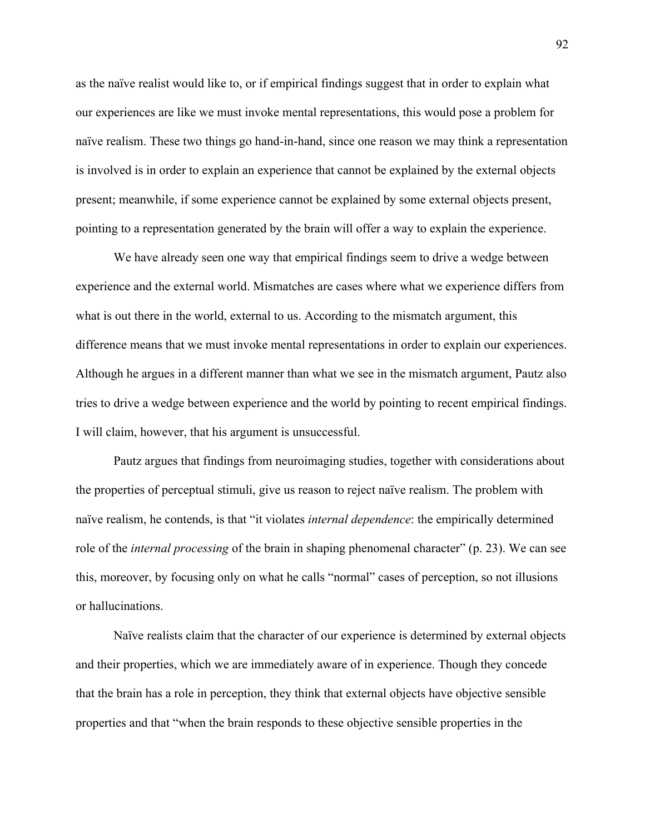as the naïve realist would like to, or if empirical findings suggest that in order to explain what our experiences are like we must invoke mental representations, this would pose a problem for naïve realism. These two things go hand-in-hand, since one reason we may think a representation is involved is in order to explain an experience that cannot be explained by the external objects present; meanwhile, if some experience cannot be explained by some external objects present, pointing to a representation generated by the brain will offer a way to explain the experience.

We have already seen one way that empirical findings seem to drive a wedge between experience and the external world. Mismatches are cases where what we experience differs from what is out there in the world, external to us. According to the mismatch argument, this difference means that we must invoke mental representations in order to explain our experiences. Although he argues in a different manner than what we see in the mismatch argument, Pautz also tries to drive a wedge between experience and the world by pointing to recent empirical findings. I will claim, however, that his argument is unsuccessful.

Pautz argues that findings from neuroimaging studies, together with considerations about the properties of perceptual stimuli, give us reason to reject naïve realism. The problem with naïve realism, he contends, is that "it violates *internal dependence*: the empirically determined role of the *internal processing* of the brain in shaping phenomenal character" (p. 23). We can see this, moreover, by focusing only on what he calls "normal" cases of perception, so not illusions or hallucinations.

Naïve realists claim that the character of our experience is determined by external objects and their properties, which we are immediately aware of in experience. Though they concede that the brain has a role in perception, they think that external objects have objective sensible properties and that "when the brain responds to these objective sensible properties in the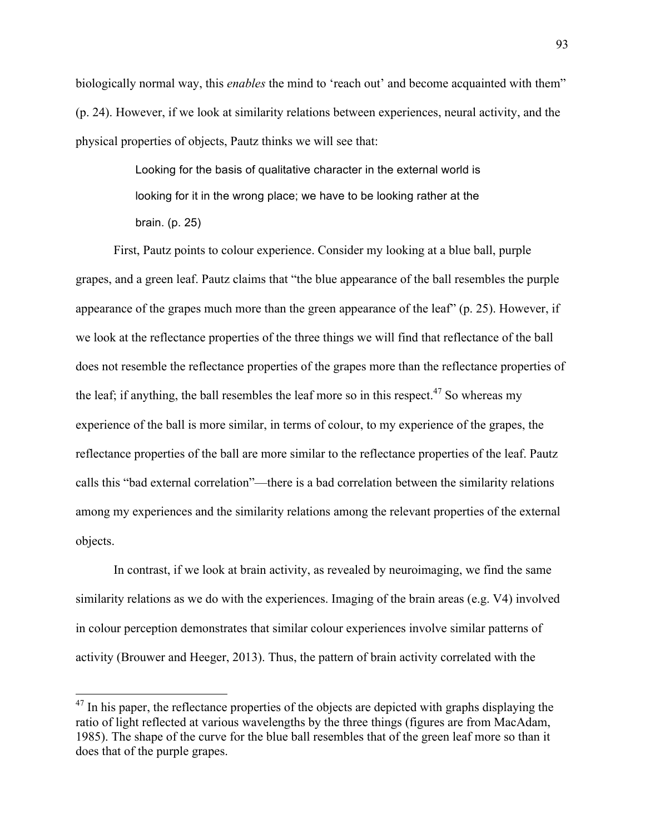biologically normal way, this *enables* the mind to 'reach out' and become acquainted with them" (p. 24). However, if we look at similarity relations between experiences, neural activity, and the physical properties of objects, Pautz thinks we will see that:

> Looking for the basis of qualitative character in the external world is looking for it in the wrong place; we have to be looking rather at the brain. (p. 25)

First, Pautz points to colour experience. Consider my looking at a blue ball, purple grapes, and a green leaf. Pautz claims that "the blue appearance of the ball resembles the purple appearance of the grapes much more than the green appearance of the leaf" (p. 25). However, if we look at the reflectance properties of the three things we will find that reflectance of the ball does not resemble the reflectance properties of the grapes more than the reflectance properties of the leaf; if anything, the ball resembles the leaf more so in this respect.<sup>47</sup> So whereas my experience of the ball is more similar, in terms of colour, to my experience of the grapes, the reflectance properties of the ball are more similar to the reflectance properties of the leaf. Pautz calls this "bad external correlation"—there is a bad correlation between the similarity relations among my experiences and the similarity relations among the relevant properties of the external objects.

In contrast, if we look at brain activity, as revealed by neuroimaging, we find the same similarity relations as we do with the experiences. Imaging of the brain areas (e.g. V4) involved in colour perception demonstrates that similar colour experiences involve similar patterns of activity (Brouwer and Heeger, 2013). Thus, the pattern of brain activity correlated with the

 $47$  In his paper, the reflectance properties of the objects are depicted with graphs displaying the ratio of light reflected at various wavelengths by the three things (figures are from MacAdam, 1985). The shape of the curve for the blue ball resembles that of the green leaf more so than it does that of the purple grapes.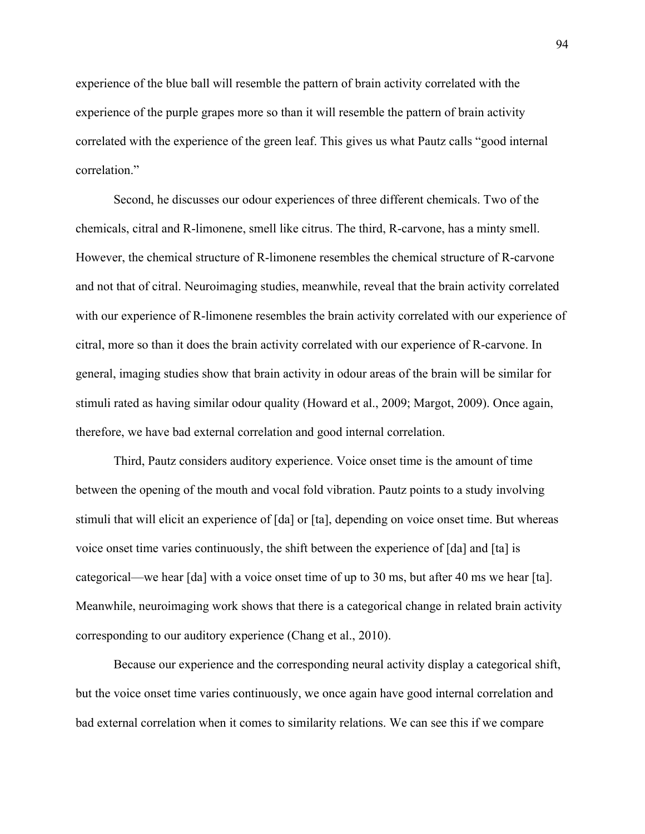experience of the blue ball will resemble the pattern of brain activity correlated with the experience of the purple grapes more so than it will resemble the pattern of brain activity correlated with the experience of the green leaf. This gives us what Pautz calls "good internal correlation."

Second, he discusses our odour experiences of three different chemicals. Two of the chemicals, citral and R-limonene, smell like citrus. The third, R-carvone, has a minty smell. However, the chemical structure of R-limonene resembles the chemical structure of R-carvone and not that of citral. Neuroimaging studies, meanwhile, reveal that the brain activity correlated with our experience of R-limonene resembles the brain activity correlated with our experience of citral, more so than it does the brain activity correlated with our experience of R-carvone. In general, imaging studies show that brain activity in odour areas of the brain will be similar for stimuli rated as having similar odour quality (Howard et al., 2009; Margot, 2009). Once again, therefore, we have bad external correlation and good internal correlation.

Third, Pautz considers auditory experience. Voice onset time is the amount of time between the opening of the mouth and vocal fold vibration. Pautz points to a study involving stimuli that will elicit an experience of [da] or [ta], depending on voice onset time. But whereas voice onset time varies continuously, the shift between the experience of [da] and [ta] is categorical—we hear [da] with a voice onset time of up to 30 ms, but after 40 ms we hear [ta]. Meanwhile, neuroimaging work shows that there is a categorical change in related brain activity corresponding to our auditory experience (Chang et al., 2010).

Because our experience and the corresponding neural activity display a categorical shift, but the voice onset time varies continuously, we once again have good internal correlation and bad external correlation when it comes to similarity relations. We can see this if we compare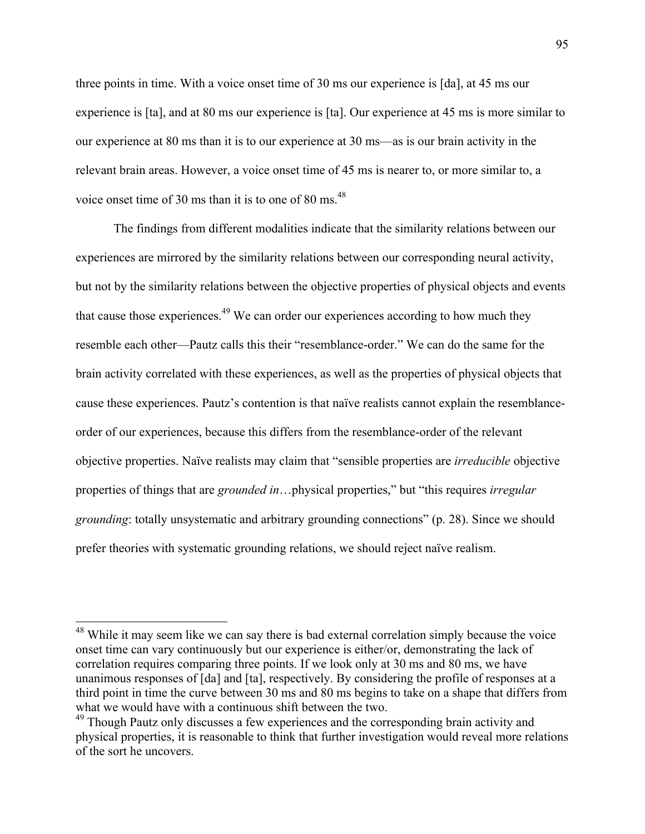three points in time. With a voice onset time of 30 ms our experience is [da], at 45 ms our experience is [ta], and at 80 ms our experience is [ta]. Our experience at 45 ms is more similar to our experience at 80 ms than it is to our experience at 30 ms—as is our brain activity in the relevant brain areas. However, a voice onset time of 45 ms is nearer to, or more similar to, a voice onset time of 30 ms than it is to one of 80 ms. $^{48}$ 

The findings from different modalities indicate that the similarity relations between our experiences are mirrored by the similarity relations between our corresponding neural activity, but not by the similarity relations between the objective properties of physical objects and events that cause those experiences.<sup>49</sup> We can order our experiences according to how much they resemble each other—Pautz calls this their "resemblance-order." We can do the same for the brain activity correlated with these experiences, as well as the properties of physical objects that cause these experiences. Pautz's contention is that naïve realists cannot explain the resemblanceorder of our experiences, because this differs from the resemblance-order of the relevant objective properties. Naïve realists may claim that "sensible properties are *irreducible* objective properties of things that are *grounded in*…physical properties," but "this requires *irregular grounding*: totally unsystematic and arbitrary grounding connections" (p. 28). Since we should prefer theories with systematic grounding relations, we should reject naïve realism.

<sup>&</sup>lt;sup>48</sup> While it may seem like we can say there is bad external correlation simply because the voice onset time can vary continuously but our experience is either/or, demonstrating the lack of correlation requires comparing three points. If we look only at 30 ms and 80 ms, we have unanimous responses of [da] and [ta], respectively. By considering the profile of responses at a third point in time the curve between 30 ms and 80 ms begins to take on a shape that differs from what we would have with a continuous shift between the two.

<sup>&</sup>lt;sup>49</sup> Though Pautz only discusses a few experiences and the corresponding brain activity and physical properties, it is reasonable to think that further investigation would reveal more relations of the sort he uncovers.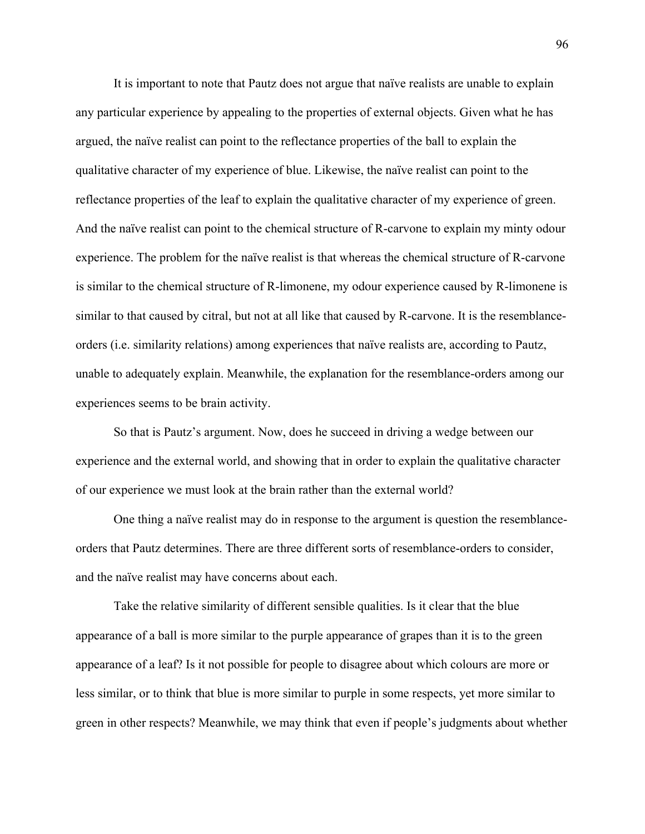It is important to note that Pautz does not argue that naïve realists are unable to explain any particular experience by appealing to the properties of external objects. Given what he has argued, the naïve realist can point to the reflectance properties of the ball to explain the qualitative character of my experience of blue. Likewise, the naïve realist can point to the reflectance properties of the leaf to explain the qualitative character of my experience of green. And the naïve realist can point to the chemical structure of R-carvone to explain my minty odour experience. The problem for the naïve realist is that whereas the chemical structure of R-carvone is similar to the chemical structure of R-limonene, my odour experience caused by R-limonene is similar to that caused by citral, but not at all like that caused by R-carvone. It is the resemblanceorders (i.e. similarity relations) among experiences that naïve realists are, according to Pautz, unable to adequately explain. Meanwhile, the explanation for the resemblance-orders among our experiences seems to be brain activity.

So that is Pautz's argument. Now, does he succeed in driving a wedge between our experience and the external world, and showing that in order to explain the qualitative character of our experience we must look at the brain rather than the external world?

One thing a naïve realist may do in response to the argument is question the resemblanceorders that Pautz determines. There are three different sorts of resemblance-orders to consider, and the naïve realist may have concerns about each.

Take the relative similarity of different sensible qualities. Is it clear that the blue appearance of a ball is more similar to the purple appearance of grapes than it is to the green appearance of a leaf? Is it not possible for people to disagree about which colours are more or less similar, or to think that blue is more similar to purple in some respects, yet more similar to green in other respects? Meanwhile, we may think that even if people's judgments about whether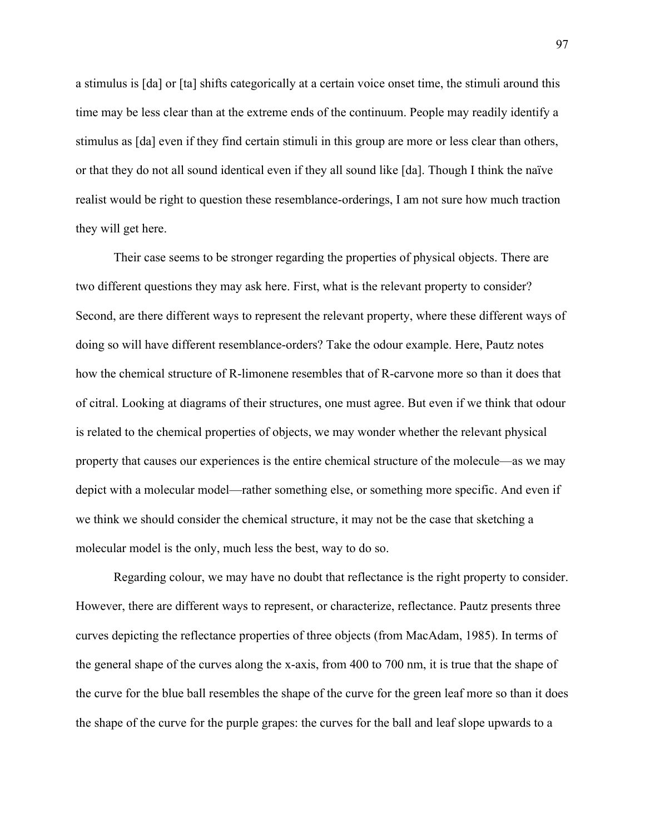a stimulus is [da] or [ta] shifts categorically at a certain voice onset time, the stimuli around this time may be less clear than at the extreme ends of the continuum. People may readily identify a stimulus as [da] even if they find certain stimuli in this group are more or less clear than others, or that they do not all sound identical even if they all sound like [da]. Though I think the naïve realist would be right to question these resemblance-orderings, I am not sure how much traction they will get here.

Their case seems to be stronger regarding the properties of physical objects. There are two different questions they may ask here. First, what is the relevant property to consider? Second, are there different ways to represent the relevant property, where these different ways of doing so will have different resemblance-orders? Take the odour example. Here, Pautz notes how the chemical structure of R-limonene resembles that of R-carvone more so than it does that of citral. Looking at diagrams of their structures, one must agree. But even if we think that odour is related to the chemical properties of objects, we may wonder whether the relevant physical property that causes our experiences is the entire chemical structure of the molecule—as we may depict with a molecular model—rather something else, or something more specific. And even if we think we should consider the chemical structure, it may not be the case that sketching a molecular model is the only, much less the best, way to do so.

Regarding colour, we may have no doubt that reflectance is the right property to consider. However, there are different ways to represent, or characterize, reflectance. Pautz presents three curves depicting the reflectance properties of three objects (from MacAdam, 1985). In terms of the general shape of the curves along the x-axis, from 400 to 700 nm, it is true that the shape of the curve for the blue ball resembles the shape of the curve for the green leaf more so than it does the shape of the curve for the purple grapes: the curves for the ball and leaf slope upwards to a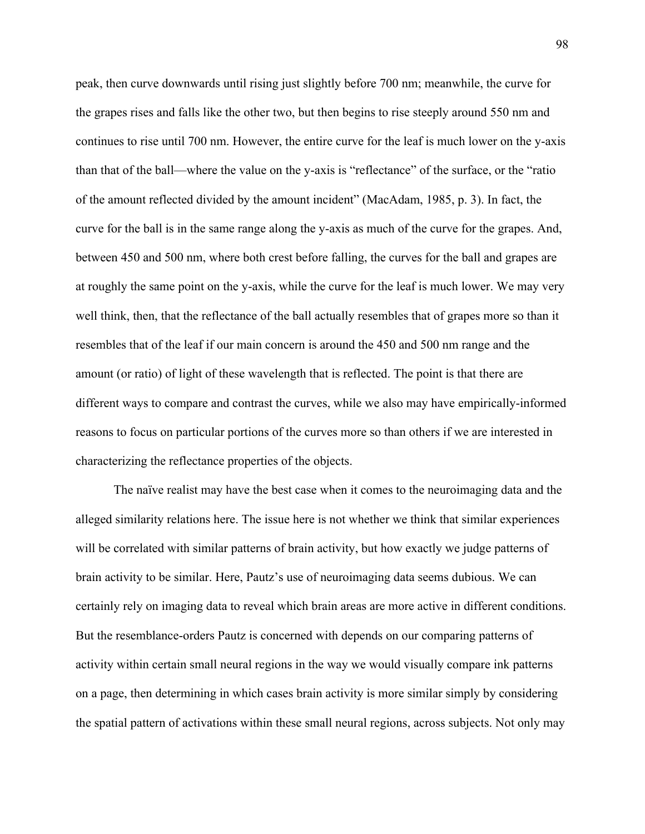peak, then curve downwards until rising just slightly before 700 nm; meanwhile, the curve for the grapes rises and falls like the other two, but then begins to rise steeply around 550 nm and continues to rise until 700 nm. However, the entire curve for the leaf is much lower on the y-axis than that of the ball—where the value on the y-axis is "reflectance" of the surface, or the "ratio of the amount reflected divided by the amount incident" (MacAdam, 1985, p. 3). In fact, the curve for the ball is in the same range along the y-axis as much of the curve for the grapes. And, between 450 and 500 nm, where both crest before falling, the curves for the ball and grapes are at roughly the same point on the y-axis, while the curve for the leaf is much lower. We may very well think, then, that the reflectance of the ball actually resembles that of grapes more so than it resembles that of the leaf if our main concern is around the 450 and 500 nm range and the amount (or ratio) of light of these wavelength that is reflected. The point is that there are different ways to compare and contrast the curves, while we also may have empirically-informed reasons to focus on particular portions of the curves more so than others if we are interested in characterizing the reflectance properties of the objects.

The naïve realist may have the best case when it comes to the neuroimaging data and the alleged similarity relations here. The issue here is not whether we think that similar experiences will be correlated with similar patterns of brain activity, but how exactly we judge patterns of brain activity to be similar. Here, Pautz's use of neuroimaging data seems dubious. We can certainly rely on imaging data to reveal which brain areas are more active in different conditions. But the resemblance-orders Pautz is concerned with depends on our comparing patterns of activity within certain small neural regions in the way we would visually compare ink patterns on a page, then determining in which cases brain activity is more similar simply by considering the spatial pattern of activations within these small neural regions, across subjects. Not only may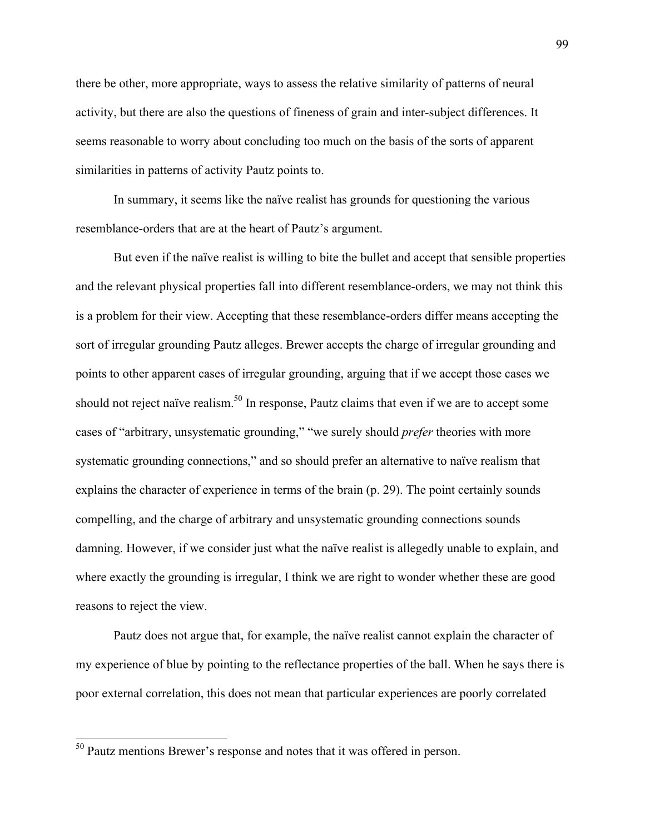there be other, more appropriate, ways to assess the relative similarity of patterns of neural activity, but there are also the questions of fineness of grain and inter-subject differences. It seems reasonable to worry about concluding too much on the basis of the sorts of apparent similarities in patterns of activity Pautz points to.

In summary, it seems like the naïve realist has grounds for questioning the various resemblance-orders that are at the heart of Pautz's argument.

But even if the naïve realist is willing to bite the bullet and accept that sensible properties and the relevant physical properties fall into different resemblance-orders, we may not think this is a problem for their view. Accepting that these resemblance-orders differ means accepting the sort of irregular grounding Pautz alleges. Brewer accepts the charge of irregular grounding and points to other apparent cases of irregular grounding, arguing that if we accept those cases we should not reject naïve realism.<sup>50</sup> In response, Pautz claims that even if we are to accept some cases of "arbitrary, unsystematic grounding," "we surely should *prefer* theories with more systematic grounding connections," and so should prefer an alternative to naïve realism that explains the character of experience in terms of the brain (p. 29). The point certainly sounds compelling, and the charge of arbitrary and unsystematic grounding connections sounds damning. However, if we consider just what the naïve realist is allegedly unable to explain, and where exactly the grounding is irregular, I think we are right to wonder whether these are good reasons to reject the view.

Pautz does not argue that, for example, the naïve realist cannot explain the character of my experience of blue by pointing to the reflectance properties of the ball. When he says there is poor external correlation, this does not mean that particular experiences are poorly correlated

<sup>&</sup>lt;sup>50</sup> Pautz mentions Brewer's response and notes that it was offered in person.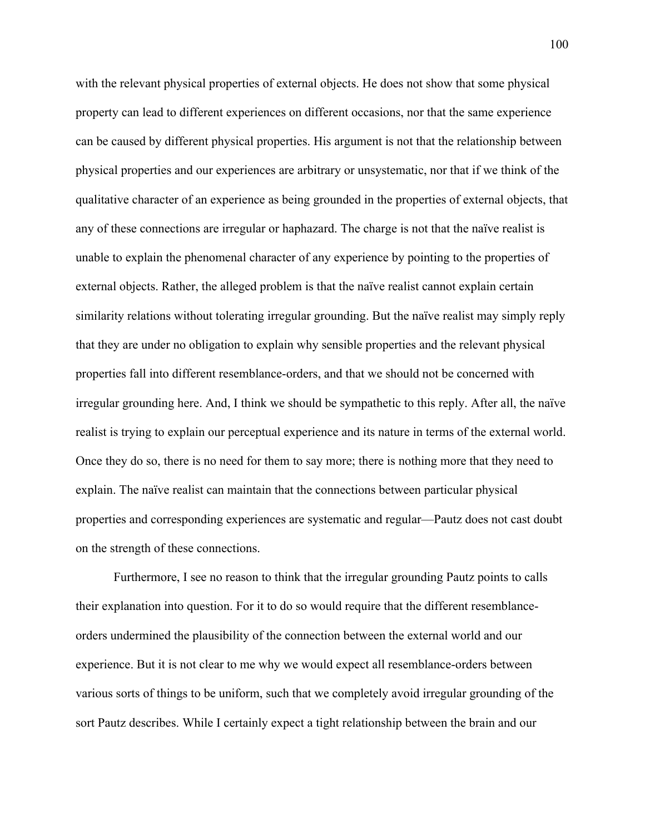with the relevant physical properties of external objects. He does not show that some physical property can lead to different experiences on different occasions, nor that the same experience can be caused by different physical properties. His argument is not that the relationship between physical properties and our experiences are arbitrary or unsystematic, nor that if we think of the qualitative character of an experience as being grounded in the properties of external objects, that any of these connections are irregular or haphazard. The charge is not that the naïve realist is unable to explain the phenomenal character of any experience by pointing to the properties of external objects. Rather, the alleged problem is that the naïve realist cannot explain certain similarity relations without tolerating irregular grounding. But the naïve realist may simply reply that they are under no obligation to explain why sensible properties and the relevant physical properties fall into different resemblance-orders, and that we should not be concerned with irregular grounding here. And, I think we should be sympathetic to this reply. After all, the naïve realist is trying to explain our perceptual experience and its nature in terms of the external world. Once they do so, there is no need for them to say more; there is nothing more that they need to explain. The naïve realist can maintain that the connections between particular physical properties and corresponding experiences are systematic and regular—Pautz does not cast doubt on the strength of these connections.

Furthermore, I see no reason to think that the irregular grounding Pautz points to calls their explanation into question. For it to do so would require that the different resemblanceorders undermined the plausibility of the connection between the external world and our experience. But it is not clear to me why we would expect all resemblance-orders between various sorts of things to be uniform, such that we completely avoid irregular grounding of the sort Pautz describes. While I certainly expect a tight relationship between the brain and our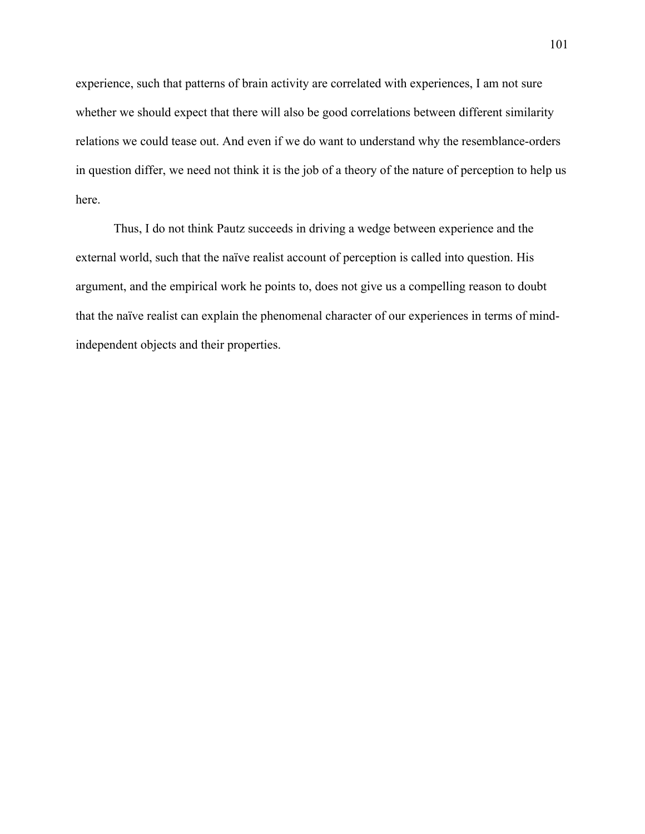experience, such that patterns of brain activity are correlated with experiences, I am not sure whether we should expect that there will also be good correlations between different similarity relations we could tease out. And even if we do want to understand why the resemblance-orders in question differ, we need not think it is the job of a theory of the nature of perception to help us here.

Thus, I do not think Pautz succeeds in driving a wedge between experience and the external world, such that the naïve realist account of perception is called into question. His argument, and the empirical work he points to, does not give us a compelling reason to doubt that the naïve realist can explain the phenomenal character of our experiences in terms of mindindependent objects and their properties.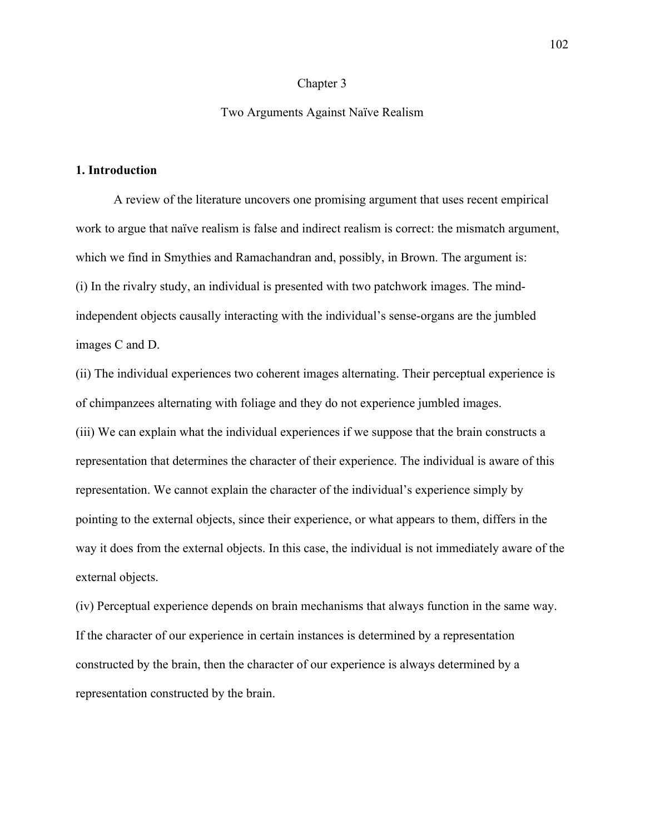#### Chapter 3

# Two Arguments Against Naïve Realism

### **1. Introduction**

A review of the literature uncovers one promising argument that uses recent empirical work to argue that naïve realism is false and indirect realism is correct: the mismatch argument, which we find in Smythies and Ramachandran and, possibly, in Brown. The argument is: (i) In the rivalry study, an individual is presented with two patchwork images. The mindindependent objects causally interacting with the individual's sense-organs are the jumbled images C and D.

(ii) The individual experiences two coherent images alternating. Their perceptual experience is of chimpanzees alternating with foliage and they do not experience jumbled images.

(iii) We can explain what the individual experiences if we suppose that the brain constructs a representation that determines the character of their experience. The individual is aware of this representation. We cannot explain the character of the individual's experience simply by pointing to the external objects, since their experience, or what appears to them, differs in the way it does from the external objects. In this case, the individual is not immediately aware of the external objects.

(iv) Perceptual experience depends on brain mechanisms that always function in the same way. If the character of our experience in certain instances is determined by a representation constructed by the brain, then the character of our experience is always determined by a representation constructed by the brain.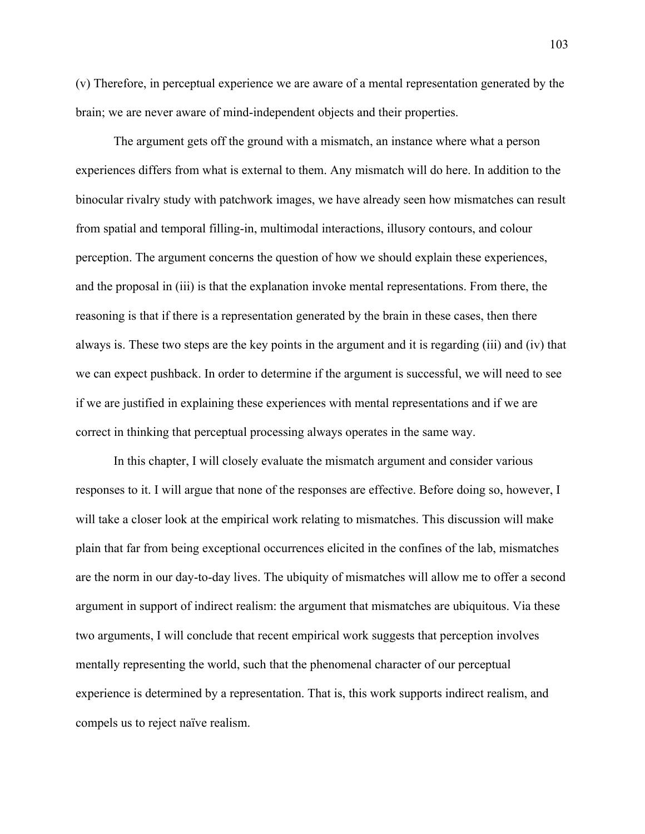(v) Therefore, in perceptual experience we are aware of a mental representation generated by the brain; we are never aware of mind-independent objects and their properties.

The argument gets off the ground with a mismatch, an instance where what a person experiences differs from what is external to them. Any mismatch will do here. In addition to the binocular rivalry study with patchwork images, we have already seen how mismatches can result from spatial and temporal filling-in, multimodal interactions, illusory contours, and colour perception. The argument concerns the question of how we should explain these experiences, and the proposal in (iii) is that the explanation invoke mental representations. From there, the reasoning is that if there is a representation generated by the brain in these cases, then there always is. These two steps are the key points in the argument and it is regarding (iii) and (iv) that we can expect pushback. In order to determine if the argument is successful, we will need to see if we are justified in explaining these experiences with mental representations and if we are correct in thinking that perceptual processing always operates in the same way.

In this chapter, I will closely evaluate the mismatch argument and consider various responses to it. I will argue that none of the responses are effective. Before doing so, however, I will take a closer look at the empirical work relating to mismatches. This discussion will make plain that far from being exceptional occurrences elicited in the confines of the lab, mismatches are the norm in our day-to-day lives. The ubiquity of mismatches will allow me to offer a second argument in support of indirect realism: the argument that mismatches are ubiquitous. Via these two arguments, I will conclude that recent empirical work suggests that perception involves mentally representing the world, such that the phenomenal character of our perceptual experience is determined by a representation. That is, this work supports indirect realism, and compels us to reject naïve realism.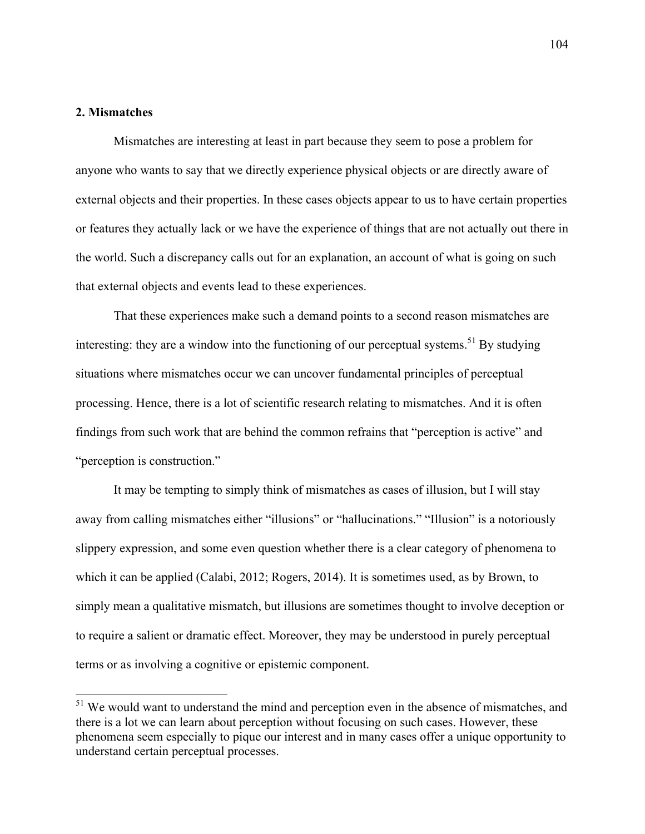# **2. Mismatches**

Mismatches are interesting at least in part because they seem to pose a problem for anyone who wants to say that we directly experience physical objects or are directly aware of external objects and their properties. In these cases objects appear to us to have certain properties or features they actually lack or we have the experience of things that are not actually out there in the world. Such a discrepancy calls out for an explanation, an account of what is going on such that external objects and events lead to these experiences.

That these experiences make such a demand points to a second reason mismatches are interesting: they are a window into the functioning of our perceptual systems.<sup>51</sup> By studying situations where mismatches occur we can uncover fundamental principles of perceptual processing. Hence, there is a lot of scientific research relating to mismatches. And it is often findings from such work that are behind the common refrains that "perception is active" and "perception is construction."

It may be tempting to simply think of mismatches as cases of illusion, but I will stay away from calling mismatches either "illusions" or "hallucinations." "Illusion" is a notoriously slippery expression, and some even question whether there is a clear category of phenomena to which it can be applied (Calabi, 2012; Rogers, 2014). It is sometimes used, as by Brown, to simply mean a qualitative mismatch, but illusions are sometimes thought to involve deception or to require a salient or dramatic effect. Moreover, they may be understood in purely perceptual terms or as involving a cognitive or epistemic component.

 $<sup>51</sup>$  We would want to understand the mind and perception even in the absence of mismatches, and</sup> there is a lot we can learn about perception without focusing on such cases. However, these phenomena seem especially to pique our interest and in many cases offer a unique opportunity to understand certain perceptual processes.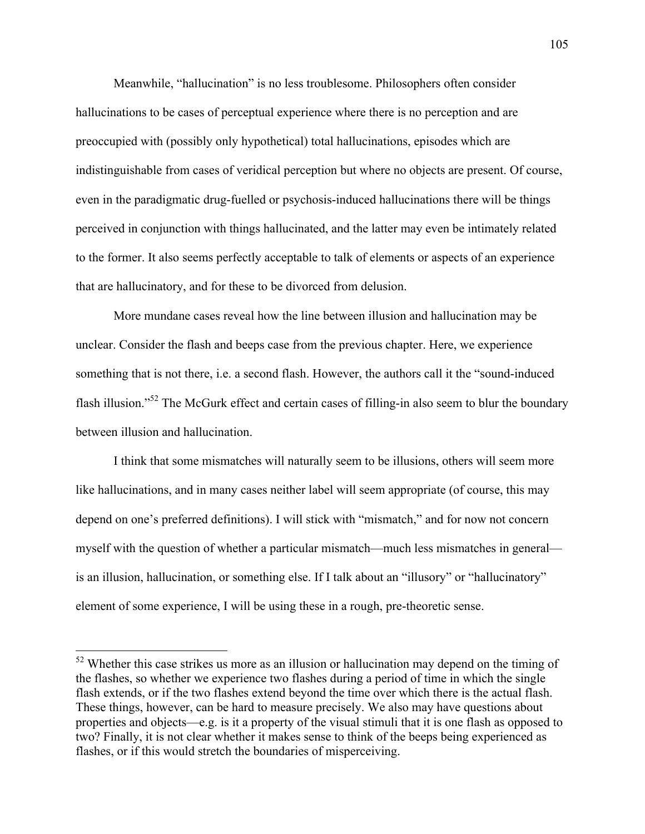Meanwhile, "hallucination" is no less troublesome. Philosophers often consider hallucinations to be cases of perceptual experience where there is no perception and are preoccupied with (possibly only hypothetical) total hallucinations, episodes which are indistinguishable from cases of veridical perception but where no objects are present. Of course, even in the paradigmatic drug-fuelled or psychosis-induced hallucinations there will be things perceived in conjunction with things hallucinated, and the latter may even be intimately related to the former. It also seems perfectly acceptable to talk of elements or aspects of an experience that are hallucinatory, and for these to be divorced from delusion.

More mundane cases reveal how the line between illusion and hallucination may be unclear. Consider the flash and beeps case from the previous chapter. Here, we experience something that is not there, i.e. a second flash. However, the authors call it the "sound-induced flash illusion."<sup>52</sup> The McGurk effect and certain cases of filling-in also seem to blur the boundary between illusion and hallucination.

I think that some mismatches will naturally seem to be illusions, others will seem more like hallucinations, and in many cases neither label will seem appropriate (of course, this may depend on one's preferred definitions). I will stick with "mismatch," and for now not concern myself with the question of whether a particular mismatch—much less mismatches in general is an illusion, hallucination, or something else. If I talk about an "illusory" or "hallucinatory" element of some experience, I will be using these in a rough, pre-theoretic sense.

 $52$  Whether this case strikes us more as an illusion or hallucination may depend on the timing of the flashes, so whether we experience two flashes during a period of time in which the single flash extends, or if the two flashes extend beyond the time over which there is the actual flash. These things, however, can be hard to measure precisely. We also may have questions about properties and objects—e.g. is it a property of the visual stimuli that it is one flash as opposed to two? Finally, it is not clear whether it makes sense to think of the beeps being experienced as flashes, or if this would stretch the boundaries of misperceiving.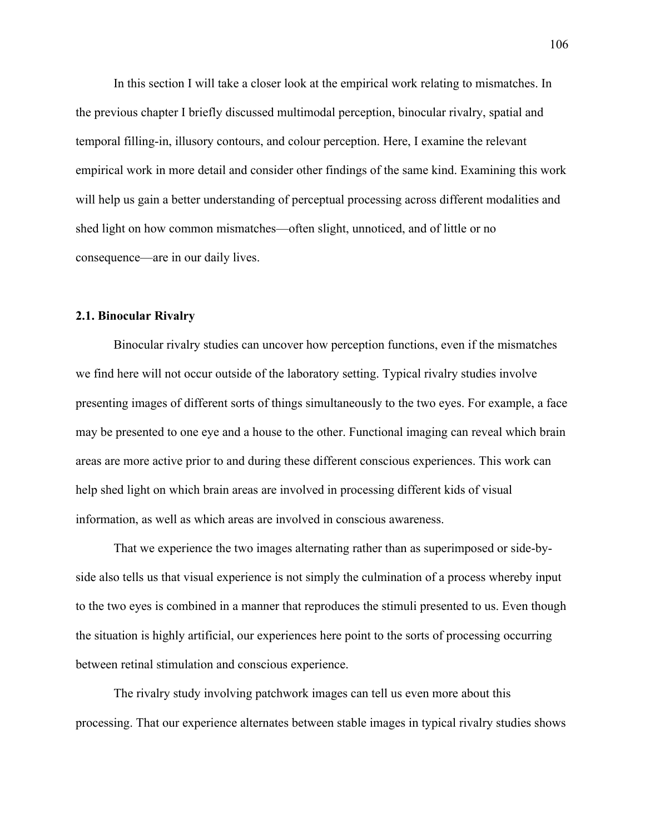In this section I will take a closer look at the empirical work relating to mismatches. In the previous chapter I briefly discussed multimodal perception, binocular rivalry, spatial and temporal filling-in, illusory contours, and colour perception. Here, I examine the relevant empirical work in more detail and consider other findings of the same kind. Examining this work will help us gain a better understanding of perceptual processing across different modalities and shed light on how common mismatches—often slight, unnoticed, and of little or no consequence—are in our daily lives.

# **2.1. Binocular Rivalry**

Binocular rivalry studies can uncover how perception functions, even if the mismatches we find here will not occur outside of the laboratory setting. Typical rivalry studies involve presenting images of different sorts of things simultaneously to the two eyes. For example, a face may be presented to one eye and a house to the other. Functional imaging can reveal which brain areas are more active prior to and during these different conscious experiences. This work can help shed light on which brain areas are involved in processing different kids of visual information, as well as which areas are involved in conscious awareness.

That we experience the two images alternating rather than as superimposed or side-byside also tells us that visual experience is not simply the culmination of a process whereby input to the two eyes is combined in a manner that reproduces the stimuli presented to us. Even though the situation is highly artificial, our experiences here point to the sorts of processing occurring between retinal stimulation and conscious experience.

The rivalry study involving patchwork images can tell us even more about this processing. That our experience alternates between stable images in typical rivalry studies shows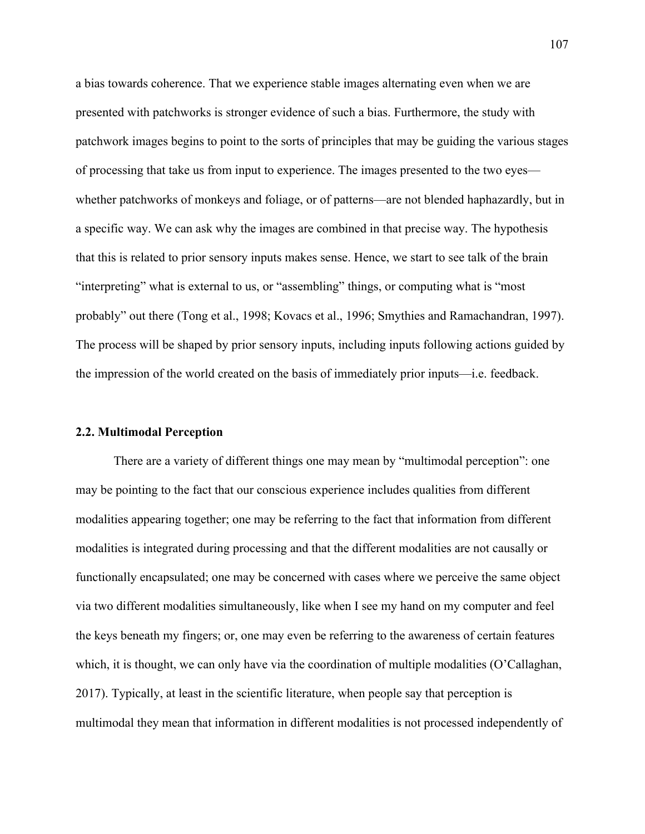a bias towards coherence. That we experience stable images alternating even when we are presented with patchworks is stronger evidence of such a bias. Furthermore, the study with patchwork images begins to point to the sorts of principles that may be guiding the various stages of processing that take us from input to experience. The images presented to the two eyes whether patchworks of monkeys and foliage, or of patterns—are not blended haphazardly, but in a specific way. We can ask why the images are combined in that precise way. The hypothesis that this is related to prior sensory inputs makes sense. Hence, we start to see talk of the brain "interpreting" what is external to us, or "assembling" things, or computing what is "most probably" out there (Tong et al., 1998; Kovacs et al., 1996; Smythies and Ramachandran, 1997). The process will be shaped by prior sensory inputs, including inputs following actions guided by the impression of the world created on the basis of immediately prior inputs—i.e. feedback.

## **2.2. Multimodal Perception**

There are a variety of different things one may mean by "multimodal perception": one may be pointing to the fact that our conscious experience includes qualities from different modalities appearing together; one may be referring to the fact that information from different modalities is integrated during processing and that the different modalities are not causally or functionally encapsulated; one may be concerned with cases where we perceive the same object via two different modalities simultaneously, like when I see my hand on my computer and feel the keys beneath my fingers; or, one may even be referring to the awareness of certain features which, it is thought, we can only have via the coordination of multiple modalities (O'Callaghan, 2017). Typically, at least in the scientific literature, when people say that perception is multimodal they mean that information in different modalities is not processed independently of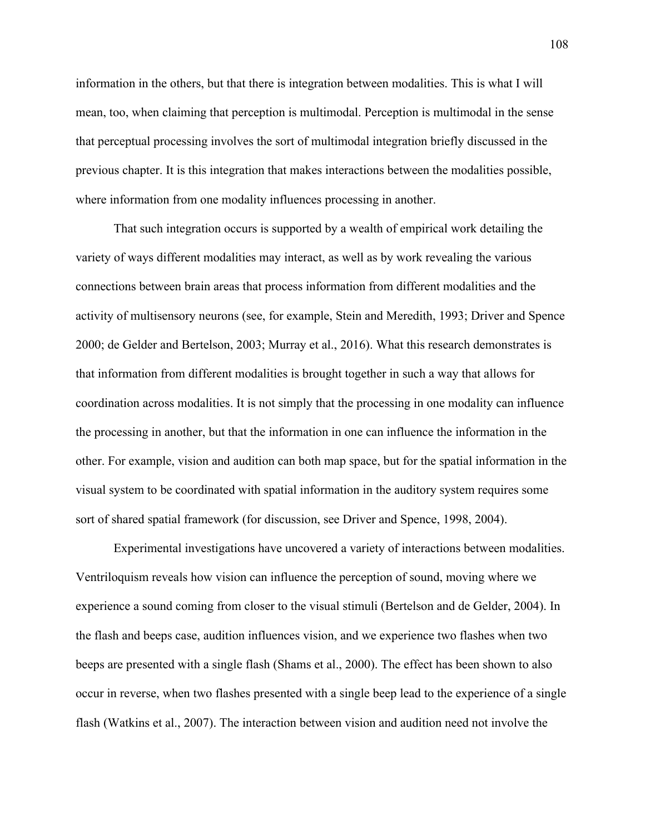information in the others, but that there is integration between modalities. This is what I will mean, too, when claiming that perception is multimodal. Perception is multimodal in the sense that perceptual processing involves the sort of multimodal integration briefly discussed in the previous chapter. It is this integration that makes interactions between the modalities possible, where information from one modality influences processing in another.

That such integration occurs is supported by a wealth of empirical work detailing the variety of ways different modalities may interact, as well as by work revealing the various connections between brain areas that process information from different modalities and the activity of multisensory neurons (see, for example, Stein and Meredith, 1993; Driver and Spence 2000; de Gelder and Bertelson, 2003; Murray et al., 2016). What this research demonstrates is that information from different modalities is brought together in such a way that allows for coordination across modalities. It is not simply that the processing in one modality can influence the processing in another, but that the information in one can influence the information in the other. For example, vision and audition can both map space, but for the spatial information in the visual system to be coordinated with spatial information in the auditory system requires some sort of shared spatial framework (for discussion, see Driver and Spence, 1998, 2004).

Experimental investigations have uncovered a variety of interactions between modalities. Ventriloquism reveals how vision can influence the perception of sound, moving where we experience a sound coming from closer to the visual stimuli (Bertelson and de Gelder, 2004). In the flash and beeps case, audition influences vision, and we experience two flashes when two beeps are presented with a single flash (Shams et al., 2000). The effect has been shown to also occur in reverse, when two flashes presented with a single beep lead to the experience of a single flash (Watkins et al., 2007). The interaction between vision and audition need not involve the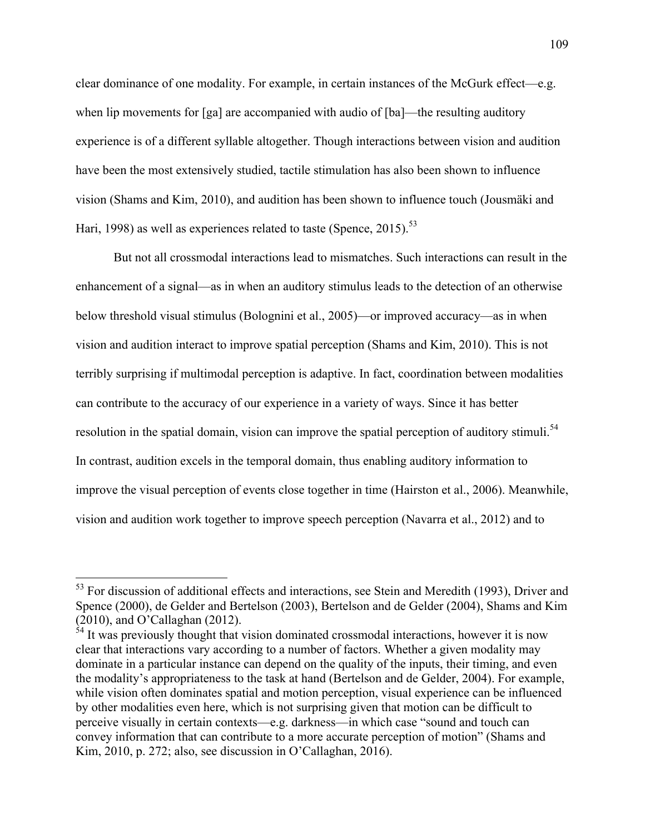clear dominance of one modality. For example, in certain instances of the McGurk effect—e.g. when lip movements for [ga] are accompanied with audio of [ba]—the resulting auditory experience is of a different syllable altogether. Though interactions between vision and audition have been the most extensively studied, tactile stimulation has also been shown to influence vision (Shams and Kim, 2010), and audition has been shown to influence touch (Jousmäki and Hari, 1998) as well as experiences related to taste (Spence,  $2015$ ).<sup>53</sup>

But not all crossmodal interactions lead to mismatches. Such interactions can result in the enhancement of a signal—as in when an auditory stimulus leads to the detection of an otherwise below threshold visual stimulus (Bolognini et al., 2005)—or improved accuracy—as in when vision and audition interact to improve spatial perception (Shams and Kim, 2010). This is not terribly surprising if multimodal perception is adaptive. In fact, coordination between modalities can contribute to the accuracy of our experience in a variety of ways. Since it has better resolution in the spatial domain, vision can improve the spatial perception of auditory stimuli.<sup>54</sup> In contrast, audition excels in the temporal domain, thus enabling auditory information to improve the visual perception of events close together in time (Hairston et al., 2006). Meanwhile, vision and audition work together to improve speech perception (Navarra et al., 2012) and to

 $53$  For discussion of additional effects and interactions, see Stein and Meredith (1993), Driver and Spence (2000), de Gelder and Bertelson (2003), Bertelson and de Gelder (2004), Shams and Kim (2010), and O'Callaghan (2012).  $54$  It was previously thought that vision dominated crossmodal interactions, however it is now

clear that interactions vary according to a number of factors. Whether a given modality may dominate in a particular instance can depend on the quality of the inputs, their timing, and even the modality's appropriateness to the task at hand (Bertelson and de Gelder, 2004). For example, while vision often dominates spatial and motion perception, visual experience can be influenced by other modalities even here, which is not surprising given that motion can be difficult to perceive visually in certain contexts—e.g. darkness—in which case "sound and touch can convey information that can contribute to a more accurate perception of motion" (Shams and Kim, 2010, p. 272; also, see discussion in O'Callaghan, 2016).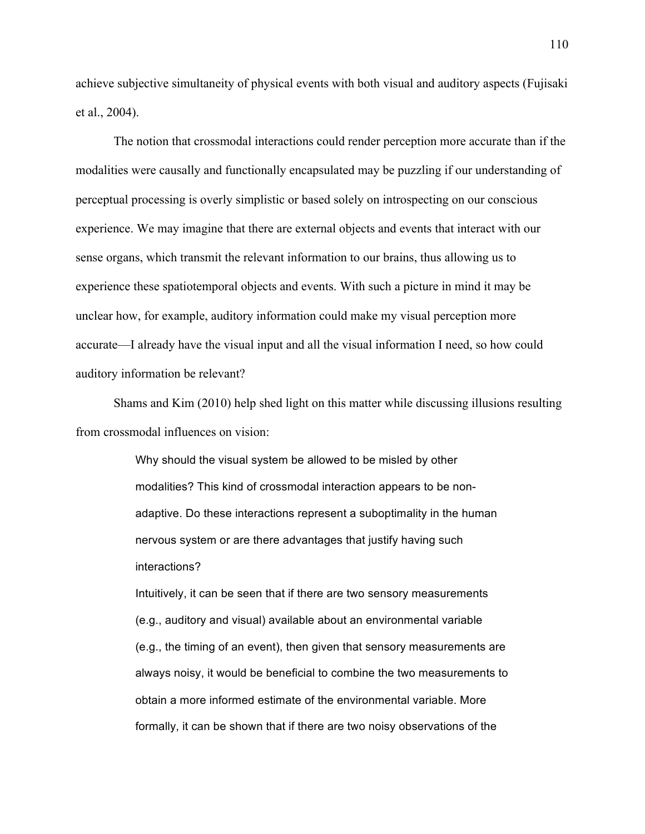achieve subjective simultaneity of physical events with both visual and auditory aspects (Fujisaki et al., 2004).

The notion that crossmodal interactions could render perception more accurate than if the modalities were causally and functionally encapsulated may be puzzling if our understanding of perceptual processing is overly simplistic or based solely on introspecting on our conscious experience. We may imagine that there are external objects and events that interact with our sense organs, which transmit the relevant information to our brains, thus allowing us to experience these spatiotemporal objects and events. With such a picture in mind it may be unclear how, for example, auditory information could make my visual perception more accurate—I already have the visual input and all the visual information I need, so how could auditory information be relevant?

Shams and Kim (2010) help shed light on this matter while discussing illusions resulting from crossmodal influences on vision:

> Why should the visual system be allowed to be misled by other modalities? This kind of crossmodal interaction appears to be nonadaptive. Do these interactions represent a suboptimality in the human nervous system or are there advantages that justify having such interactions?

Intuitively, it can be seen that if there are two sensory measurements (e.g., auditory and visual) available about an environmental variable (e.g., the timing of an event), then given that sensory measurements are always noisy, it would be beneficial to combine the two measurements to obtain a more informed estimate of the environmental variable. More formally, it can be shown that if there are two noisy observations of the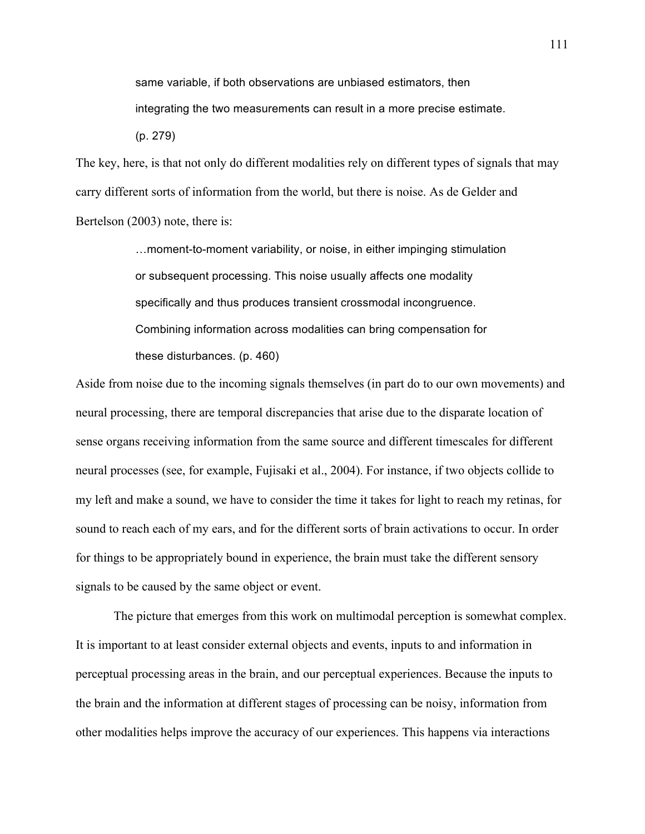same variable, if both observations are unbiased estimators, then integrating the two measurements can result in a more precise estimate. (p. 279)

The key, here, is that not only do different modalities rely on different types of signals that may carry different sorts of information from the world, but there is noise. As de Gelder and Bertelson (2003) note, there is:

> …moment-to-moment variability, or noise, in either impinging stimulation or subsequent processing. This noise usually affects one modality specifically and thus produces transient crossmodal incongruence. Combining information across modalities can bring compensation for these disturbances. (p. 460)

Aside from noise due to the incoming signals themselves (in part do to our own movements) and neural processing, there are temporal discrepancies that arise due to the disparate location of sense organs receiving information from the same source and different timescales for different neural processes (see, for example, Fujisaki et al., 2004). For instance, if two objects collide to my left and make a sound, we have to consider the time it takes for light to reach my retinas, for sound to reach each of my ears, and for the different sorts of brain activations to occur. In order for things to be appropriately bound in experience, the brain must take the different sensory signals to be caused by the same object or event.

The picture that emerges from this work on multimodal perception is somewhat complex. It is important to at least consider external objects and events, inputs to and information in perceptual processing areas in the brain, and our perceptual experiences. Because the inputs to the brain and the information at different stages of processing can be noisy, information from other modalities helps improve the accuracy of our experiences. This happens via interactions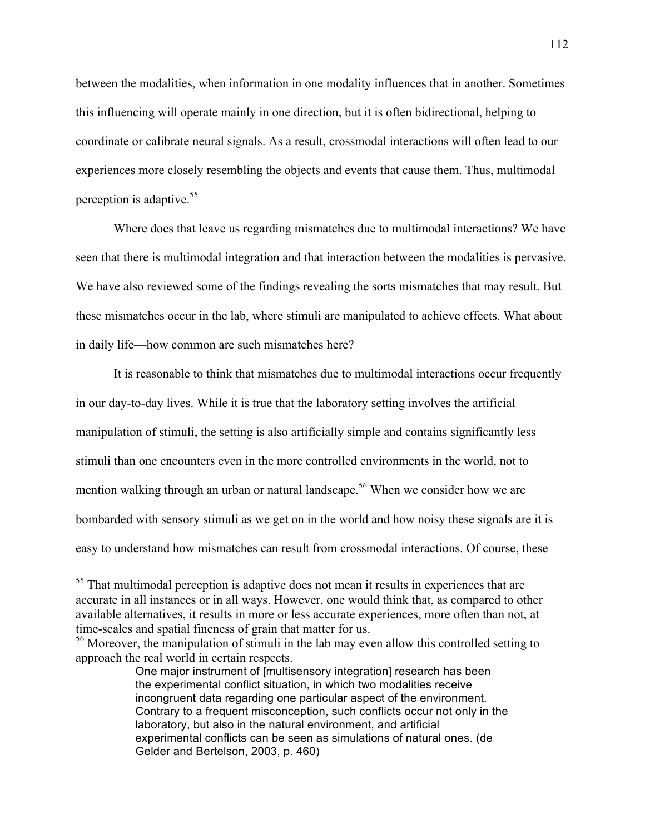between the modalities, when information in one modality influences that in another. Sometimes this influencing will operate mainly in one direction, but it is often bidirectional, helping to coordinate or calibrate neural signals. As a result, crossmodal interactions will often lead to our experiences more closely resembling the objects and events that cause them. Thus, multimodal perception is adaptive.  $55$ 

Where does that leave us regarding mismatches due to multimodal interactions? We have seen that there is multimodal integration and that interaction between the modalities is pervasive. We have also reviewed some of the findings revealing the sorts mismatches that may result. But these mismatches occur in the lab, where stimuli are manipulated to achieve effects. What about in daily life—how common are such mismatches here?

It is reasonable to think that mismatches due to multimodal interactions occur frequently in our day-to-day lives. While it is true that the laboratory setting involves the artificial manipulation of stimuli, the setting is also artificially simple and contains significantly less stimuli than one encounters even in the more controlled environments in the world, not to mention walking through an urban or natural landscape.<sup>56</sup> When we consider how we are bombarded with sensory stimuli as we get on in the world and how noisy these signals are it is easy to understand how mismatches can result from crossmodal interactions. Of course, these

<sup>&</sup>lt;sup>55</sup> That multimodal perception is adaptive does not mean it results in experiences that are accurate in all instances or in all ways. However, one would think that, as compared to other available alternatives, it results in more or less accurate experiences, more often than not, at time-scales and spatial fineness of grain that matter for us.

<sup>&</sup>lt;sup>56</sup> Moreover, the manipulation of stimuli in the lab may even allow this controlled setting to approach the real world in certain respects.

One major instrument of [multisensory integration] research has been the experimental conflict situation, in which two modalities receive incongruent data regarding one particular aspect of the environment. Contrary to a frequent misconception, such conflicts occur not only in the laboratory, but also in the natural environment, and artificial experimental conflicts can be seen as simulations of natural ones. (de Gelder and Bertelson, 2003, p. 460)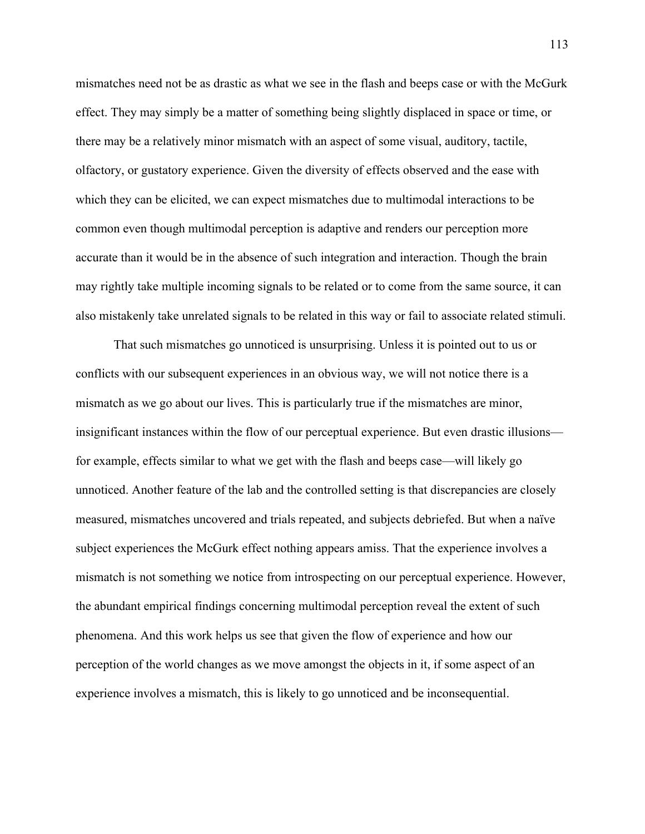mismatches need not be as drastic as what we see in the flash and beeps case or with the McGurk effect. They may simply be a matter of something being slightly displaced in space or time, or there may be a relatively minor mismatch with an aspect of some visual, auditory, tactile, olfactory, or gustatory experience. Given the diversity of effects observed and the ease with which they can be elicited, we can expect mismatches due to multimodal interactions to be common even though multimodal perception is adaptive and renders our perception more accurate than it would be in the absence of such integration and interaction. Though the brain may rightly take multiple incoming signals to be related or to come from the same source, it can also mistakenly take unrelated signals to be related in this way or fail to associate related stimuli.

That such mismatches go unnoticed is unsurprising. Unless it is pointed out to us or conflicts with our subsequent experiences in an obvious way, we will not notice there is a mismatch as we go about our lives. This is particularly true if the mismatches are minor, insignificant instances within the flow of our perceptual experience. But even drastic illusions for example, effects similar to what we get with the flash and beeps case—will likely go unnoticed. Another feature of the lab and the controlled setting is that discrepancies are closely measured, mismatches uncovered and trials repeated, and subjects debriefed. But when a naïve subject experiences the McGurk effect nothing appears amiss. That the experience involves a mismatch is not something we notice from introspecting on our perceptual experience. However, the abundant empirical findings concerning multimodal perception reveal the extent of such phenomena. And this work helps us see that given the flow of experience and how our perception of the world changes as we move amongst the objects in it, if some aspect of an experience involves a mismatch, this is likely to go unnoticed and be inconsequential.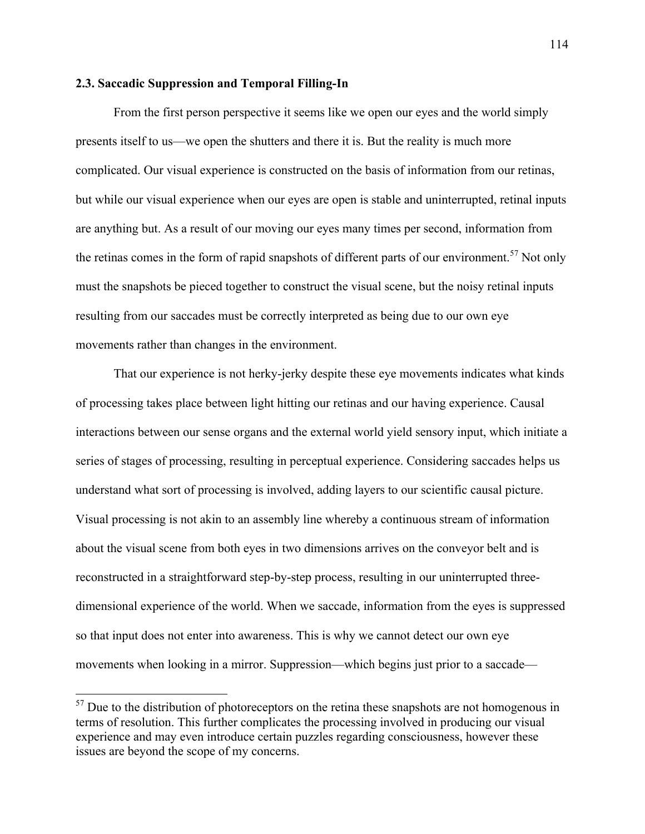## **2.3. Saccadic Suppression and Temporal Filling-In**

From the first person perspective it seems like we open our eyes and the world simply presents itself to us—we open the shutters and there it is. But the reality is much more complicated. Our visual experience is constructed on the basis of information from our retinas, but while our visual experience when our eyes are open is stable and uninterrupted, retinal inputs are anything but. As a result of our moving our eyes many times per second, information from the retinas comes in the form of rapid snapshots of different parts of our environment.<sup>57</sup> Not only must the snapshots be pieced together to construct the visual scene, but the noisy retinal inputs resulting from our saccades must be correctly interpreted as being due to our own eye movements rather than changes in the environment.

That our experience is not herky-jerky despite these eye movements indicates what kinds of processing takes place between light hitting our retinas and our having experience. Causal interactions between our sense organs and the external world yield sensory input, which initiate a series of stages of processing, resulting in perceptual experience. Considering saccades helps us understand what sort of processing is involved, adding layers to our scientific causal picture. Visual processing is not akin to an assembly line whereby a continuous stream of information about the visual scene from both eyes in two dimensions arrives on the conveyor belt and is reconstructed in a straightforward step-by-step process, resulting in our uninterrupted threedimensional experience of the world. When we saccade, information from the eyes is suppressed so that input does not enter into awareness. This is why we cannot detect our own eye movements when looking in a mirror. Suppression—which begins just prior to a saccade—

 $57$  Due to the distribution of photoreceptors on the retina these snapshots are not homogenous in terms of resolution. This further complicates the processing involved in producing our visual experience and may even introduce certain puzzles regarding consciousness, however these issues are beyond the scope of my concerns.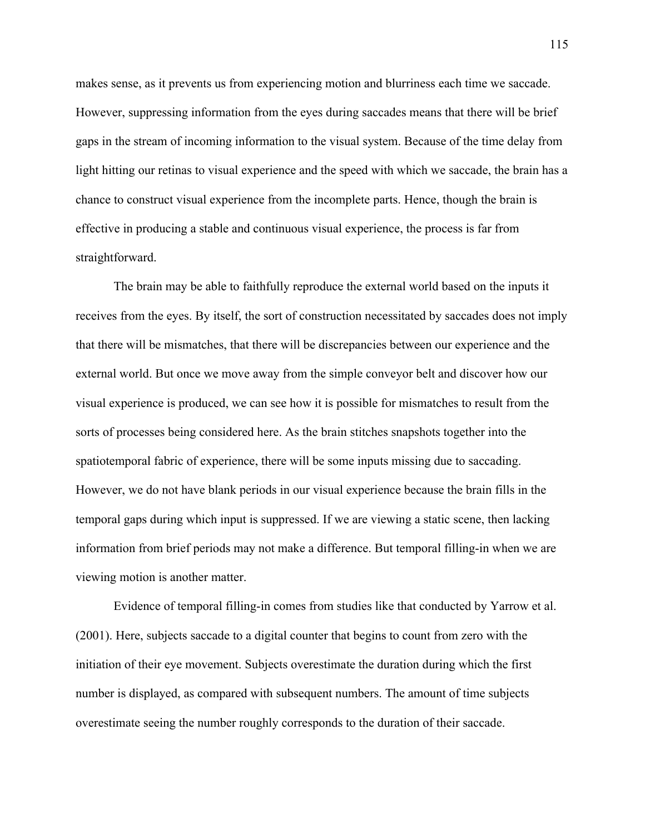makes sense, as it prevents us from experiencing motion and blurriness each time we saccade. However, suppressing information from the eyes during saccades means that there will be brief gaps in the stream of incoming information to the visual system. Because of the time delay from light hitting our retinas to visual experience and the speed with which we saccade, the brain has a chance to construct visual experience from the incomplete parts. Hence, though the brain is effective in producing a stable and continuous visual experience, the process is far from straightforward.

The brain may be able to faithfully reproduce the external world based on the inputs it receives from the eyes. By itself, the sort of construction necessitated by saccades does not imply that there will be mismatches, that there will be discrepancies between our experience and the external world. But once we move away from the simple conveyor belt and discover how our visual experience is produced, we can see how it is possible for mismatches to result from the sorts of processes being considered here. As the brain stitches snapshots together into the spatiotemporal fabric of experience, there will be some inputs missing due to saccading. However, we do not have blank periods in our visual experience because the brain fills in the temporal gaps during which input is suppressed. If we are viewing a static scene, then lacking information from brief periods may not make a difference. But temporal filling-in when we are viewing motion is another matter.

Evidence of temporal filling-in comes from studies like that conducted by Yarrow et al. (2001). Here, subjects saccade to a digital counter that begins to count from zero with the initiation of their eye movement. Subjects overestimate the duration during which the first number is displayed, as compared with subsequent numbers. The amount of time subjects overestimate seeing the number roughly corresponds to the duration of their saccade.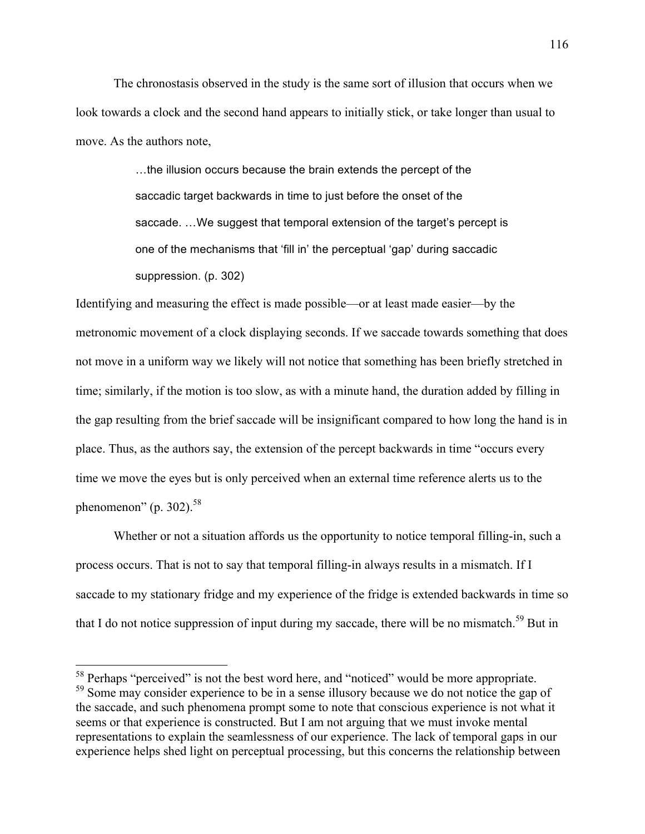The chronostasis observed in the study is the same sort of illusion that occurs when we look towards a clock and the second hand appears to initially stick, or take longer than usual to move. As the authors note,

> …the illusion occurs because the brain extends the percept of the saccadic target backwards in time to just before the onset of the saccade. …We suggest that temporal extension of the target's percept is one of the mechanisms that 'fill in' the perceptual 'gap' during saccadic suppression. (p. 302)

Identifying and measuring the effect is made possible—or at least made easier—by the metronomic movement of a clock displaying seconds. If we saccade towards something that does not move in a uniform way we likely will not notice that something has been briefly stretched in time; similarly, if the motion is too slow, as with a minute hand, the duration added by filling in the gap resulting from the brief saccade will be insignificant compared to how long the hand is in place. Thus, as the authors say, the extension of the percept backwards in time "occurs every time we move the eyes but is only perceived when an external time reference alerts us to the phenomenon" (p. 302). $58$ 

Whether or not a situation affords us the opportunity to notice temporal filling-in, such a process occurs. That is not to say that temporal filling-in always results in a mismatch. If I saccade to my stationary fridge and my experience of the fridge is extended backwards in time so that I do not notice suppression of input during my saccade, there will be no mismatch.<sup>59</sup> But in

<sup>&</sup>lt;sup>58</sup> Perhaps "perceived" is not the best word here, and "noticed" would be more appropriate. <sup>59</sup> Some may consider experience to be in a sense illusory because we do not notice the gap of the saccade, and such phenomena prompt some to note that conscious experience is not what it seems or that experience is constructed. But I am not arguing that we must invoke mental representations to explain the seamlessness of our experience. The lack of temporal gaps in our experience helps shed light on perceptual processing, but this concerns the relationship between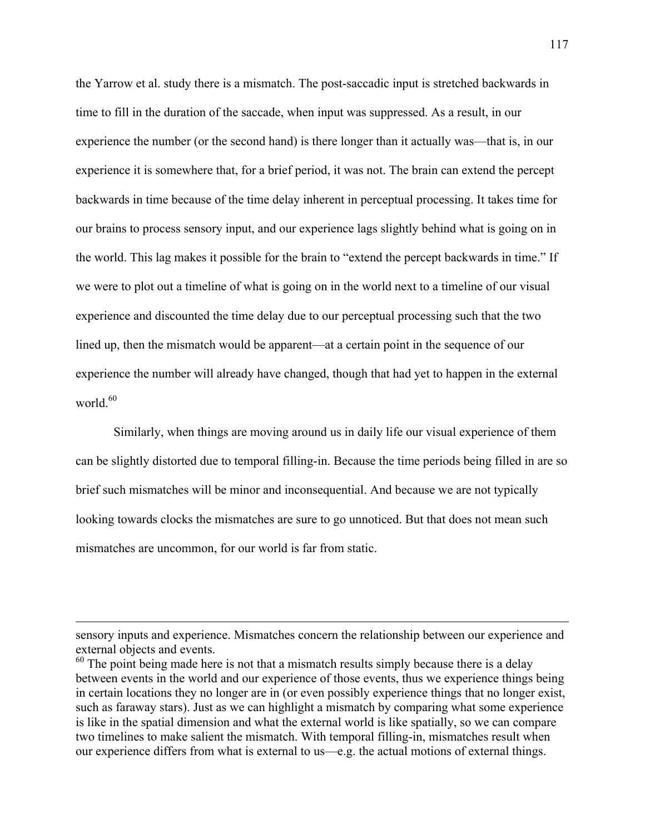the Yarrow et al. study there is a mismatch. The post-saccadic input is stretched backwards in time to fill in the duration of the saccade, when input was suppressed. As a result, in our experience the number (or the second hand) is there longer than it actually was—that is, in our experience it is somewhere that, for a brief period, it was not. The brain can extend the percept backwards in time because of the time delay inherent in perceptual processing. It takes time for our brains to process sensory input, and our experience lags slightly behind what is going on in the world. This lag makes it possible for the brain to "extend the percept backwards in time." If we were to plot out a timeline of what is going on in the world next to a timeline of our visual experience and discounted the time delay due to our perceptual processing such that the two lined up, then the mismatch would be apparent—at a certain point in the sequence of our experience the number will already have changed, though that had yet to happen in the external world $60$ 

Similarly, when things are moving around us in daily life our visual experience of them can be slightly distorted due to temporal filling-in. Because the time periods being filled in are so brief such mismatches will be minor and inconsequential. And because we are not typically looking towards clocks the mismatches are sure to go unnoticed. But that does not mean such mismatches are uncommon, for our world is far from static.

<u> 1989 - Andrea Santa Alemania, amerikana amerikana amerikana amerikana amerikana amerikana amerikana amerikana</u>

sensory inputs and experience. Mismatches concern the relationship between our experience and external objects and events.

 $60$  The point being made here is not that a mismatch results simply because there is a delay between events in the world and our experience of those events, thus we experience things being in certain locations they no longer are in (or even possibly experience things that no longer exist, such as faraway stars). Just as we can highlight a mismatch by comparing what some experience is like in the spatial dimension and what the external world is like spatially, so we can compare two timelines to make salient the mismatch. With temporal filling-in, mismatches result when our experience differs from what is external to us—e.g. the actual motions of external things.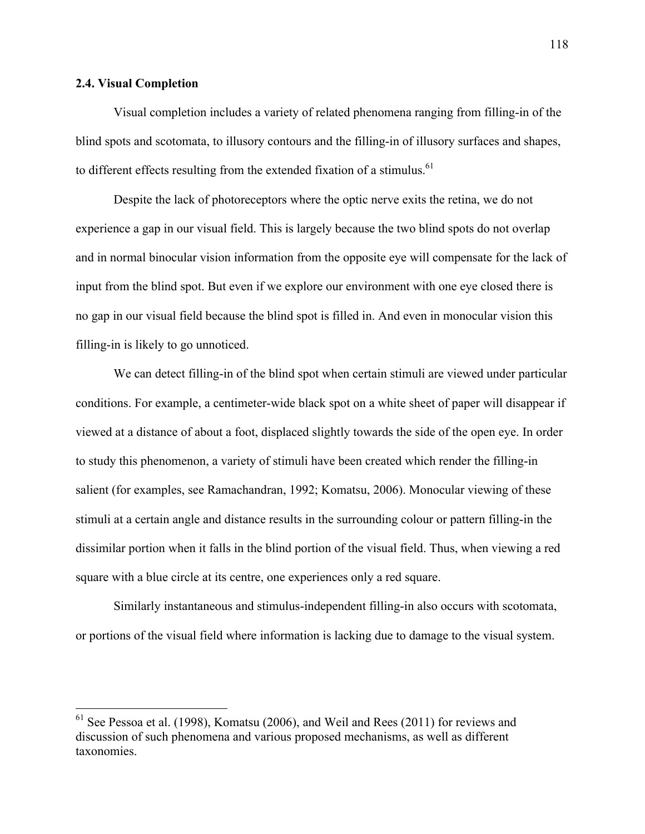# **2.4. Visual Completion**

Visual completion includes a variety of related phenomena ranging from filling-in of the blind spots and scotomata, to illusory contours and the filling-in of illusory surfaces and shapes, to different effects resulting from the extended fixation of a stimulus.<sup>61</sup>

Despite the lack of photoreceptors where the optic nerve exits the retina, we do not experience a gap in our visual field. This is largely because the two blind spots do not overlap and in normal binocular vision information from the opposite eye will compensate for the lack of input from the blind spot. But even if we explore our environment with one eye closed there is no gap in our visual field because the blind spot is filled in. And even in monocular vision this filling-in is likely to go unnoticed.

We can detect filling-in of the blind spot when certain stimuli are viewed under particular conditions. For example, a centimeter-wide black spot on a white sheet of paper will disappear if viewed at a distance of about a foot, displaced slightly towards the side of the open eye. In order to study this phenomenon, a variety of stimuli have been created which render the filling-in salient (for examples, see Ramachandran, 1992; Komatsu, 2006). Monocular viewing of these stimuli at a certain angle and distance results in the surrounding colour or pattern filling-in the dissimilar portion when it falls in the blind portion of the visual field. Thus, when viewing a red square with a blue circle at its centre, one experiences only a red square.

Similarly instantaneous and stimulus-independent filling-in also occurs with scotomata, or portions of the visual field where information is lacking due to damage to the visual system.

 <sup>61</sup> See Pessoa et al. (1998), Komatsu (2006), and Weil and Rees (2011) for reviews and discussion of such phenomena and various proposed mechanisms, as well as different taxonomies.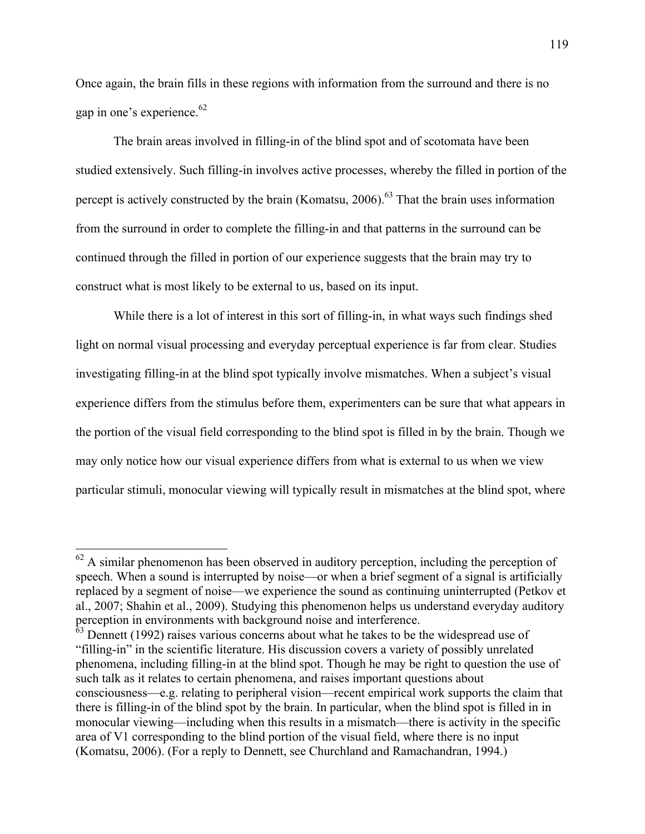Once again, the brain fills in these regions with information from the surround and there is no gap in one's experience.<sup>62</sup>

The brain areas involved in filling-in of the blind spot and of scotomata have been studied extensively. Such filling-in involves active processes, whereby the filled in portion of the percept is actively constructed by the brain (Komatsu,  $2006$ ).<sup>63</sup> That the brain uses information from the surround in order to complete the filling-in and that patterns in the surround can be continued through the filled in portion of our experience suggests that the brain may try to construct what is most likely to be external to us, based on its input.

While there is a lot of interest in this sort of filling-in, in what ways such findings shed light on normal visual processing and everyday perceptual experience is far from clear. Studies investigating filling-in at the blind spot typically involve mismatches. When a subject's visual experience differs from the stimulus before them, experimenters can be sure that what appears in the portion of the visual field corresponding to the blind spot is filled in by the brain. Though we may only notice how our visual experience differs from what is external to us when we view particular stimuli, monocular viewing will typically result in mismatches at the blind spot, where

 $62$  A similar phenomenon has been observed in auditory perception, including the perception of speech. When a sound is interrupted by noise—or when a brief segment of a signal is artificially replaced by a segment of noise—we experience the sound as continuing uninterrupted (Petkov et al., 2007; Shahin et al., 2009). Studying this phenomenon helps us understand everyday auditory perception in environments with background noise and interference.

 $63$  Dennett (1992) raises various concerns about what he takes to be the widespread use of "filling-in" in the scientific literature. His discussion covers a variety of possibly unrelated phenomena, including filling-in at the blind spot. Though he may be right to question the use of such talk as it relates to certain phenomena, and raises important questions about consciousness—e.g. relating to peripheral vision—recent empirical work supports the claim that there is filling-in of the blind spot by the brain. In particular, when the blind spot is filled in in monocular viewing—including when this results in a mismatch—there is activity in the specific area of V1 corresponding to the blind portion of the visual field, where there is no input (Komatsu, 2006). (For a reply to Dennett, see Churchland and Ramachandran, 1994.)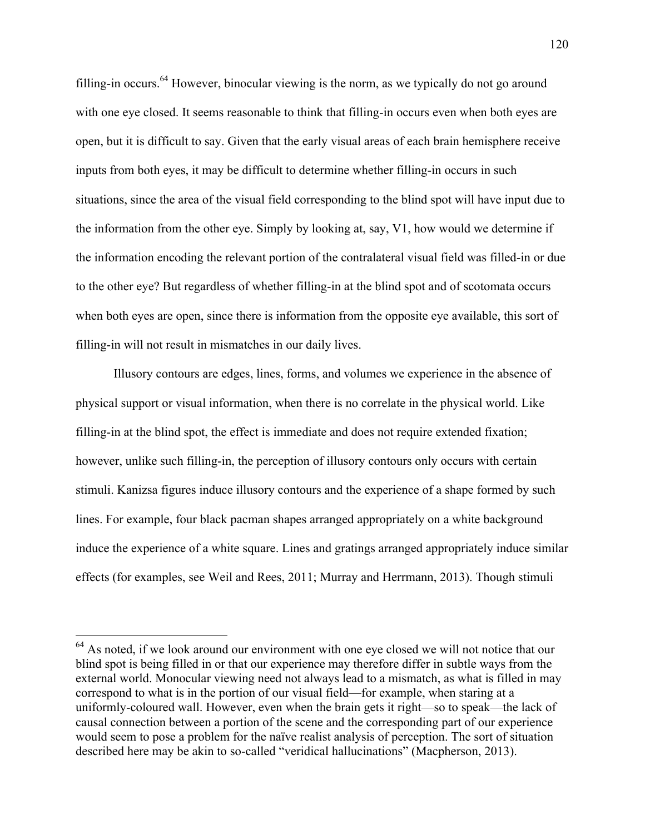filling-in occurs.  $64$  However, binocular viewing is the norm, as we typically do not go around with one eye closed. It seems reasonable to think that filling-in occurs even when both eyes are open, but it is difficult to say. Given that the early visual areas of each brain hemisphere receive inputs from both eyes, it may be difficult to determine whether filling-in occurs in such situations, since the area of the visual field corresponding to the blind spot will have input due to the information from the other eye. Simply by looking at, say, V1, how would we determine if the information encoding the relevant portion of the contralateral visual field was filled-in or due to the other eye? But regardless of whether filling-in at the blind spot and of scotomata occurs when both eyes are open, since there is information from the opposite eye available, this sort of filling-in will not result in mismatches in our daily lives.

Illusory contours are edges, lines, forms, and volumes we experience in the absence of physical support or visual information, when there is no correlate in the physical world. Like filling-in at the blind spot, the effect is immediate and does not require extended fixation; however, unlike such filling-in, the perception of illusory contours only occurs with certain stimuli. Kanizsa figures induce illusory contours and the experience of a shape formed by such lines. For example, four black pacman shapes arranged appropriately on a white background induce the experience of a white square. Lines and gratings arranged appropriately induce similar effects (for examples, see Weil and Rees, 2011; Murray and Herrmann, 2013). Though stimuli

<sup>&</sup>lt;sup>64</sup> As noted, if we look around our environment with one eye closed we will not notice that our blind spot is being filled in or that our experience may therefore differ in subtle ways from the external world. Monocular viewing need not always lead to a mismatch, as what is filled in may correspond to what is in the portion of our visual field—for example, when staring at a uniformly-coloured wall. However, even when the brain gets it right—so to speak—the lack of causal connection between a portion of the scene and the corresponding part of our experience would seem to pose a problem for the naïve realist analysis of perception. The sort of situation described here may be akin to so-called "veridical hallucinations" (Macpherson, 2013).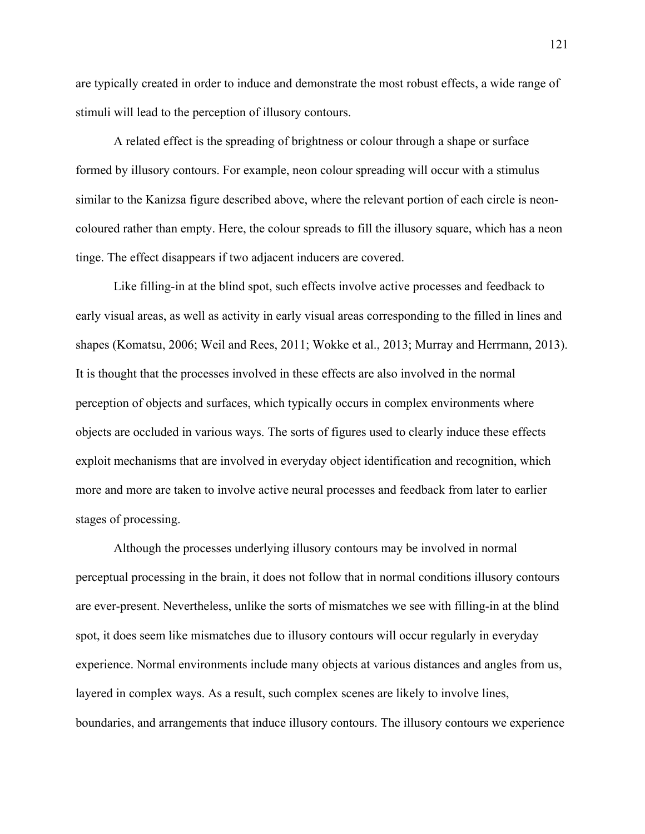are typically created in order to induce and demonstrate the most robust effects, a wide range of stimuli will lead to the perception of illusory contours.

A related effect is the spreading of brightness or colour through a shape or surface formed by illusory contours. For example, neon colour spreading will occur with a stimulus similar to the Kanizsa figure described above, where the relevant portion of each circle is neoncoloured rather than empty. Here, the colour spreads to fill the illusory square, which has a neon tinge. The effect disappears if two adjacent inducers are covered.

Like filling-in at the blind spot, such effects involve active processes and feedback to early visual areas, as well as activity in early visual areas corresponding to the filled in lines and shapes (Komatsu, 2006; Weil and Rees, 2011; Wokke et al., 2013; Murray and Herrmann, 2013). It is thought that the processes involved in these effects are also involved in the normal perception of objects and surfaces, which typically occurs in complex environments where objects are occluded in various ways. The sorts of figures used to clearly induce these effects exploit mechanisms that are involved in everyday object identification and recognition, which more and more are taken to involve active neural processes and feedback from later to earlier stages of processing.

Although the processes underlying illusory contours may be involved in normal perceptual processing in the brain, it does not follow that in normal conditions illusory contours are ever-present. Nevertheless, unlike the sorts of mismatches we see with filling-in at the blind spot, it does seem like mismatches due to illusory contours will occur regularly in everyday experience. Normal environments include many objects at various distances and angles from us, layered in complex ways. As a result, such complex scenes are likely to involve lines, boundaries, and arrangements that induce illusory contours. The illusory contours we experience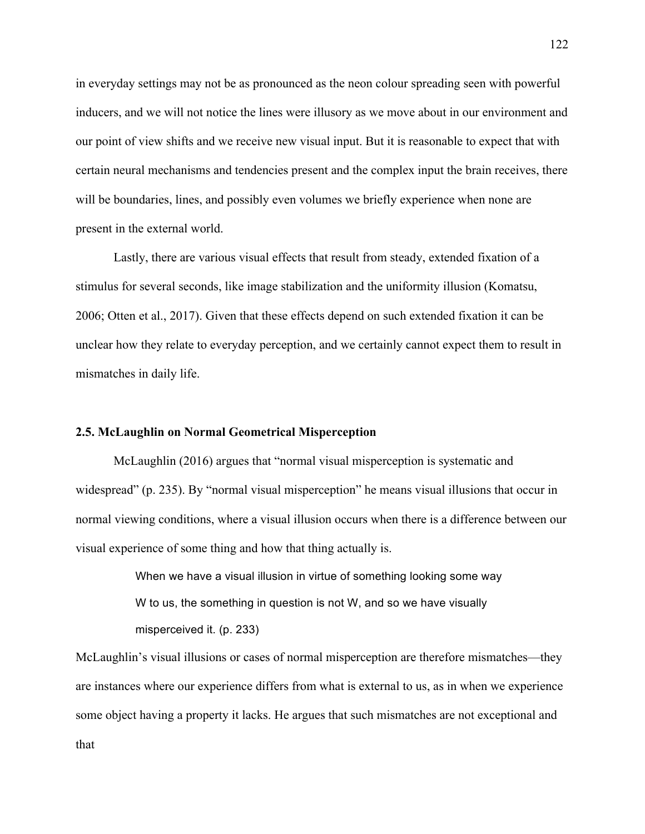in everyday settings may not be as pronounced as the neon colour spreading seen with powerful inducers, and we will not notice the lines were illusory as we move about in our environment and our point of view shifts and we receive new visual input. But it is reasonable to expect that with certain neural mechanisms and tendencies present and the complex input the brain receives, there will be boundaries, lines, and possibly even volumes we briefly experience when none are present in the external world.

Lastly, there are various visual effects that result from steady, extended fixation of a stimulus for several seconds, like image stabilization and the uniformity illusion (Komatsu, 2006; Otten et al., 2017). Given that these effects depend on such extended fixation it can be unclear how they relate to everyday perception, and we certainly cannot expect them to result in mismatches in daily life.

## **2.5. McLaughlin on Normal Geometrical Misperception**

McLaughlin (2016) argues that "normal visual misperception is systematic and widespread" (p. 235). By "normal visual misperception" he means visual illusions that occur in normal viewing conditions, where a visual illusion occurs when there is a difference between our visual experience of some thing and how that thing actually is.

> When we have a visual illusion in virtue of something looking some way W to us, the something in question is not W, and so we have visually misperceived it. (p. 233)

McLaughlin's visual illusions or cases of normal misperception are therefore mismatches—they are instances where our experience differs from what is external to us, as in when we experience some object having a property it lacks. He argues that such mismatches are not exceptional and that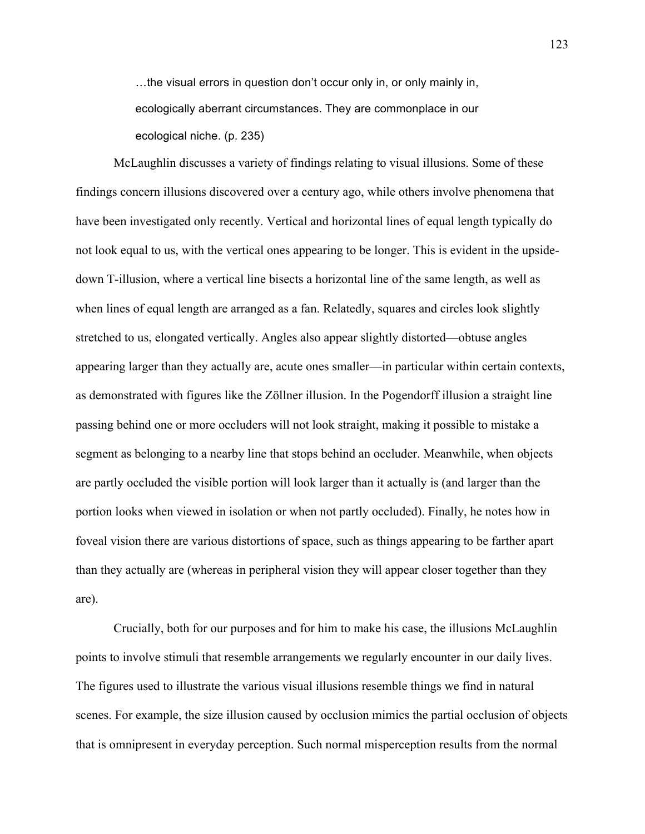…the visual errors in question don't occur only in, or only mainly in, ecologically aberrant circumstances. They are commonplace in our ecological niche. (p. 235)

McLaughlin discusses a variety of findings relating to visual illusions. Some of these findings concern illusions discovered over a century ago, while others involve phenomena that have been investigated only recently. Vertical and horizontal lines of equal length typically do not look equal to us, with the vertical ones appearing to be longer. This is evident in the upsidedown T-illusion, where a vertical line bisects a horizontal line of the same length, as well as when lines of equal length are arranged as a fan. Relatedly, squares and circles look slightly stretched to us, elongated vertically. Angles also appear slightly distorted—obtuse angles appearing larger than they actually are, acute ones smaller—in particular within certain contexts, as demonstrated with figures like the Zöllner illusion. In the Pogendorff illusion a straight line passing behind one or more occluders will not look straight, making it possible to mistake a segment as belonging to a nearby line that stops behind an occluder. Meanwhile, when objects are partly occluded the visible portion will look larger than it actually is (and larger than the portion looks when viewed in isolation or when not partly occluded). Finally, he notes how in foveal vision there are various distortions of space, such as things appearing to be farther apart than they actually are (whereas in peripheral vision they will appear closer together than they are).

Crucially, both for our purposes and for him to make his case, the illusions McLaughlin points to involve stimuli that resemble arrangements we regularly encounter in our daily lives. The figures used to illustrate the various visual illusions resemble things we find in natural scenes. For example, the size illusion caused by occlusion mimics the partial occlusion of objects that is omnipresent in everyday perception. Such normal misperception results from the normal

123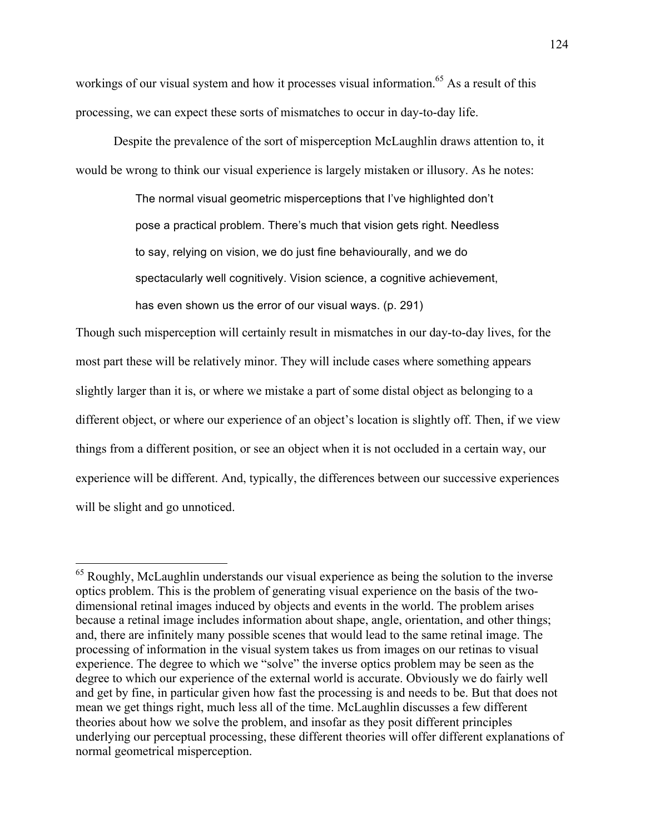workings of our visual system and how it processes visual information.<sup>65</sup> As a result of this processing, we can expect these sorts of mismatches to occur in day-to-day life.

Despite the prevalence of the sort of misperception McLaughlin draws attention to, it would be wrong to think our visual experience is largely mistaken or illusory. As he notes:

> The normal visual geometric misperceptions that I've highlighted don't pose a practical problem. There's much that vision gets right. Needless to say, relying on vision, we do just fine behaviourally, and we do spectacularly well cognitively. Vision science, a cognitive achievement, has even shown us the error of our visual ways. (p. 291)

Though such misperception will certainly result in mismatches in our day-to-day lives, for the most part these will be relatively minor. They will include cases where something appears slightly larger than it is, or where we mistake a part of some distal object as belonging to a different object, or where our experience of an object's location is slightly off. Then, if we view things from a different position, or see an object when it is not occluded in a certain way, our experience will be different. And, typically, the differences between our successive experiences will be slight and go unnoticed.

<sup>&</sup>lt;sup>65</sup> Roughly, McLaughlin understands our visual experience as being the solution to the inverse optics problem. This is the problem of generating visual experience on the basis of the twodimensional retinal images induced by objects and events in the world. The problem arises because a retinal image includes information about shape, angle, orientation, and other things; and, there are infinitely many possible scenes that would lead to the same retinal image. The processing of information in the visual system takes us from images on our retinas to visual experience. The degree to which we "solve" the inverse optics problem may be seen as the degree to which our experience of the external world is accurate. Obviously we do fairly well and get by fine, in particular given how fast the processing is and needs to be. But that does not mean we get things right, much less all of the time. McLaughlin discusses a few different theories about how we solve the problem, and insofar as they posit different principles underlying our perceptual processing, these different theories will offer different explanations of normal geometrical misperception.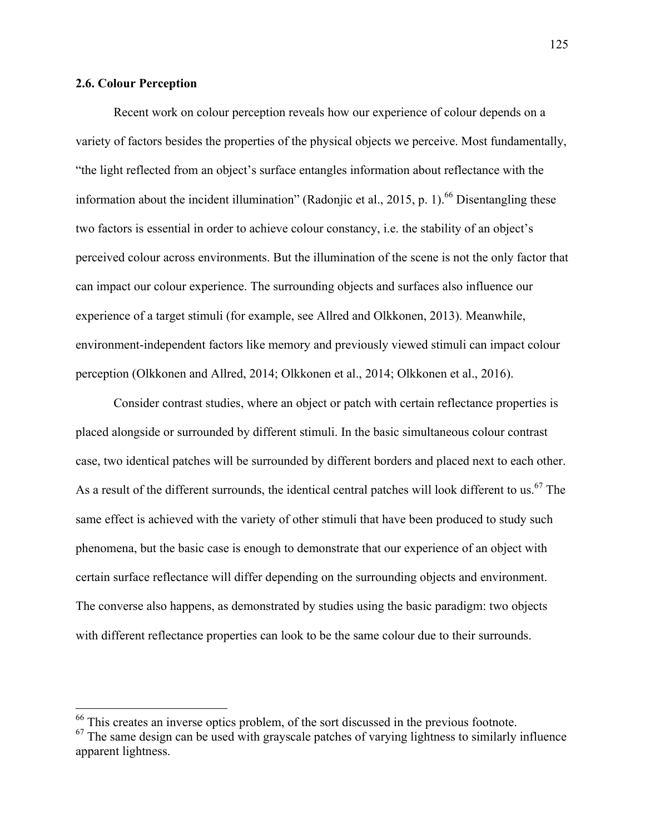# **2.6. Colour Perception**

Recent work on colour perception reveals how our experience of colour depends on a variety of factors besides the properties of the physical objects we perceive. Most fundamentally, "the light reflected from an object's surface entangles information about reflectance with the information about the incident illumination" (Radonjic et al., 2015, p. 1).<sup>66</sup> Disentangling these two factors is essential in order to achieve colour constancy, i.e. the stability of an object's perceived colour across environments. But the illumination of the scene is not the only factor that can impact our colour experience. The surrounding objects and surfaces also influence our experience of a target stimuli (for example, see Allred and Olkkonen, 2013). Meanwhile, environment-independent factors like memory and previously viewed stimuli can impact colour perception (Olkkonen and Allred, 2014; Olkkonen et al., 2014; Olkkonen et al., 2016).

Consider contrast studies, where an object or patch with certain reflectance properties is placed alongside or surrounded by different stimuli. In the basic simultaneous colour contrast case, two identical patches will be surrounded by different borders and placed next to each other. As a result of the different surrounds, the identical central patches will look different to us.<sup>67</sup> The same effect is achieved with the variety of other stimuli that have been produced to study such phenomena, but the basic case is enough to demonstrate that our experience of an object with certain surface reflectance will differ depending on the surrounding objects and environment. The converse also happens, as demonstrated by studies using the basic paradigm: two objects with different reflectance properties can look to be the same colour due to their surrounds.

 <sup>66</sup> This creates an inverse optics problem, of the sort discussed in the previous footnote.

 $67$  The same design can be used with grayscale patches of varying lightness to similarly influence apparent lightness.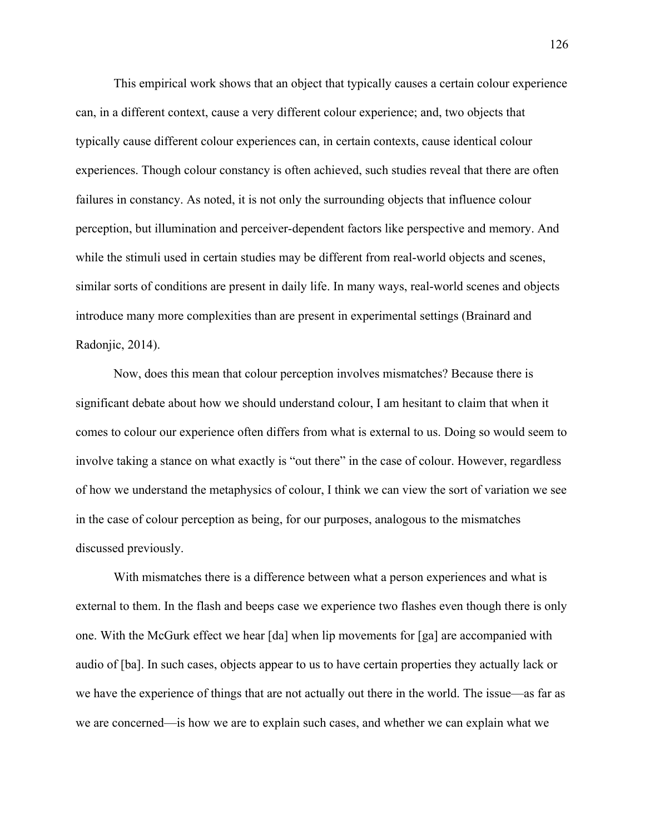This empirical work shows that an object that typically causes a certain colour experience can, in a different context, cause a very different colour experience; and, two objects that typically cause different colour experiences can, in certain contexts, cause identical colour experiences. Though colour constancy is often achieved, such studies reveal that there are often failures in constancy. As noted, it is not only the surrounding objects that influence colour perception, but illumination and perceiver-dependent factors like perspective and memory. And while the stimuli used in certain studies may be different from real-world objects and scenes, similar sorts of conditions are present in daily life. In many ways, real-world scenes and objects introduce many more complexities than are present in experimental settings (Brainard and Radonjic, 2014).

Now, does this mean that colour perception involves mismatches? Because there is significant debate about how we should understand colour, I am hesitant to claim that when it comes to colour our experience often differs from what is external to us. Doing so would seem to involve taking a stance on what exactly is "out there" in the case of colour. However, regardless of how we understand the metaphysics of colour, I think we can view the sort of variation we see in the case of colour perception as being, for our purposes, analogous to the mismatches discussed previously.

With mismatches there is a difference between what a person experiences and what is external to them. In the flash and beeps case we experience two flashes even though there is only one. With the McGurk effect we hear [da] when lip movements for [ga] are accompanied with audio of [ba]. In such cases, objects appear to us to have certain properties they actually lack or we have the experience of things that are not actually out there in the world. The issue—as far as we are concerned—is how we are to explain such cases, and whether we can explain what we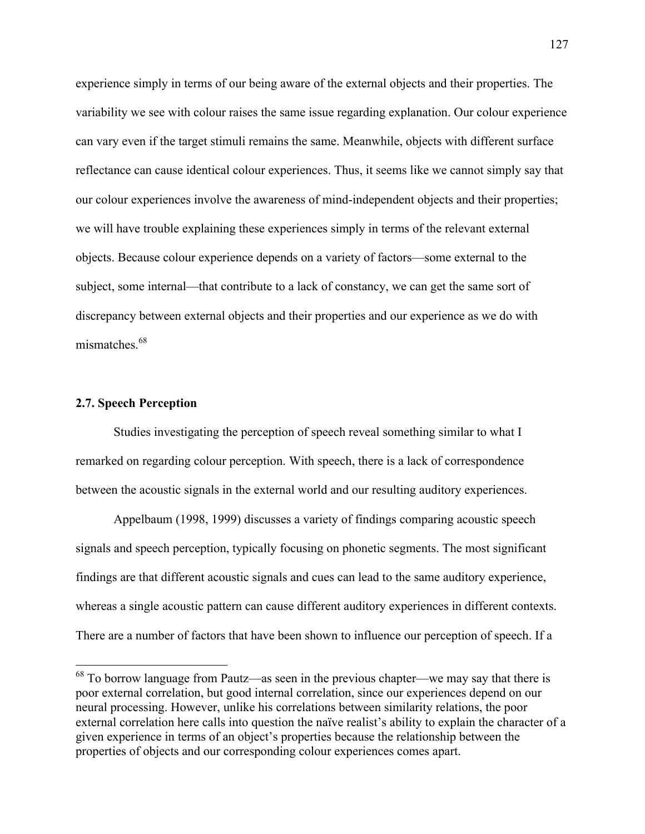experience simply in terms of our being aware of the external objects and their properties. The variability we see with colour raises the same issue regarding explanation. Our colour experience can vary even if the target stimuli remains the same. Meanwhile, objects with different surface reflectance can cause identical colour experiences. Thus, it seems like we cannot simply say that our colour experiences involve the awareness of mind-independent objects and their properties; we will have trouble explaining these experiences simply in terms of the relevant external objects. Because colour experience depends on a variety of factors—some external to the subject, some internal—that contribute to a lack of constancy, we can get the same sort of discrepancy between external objects and their properties and our experience as we do with mismatches<sup>68</sup>

# **2.7. Speech Perception**

Studies investigating the perception of speech reveal something similar to what I remarked on regarding colour perception. With speech, there is a lack of correspondence between the acoustic signals in the external world and our resulting auditory experiences.

Appelbaum (1998, 1999) discusses a variety of findings comparing acoustic speech signals and speech perception, typically focusing on phonetic segments. The most significant findings are that different acoustic signals and cues can lead to the same auditory experience, whereas a single acoustic pattern can cause different auditory experiences in different contexts. There are a number of factors that have been shown to influence our perception of speech. If a

 <sup>68</sup> To borrow language from Pautz—as seen in the previous chapter—we may say that there is poor external correlation, but good internal correlation, since our experiences depend on our neural processing. However, unlike his correlations between similarity relations, the poor external correlation here calls into question the naïve realist's ability to explain the character of a given experience in terms of an object's properties because the relationship between the properties of objects and our corresponding colour experiences comes apart.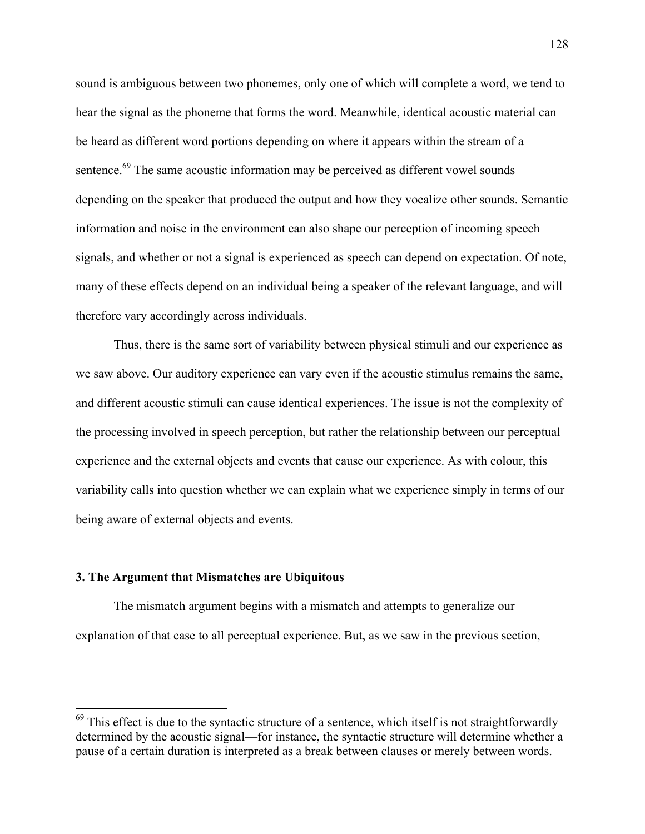sound is ambiguous between two phonemes, only one of which will complete a word, we tend to hear the signal as the phoneme that forms the word. Meanwhile, identical acoustic material can be heard as different word portions depending on where it appears within the stream of a sentence.<sup>69</sup> The same acoustic information may be perceived as different vowel sounds depending on the speaker that produced the output and how they vocalize other sounds. Semantic information and noise in the environment can also shape our perception of incoming speech signals, and whether or not a signal is experienced as speech can depend on expectation. Of note, many of these effects depend on an individual being a speaker of the relevant language, and will therefore vary accordingly across individuals.

Thus, there is the same sort of variability between physical stimuli and our experience as we saw above. Our auditory experience can vary even if the acoustic stimulus remains the same, and different acoustic stimuli can cause identical experiences. The issue is not the complexity of the processing involved in speech perception, but rather the relationship between our perceptual experience and the external objects and events that cause our experience. As with colour, this variability calls into question whether we can explain what we experience simply in terms of our being aware of external objects and events.

#### **3. The Argument that Mismatches are Ubiquitous**

The mismatch argument begins with a mismatch and attempts to generalize our explanation of that case to all perceptual experience. But, as we saw in the previous section,

 $69$  This effect is due to the syntactic structure of a sentence, which itself is not straightforwardly determined by the acoustic signal—for instance, the syntactic structure will determine whether a pause of a certain duration is interpreted as a break between clauses or merely between words.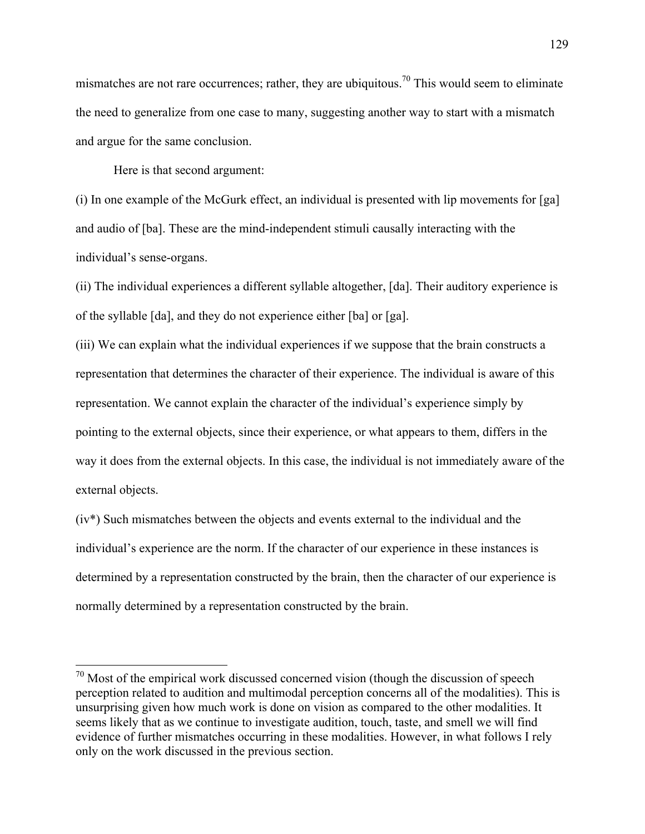mismatches are not rare occurrences; rather, they are ubiquitous.<sup>70</sup> This would seem to eliminate the need to generalize from one case to many, suggesting another way to start with a mismatch and argue for the same conclusion.

Here is that second argument:

(i) In one example of the McGurk effect, an individual is presented with lip movements for [ga] and audio of [ba]. These are the mind-independent stimuli causally interacting with the individual's sense-organs.

(ii) The individual experiences a different syllable altogether, [da]. Their auditory experience is of the syllable [da], and they do not experience either [ba] or [ga].

(iii) We can explain what the individual experiences if we suppose that the brain constructs a representation that determines the character of their experience. The individual is aware of this representation. We cannot explain the character of the individual's experience simply by pointing to the external objects, since their experience, or what appears to them, differs in the way it does from the external objects. In this case, the individual is not immediately aware of the external objects.

(iv\*) Such mismatches between the objects and events external to the individual and the individual's experience are the norm. If the character of our experience in these instances is determined by a representation constructed by the brain, then the character of our experience is normally determined by a representation constructed by the brain.

 <sup>70</sup> Most of the empirical work discussed concerned vision (though the discussion of speech perception related to audition and multimodal perception concerns all of the modalities). This is unsurprising given how much work is done on vision as compared to the other modalities. It seems likely that as we continue to investigate audition, touch, taste, and smell we will find evidence of further mismatches occurring in these modalities. However, in what follows I rely only on the work discussed in the previous section.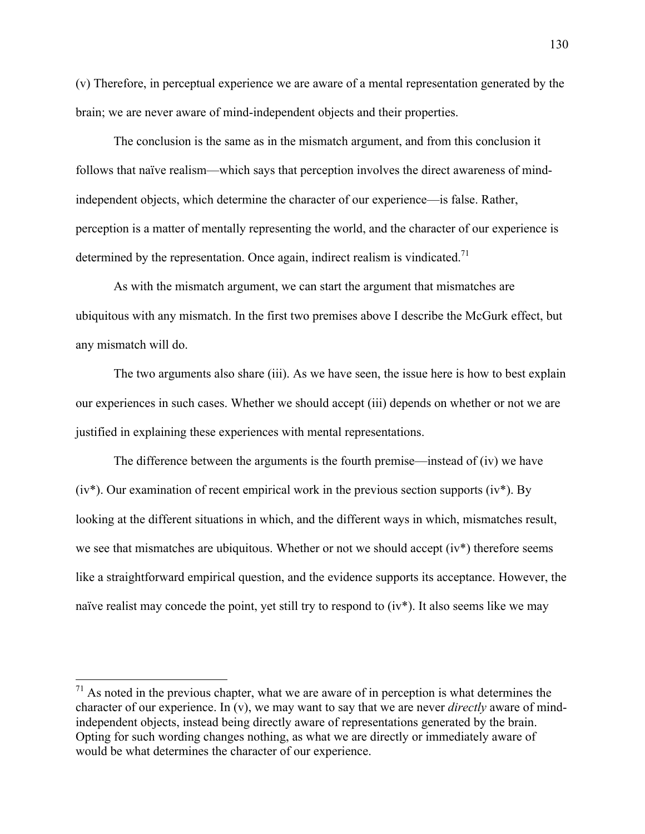(v) Therefore, in perceptual experience we are aware of a mental representation generated by the brain; we are never aware of mind-independent objects and their properties.

The conclusion is the same as in the mismatch argument, and from this conclusion it follows that naïve realism—which says that perception involves the direct awareness of mindindependent objects, which determine the character of our experience—is false. Rather, perception is a matter of mentally representing the world, and the character of our experience is determined by the representation. Once again, indirect realism is vindicated.<sup>71</sup>

As with the mismatch argument, we can start the argument that mismatches are ubiquitous with any mismatch. In the first two premises above I describe the McGurk effect, but any mismatch will do.

The two arguments also share (iii). As we have seen, the issue here is how to best explain our experiences in such cases. Whether we should accept (iii) depends on whether or not we are justified in explaining these experiences with mental representations.

The difference between the arguments is the fourth premise—instead of (iv) we have  $(iv<sup>*</sup>)$ . Our examination of recent empirical work in the previous section supports  $(iv<sup>*</sup>)$ . By looking at the different situations in which, and the different ways in which, mismatches result, we see that mismatches are ubiquitous. Whether or not we should accept (iv\*) therefore seems like a straightforward empirical question, and the evidence supports its acceptance. However, the naïve realist may concede the point, yet still try to respond to (iv\*). It also seems like we may

 $71$  As noted in the previous chapter, what we are aware of in perception is what determines the character of our experience. In (v), we may want to say that we are never *directly* aware of mindindependent objects, instead being directly aware of representations generated by the brain. Opting for such wording changes nothing, as what we are directly or immediately aware of would be what determines the character of our experience.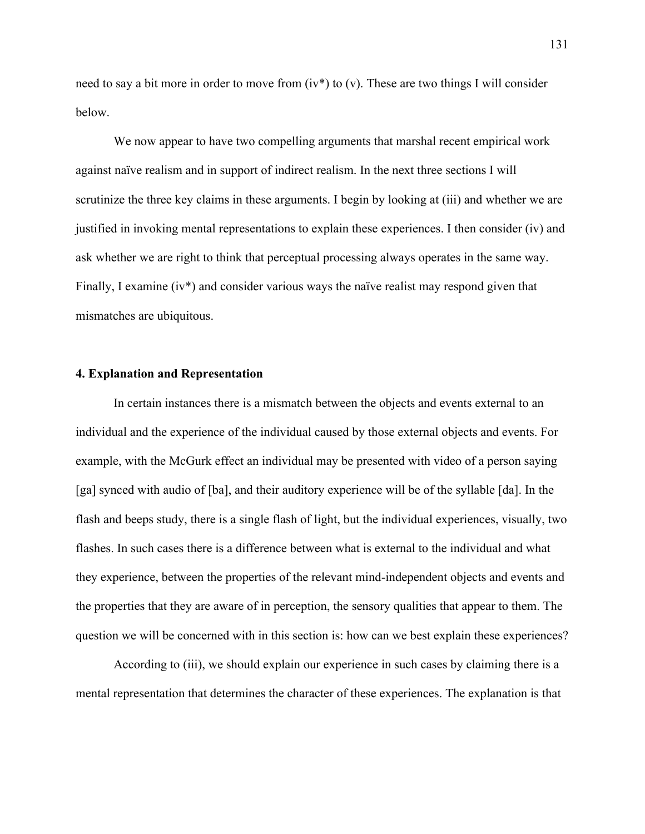need to say a bit more in order to move from (iv\*) to (v). These are two things I will consider below.

We now appear to have two compelling arguments that marshal recent empirical work against naïve realism and in support of indirect realism. In the next three sections I will scrutinize the three key claims in these arguments. I begin by looking at (iii) and whether we are justified in invoking mental representations to explain these experiences. I then consider (iv) and ask whether we are right to think that perceptual processing always operates in the same way. Finally, I examine (iv\*) and consider various ways the naïve realist may respond given that mismatches are ubiquitous.

## **4. Explanation and Representation**

In certain instances there is a mismatch between the objects and events external to an individual and the experience of the individual caused by those external objects and events. For example, with the McGurk effect an individual may be presented with video of a person saying [ga] synced with audio of [ba], and their auditory experience will be of the syllable [da]. In the flash and beeps study, there is a single flash of light, but the individual experiences, visually, two flashes. In such cases there is a difference between what is external to the individual and what they experience, between the properties of the relevant mind-independent objects and events and the properties that they are aware of in perception, the sensory qualities that appear to them. The question we will be concerned with in this section is: how can we best explain these experiences?

According to (iii), we should explain our experience in such cases by claiming there is a mental representation that determines the character of these experiences. The explanation is that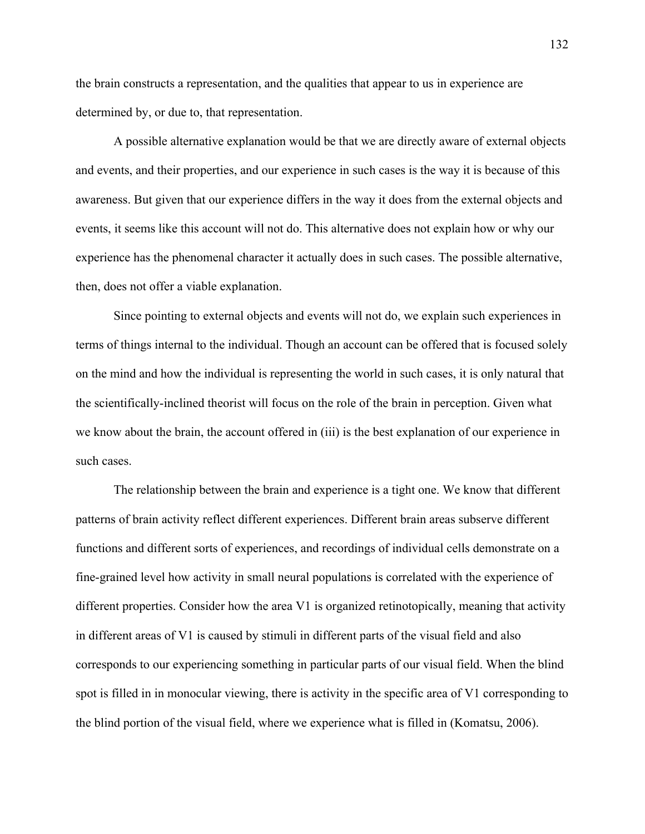the brain constructs a representation, and the qualities that appear to us in experience are determined by, or due to, that representation.

A possible alternative explanation would be that we are directly aware of external objects and events, and their properties, and our experience in such cases is the way it is because of this awareness. But given that our experience differs in the way it does from the external objects and events, it seems like this account will not do. This alternative does not explain how or why our experience has the phenomenal character it actually does in such cases. The possible alternative, then, does not offer a viable explanation.

Since pointing to external objects and events will not do, we explain such experiences in terms of things internal to the individual. Though an account can be offered that is focused solely on the mind and how the individual is representing the world in such cases, it is only natural that the scientifically-inclined theorist will focus on the role of the brain in perception. Given what we know about the brain, the account offered in (iii) is the best explanation of our experience in such cases.

The relationship between the brain and experience is a tight one. We know that different patterns of brain activity reflect different experiences. Different brain areas subserve different functions and different sorts of experiences, and recordings of individual cells demonstrate on a fine-grained level how activity in small neural populations is correlated with the experience of different properties. Consider how the area V1 is organized retinotopically, meaning that activity in different areas of V1 is caused by stimuli in different parts of the visual field and also corresponds to our experiencing something in particular parts of our visual field. When the blind spot is filled in in monocular viewing, there is activity in the specific area of V1 corresponding to the blind portion of the visual field, where we experience what is filled in (Komatsu, 2006).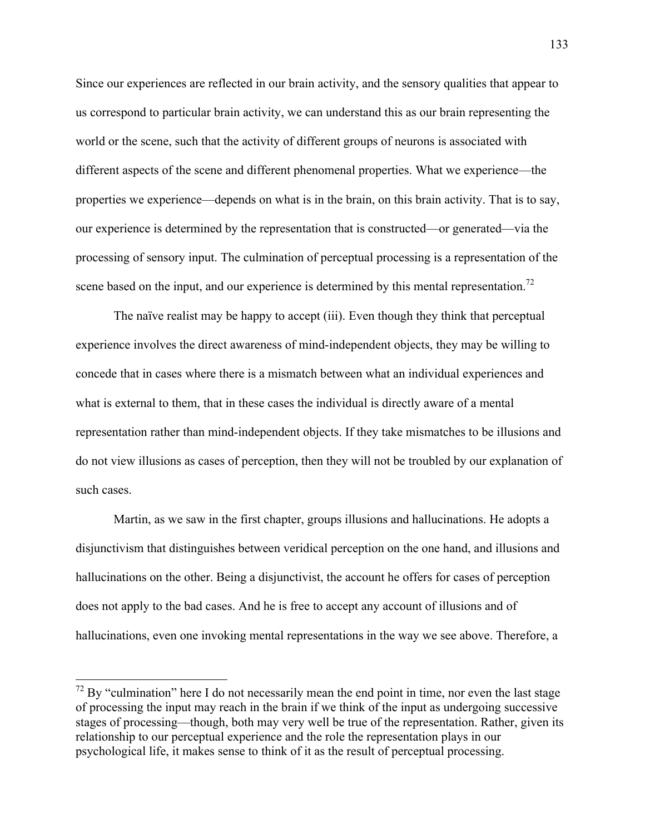Since our experiences are reflected in our brain activity, and the sensory qualities that appear to us correspond to particular brain activity, we can understand this as our brain representing the world or the scene, such that the activity of different groups of neurons is associated with different aspects of the scene and different phenomenal properties. What we experience—the properties we experience—depends on what is in the brain, on this brain activity. That is to say, our experience is determined by the representation that is constructed—or generated—via the processing of sensory input. The culmination of perceptual processing is a representation of the scene based on the input, and our experience is determined by this mental representation.<sup>72</sup>

The naïve realist may be happy to accept (iii). Even though they think that perceptual experience involves the direct awareness of mind-independent objects, they may be willing to concede that in cases where there is a mismatch between what an individual experiences and what is external to them, that in these cases the individual is directly aware of a mental representation rather than mind-independent objects. If they take mismatches to be illusions and do not view illusions as cases of perception, then they will not be troubled by our explanation of such cases.

Martin, as we saw in the first chapter, groups illusions and hallucinations. He adopts a disjunctivism that distinguishes between veridical perception on the one hand, and illusions and hallucinations on the other. Being a disjunctivist, the account he offers for cases of perception does not apply to the bad cases. And he is free to accept any account of illusions and of hallucinations, even one invoking mental representations in the way we see above. Therefore, a

 $72$  By "culmination" here I do not necessarily mean the end point in time, nor even the last stage of processing the input may reach in the brain if we think of the input as undergoing successive stages of processing—though, both may very well be true of the representation. Rather, given its relationship to our perceptual experience and the role the representation plays in our psychological life, it makes sense to think of it as the result of perceptual processing.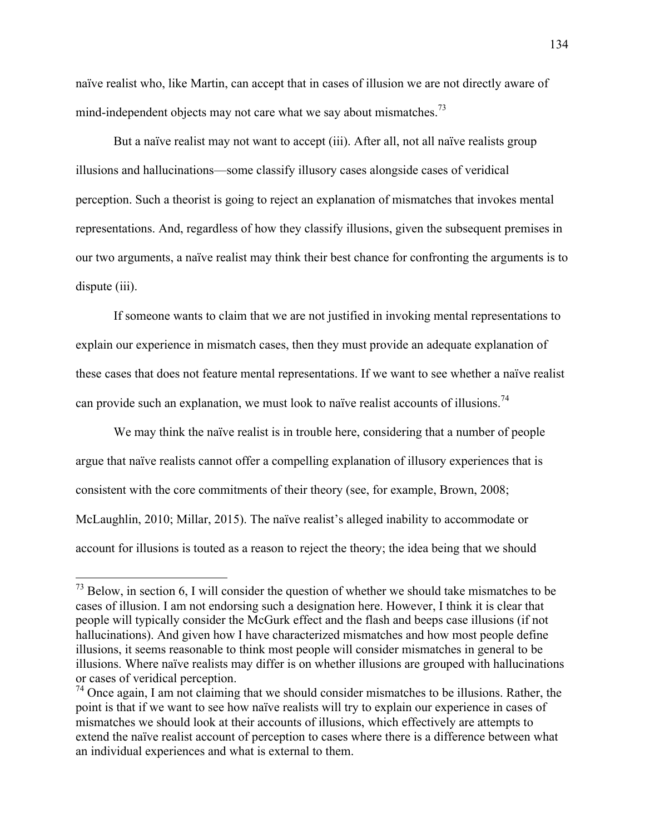naïve realist who, like Martin, can accept that in cases of illusion we are not directly aware of mind-independent objects may not care what we say about mismatches.<sup>73</sup>

But a naïve realist may not want to accept (iii). After all, not all naïve realists group illusions and hallucinations—some classify illusory cases alongside cases of veridical perception. Such a theorist is going to reject an explanation of mismatches that invokes mental representations. And, regardless of how they classify illusions, given the subsequent premises in our two arguments, a naïve realist may think their best chance for confronting the arguments is to dispute (iii).

If someone wants to claim that we are not justified in invoking mental representations to explain our experience in mismatch cases, then they must provide an adequate explanation of these cases that does not feature mental representations. If we want to see whether a naïve realist can provide such an explanation, we must look to naïve realist accounts of illusions.<sup>74</sup>

We may think the naïve realist is in trouble here, considering that a number of people argue that naïve realists cannot offer a compelling explanation of illusory experiences that is consistent with the core commitments of their theory (see, for example, Brown, 2008; McLaughlin, 2010; Millar, 2015). The naïve realist's alleged inability to accommodate or account for illusions is touted as a reason to reject the theory; the idea being that we should

 $73$  Below, in section 6, I will consider the question of whether we should take mismatches to be cases of illusion. I am not endorsing such a designation here. However, I think it is clear that people will typically consider the McGurk effect and the flash and beeps case illusions (if not hallucinations). And given how I have characterized mismatches and how most people define illusions, it seems reasonable to think most people will consider mismatches in general to be illusions. Where naïve realists may differ is on whether illusions are grouped with hallucinations or cases of veridical perception.

<sup>&</sup>lt;sup>74</sup> Once again, I am not claiming that we should consider mismatches to be illusions. Rather, the point is that if we want to see how naïve realists will try to explain our experience in cases of mismatches we should look at their accounts of illusions, which effectively are attempts to extend the naïve realist account of perception to cases where there is a difference between what an individual experiences and what is external to them.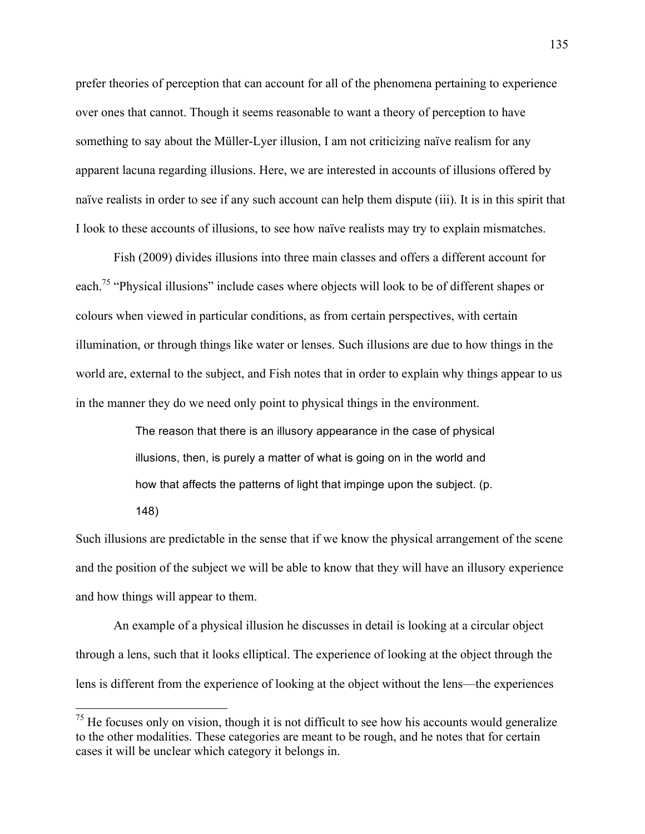prefer theories of perception that can account for all of the phenomena pertaining to experience over ones that cannot. Though it seems reasonable to want a theory of perception to have something to say about the Müller-Lyer illusion, I am not criticizing naïve realism for any apparent lacuna regarding illusions. Here, we are interested in accounts of illusions offered by naïve realists in order to see if any such account can help them dispute (iii). It is in this spirit that I look to these accounts of illusions, to see how naïve realists may try to explain mismatches.

Fish (2009) divides illusions into three main classes and offers a different account for each.<sup>75</sup> "Physical illusions" include cases where objects will look to be of different shapes or colours when viewed in particular conditions, as from certain perspectives, with certain illumination, or through things like water or lenses. Such illusions are due to how things in the world are, external to the subject, and Fish notes that in order to explain why things appear to us in the manner they do we need only point to physical things in the environment.

> The reason that there is an illusory appearance in the case of physical illusions, then, is purely a matter of what is going on in the world and how that affects the patterns of light that impinge upon the subject. (p. 148)

Such illusions are predictable in the sense that if we know the physical arrangement of the scene and the position of the subject we will be able to know that they will have an illusory experience and how things will appear to them.

An example of a physical illusion he discusses in detail is looking at a circular object through a lens, such that it looks elliptical. The experience of looking at the object through the lens is different from the experience of looking at the object without the lens—the experiences

 $<sup>75</sup>$  He focuses only on vision, though it is not difficult to see how his accounts would generalize</sup> to the other modalities. These categories are meant to be rough, and he notes that for certain cases it will be unclear which category it belongs in.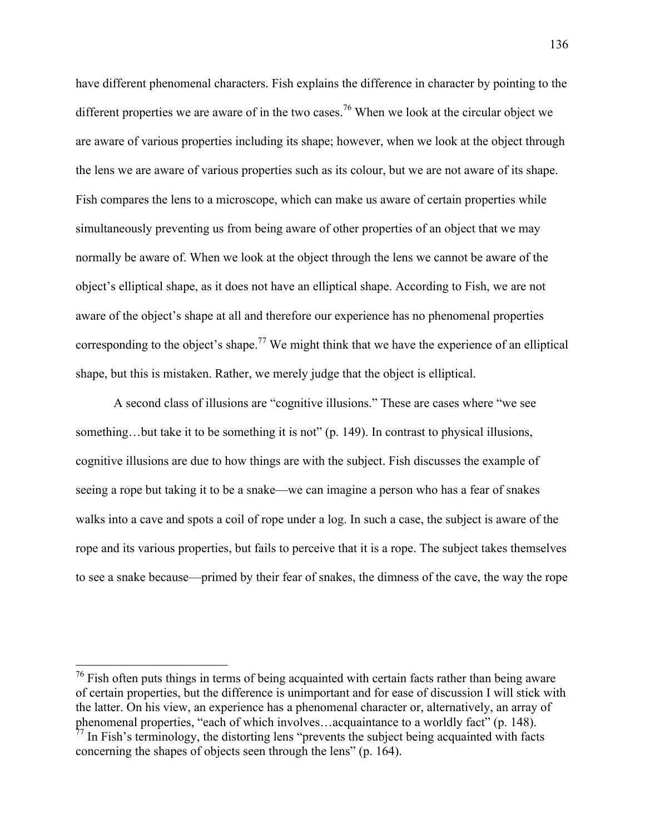have different phenomenal characters. Fish explains the difference in character by pointing to the different properties we are aware of in the two cases.<sup>76</sup> When we look at the circular object we are aware of various properties including its shape; however, when we look at the object through the lens we are aware of various properties such as its colour, but we are not aware of its shape. Fish compares the lens to a microscope, which can make us aware of certain properties while simultaneously preventing us from being aware of other properties of an object that we may normally be aware of. When we look at the object through the lens we cannot be aware of the object's elliptical shape, as it does not have an elliptical shape. According to Fish, we are not aware of the object's shape at all and therefore our experience has no phenomenal properties corresponding to the object's shape.<sup>77</sup> We might think that we have the experience of an elliptical shape, but this is mistaken. Rather, we merely judge that the object is elliptical.

A second class of illusions are "cognitive illusions." These are cases where "we see something...but take it to be something it is not" (p. 149). In contrast to physical illusions, cognitive illusions are due to how things are with the subject. Fish discusses the example of seeing a rope but taking it to be a snake—we can imagine a person who has a fear of snakes walks into a cave and spots a coil of rope under a log. In such a case, the subject is aware of the rope and its various properties, but fails to perceive that it is a rope. The subject takes themselves to see a snake because—primed by their fear of snakes, the dimness of the cave, the way the rope

 $76$  Fish often puts things in terms of being acquainted with certain facts rather than being aware of certain properties, but the difference is unimportant and for ease of discussion I will stick with the latter. On his view, an experience has a phenomenal character or, alternatively, an array of phenomenal properties, "each of which involves…acquaintance to a worldly fact" (p. 148).

 $^{77}$  In Fish's terminology, the distorting lens "prevents the subject being acquainted with facts concerning the shapes of objects seen through the lens" (p. 164).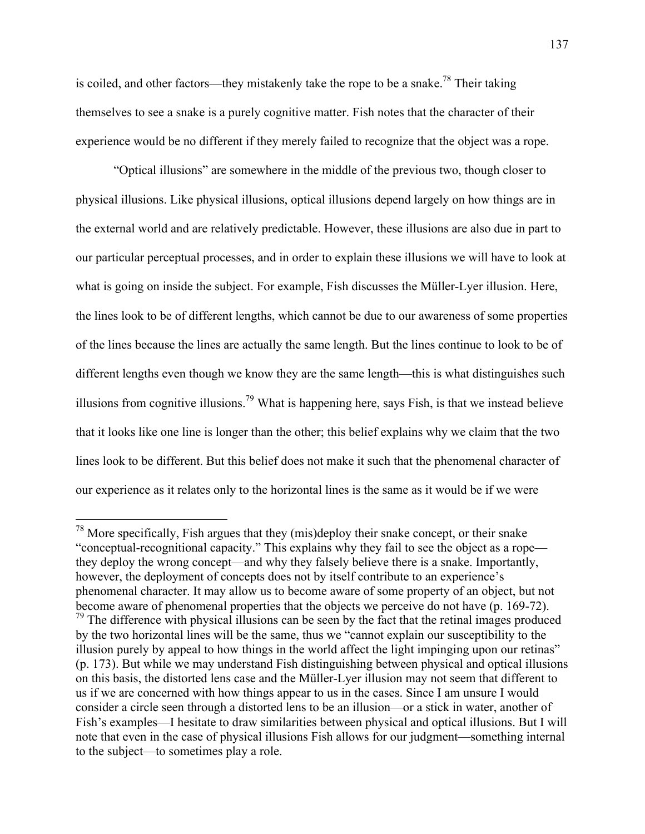is coiled, and other factors—they mistakenly take the rope to be a snake.<sup>78</sup> Their taking themselves to see a snake is a purely cognitive matter. Fish notes that the character of their experience would be no different if they merely failed to recognize that the object was a rope.

"Optical illusions" are somewhere in the middle of the previous two, though closer to physical illusions. Like physical illusions, optical illusions depend largely on how things are in the external world and are relatively predictable. However, these illusions are also due in part to our particular perceptual processes, and in order to explain these illusions we will have to look at what is going on inside the subject. For example, Fish discusses the Müller-Lyer illusion. Here, the lines look to be of different lengths, which cannot be due to our awareness of some properties of the lines because the lines are actually the same length. But the lines continue to look to be of different lengths even though we know they are the same length—this is what distinguishes such illusions from cognitive illusions.<sup>79</sup> What is happening here, says Fish, is that we instead believe that it looks like one line is longer than the other; this belief explains why we claim that the two lines look to be different. But this belief does not make it such that the phenomenal character of our experience as it relates only to the horizontal lines is the same as it would be if we were

 $78$  More specifically, Fish argues that they (mis)deploy their snake concept, or their snake "conceptual-recognitional capacity." This explains why they fail to see the object as a rope they deploy the wrong concept—and why they falsely believe there is a snake. Importantly, however, the deployment of concepts does not by itself contribute to an experience's phenomenal character. It may allow us to become aware of some property of an object, but not become aware of phenomenal properties that the objects we perceive do not have (p. 169-72). <sup>79</sup> The difference with physical illusions can be seen by the fact that the retinal images produced by the two horizontal lines will be the same, thus we "cannot explain our susceptibility to the illusion purely by appeal to how things in the world affect the light impinging upon our retinas" (p. 173). But while we may understand Fish distinguishing between physical and optical illusions on this basis, the distorted lens case and the Müller-Lyer illusion may not seem that different to us if we are concerned with how things appear to us in the cases. Since I am unsure I would consider a circle seen through a distorted lens to be an illusion—or a stick in water, another of Fish's examples—I hesitate to draw similarities between physical and optical illusions. But I will note that even in the case of physical illusions Fish allows for our judgment—something internal to the subject—to sometimes play a role.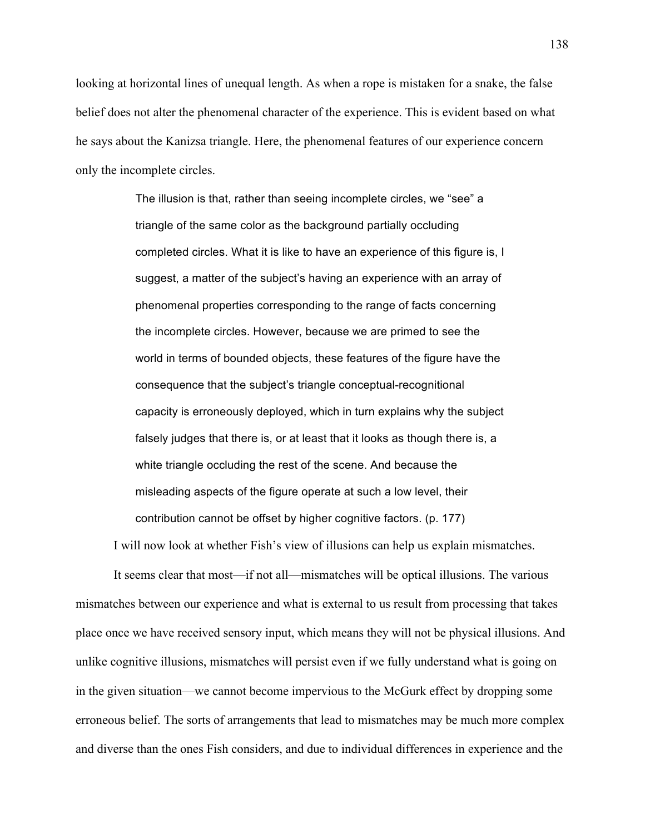looking at horizontal lines of unequal length. As when a rope is mistaken for a snake, the false belief does not alter the phenomenal character of the experience. This is evident based on what he says about the Kanizsa triangle. Here, the phenomenal features of our experience concern only the incomplete circles.

> The illusion is that, rather than seeing incomplete circles, we "see" a triangle of the same color as the background partially occluding completed circles. What it is like to have an experience of this figure is, I suggest, a matter of the subject's having an experience with an array of phenomenal properties corresponding to the range of facts concerning the incomplete circles. However, because we are primed to see the world in terms of bounded objects, these features of the figure have the consequence that the subject's triangle conceptual-recognitional capacity is erroneously deployed, which in turn explains why the subject falsely judges that there is, or at least that it looks as though there is, a white triangle occluding the rest of the scene. And because the misleading aspects of the figure operate at such a low level, their contribution cannot be offset by higher cognitive factors. (p. 177)

I will now look at whether Fish's view of illusions can help us explain mismatches.

It seems clear that most—if not all—mismatches will be optical illusions. The various mismatches between our experience and what is external to us result from processing that takes place once we have received sensory input, which means they will not be physical illusions. And unlike cognitive illusions, mismatches will persist even if we fully understand what is going on in the given situation—we cannot become impervious to the McGurk effect by dropping some erroneous belief. The sorts of arrangements that lead to mismatches may be much more complex and diverse than the ones Fish considers, and due to individual differences in experience and the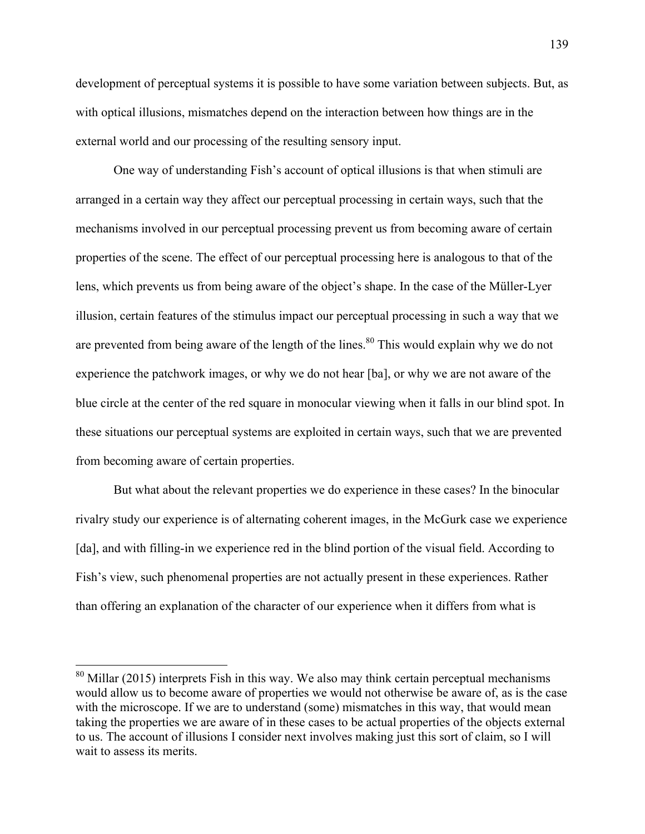development of perceptual systems it is possible to have some variation between subjects. But, as with optical illusions, mismatches depend on the interaction between how things are in the external world and our processing of the resulting sensory input.

One way of understanding Fish's account of optical illusions is that when stimuli are arranged in a certain way they affect our perceptual processing in certain ways, such that the mechanisms involved in our perceptual processing prevent us from becoming aware of certain properties of the scene. The effect of our perceptual processing here is analogous to that of the lens, which prevents us from being aware of the object's shape. In the case of the Müller-Lyer illusion, certain features of the stimulus impact our perceptual processing in such a way that we are prevented from being aware of the length of the lines.<sup>80</sup> This would explain why we do not experience the patchwork images, or why we do not hear [ba], or why we are not aware of the blue circle at the center of the red square in monocular viewing when it falls in our blind spot. In these situations our perceptual systems are exploited in certain ways, such that we are prevented from becoming aware of certain properties.

But what about the relevant properties we do experience in these cases? In the binocular rivalry study our experience is of alternating coherent images, in the McGurk case we experience [da], and with filling-in we experience red in the blind portion of the visual field. According to Fish's view, such phenomenal properties are not actually present in these experiences. Rather than offering an explanation of the character of our experience when it differs from what is

 $80$  Millar (2015) interprets Fish in this way. We also may think certain perceptual mechanisms would allow us to become aware of properties we would not otherwise be aware of, as is the case with the microscope. If we are to understand (some) mismatches in this way, that would mean taking the properties we are aware of in these cases to be actual properties of the objects external to us. The account of illusions I consider next involves making just this sort of claim, so I will wait to assess its merits.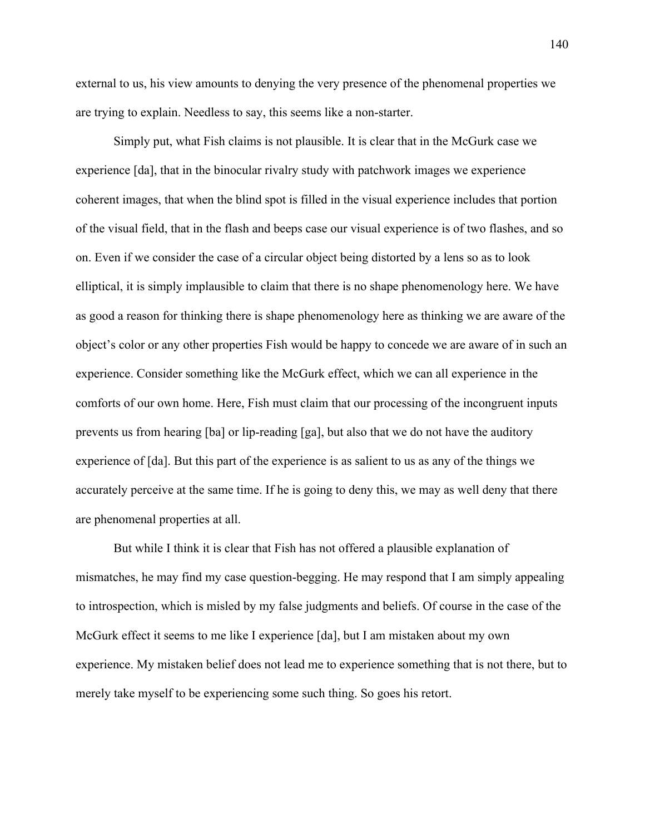external to us, his view amounts to denying the very presence of the phenomenal properties we are trying to explain. Needless to say, this seems like a non-starter.

Simply put, what Fish claims is not plausible. It is clear that in the McGurk case we experience [da], that in the binocular rivalry study with patchwork images we experience coherent images, that when the blind spot is filled in the visual experience includes that portion of the visual field, that in the flash and beeps case our visual experience is of two flashes, and so on. Even if we consider the case of a circular object being distorted by a lens so as to look elliptical, it is simply implausible to claim that there is no shape phenomenology here. We have as good a reason for thinking there is shape phenomenology here as thinking we are aware of the object's color or any other properties Fish would be happy to concede we are aware of in such an experience. Consider something like the McGurk effect, which we can all experience in the comforts of our own home. Here, Fish must claim that our processing of the incongruent inputs prevents us from hearing [ba] or lip-reading [ga], but also that we do not have the auditory experience of [da]. But this part of the experience is as salient to us as any of the things we accurately perceive at the same time. If he is going to deny this, we may as well deny that there are phenomenal properties at all.

But while I think it is clear that Fish has not offered a plausible explanation of mismatches, he may find my case question-begging. He may respond that I am simply appealing to introspection, which is misled by my false judgments and beliefs. Of course in the case of the McGurk effect it seems to me like I experience [da], but I am mistaken about my own experience. My mistaken belief does not lead me to experience something that is not there, but to merely take myself to be experiencing some such thing. So goes his retort.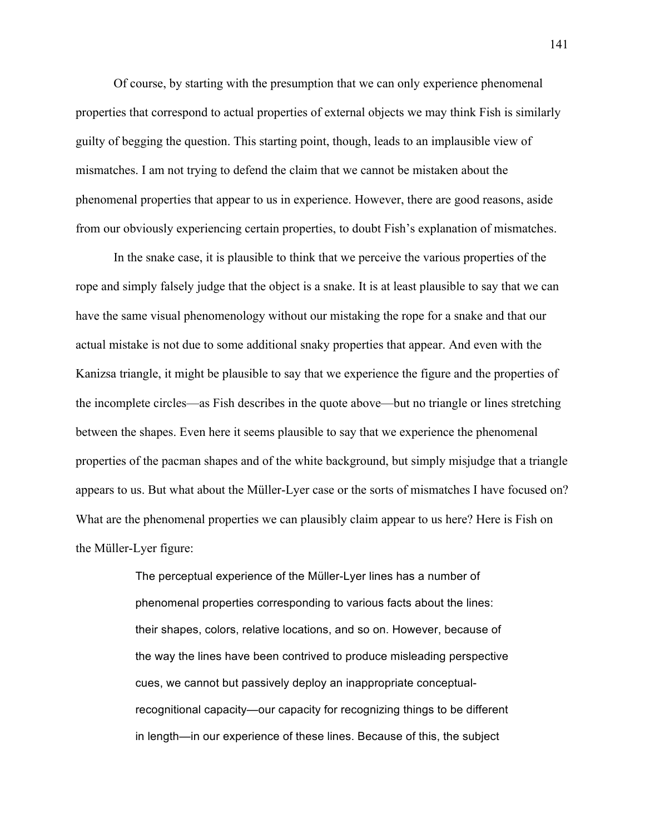Of course, by starting with the presumption that we can only experience phenomenal properties that correspond to actual properties of external objects we may think Fish is similarly guilty of begging the question. This starting point, though, leads to an implausible view of mismatches. I am not trying to defend the claim that we cannot be mistaken about the phenomenal properties that appear to us in experience. However, there are good reasons, aside from our obviously experiencing certain properties, to doubt Fish's explanation of mismatches.

In the snake case, it is plausible to think that we perceive the various properties of the rope and simply falsely judge that the object is a snake. It is at least plausible to say that we can have the same visual phenomenology without our mistaking the rope for a snake and that our actual mistake is not due to some additional snaky properties that appear. And even with the Kanizsa triangle, it might be plausible to say that we experience the figure and the properties of the incomplete circles—as Fish describes in the quote above—but no triangle or lines stretching between the shapes. Even here it seems plausible to say that we experience the phenomenal properties of the pacman shapes and of the white background, but simply misjudge that a triangle appears to us. But what about the Müller-Lyer case or the sorts of mismatches I have focused on? What are the phenomenal properties we can plausibly claim appear to us here? Here is Fish on the Müller-Lyer figure:

> The perceptual experience of the Müller-Lyer lines has a number of phenomenal properties corresponding to various facts about the lines: their shapes, colors, relative locations, and so on. However, because of the way the lines have been contrived to produce misleading perspective cues, we cannot but passively deploy an inappropriate conceptualrecognitional capacity—our capacity for recognizing things to be different in length—in our experience of these lines. Because of this, the subject

141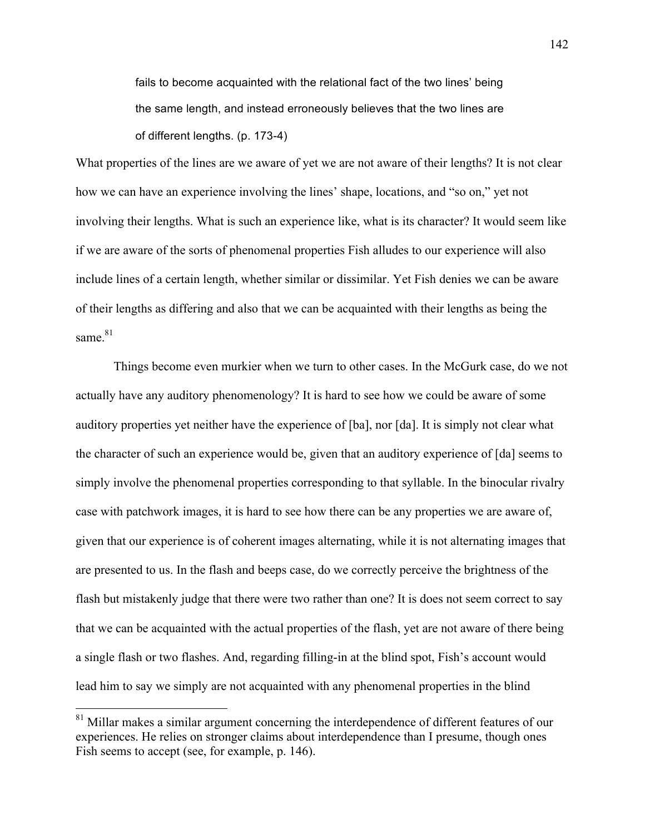fails to become acquainted with the relational fact of the two lines' being the same length, and instead erroneously believes that the two lines are of different lengths. (p. 173-4)

What properties of the lines are we aware of yet we are not aware of their lengths? It is not clear how we can have an experience involving the lines' shape, locations, and "so on," yet not involving their lengths. What is such an experience like, what is its character? It would seem like if we are aware of the sorts of phenomenal properties Fish alludes to our experience will also include lines of a certain length, whether similar or dissimilar. Yet Fish denies we can be aware of their lengths as differing and also that we can be acquainted with their lengths as being the same $^{81}$ 

Things become even murkier when we turn to other cases. In the McGurk case, do we not actually have any auditory phenomenology? It is hard to see how we could be aware of some auditory properties yet neither have the experience of [ba], nor [da]. It is simply not clear what the character of such an experience would be, given that an auditory experience of [da] seems to simply involve the phenomenal properties corresponding to that syllable. In the binocular rivalry case with patchwork images, it is hard to see how there can be any properties we are aware of, given that our experience is of coherent images alternating, while it is not alternating images that are presented to us. In the flash and beeps case, do we correctly perceive the brightness of the flash but mistakenly judge that there were two rather than one? It is does not seem correct to say that we can be acquainted with the actual properties of the flash, yet are not aware of there being a single flash or two flashes. And, regarding filling-in at the blind spot, Fish's account would lead him to say we simply are not acquainted with any phenomenal properties in the blind

<sup>&</sup>lt;sup>81</sup> Millar makes a similar argument concerning the interdependence of different features of our experiences. He relies on stronger claims about interdependence than I presume, though ones Fish seems to accept (see, for example, p. 146).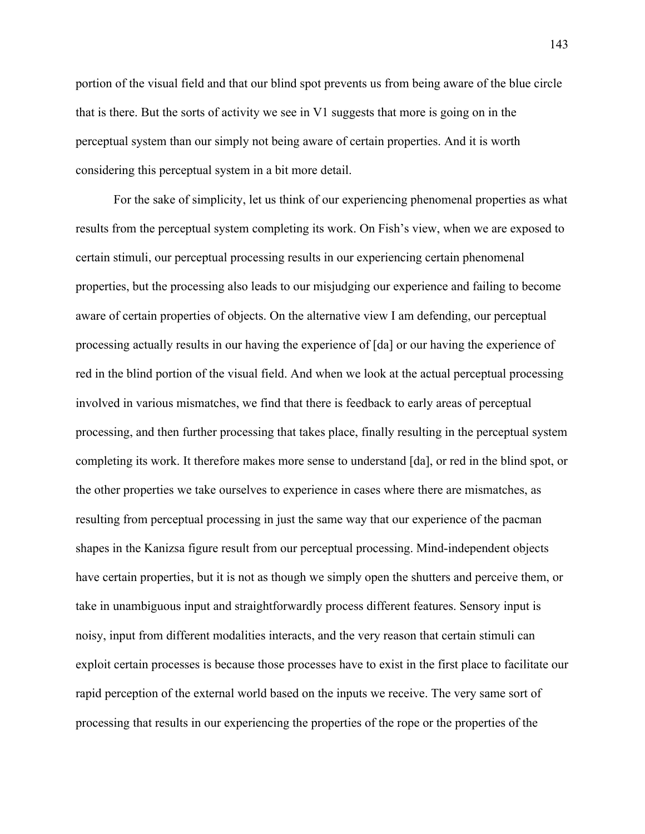portion of the visual field and that our blind spot prevents us from being aware of the blue circle that is there. But the sorts of activity we see in V1 suggests that more is going on in the perceptual system than our simply not being aware of certain properties. And it is worth considering this perceptual system in a bit more detail.

For the sake of simplicity, let us think of our experiencing phenomenal properties as what results from the perceptual system completing its work. On Fish's view, when we are exposed to certain stimuli, our perceptual processing results in our experiencing certain phenomenal properties, but the processing also leads to our misjudging our experience and failing to become aware of certain properties of objects. On the alternative view I am defending, our perceptual processing actually results in our having the experience of [da] or our having the experience of red in the blind portion of the visual field. And when we look at the actual perceptual processing involved in various mismatches, we find that there is feedback to early areas of perceptual processing, and then further processing that takes place, finally resulting in the perceptual system completing its work. It therefore makes more sense to understand [da], or red in the blind spot, or the other properties we take ourselves to experience in cases where there are mismatches, as resulting from perceptual processing in just the same way that our experience of the pacman shapes in the Kanizsa figure result from our perceptual processing. Mind-independent objects have certain properties, but it is not as though we simply open the shutters and perceive them, or take in unambiguous input and straightforwardly process different features. Sensory input is noisy, input from different modalities interacts, and the very reason that certain stimuli can exploit certain processes is because those processes have to exist in the first place to facilitate our rapid perception of the external world based on the inputs we receive. The very same sort of processing that results in our experiencing the properties of the rope or the properties of the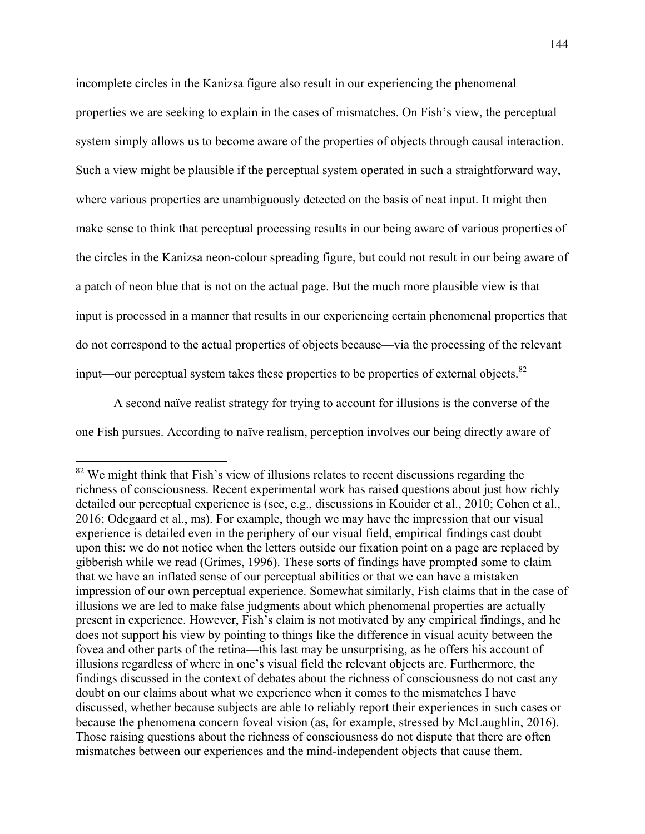incomplete circles in the Kanizsa figure also result in our experiencing the phenomenal properties we are seeking to explain in the cases of mismatches. On Fish's view, the perceptual system simply allows us to become aware of the properties of objects through causal interaction. Such a view might be plausible if the perceptual system operated in such a straightforward way, where various properties are unambiguously detected on the basis of neat input. It might then make sense to think that perceptual processing results in our being aware of various properties of the circles in the Kanizsa neon-colour spreading figure, but could not result in our being aware of a patch of neon blue that is not on the actual page. But the much more plausible view is that input is processed in a manner that results in our experiencing certain phenomenal properties that do not correspond to the actual properties of objects because—via the processing of the relevant input—our perceptual system takes these properties to be properties of external objects. $82$ 

A second naïve realist strategy for trying to account for illusions is the converse of the one Fish pursues. According to naïve realism, perception involves our being directly aware of

<sup>&</sup>lt;sup>82</sup> We might think that Fish's view of illusions relates to recent discussions regarding the richness of consciousness. Recent experimental work has raised questions about just how richly detailed our perceptual experience is (see, e.g., discussions in Kouider et al., 2010; Cohen et al., 2016; Odegaard et al., ms). For example, though we may have the impression that our visual experience is detailed even in the periphery of our visual field, empirical findings cast doubt upon this: we do not notice when the letters outside our fixation point on a page are replaced by gibberish while we read (Grimes, 1996). These sorts of findings have prompted some to claim that we have an inflated sense of our perceptual abilities or that we can have a mistaken impression of our own perceptual experience. Somewhat similarly, Fish claims that in the case of illusions we are led to make false judgments about which phenomenal properties are actually present in experience. However, Fish's claim is not motivated by any empirical findings, and he does not support his view by pointing to things like the difference in visual acuity between the fovea and other parts of the retina—this last may be unsurprising, as he offers his account of illusions regardless of where in one's visual field the relevant objects are. Furthermore, the findings discussed in the context of debates about the richness of consciousness do not cast any doubt on our claims about what we experience when it comes to the mismatches I have discussed, whether because subjects are able to reliably report their experiences in such cases or because the phenomena concern foveal vision (as, for example, stressed by McLaughlin, 2016). Those raising questions about the richness of consciousness do not dispute that there are often mismatches between our experiences and the mind-independent objects that cause them.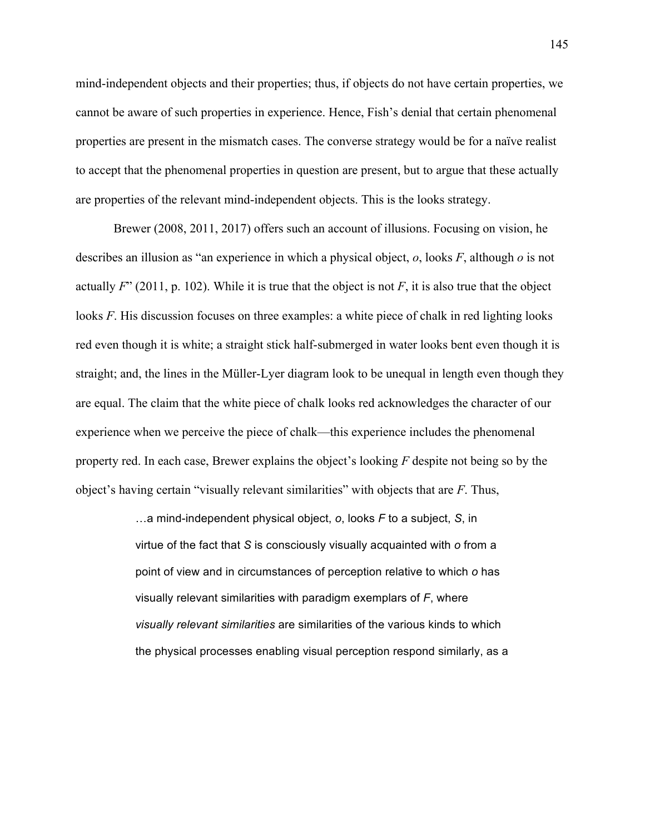mind-independent objects and their properties; thus, if objects do not have certain properties, we cannot be aware of such properties in experience. Hence, Fish's denial that certain phenomenal properties are present in the mismatch cases. The converse strategy would be for a naïve realist to accept that the phenomenal properties in question are present, but to argue that these actually are properties of the relevant mind-independent objects. This is the looks strategy.

Brewer (2008, 2011, 2017) offers such an account of illusions. Focusing on vision, he describes an illusion as "an experience in which a physical object, *o*, looks *F*, although *o* is not actually  $F$ <sup>"</sup> (2011, p. 102). While it is true that the object is not  $F$ , it is also true that the object looks *F*. His discussion focuses on three examples: a white piece of chalk in red lighting looks red even though it is white; a straight stick half-submerged in water looks bent even though it is straight; and, the lines in the Müller-Lyer diagram look to be unequal in length even though they are equal. The claim that the white piece of chalk looks red acknowledges the character of our experience when we perceive the piece of chalk—this experience includes the phenomenal property red. In each case, Brewer explains the object's looking *F* despite not being so by the object's having certain "visually relevant similarities" with objects that are *F*. Thus,

> …a mind-independent physical object, *o*, looks *F* to a subject, *S*, in virtue of the fact that *S* is consciously visually acquainted with *o* from a point of view and in circumstances of perception relative to which *o* has visually relevant similarities with paradigm exemplars of *F*, where *visually relevant similarities* are similarities of the various kinds to which the physical processes enabling visual perception respond similarly, as a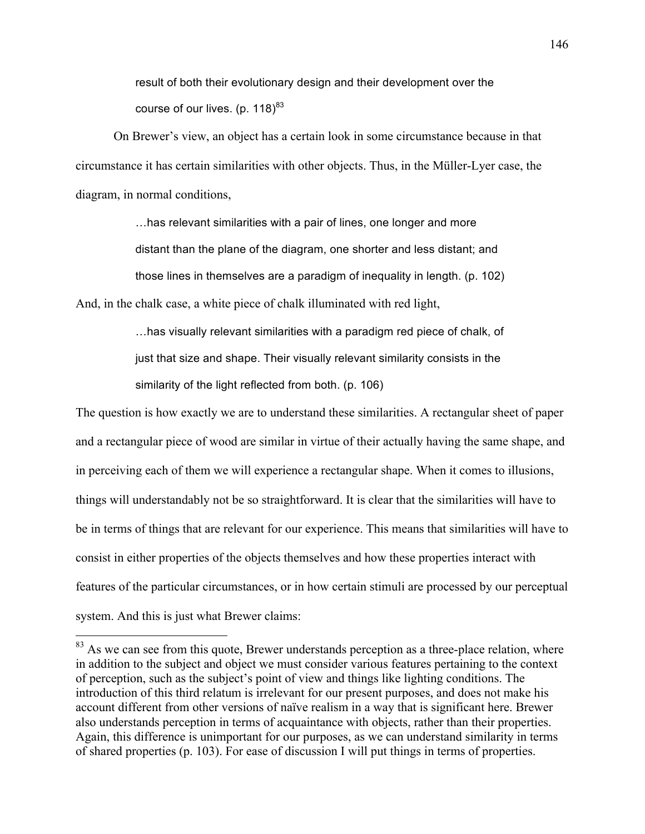result of both their evolutionary design and their development over the course of our lives. (p.  $118)^{83}$ 

On Brewer's view, an object has a certain look in some circumstance because in that circumstance it has certain similarities with other objects. Thus, in the Müller-Lyer case, the diagram, in normal conditions,

> …has relevant similarities with a pair of lines, one longer and more distant than the plane of the diagram, one shorter and less distant; and those lines in themselves are a paradigm of inequality in length. (p. 102)

And, in the chalk case, a white piece of chalk illuminated with red light,

…has visually relevant similarities with a paradigm red piece of chalk, of just that size and shape. Their visually relevant similarity consists in the similarity of the light reflected from both. (p. 106)

The question is how exactly we are to understand these similarities. A rectangular sheet of paper and a rectangular piece of wood are similar in virtue of their actually having the same shape, and in perceiving each of them we will experience a rectangular shape. When it comes to illusions, things will understandably not be so straightforward. It is clear that the similarities will have to be in terms of things that are relevant for our experience. This means that similarities will have to consist in either properties of the objects themselves and how these properties interact with features of the particular circumstances, or in how certain stimuli are processed by our perceptual system. And this is just what Brewer claims:

 $83$  As we can see from this quote, Brewer understands perception as a three-place relation, where in addition to the subject and object we must consider various features pertaining to the context of perception, such as the subject's point of view and things like lighting conditions. The introduction of this third relatum is irrelevant for our present purposes, and does not make his account different from other versions of naïve realism in a way that is significant here. Brewer also understands perception in terms of acquaintance with objects, rather than their properties. Again, this difference is unimportant for our purposes, as we can understand similarity in terms of shared properties (p. 103). For ease of discussion I will put things in terms of properties.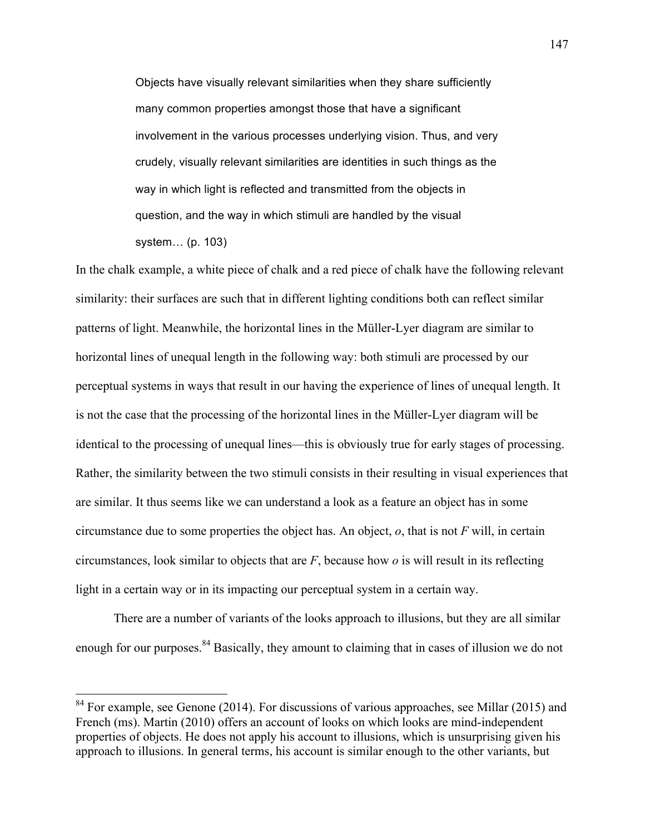Objects have visually relevant similarities when they share sufficiently many common properties amongst those that have a significant involvement in the various processes underlying vision. Thus, and very crudely, visually relevant similarities are identities in such things as the way in which light is reflected and transmitted from the objects in question, and the way in which stimuli are handled by the visual system… (p. 103)

In the chalk example, a white piece of chalk and a red piece of chalk have the following relevant similarity: their surfaces are such that in different lighting conditions both can reflect similar patterns of light. Meanwhile, the horizontal lines in the Müller-Lyer diagram are similar to horizontal lines of unequal length in the following way: both stimuli are processed by our perceptual systems in ways that result in our having the experience of lines of unequal length. It is not the case that the processing of the horizontal lines in the Müller-Lyer diagram will be identical to the processing of unequal lines—this is obviously true for early stages of processing. Rather, the similarity between the two stimuli consists in their resulting in visual experiences that are similar. It thus seems like we can understand a look as a feature an object has in some circumstance due to some properties the object has. An object, *o*, that is not *F* will, in certain circumstances, look similar to objects that are *F*, because how *o* is will result in its reflecting light in a certain way or in its impacting our perceptual system in a certain way.

There are a number of variants of the looks approach to illusions, but they are all similar enough for our purposes.<sup>84</sup> Basically, they amount to claiming that in cases of illusion we do not

 $84$  For example, see Genone (2014). For discussions of various approaches, see Millar (2015) and French (ms). Martin (2010) offers an account of looks on which looks are mind-independent properties of objects. He does not apply his account to illusions, which is unsurprising given his approach to illusions. In general terms, his account is similar enough to the other variants, but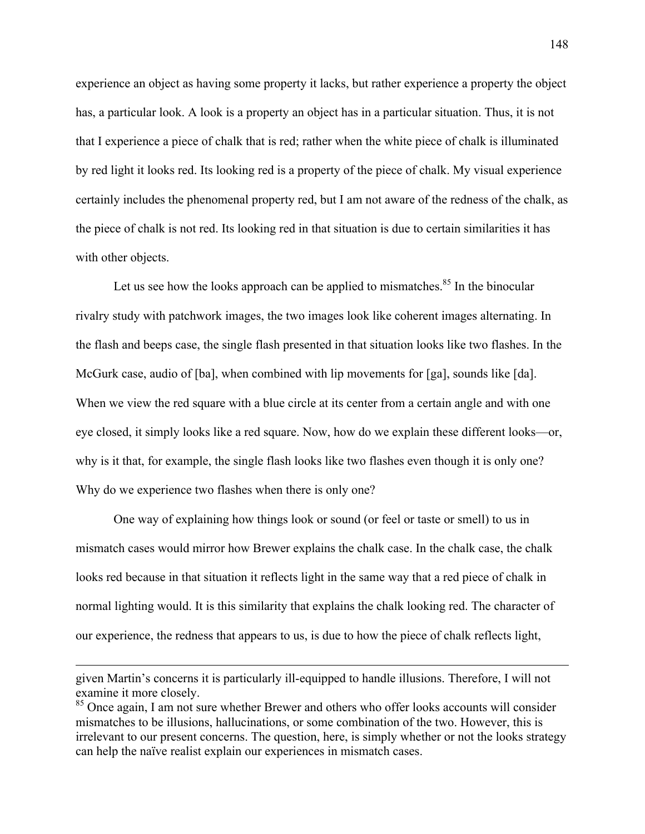experience an object as having some property it lacks, but rather experience a property the object has, a particular look. A look is a property an object has in a particular situation. Thus, it is not that I experience a piece of chalk that is red; rather when the white piece of chalk is illuminated by red light it looks red. Its looking red is a property of the piece of chalk. My visual experience certainly includes the phenomenal property red, but I am not aware of the redness of the chalk, as the piece of chalk is not red. Its looking red in that situation is due to certain similarities it has with other objects.

Let us see how the looks approach can be applied to mismatches.<sup>85</sup> In the binocular rivalry study with patchwork images, the two images look like coherent images alternating. In the flash and beeps case, the single flash presented in that situation looks like two flashes. In the McGurk case, audio of [ba], when combined with lip movements for [ga], sounds like [da]. When we view the red square with a blue circle at its center from a certain angle and with one eye closed, it simply looks like a red square. Now, how do we explain these different looks—or, why is it that, for example, the single flash looks like two flashes even though it is only one? Why do we experience two flashes when there is only one?

One way of explaining how things look or sound (or feel or taste or smell) to us in mismatch cases would mirror how Brewer explains the chalk case. In the chalk case, the chalk looks red because in that situation it reflects light in the same way that a red piece of chalk in normal lighting would. It is this similarity that explains the chalk looking red. The character of our experience, the redness that appears to us, is due to how the piece of chalk reflects light,

<u> 1989 - Andrea Santa Alemania, amerikana amerikana amerikana amerikana amerikana amerikana amerikana amerikana</u>

given Martin's concerns it is particularly ill-equipped to handle illusions. Therefore, I will not examine it more closely.

<sup>&</sup>lt;sup>85</sup> Once again, I am not sure whether Brewer and others who offer looks accounts will consider mismatches to be illusions, hallucinations, or some combination of the two. However, this is irrelevant to our present concerns. The question, here, is simply whether or not the looks strategy can help the naïve realist explain our experiences in mismatch cases.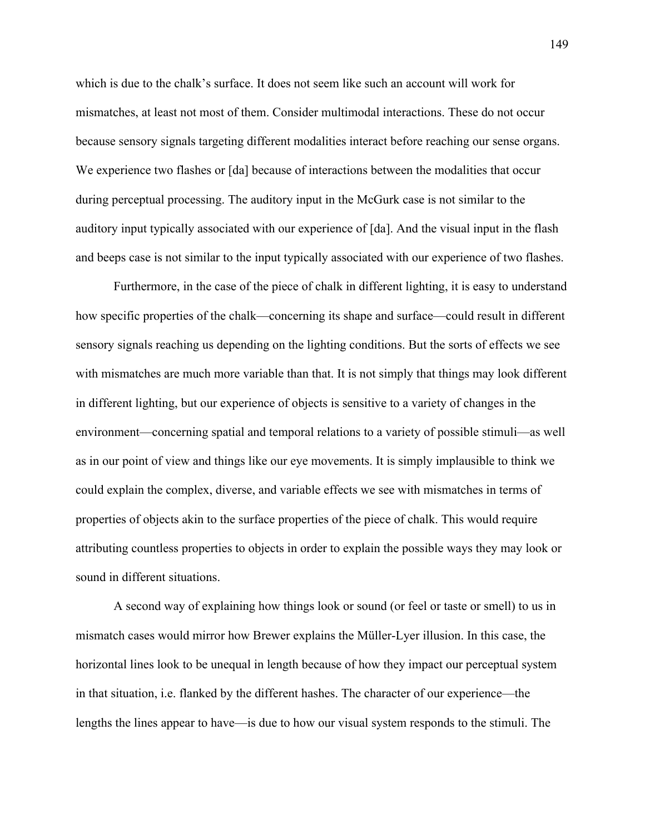which is due to the chalk's surface. It does not seem like such an account will work for mismatches, at least not most of them. Consider multimodal interactions. These do not occur because sensory signals targeting different modalities interact before reaching our sense organs. We experience two flashes or  $\lceil da \rceil$  because of interactions between the modalities that occur during perceptual processing. The auditory input in the McGurk case is not similar to the auditory input typically associated with our experience of [da]. And the visual input in the flash and beeps case is not similar to the input typically associated with our experience of two flashes.

Furthermore, in the case of the piece of chalk in different lighting, it is easy to understand how specific properties of the chalk—concerning its shape and surface—could result in different sensory signals reaching us depending on the lighting conditions. But the sorts of effects we see with mismatches are much more variable than that. It is not simply that things may look different in different lighting, but our experience of objects is sensitive to a variety of changes in the environment—concerning spatial and temporal relations to a variety of possible stimuli—as well as in our point of view and things like our eye movements. It is simply implausible to think we could explain the complex, diverse, and variable effects we see with mismatches in terms of properties of objects akin to the surface properties of the piece of chalk. This would require attributing countless properties to objects in order to explain the possible ways they may look or sound in different situations.

A second way of explaining how things look or sound (or feel or taste or smell) to us in mismatch cases would mirror how Brewer explains the Müller-Lyer illusion. In this case, the horizontal lines look to be unequal in length because of how they impact our perceptual system in that situation, i.e. flanked by the different hashes. The character of our experience—the lengths the lines appear to have—is due to how our visual system responds to the stimuli. The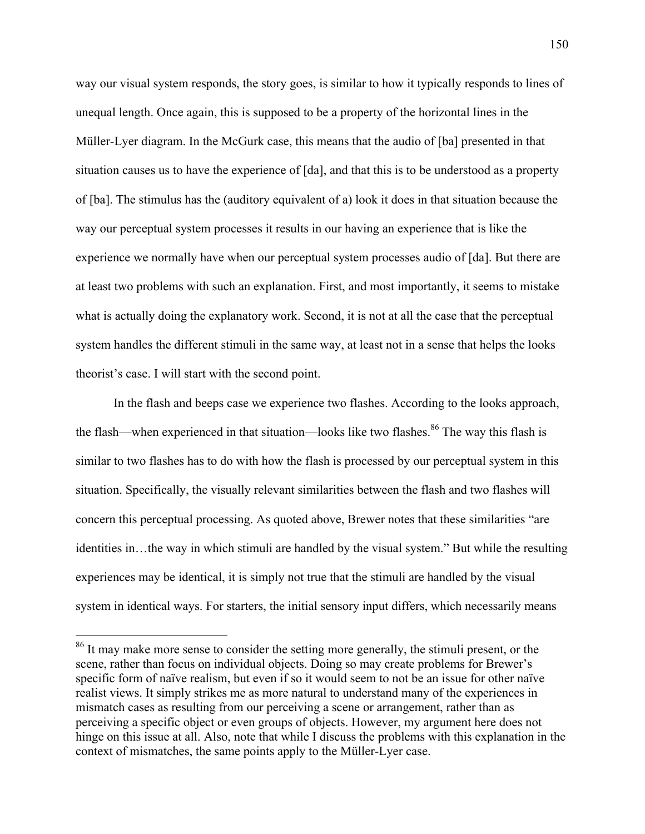way our visual system responds, the story goes, is similar to how it typically responds to lines of unequal length. Once again, this is supposed to be a property of the horizontal lines in the Müller-Lyer diagram. In the McGurk case, this means that the audio of [ba] presented in that situation causes us to have the experience of [da], and that this is to be understood as a property of [ba]. The stimulus has the (auditory equivalent of a) look it does in that situation because the way our perceptual system processes it results in our having an experience that is like the experience we normally have when our perceptual system processes audio of [da]. But there are at least two problems with such an explanation. First, and most importantly, it seems to mistake what is actually doing the explanatory work. Second, it is not at all the case that the perceptual system handles the different stimuli in the same way, at least not in a sense that helps the looks theorist's case. I will start with the second point.

In the flash and beeps case we experience two flashes. According to the looks approach, the flash—when experienced in that situation—looks like two flashes.<sup>86</sup> The way this flash is similar to two flashes has to do with how the flash is processed by our perceptual system in this situation. Specifically, the visually relevant similarities between the flash and two flashes will concern this perceptual processing. As quoted above, Brewer notes that these similarities "are identities in…the way in which stimuli are handled by the visual system." But while the resulting experiences may be identical, it is simply not true that the stimuli are handled by the visual system in identical ways. For starters, the initial sensory input differs, which necessarily means

<sup>&</sup>lt;sup>86</sup> It may make more sense to consider the setting more generally, the stimuli present, or the scene, rather than focus on individual objects. Doing so may create problems for Brewer's specific form of naïve realism, but even if so it would seem to not be an issue for other naïve realist views. It simply strikes me as more natural to understand many of the experiences in mismatch cases as resulting from our perceiving a scene or arrangement, rather than as perceiving a specific object or even groups of objects. However, my argument here does not hinge on this issue at all. Also, note that while I discuss the problems with this explanation in the context of mismatches, the same points apply to the Müller-Lyer case.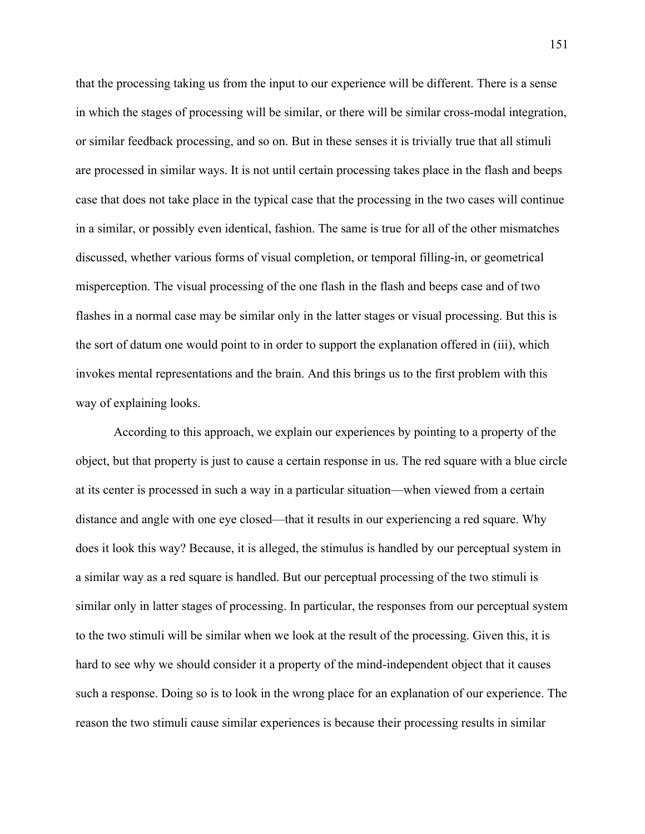that the processing taking us from the input to our experience will be different. There is a sense in which the stages of processing will be similar, or there will be similar cross-modal integration, or similar feedback processing, and so on. But in these senses it is trivially true that all stimuli are processed in similar ways. It is not until certain processing takes place in the flash and beeps case that does not take place in the typical case that the processing in the two cases will continue in a similar, or possibly even identical, fashion. The same is true for all of the other mismatches discussed, whether various forms of visual completion, or temporal filling-in, or geometrical misperception. The visual processing of the one flash in the flash and beeps case and of two flashes in a normal case may be similar only in the latter stages or visual processing. But this is the sort of datum one would point to in order to support the explanation offered in (iii), which invokes mental representations and the brain. And this brings us to the first problem with this way of explaining looks.

According to this approach, we explain our experiences by pointing to a property of the object, but that property is just to cause a certain response in us. The red square with a blue circle at its center is processed in such a way in a particular situation—when viewed from a certain distance and angle with one eye closed—that it results in our experiencing a red square. Why does it look this way? Because, it is alleged, the stimulus is handled by our perceptual system in a similar way as a red square is handled. But our perceptual processing of the two stimuli is similar only in latter stages of processing. In particular, the responses from our perceptual system to the two stimuli will be similar when we look at the result of the processing. Given this, it is hard to see why we should consider it a property of the mind-independent object that it causes such a response. Doing so is to look in the wrong place for an explanation of our experience. The reason the two stimuli cause similar experiences is because their processing results in similar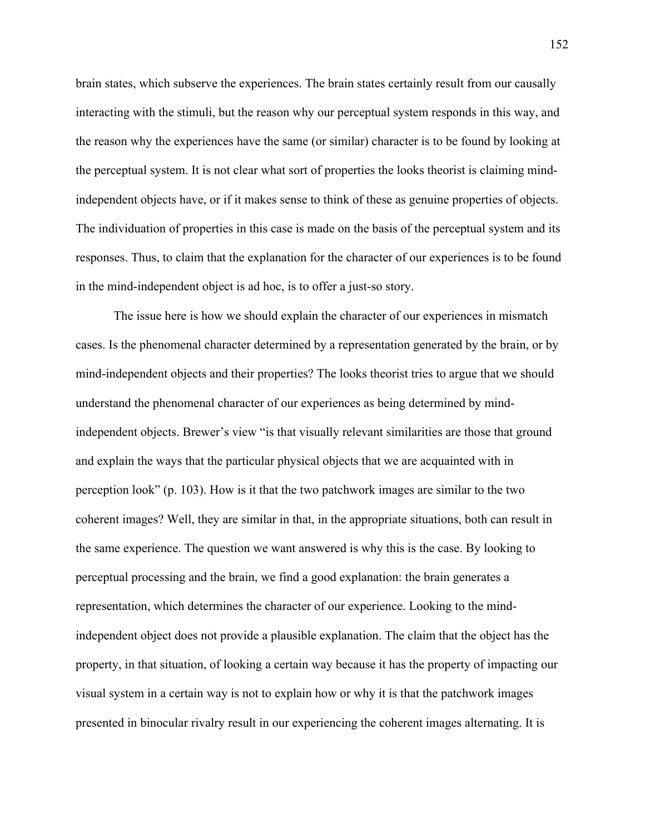brain states, which subserve the experiences. The brain states certainly result from our causally interacting with the stimuli, but the reason why our perceptual system responds in this way, and the reason why the experiences have the same (or similar) character is to be found by looking at the perceptual system. It is not clear what sort of properties the looks theorist is claiming mindindependent objects have, or if it makes sense to think of these as genuine properties of objects. The individuation of properties in this case is made on the basis of the perceptual system and its responses. Thus, to claim that the explanation for the character of our experiences is to be found in the mind-independent object is ad hoc, is to offer a just-so story.

The issue here is how we should explain the character of our experiences in mismatch cases. Is the phenomenal character determined by a representation generated by the brain, or by mind-independent objects and their properties? The looks theorist tries to argue that we should understand the phenomenal character of our experiences as being determined by mindindependent objects. Brewer's view "is that visually relevant similarities are those that ground and explain the ways that the particular physical objects that we are acquainted with in perception look" (p. 103). How is it that the two patchwork images are similar to the two coherent images? Well, they are similar in that, in the appropriate situations, both can result in the same experience. The question we want answered is why this is the case. By looking to perceptual processing and the brain, we find a good explanation: the brain generates a representation, which determines the character of our experience. Looking to the mindindependent object does not provide a plausible explanation. The claim that the object has the property, in that situation, of looking a certain way because it has the property of impacting our visual system in a certain way is not to explain how or why it is that the patchwork images presented in binocular rivalry result in our experiencing the coherent images alternating. It is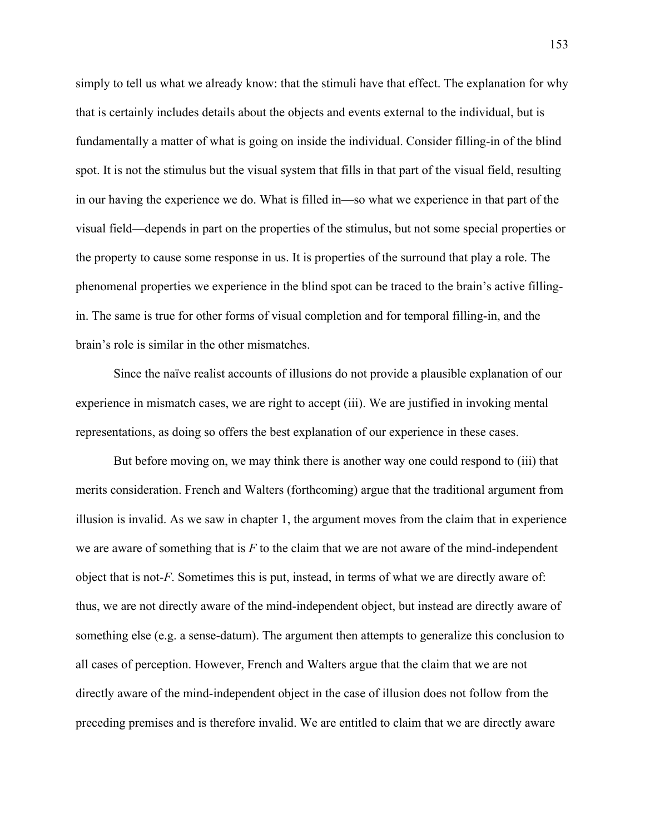simply to tell us what we already know: that the stimuli have that effect. The explanation for why that is certainly includes details about the objects and events external to the individual, but is fundamentally a matter of what is going on inside the individual. Consider filling-in of the blind spot. It is not the stimulus but the visual system that fills in that part of the visual field, resulting in our having the experience we do. What is filled in—so what we experience in that part of the visual field—depends in part on the properties of the stimulus, but not some special properties or the property to cause some response in us. It is properties of the surround that play a role. The phenomenal properties we experience in the blind spot can be traced to the brain's active fillingin. The same is true for other forms of visual completion and for temporal filling-in, and the brain's role is similar in the other mismatches.

Since the naïve realist accounts of illusions do not provide a plausible explanation of our experience in mismatch cases, we are right to accept (iii). We are justified in invoking mental representations, as doing so offers the best explanation of our experience in these cases.

But before moving on, we may think there is another way one could respond to (iii) that merits consideration. French and Walters (forthcoming) argue that the traditional argument from illusion is invalid. As we saw in chapter 1, the argument moves from the claim that in experience we are aware of something that is *F* to the claim that we are not aware of the mind-independent object that is not-*F*. Sometimes this is put, instead, in terms of what we are directly aware of: thus, we are not directly aware of the mind-independent object, but instead are directly aware of something else (e.g. a sense-datum). The argument then attempts to generalize this conclusion to all cases of perception. However, French and Walters argue that the claim that we are not directly aware of the mind-independent object in the case of illusion does not follow from the preceding premises and is therefore invalid. We are entitled to claim that we are directly aware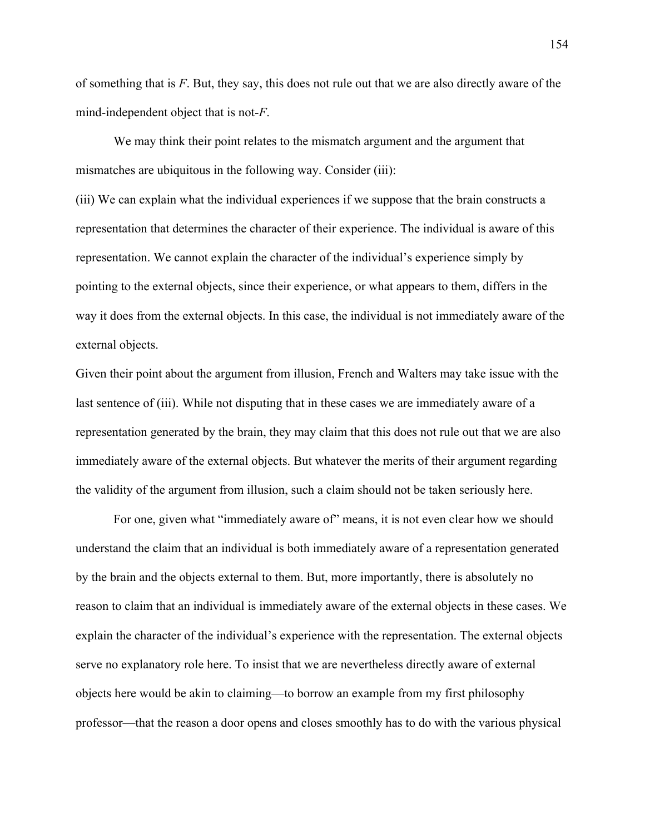of something that is *F*. But, they say, this does not rule out that we are also directly aware of the mind-independent object that is not-*F*.

We may think their point relates to the mismatch argument and the argument that mismatches are ubiquitous in the following way. Consider (iii):

(iii) We can explain what the individual experiences if we suppose that the brain constructs a representation that determines the character of their experience. The individual is aware of this representation. We cannot explain the character of the individual's experience simply by pointing to the external objects, since their experience, or what appears to them, differs in the way it does from the external objects. In this case, the individual is not immediately aware of the external objects.

Given their point about the argument from illusion, French and Walters may take issue with the last sentence of (iii). While not disputing that in these cases we are immediately aware of a representation generated by the brain, they may claim that this does not rule out that we are also immediately aware of the external objects. But whatever the merits of their argument regarding the validity of the argument from illusion, such a claim should not be taken seriously here.

For one, given what "immediately aware of" means, it is not even clear how we should understand the claim that an individual is both immediately aware of a representation generated by the brain and the objects external to them. But, more importantly, there is absolutely no reason to claim that an individual is immediately aware of the external objects in these cases. We explain the character of the individual's experience with the representation. The external objects serve no explanatory role here. To insist that we are nevertheless directly aware of external objects here would be akin to claiming—to borrow an example from my first philosophy professor—that the reason a door opens and closes smoothly has to do with the various physical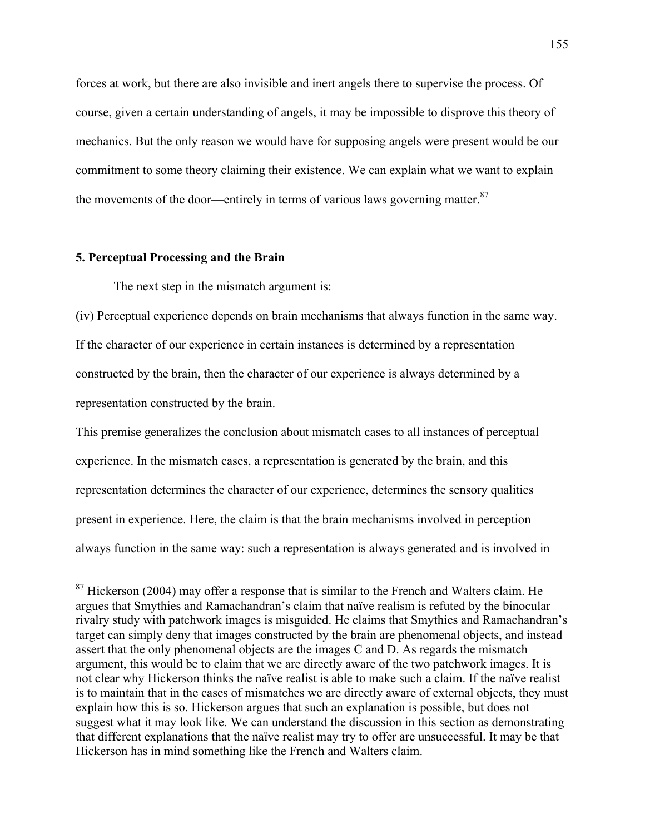forces at work, but there are also invisible and inert angels there to supervise the process. Of course, given a certain understanding of angels, it may be impossible to disprove this theory of mechanics. But the only reason we would have for supposing angels were present would be our commitment to some theory claiming their existence. We can explain what we want to explain the movements of the door—entirely in terms of various laws governing matter. $87$ 

## **5. Perceptual Processing and the Brain**

The next step in the mismatch argument is:

(iv) Perceptual experience depends on brain mechanisms that always function in the same way. If the character of our experience in certain instances is determined by a representation constructed by the brain, then the character of our experience is always determined by a representation constructed by the brain.

This premise generalizes the conclusion about mismatch cases to all instances of perceptual experience. In the mismatch cases, a representation is generated by the brain, and this representation determines the character of our experience, determines the sensory qualities present in experience. Here, the claim is that the brain mechanisms involved in perception always function in the same way: such a representation is always generated and is involved in

 $87$  Hickerson (2004) may offer a response that is similar to the French and Walters claim. He argues that Smythies and Ramachandran's claim that naïve realism is refuted by the binocular rivalry study with patchwork images is misguided. He claims that Smythies and Ramachandran's target can simply deny that images constructed by the brain are phenomenal objects, and instead assert that the only phenomenal objects are the images C and D. As regards the mismatch argument, this would be to claim that we are directly aware of the two patchwork images. It is not clear why Hickerson thinks the naïve realist is able to make such a claim. If the naïve realist is to maintain that in the cases of mismatches we are directly aware of external objects, they must explain how this is so. Hickerson argues that such an explanation is possible, but does not suggest what it may look like. We can understand the discussion in this section as demonstrating that different explanations that the naïve realist may try to offer are unsuccessful. It may be that Hickerson has in mind something like the French and Walters claim.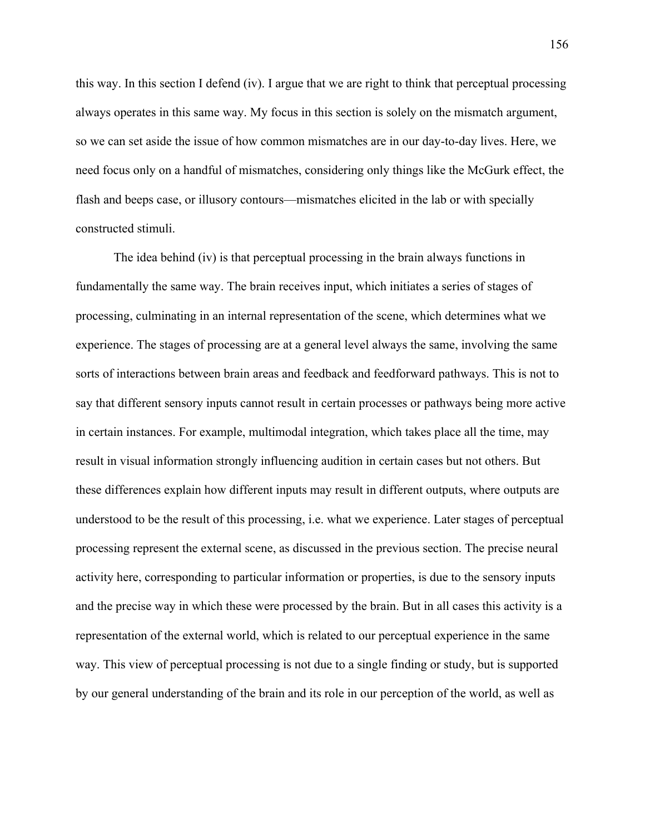this way. In this section I defend (iv). I argue that we are right to think that perceptual processing always operates in this same way. My focus in this section is solely on the mismatch argument, so we can set aside the issue of how common mismatches are in our day-to-day lives. Here, we need focus only on a handful of mismatches, considering only things like the McGurk effect, the flash and beeps case, or illusory contours—mismatches elicited in the lab or with specially constructed stimuli.

The idea behind (iv) is that perceptual processing in the brain always functions in fundamentally the same way. The brain receives input, which initiates a series of stages of processing, culminating in an internal representation of the scene, which determines what we experience. The stages of processing are at a general level always the same, involving the same sorts of interactions between brain areas and feedback and feedforward pathways. This is not to say that different sensory inputs cannot result in certain processes or pathways being more active in certain instances. For example, multimodal integration, which takes place all the time, may result in visual information strongly influencing audition in certain cases but not others. But these differences explain how different inputs may result in different outputs, where outputs are understood to be the result of this processing, i.e. what we experience. Later stages of perceptual processing represent the external scene, as discussed in the previous section. The precise neural activity here, corresponding to particular information or properties, is due to the sensory inputs and the precise way in which these were processed by the brain. But in all cases this activity is a representation of the external world, which is related to our perceptual experience in the same way. This view of perceptual processing is not due to a single finding or study, but is supported by our general understanding of the brain and its role in our perception of the world, as well as

156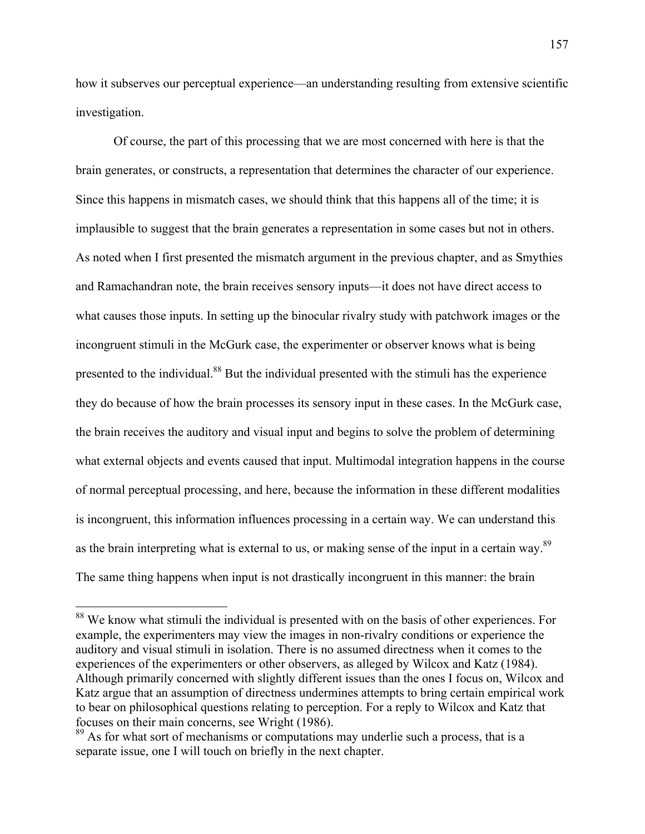how it subserves our perceptual experience—an understanding resulting from extensive scientific investigation.

Of course, the part of this processing that we are most concerned with here is that the brain generates, or constructs, a representation that determines the character of our experience. Since this happens in mismatch cases, we should think that this happens all of the time; it is implausible to suggest that the brain generates a representation in some cases but not in others. As noted when I first presented the mismatch argument in the previous chapter, and as Smythies and Ramachandran note, the brain receives sensory inputs—it does not have direct access to what causes those inputs. In setting up the binocular rivalry study with patchwork images or the incongruent stimuli in the McGurk case, the experimenter or observer knows what is being presented to the individual.88 But the individual presented with the stimuli has the experience they do because of how the brain processes its sensory input in these cases. In the McGurk case, the brain receives the auditory and visual input and begins to solve the problem of determining what external objects and events caused that input. Multimodal integration happens in the course of normal perceptual processing, and here, because the information in these different modalities is incongruent, this information influences processing in a certain way. We can understand this as the brain interpreting what is external to us, or making sense of the input in a certain way.<sup>89</sup> The same thing happens when input is not drastically incongruent in this manner: the brain

<sup>&</sup>lt;sup>88</sup> We know what stimuli the individual is presented with on the basis of other experiences. For example, the experimenters may view the images in non-rivalry conditions or experience the auditory and visual stimuli in isolation. There is no assumed directness when it comes to the experiences of the experimenters or other observers, as alleged by Wilcox and Katz (1984). Although primarily concerned with slightly different issues than the ones I focus on, Wilcox and Katz argue that an assumption of directness undermines attempts to bring certain empirical work to bear on philosophical questions relating to perception. For a reply to Wilcox and Katz that focuses on their main concerns, see Wright (1986).

<sup>&</sup>lt;sup>89</sup> As for what sort of mechanisms or computations may underlie such a process, that is a separate issue, one I will touch on briefly in the next chapter.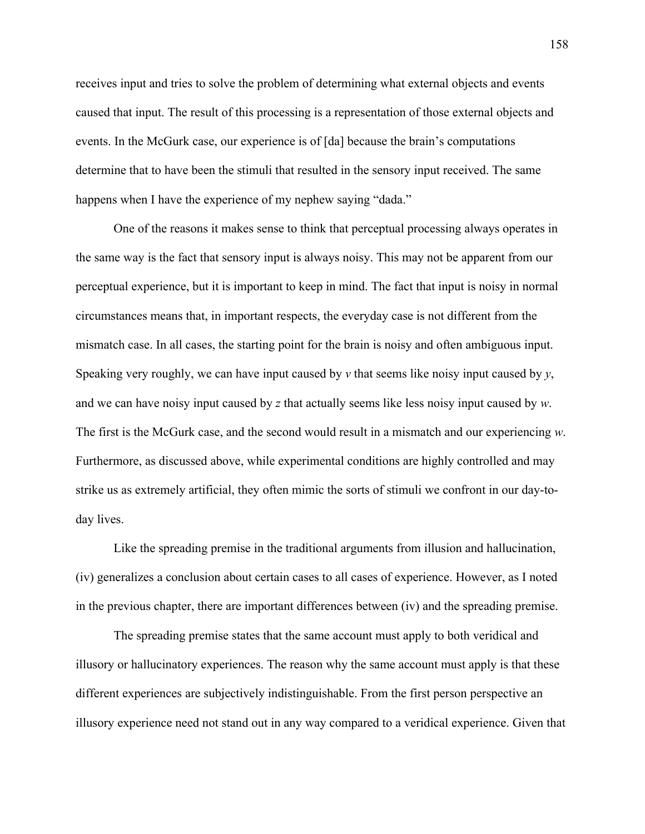receives input and tries to solve the problem of determining what external objects and events caused that input. The result of this processing is a representation of those external objects and events. In the McGurk case, our experience is of [da] because the brain's computations determine that to have been the stimuli that resulted in the sensory input received. The same happens when I have the experience of my nephew saying "dada."

One of the reasons it makes sense to think that perceptual processing always operates in the same way is the fact that sensory input is always noisy. This may not be apparent from our perceptual experience, but it is important to keep in mind. The fact that input is noisy in normal circumstances means that, in important respects, the everyday case is not different from the mismatch case. In all cases, the starting point for the brain is noisy and often ambiguous input. Speaking very roughly, we can have input caused by *v* that seems like noisy input caused by *y*, and we can have noisy input caused by *z* that actually seems like less noisy input caused by *w*. The first is the McGurk case, and the second would result in a mismatch and our experiencing *w*. Furthermore, as discussed above, while experimental conditions are highly controlled and may strike us as extremely artificial, they often mimic the sorts of stimuli we confront in our day-today lives.

Like the spreading premise in the traditional arguments from illusion and hallucination, (iv) generalizes a conclusion about certain cases to all cases of experience. However, as I noted in the previous chapter, there are important differences between (iv) and the spreading premise.

The spreading premise states that the same account must apply to both veridical and illusory or hallucinatory experiences. The reason why the same account must apply is that these different experiences are subjectively indistinguishable. From the first person perspective an illusory experience need not stand out in any way compared to a veridical experience. Given that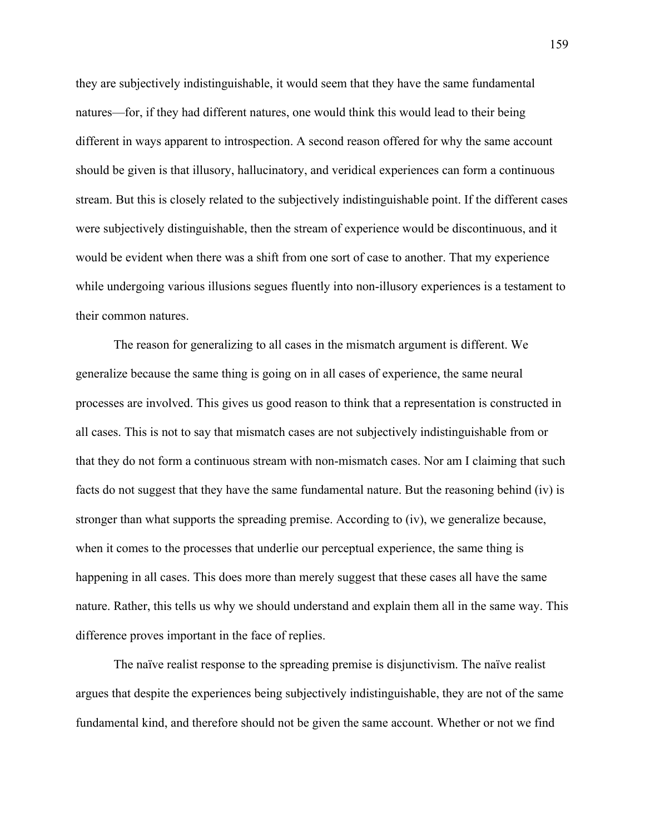they are subjectively indistinguishable, it would seem that they have the same fundamental natures—for, if they had different natures, one would think this would lead to their being different in ways apparent to introspection. A second reason offered for why the same account should be given is that illusory, hallucinatory, and veridical experiences can form a continuous stream. But this is closely related to the subjectively indistinguishable point. If the different cases were subjectively distinguishable, then the stream of experience would be discontinuous, and it would be evident when there was a shift from one sort of case to another. That my experience while undergoing various illusions segues fluently into non-illusory experiences is a testament to their common natures.

The reason for generalizing to all cases in the mismatch argument is different. We generalize because the same thing is going on in all cases of experience, the same neural processes are involved. This gives us good reason to think that a representation is constructed in all cases. This is not to say that mismatch cases are not subjectively indistinguishable from or that they do not form a continuous stream with non-mismatch cases. Nor am I claiming that such facts do not suggest that they have the same fundamental nature. But the reasoning behind (iv) is stronger than what supports the spreading premise. According to (iv), we generalize because, when it comes to the processes that underlie our perceptual experience, the same thing is happening in all cases. This does more than merely suggest that these cases all have the same nature. Rather, this tells us why we should understand and explain them all in the same way. This difference proves important in the face of replies.

The naïve realist response to the spreading premise is disjunctivism. The naïve realist argues that despite the experiences being subjectively indistinguishable, they are not of the same fundamental kind, and therefore should not be given the same account. Whether or not we find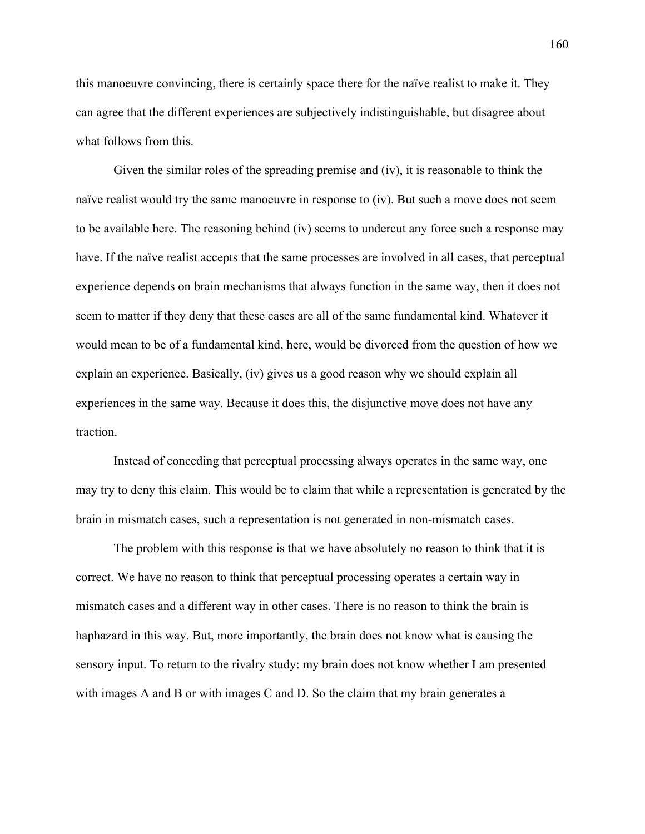this manoeuvre convincing, there is certainly space there for the naïve realist to make it. They can agree that the different experiences are subjectively indistinguishable, but disagree about what follows from this.

Given the similar roles of the spreading premise and (iv), it is reasonable to think the naïve realist would try the same manoeuvre in response to (iv). But such a move does not seem to be available here. The reasoning behind (iv) seems to undercut any force such a response may have. If the naïve realist accepts that the same processes are involved in all cases, that perceptual experience depends on brain mechanisms that always function in the same way, then it does not seem to matter if they deny that these cases are all of the same fundamental kind. Whatever it would mean to be of a fundamental kind, here, would be divorced from the question of how we explain an experience. Basically, (iv) gives us a good reason why we should explain all experiences in the same way. Because it does this, the disjunctive move does not have any traction.

Instead of conceding that perceptual processing always operates in the same way, one may try to deny this claim. This would be to claim that while a representation is generated by the brain in mismatch cases, such a representation is not generated in non-mismatch cases.

The problem with this response is that we have absolutely no reason to think that it is correct. We have no reason to think that perceptual processing operates a certain way in mismatch cases and a different way in other cases. There is no reason to think the brain is haphazard in this way. But, more importantly, the brain does not know what is causing the sensory input. To return to the rivalry study: my brain does not know whether I am presented with images A and B or with images C and D. So the claim that my brain generates a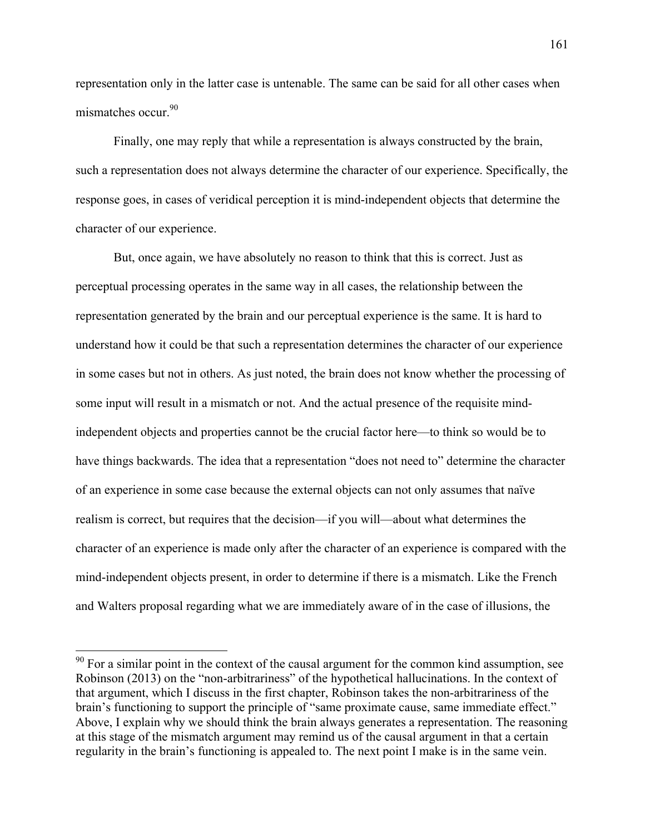representation only in the latter case is untenable. The same can be said for all other cases when mismatches occur<sup>90</sup>

Finally, one may reply that while a representation is always constructed by the brain, such a representation does not always determine the character of our experience. Specifically, the response goes, in cases of veridical perception it is mind-independent objects that determine the character of our experience.

But, once again, we have absolutely no reason to think that this is correct. Just as perceptual processing operates in the same way in all cases, the relationship between the representation generated by the brain and our perceptual experience is the same. It is hard to understand how it could be that such a representation determines the character of our experience in some cases but not in others. As just noted, the brain does not know whether the processing of some input will result in a mismatch or not. And the actual presence of the requisite mindindependent objects and properties cannot be the crucial factor here—to think so would be to have things backwards. The idea that a representation "does not need to" determine the character of an experience in some case because the external objects can not only assumes that naïve realism is correct, but requires that the decision—if you will—about what determines the character of an experience is made only after the character of an experience is compared with the mind-independent objects present, in order to determine if there is a mismatch. Like the French and Walters proposal regarding what we are immediately aware of in the case of illusions, the

 $90$  For a similar point in the context of the causal argument for the common kind assumption, see Robinson (2013) on the "non-arbitrariness" of the hypothetical hallucinations. In the context of that argument, which I discuss in the first chapter, Robinson takes the non-arbitrariness of the brain's functioning to support the principle of "same proximate cause, same immediate effect." Above, I explain why we should think the brain always generates a representation. The reasoning at this stage of the mismatch argument may remind us of the causal argument in that a certain regularity in the brain's functioning is appealed to. The next point I make is in the same vein.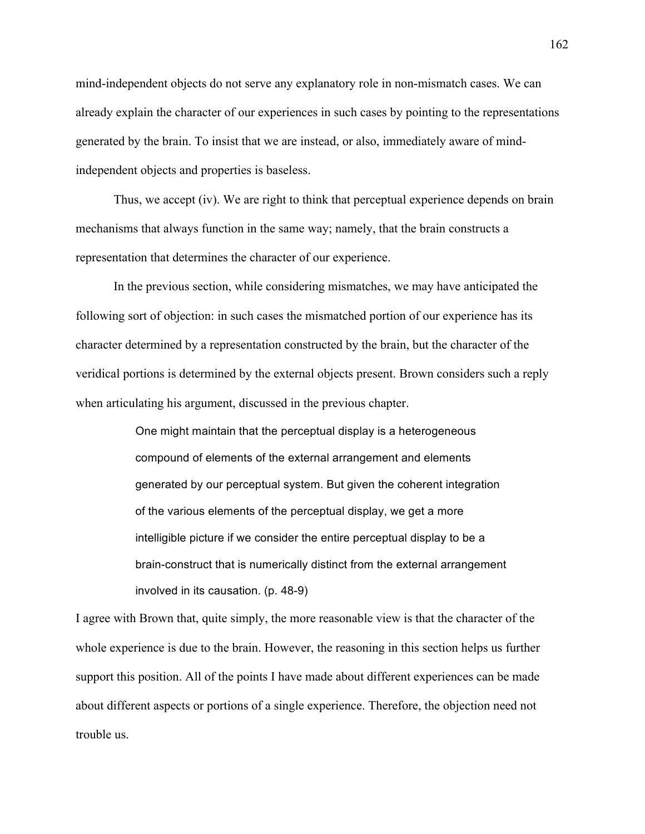mind-independent objects do not serve any explanatory role in non-mismatch cases. We can already explain the character of our experiences in such cases by pointing to the representations generated by the brain. To insist that we are instead, or also, immediately aware of mindindependent objects and properties is baseless.

Thus, we accept (iv). We are right to think that perceptual experience depends on brain mechanisms that always function in the same way; namely, that the brain constructs a representation that determines the character of our experience.

In the previous section, while considering mismatches, we may have anticipated the following sort of objection: in such cases the mismatched portion of our experience has its character determined by a representation constructed by the brain, but the character of the veridical portions is determined by the external objects present. Brown considers such a reply when articulating his argument, discussed in the previous chapter.

> One might maintain that the perceptual display is a heterogeneous compound of elements of the external arrangement and elements generated by our perceptual system. But given the coherent integration of the various elements of the perceptual display, we get a more intelligible picture if we consider the entire perceptual display to be a brain-construct that is numerically distinct from the external arrangement involved in its causation. (p. 48-9)

I agree with Brown that, quite simply, the more reasonable view is that the character of the whole experience is due to the brain. However, the reasoning in this section helps us further support this position. All of the points I have made about different experiences can be made about different aspects or portions of a single experience. Therefore, the objection need not trouble us.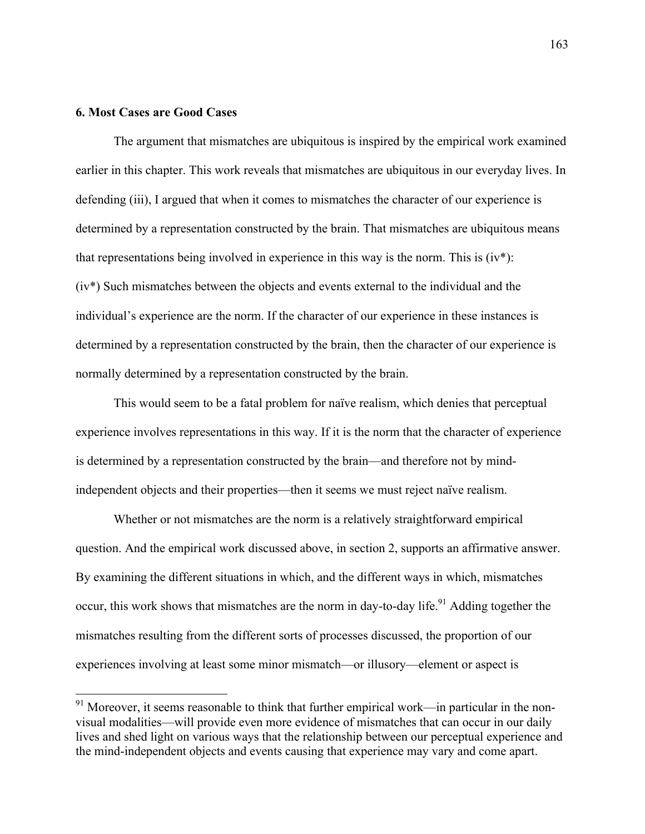## **6. Most Cases are Good Cases**

The argument that mismatches are ubiquitous is inspired by the empirical work examined earlier in this chapter. This work reveals that mismatches are ubiquitous in our everyday lives. In defending (iii), I argued that when it comes to mismatches the character of our experience is determined by a representation constructed by the brain. That mismatches are ubiquitous means that representations being involved in experience in this way is the norm. This is (iv\*): (iv\*) Such mismatches between the objects and events external to the individual and the individual's experience are the norm. If the character of our experience in these instances is determined by a representation constructed by the brain, then the character of our experience is normally determined by a representation constructed by the brain.

This would seem to be a fatal problem for naïve realism, which denies that perceptual experience involves representations in this way. If it is the norm that the character of experience is determined by a representation constructed by the brain—and therefore not by mindindependent objects and their properties—then it seems we must reject naïve realism.

Whether or not mismatches are the norm is a relatively straightforward empirical question. And the empirical work discussed above, in section 2, supports an affirmative answer. By examining the different situations in which, and the different ways in which, mismatches occur, this work shows that mismatches are the norm in day-to-day life.<sup>91</sup> Adding together the mismatches resulting from the different sorts of processes discussed, the proportion of our experiences involving at least some minor mismatch—or illusory—element or aspect is

 $91$  Moreover, it seems reasonable to think that further empirical work—in particular in the nonvisual modalities—will provide even more evidence of mismatches that can occur in our daily lives and shed light on various ways that the relationship between our perceptual experience and the mind-independent objects and events causing that experience may vary and come apart.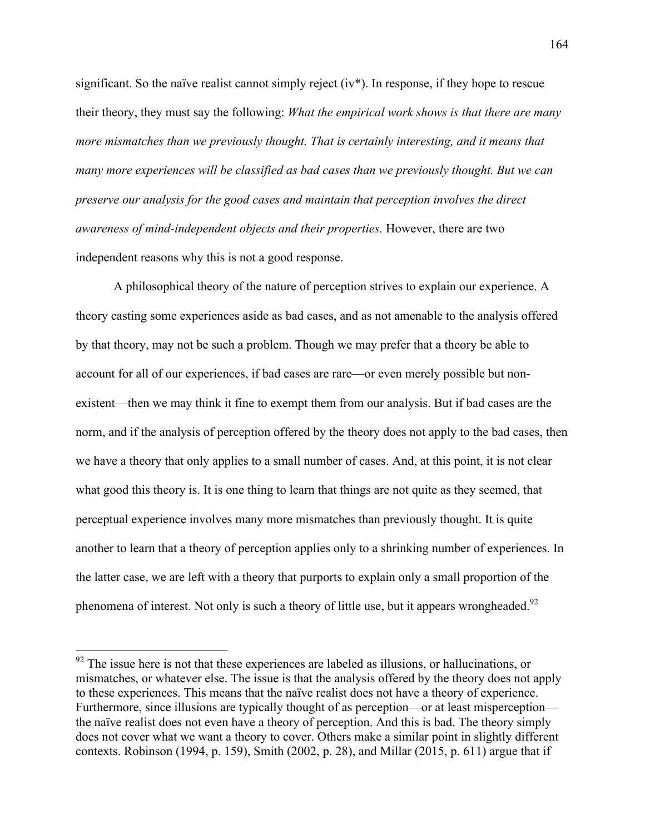significant. So the naïve realist cannot simply reject (iv\*). In response, if they hope to rescue their theory, they must say the following: *What the empirical work shows is that there are many more mismatches than we previously thought. That is certainly interesting, and it means that many more experiences will be classified as bad cases than we previously thought. But we can preserve our analysis for the good cases and maintain that perception involves the direct awareness of mind-independent objects and their properties.* However, there are two independent reasons why this is not a good response.

A philosophical theory of the nature of perception strives to explain our experience. A theory casting some experiences aside as bad cases, and as not amenable to the analysis offered by that theory, may not be such a problem. Though we may prefer that a theory be able to account for all of our experiences, if bad cases are rare—or even merely possible but nonexistent—then we may think it fine to exempt them from our analysis. But if bad cases are the norm, and if the analysis of perception offered by the theory does not apply to the bad cases, then we have a theory that only applies to a small number of cases. And, at this point, it is not clear what good this theory is. It is one thing to learn that things are not quite as they seemed, that perceptual experience involves many more mismatches than previously thought. It is quite another to learn that a theory of perception applies only to a shrinking number of experiences. In the latter case, we are left with a theory that purports to explain only a small proportion of the phenomena of interest. Not only is such a theory of little use, but it appears wrongheaded.<sup>92</sup>

 $92$  The issue here is not that these experiences are labeled as illusions, or hallucinations, or mismatches, or whatever else. The issue is that the analysis offered by the theory does not apply to these experiences. This means that the naïve realist does not have a theory of experience. Furthermore, since illusions are typically thought of as perception—or at least misperception the naïve realist does not even have a theory of perception. And this is bad. The theory simply does not cover what we want a theory to cover. Others make a similar point in slightly different contexts. Robinson (1994, p. 159), Smith (2002, p. 28), and Millar (2015, p. 611) argue that if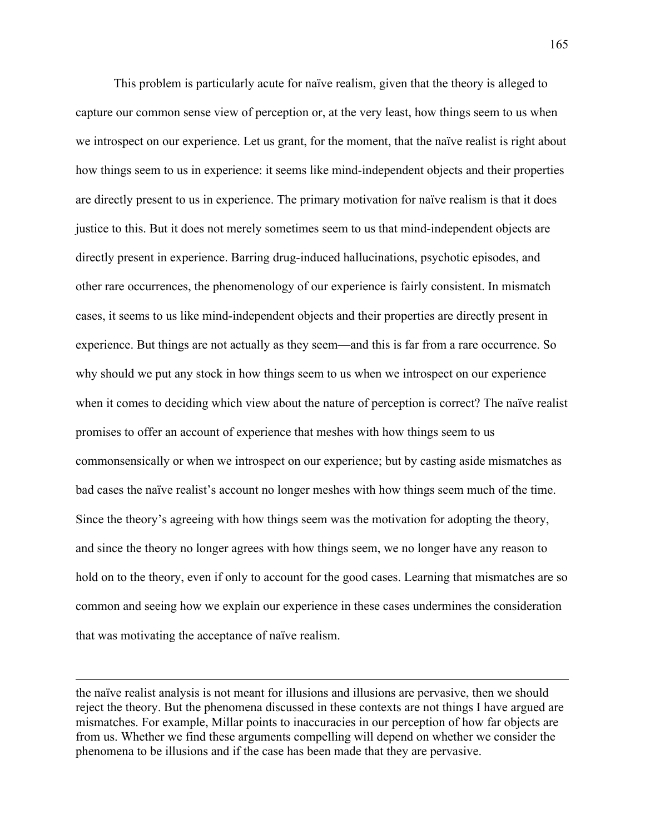This problem is particularly acute for naïve realism, given that the theory is alleged to capture our common sense view of perception or, at the very least, how things seem to us when we introspect on our experience. Let us grant, for the moment, that the naïve realist is right about how things seem to us in experience: it seems like mind-independent objects and their properties are directly present to us in experience. The primary motivation for naïve realism is that it does justice to this. But it does not merely sometimes seem to us that mind-independent objects are directly present in experience. Barring drug-induced hallucinations, psychotic episodes, and other rare occurrences, the phenomenology of our experience is fairly consistent. In mismatch cases, it seems to us like mind-independent objects and their properties are directly present in experience. But things are not actually as they seem—and this is far from a rare occurrence. So why should we put any stock in how things seem to us when we introspect on our experience when it comes to deciding which view about the nature of perception is correct? The naïve realist promises to offer an account of experience that meshes with how things seem to us commonsensically or when we introspect on our experience; but by casting aside mismatches as bad cases the naïve realist's account no longer meshes with how things seem much of the time. Since the theory's agreeing with how things seem was the motivation for adopting the theory, and since the theory no longer agrees with how things seem, we no longer have any reason to hold on to the theory, even if only to account for the good cases. Learning that mismatches are so common and seeing how we explain our experience in these cases undermines the consideration that was motivating the acceptance of naïve realism.

<u> 1989 - Andrea Santa Alemania, amerikana amerikana amerikana amerikana amerikana amerikana amerikana amerikana</u>

the naïve realist analysis is not meant for illusions and illusions are pervasive, then we should reject the theory. But the phenomena discussed in these contexts are not things I have argued are mismatches. For example, Millar points to inaccuracies in our perception of how far objects are from us. Whether we find these arguments compelling will depend on whether we consider the phenomena to be illusions and if the case has been made that they are pervasive.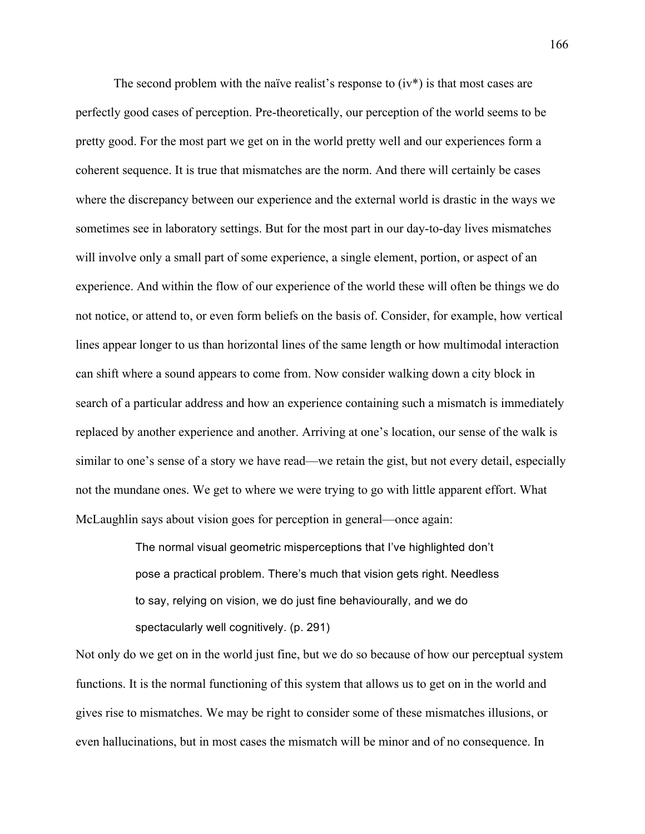The second problem with the naïve realist's response to  $(iv^*)$  is that most cases are perfectly good cases of perception. Pre-theoretically, our perception of the world seems to be pretty good. For the most part we get on in the world pretty well and our experiences form a coherent sequence. It is true that mismatches are the norm. And there will certainly be cases where the discrepancy between our experience and the external world is drastic in the ways we sometimes see in laboratory settings. But for the most part in our day-to-day lives mismatches will involve only a small part of some experience, a single element, portion, or aspect of an experience. And within the flow of our experience of the world these will often be things we do not notice, or attend to, or even form beliefs on the basis of. Consider, for example, how vertical lines appear longer to us than horizontal lines of the same length or how multimodal interaction can shift where a sound appears to come from. Now consider walking down a city block in search of a particular address and how an experience containing such a mismatch is immediately replaced by another experience and another. Arriving at one's location, our sense of the walk is similar to one's sense of a story we have read—we retain the gist, but not every detail, especially not the mundane ones. We get to where we were trying to go with little apparent effort. What McLaughlin says about vision goes for perception in general—once again:

> The normal visual geometric misperceptions that I've highlighted don't pose a practical problem. There's much that vision gets right. Needless to say, relying on vision, we do just fine behaviourally, and we do spectacularly well cognitively. (p. 291)

Not only do we get on in the world just fine, but we do so because of how our perceptual system functions. It is the normal functioning of this system that allows us to get on in the world and gives rise to mismatches. We may be right to consider some of these mismatches illusions, or even hallucinations, but in most cases the mismatch will be minor and of no consequence. In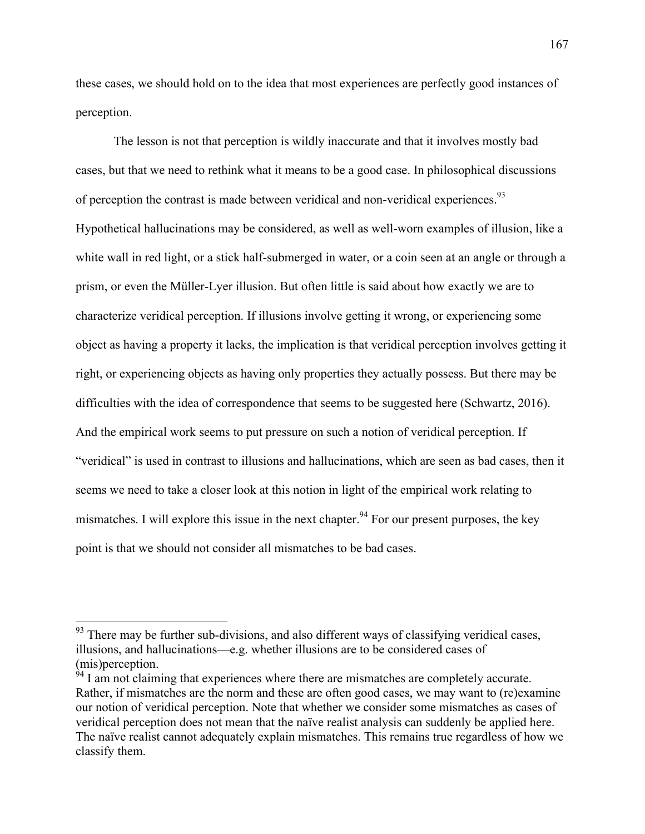these cases, we should hold on to the idea that most experiences are perfectly good instances of perception.

The lesson is not that perception is wildly inaccurate and that it involves mostly bad cases, but that we need to rethink what it means to be a good case. In philosophical discussions of perception the contrast is made between veridical and non-veridical experiences.<sup>93</sup> Hypothetical hallucinations may be considered, as well as well-worn examples of illusion, like a white wall in red light, or a stick half-submerged in water, or a coin seen at an angle or through a prism, or even the Müller-Lyer illusion. But often little is said about how exactly we are to characterize veridical perception. If illusions involve getting it wrong, or experiencing some object as having a property it lacks, the implication is that veridical perception involves getting it right, or experiencing objects as having only properties they actually possess. But there may be difficulties with the idea of correspondence that seems to be suggested here (Schwartz, 2016). And the empirical work seems to put pressure on such a notion of veridical perception. If "veridical" is used in contrast to illusions and hallucinations, which are seen as bad cases, then it seems we need to take a closer look at this notion in light of the empirical work relating to mismatches. I will explore this issue in the next chapter.<sup>94</sup> For our present purposes, the key point is that we should not consider all mismatches to be bad cases.

 $93$  There may be further sub-divisions, and also different ways of classifying veridical cases, illusions, and hallucinations—e.g. whether illusions are to be considered cases of (mis)perception.

 $94$  I am not claiming that experiences where there are mismatches are completely accurate. Rather, if mismatches are the norm and these are often good cases, we may want to (re)examine our notion of veridical perception. Note that whether we consider some mismatches as cases of veridical perception does not mean that the naïve realist analysis can suddenly be applied here. The naïve realist cannot adequately explain mismatches. This remains true regardless of how we classify them.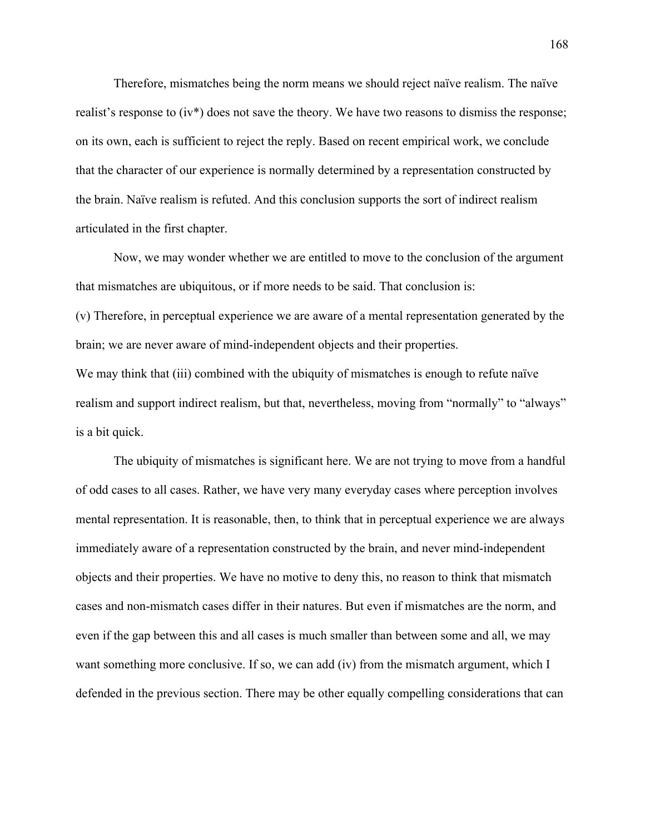Therefore, mismatches being the norm means we should reject naïve realism. The naïve realist's response to (iv\*) does not save the theory. We have two reasons to dismiss the response; on its own, each is sufficient to reject the reply. Based on recent empirical work, we conclude that the character of our experience is normally determined by a representation constructed by the brain. Naïve realism is refuted. And this conclusion supports the sort of indirect realism articulated in the first chapter.

Now, we may wonder whether we are entitled to move to the conclusion of the argument that mismatches are ubiquitous, or if more needs to be said. That conclusion is:

(v) Therefore, in perceptual experience we are aware of a mental representation generated by the brain; we are never aware of mind-independent objects and their properties.

We may think that (iii) combined with the ubiquity of mismatches is enough to refute naïve realism and support indirect realism, but that, nevertheless, moving from "normally" to "always" is a bit quick.

The ubiquity of mismatches is significant here. We are not trying to move from a handful of odd cases to all cases. Rather, we have very many everyday cases where perception involves mental representation. It is reasonable, then, to think that in perceptual experience we are always immediately aware of a representation constructed by the brain, and never mind-independent objects and their properties. We have no motive to deny this, no reason to think that mismatch cases and non-mismatch cases differ in their natures. But even if mismatches are the norm, and even if the gap between this and all cases is much smaller than between some and all, we may want something more conclusive. If so, we can add (iv) from the mismatch argument, which I defended in the previous section. There may be other equally compelling considerations that can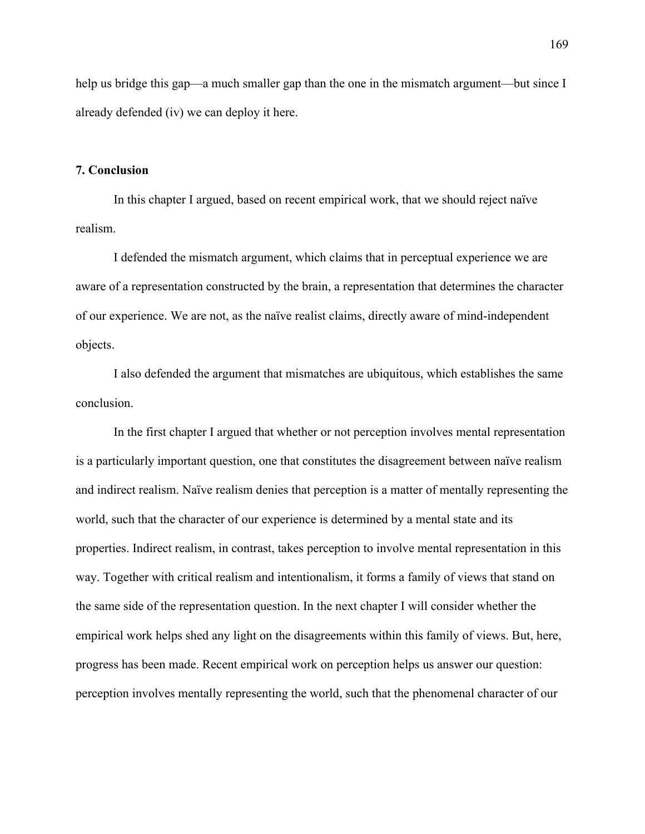help us bridge this gap—a much smaller gap than the one in the mismatch argument—but since I already defended (iv) we can deploy it here.

#### **7. Conclusion**

In this chapter I argued, based on recent empirical work, that we should reject naïve realism.

I defended the mismatch argument, which claims that in perceptual experience we are aware of a representation constructed by the brain, a representation that determines the character of our experience. We are not, as the naïve realist claims, directly aware of mind-independent objects.

I also defended the argument that mismatches are ubiquitous, which establishes the same conclusion.

In the first chapter I argued that whether or not perception involves mental representation is a particularly important question, one that constitutes the disagreement between naïve realism and indirect realism. Naïve realism denies that perception is a matter of mentally representing the world, such that the character of our experience is determined by a mental state and its properties. Indirect realism, in contrast, takes perception to involve mental representation in this way. Together with critical realism and intentionalism, it forms a family of views that stand on the same side of the representation question. In the next chapter I will consider whether the empirical work helps shed any light on the disagreements within this family of views. But, here, progress has been made. Recent empirical work on perception helps us answer our question: perception involves mentally representing the world, such that the phenomenal character of our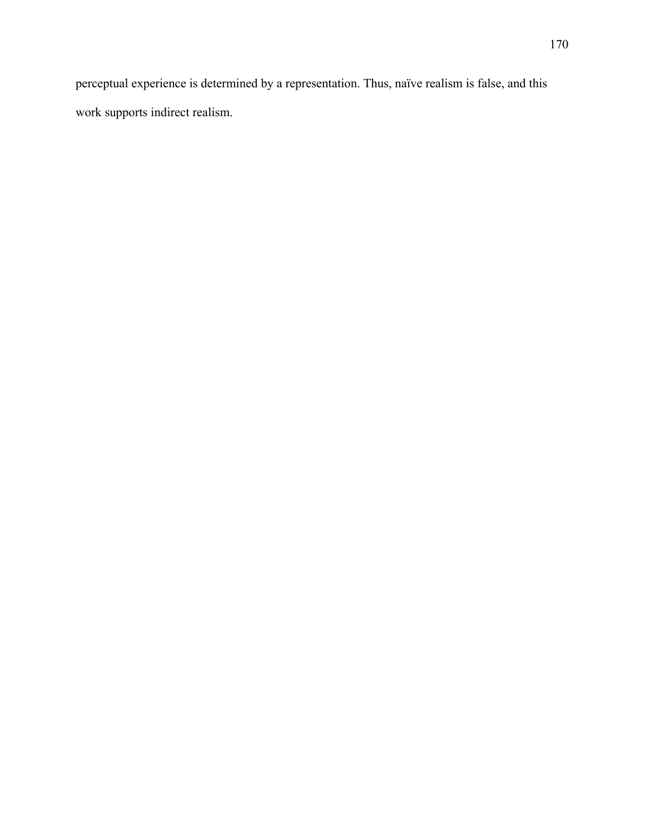perceptual experience is determined by a representation. Thus, naïve realism is false, and this work supports indirect realism.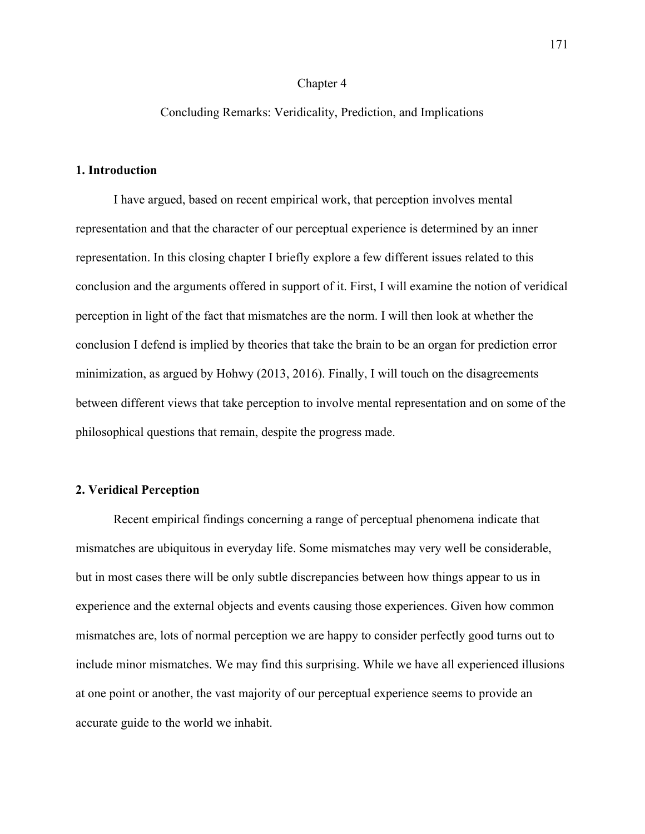#### Chapter 4

## Concluding Remarks: Veridicality, Prediction, and Implications

## **1. Introduction**

I have argued, based on recent empirical work, that perception involves mental representation and that the character of our perceptual experience is determined by an inner representation. In this closing chapter I briefly explore a few different issues related to this conclusion and the arguments offered in support of it. First, I will examine the notion of veridical perception in light of the fact that mismatches are the norm. I will then look at whether the conclusion I defend is implied by theories that take the brain to be an organ for prediction error minimization, as argued by Hohwy (2013, 2016). Finally, I will touch on the disagreements between different views that take perception to involve mental representation and on some of the philosophical questions that remain, despite the progress made.

## **2. Veridical Perception**

Recent empirical findings concerning a range of perceptual phenomena indicate that mismatches are ubiquitous in everyday life. Some mismatches may very well be considerable, but in most cases there will be only subtle discrepancies between how things appear to us in experience and the external objects and events causing those experiences. Given how common mismatches are, lots of normal perception we are happy to consider perfectly good turns out to include minor mismatches. We may find this surprising. While we have all experienced illusions at one point or another, the vast majority of our perceptual experience seems to provide an accurate guide to the world we inhabit.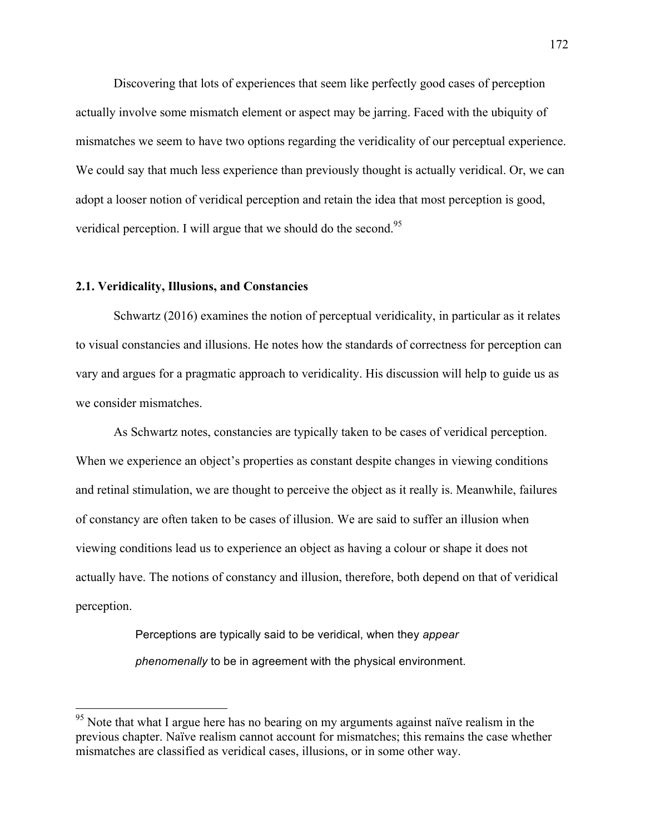Discovering that lots of experiences that seem like perfectly good cases of perception actually involve some mismatch element or aspect may be jarring. Faced with the ubiquity of mismatches we seem to have two options regarding the veridicality of our perceptual experience. We could say that much less experience than previously thought is actually veridical. Or, we can adopt a looser notion of veridical perception and retain the idea that most perception is good, veridical perception. I will argue that we should do the second.<sup>95</sup>

# **2.1. Veridicality, Illusions, and Constancies**

Schwartz (2016) examines the notion of perceptual veridicality, in particular as it relates to visual constancies and illusions. He notes how the standards of correctness for perception can vary and argues for a pragmatic approach to veridicality. His discussion will help to guide us as we consider mismatches.

As Schwartz notes, constancies are typically taken to be cases of veridical perception. When we experience an object's properties as constant despite changes in viewing conditions and retinal stimulation, we are thought to perceive the object as it really is. Meanwhile, failures of constancy are often taken to be cases of illusion. We are said to suffer an illusion when viewing conditions lead us to experience an object as having a colour or shape it does not actually have. The notions of constancy and illusion, therefore, both depend on that of veridical perception.

> Perceptions are typically said to be veridical, when they *appear phenomenally* to be in agreement with the physical environment.

<sup>&</sup>lt;sup>95</sup> Note that what I argue here has no bearing on my arguments against naïve realism in the previous chapter. Naïve realism cannot account for mismatches; this remains the case whether mismatches are classified as veridical cases, illusions, or in some other way.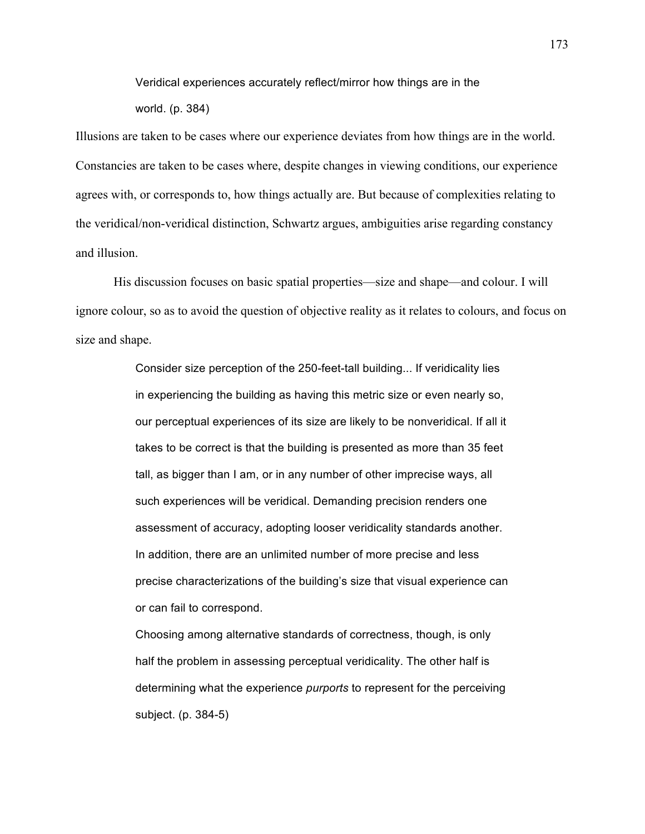Veridical experiences accurately reflect/mirror how things are in the

world. (p. 384)

Illusions are taken to be cases where our experience deviates from how things are in the world. Constancies are taken to be cases where, despite changes in viewing conditions, our experience agrees with, or corresponds to, how things actually are. But because of complexities relating to the veridical/non-veridical distinction, Schwartz argues, ambiguities arise regarding constancy and illusion.

His discussion focuses on basic spatial properties—size and shape—and colour. I will ignore colour, so as to avoid the question of objective reality as it relates to colours, and focus on size and shape.

> Consider size perception of the 250-feet-tall building... If veridicality lies in experiencing the building as having this metric size or even nearly so, our perceptual experiences of its size are likely to be nonveridical. If all it takes to be correct is that the building is presented as more than 35 feet tall, as bigger than I am, or in any number of other imprecise ways, all such experiences will be veridical. Demanding precision renders one assessment of accuracy, adopting looser veridicality standards another. In addition, there are an unlimited number of more precise and less precise characterizations of the building's size that visual experience can or can fail to correspond.

> Choosing among alternative standards of correctness, though, is only half the problem in assessing perceptual veridicality. The other half is determining what the experience *purports* to represent for the perceiving subject. (p. 384-5)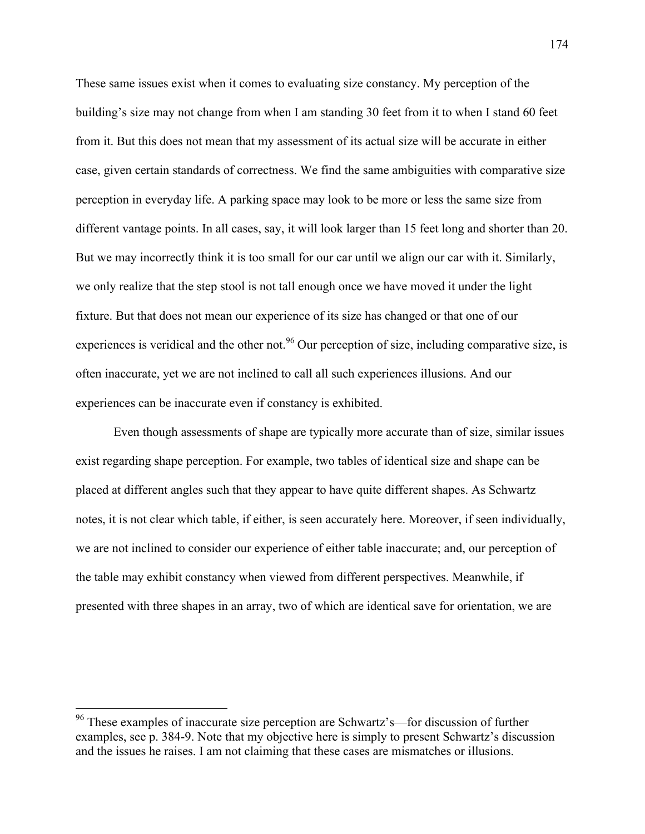These same issues exist when it comes to evaluating size constancy. My perception of the building's size may not change from when I am standing 30 feet from it to when I stand 60 feet from it. But this does not mean that my assessment of its actual size will be accurate in either case, given certain standards of correctness. We find the same ambiguities with comparative size perception in everyday life. A parking space may look to be more or less the same size from different vantage points. In all cases, say, it will look larger than 15 feet long and shorter than 20. But we may incorrectly think it is too small for our car until we align our car with it. Similarly, we only realize that the step stool is not tall enough once we have moved it under the light fixture. But that does not mean our experience of its size has changed or that one of our experiences is veridical and the other not.<sup>96</sup> Our perception of size, including comparative size, is often inaccurate, yet we are not inclined to call all such experiences illusions. And our experiences can be inaccurate even if constancy is exhibited.

Even though assessments of shape are typically more accurate than of size, similar issues exist regarding shape perception. For example, two tables of identical size and shape can be placed at different angles such that they appear to have quite different shapes. As Schwartz notes, it is not clear which table, if either, is seen accurately here. Moreover, if seen individually, we are not inclined to consider our experience of either table inaccurate; and, our perception of the table may exhibit constancy when viewed from different perspectives. Meanwhile, if presented with three shapes in an array, two of which are identical save for orientation, we are

 <sup>96</sup> These examples of inaccurate size perception are Schwartz's—for discussion of further examples, see p. 384-9. Note that my objective here is simply to present Schwartz's discussion and the issues he raises. I am not claiming that these cases are mismatches or illusions.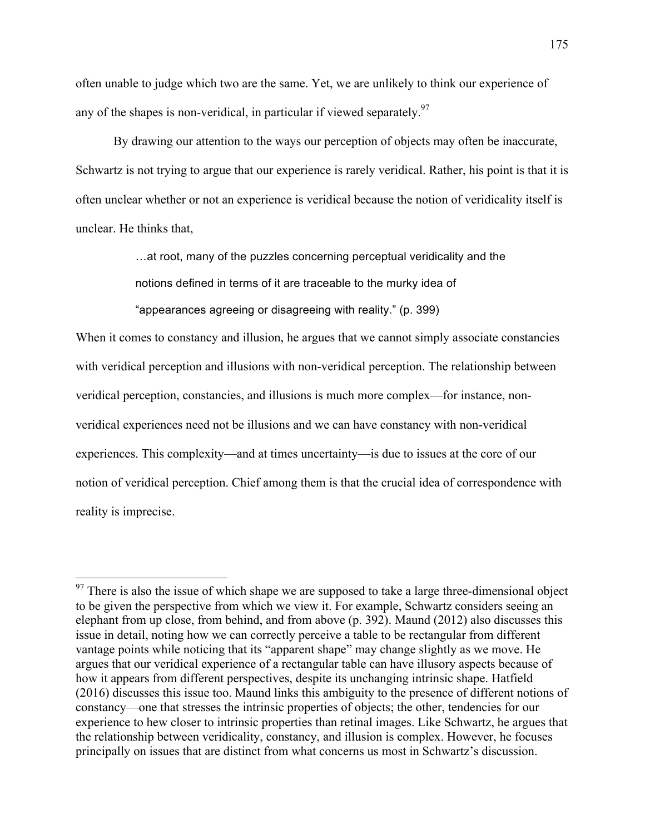often unable to judge which two are the same. Yet, we are unlikely to think our experience of any of the shapes is non-veridical, in particular if viewed separately.  $97$ 

By drawing our attention to the ways our perception of objects may often be inaccurate, Schwartz is not trying to argue that our experience is rarely veridical. Rather, his point is that it is often unclear whether or not an experience is veridical because the notion of veridicality itself is unclear. He thinks that,

…at root, many of the puzzles concerning perceptual veridicality and the

notions defined in terms of it are traceable to the murky idea of

"appearances agreeing or disagreeing with reality." (p. 399)

When it comes to constancy and illusion, he argues that we cannot simply associate constancies with veridical perception and illusions with non-veridical perception. The relationship between veridical perception, constancies, and illusions is much more complex—for instance, nonveridical experiences need not be illusions and we can have constancy with non-veridical experiences. This complexity—and at times uncertainty—is due to issues at the core of our notion of veridical perception. Chief among them is that the crucial idea of correspondence with reality is imprecise.

 $97$  There is also the issue of which shape we are supposed to take a large three-dimensional object to be given the perspective from which we view it. For example, Schwartz considers seeing an elephant from up close, from behind, and from above (p. 392). Maund (2012) also discusses this issue in detail, noting how we can correctly perceive a table to be rectangular from different vantage points while noticing that its "apparent shape" may change slightly as we move. He argues that our veridical experience of a rectangular table can have illusory aspects because of how it appears from different perspectives, despite its unchanging intrinsic shape. Hatfield (2016) discusses this issue too. Maund links this ambiguity to the presence of different notions of constancy—one that stresses the intrinsic properties of objects; the other, tendencies for our experience to hew closer to intrinsic properties than retinal images. Like Schwartz, he argues that the relationship between veridicality, constancy, and illusion is complex. However, he focuses principally on issues that are distinct from what concerns us most in Schwartz's discussion.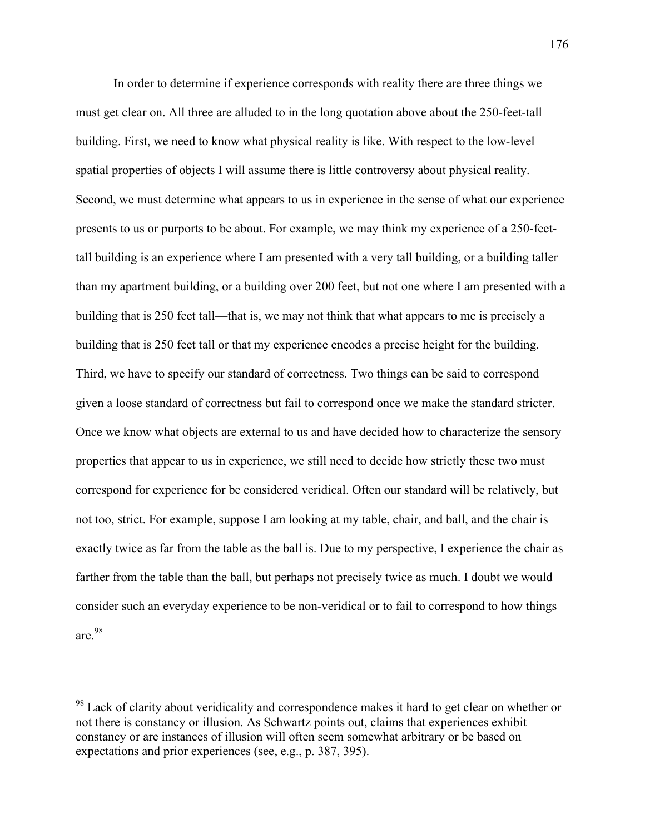In order to determine if experience corresponds with reality there are three things we must get clear on. All three are alluded to in the long quotation above about the 250-feet-tall building. First, we need to know what physical reality is like. With respect to the low-level spatial properties of objects I will assume there is little controversy about physical reality. Second, we must determine what appears to us in experience in the sense of what our experience presents to us or purports to be about. For example, we may think my experience of a 250-feettall building is an experience where I am presented with a very tall building, or a building taller than my apartment building, or a building over 200 feet, but not one where I am presented with a building that is 250 feet tall—that is, we may not think that what appears to me is precisely a building that is 250 feet tall or that my experience encodes a precise height for the building. Third, we have to specify our standard of correctness. Two things can be said to correspond given a loose standard of correctness but fail to correspond once we make the standard stricter. Once we know what objects are external to us and have decided how to characterize the sensory properties that appear to us in experience, we still need to decide how strictly these two must correspond for experience for be considered veridical. Often our standard will be relatively, but not too, strict. For example, suppose I am looking at my table, chair, and ball, and the chair is exactly twice as far from the table as the ball is. Due to my perspective, I experience the chair as farther from the table than the ball, but perhaps not precisely twice as much. I doubt we would consider such an everyday experience to be non-veridical or to fail to correspond to how things are<sup>98</sup>

<sup>&</sup>lt;sup>98</sup> Lack of clarity about veridicality and correspondence makes it hard to get clear on whether or not there is constancy or illusion. As Schwartz points out, claims that experiences exhibit constancy or are instances of illusion will often seem somewhat arbitrary or be based on expectations and prior experiences (see, e.g., p. 387, 395).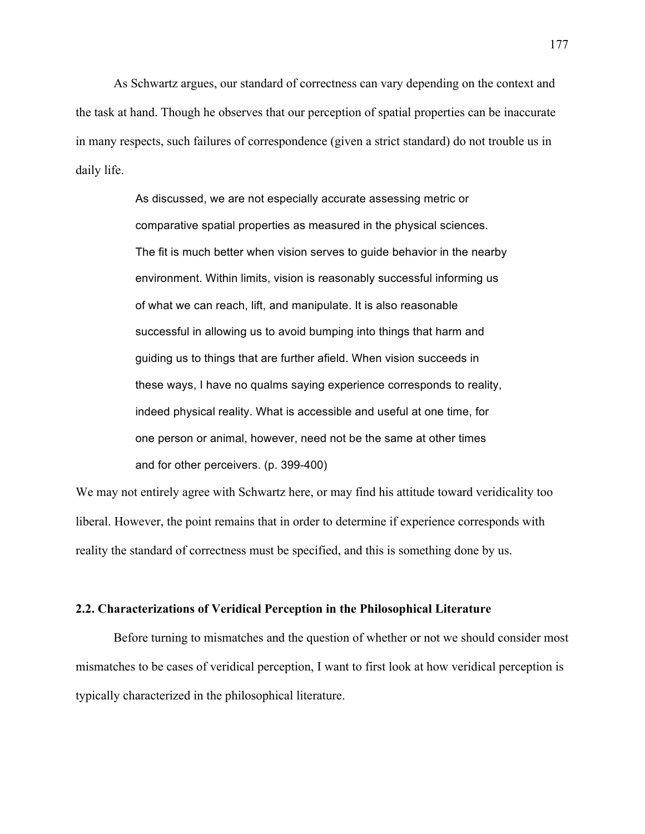As Schwartz argues, our standard of correctness can vary depending on the context and the task at hand. Though he observes that our perception of spatial properties can be inaccurate in many respects, such failures of correspondence (given a strict standard) do not trouble us in daily life.

> As discussed, we are not especially accurate assessing metric or comparative spatial properties as measured in the physical sciences. The fit is much better when vision serves to guide behavior in the nearby environment. Within limits, vision is reasonably successful informing us of what we can reach, lift, and manipulate. It is also reasonable successful in allowing us to avoid bumping into things that harm and guiding us to things that are further afield. When vision succeeds in these ways, I have no qualms saying experience corresponds to reality, indeed physical reality. What is accessible and useful at one time, for one person or animal, however, need not be the same at other times and for other perceivers. (p. 399-400)

We may not entirely agree with Schwartz here, or may find his attitude toward veridicality too liberal. However, the point remains that in order to determine if experience corresponds with reality the standard of correctness must be specified, and this is something done by us.

### **2.2. Characterizations of Veridical Perception in the Philosophical Literature**

Before turning to mismatches and the question of whether or not we should consider most mismatches to be cases of veridical perception, I want to first look at how veridical perception is typically characterized in the philosophical literature.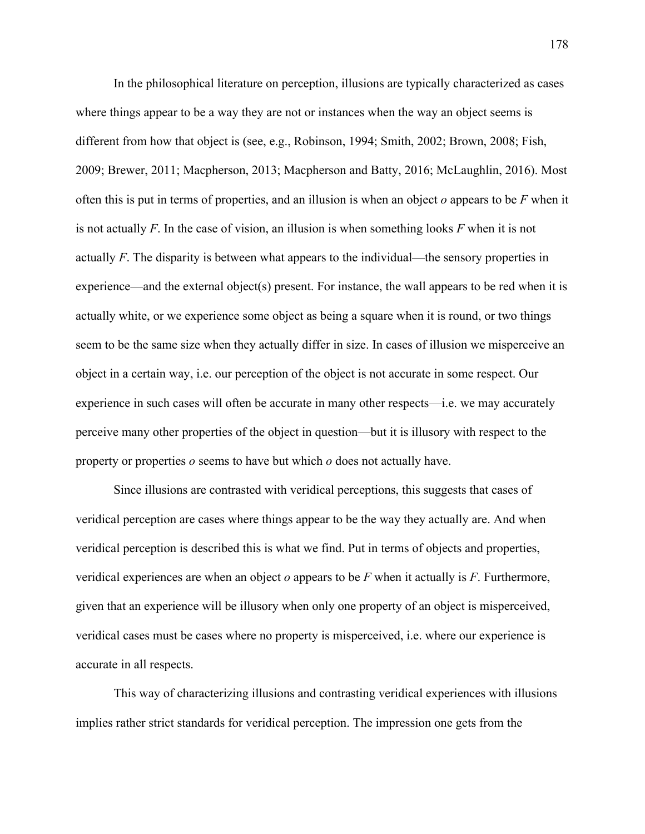In the philosophical literature on perception, illusions are typically characterized as cases where things appear to be a way they are not or instances when the way an object seems is different from how that object is (see, e.g., Robinson, 1994; Smith, 2002; Brown, 2008; Fish, 2009; Brewer, 2011; Macpherson, 2013; Macpherson and Batty, 2016; McLaughlin, 2016). Most often this is put in terms of properties, and an illusion is when an object *o* appears to be *F* when it is not actually *F*. In the case of vision, an illusion is when something looks *F* when it is not actually *F*. The disparity is between what appears to the individual—the sensory properties in experience—and the external object(s) present. For instance, the wall appears to be red when it is actually white, or we experience some object as being a square when it is round, or two things seem to be the same size when they actually differ in size. In cases of illusion we misperceive an object in a certain way, i.e. our perception of the object is not accurate in some respect. Our experience in such cases will often be accurate in many other respects—i.e. we may accurately perceive many other properties of the object in question—but it is illusory with respect to the property or properties *o* seems to have but which *o* does not actually have.

Since illusions are contrasted with veridical perceptions, this suggests that cases of veridical perception are cases where things appear to be the way they actually are. And when veridical perception is described this is what we find. Put in terms of objects and properties, veridical experiences are when an object *o* appears to be *F* when it actually is *F*. Furthermore, given that an experience will be illusory when only one property of an object is misperceived, veridical cases must be cases where no property is misperceived, i.e. where our experience is accurate in all respects.

This way of characterizing illusions and contrasting veridical experiences with illusions implies rather strict standards for veridical perception. The impression one gets from the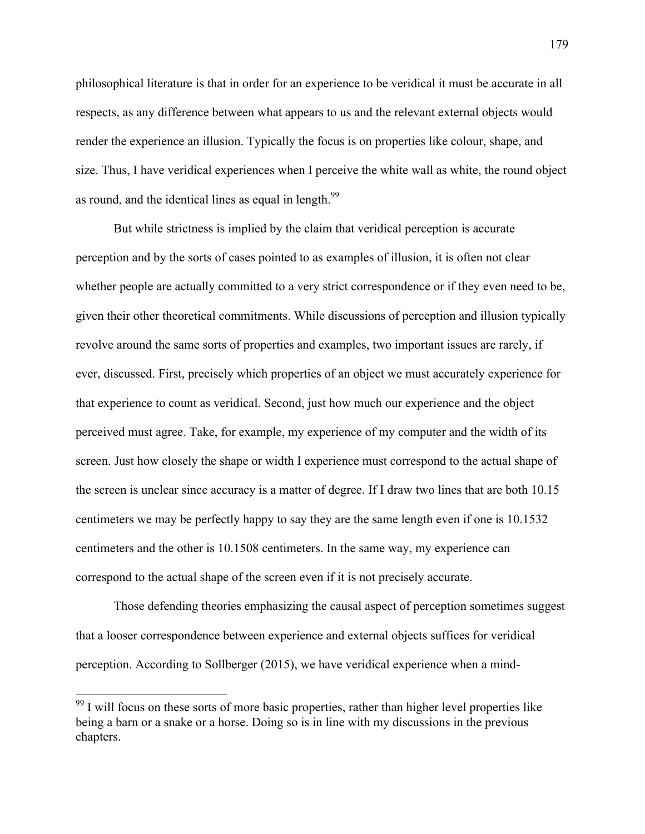philosophical literature is that in order for an experience to be veridical it must be accurate in all respects, as any difference between what appears to us and the relevant external objects would render the experience an illusion. Typically the focus is on properties like colour, shape, and size. Thus, I have veridical experiences when I perceive the white wall as white, the round object as round, and the identical lines as equal in length. $99$ 

But while strictness is implied by the claim that veridical perception is accurate perception and by the sorts of cases pointed to as examples of illusion, it is often not clear whether people are actually committed to a very strict correspondence or if they even need to be, given their other theoretical commitments. While discussions of perception and illusion typically revolve around the same sorts of properties and examples, two important issues are rarely, if ever, discussed. First, precisely which properties of an object we must accurately experience for that experience to count as veridical. Second, just how much our experience and the object perceived must agree. Take, for example, my experience of my computer and the width of its screen. Just how closely the shape or width I experience must correspond to the actual shape of the screen is unclear since accuracy is a matter of degree. If I draw two lines that are both 10.15 centimeters we may be perfectly happy to say they are the same length even if one is 10.1532 centimeters and the other is 10.1508 centimeters. In the same way, my experience can correspond to the actual shape of the screen even if it is not precisely accurate.

Those defending theories emphasizing the causal aspect of perception sometimes suggest that a looser correspondence between experience and external objects suffices for veridical perception. According to Sollberger (2015), we have veridical experience when a mind-

 $99$  I will focus on these sorts of more basic properties, rather than higher level properties like being a barn or a snake or a horse. Doing so is in line with my discussions in the previous chapters.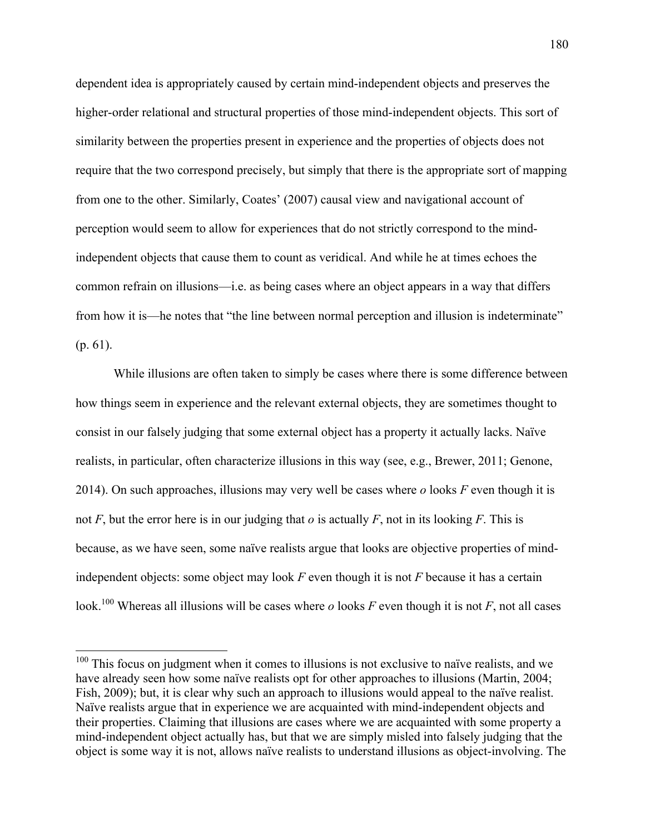dependent idea is appropriately caused by certain mind-independent objects and preserves the higher-order relational and structural properties of those mind-independent objects. This sort of similarity between the properties present in experience and the properties of objects does not require that the two correspond precisely, but simply that there is the appropriate sort of mapping from one to the other. Similarly, Coates' (2007) causal view and navigational account of perception would seem to allow for experiences that do not strictly correspond to the mindindependent objects that cause them to count as veridical. And while he at times echoes the common refrain on illusions—i.e. as being cases where an object appears in a way that differs from how it is—he notes that "the line between normal perception and illusion is indeterminate" (p. 61).

While illusions are often taken to simply be cases where there is some difference between how things seem in experience and the relevant external objects, they are sometimes thought to consist in our falsely judging that some external object has a property it actually lacks. Naïve realists, in particular, often characterize illusions in this way (see, e.g., Brewer, 2011; Genone, 2014). On such approaches, illusions may very well be cases where *o* looks *F* even though it is not *F*, but the error here is in our judging that *o* is actually *F*, not in its looking *F*. This is because, as we have seen, some naïve realists argue that looks are objective properties of mindindependent objects: some object may look *F* even though it is not *F* because it has a certain look.<sup>100</sup> Whereas all illusions will be cases where *o* looks *F* even though it is not *F*, not all cases

<sup>&</sup>lt;sup>100</sup> This focus on judgment when it comes to illusions is not exclusive to naïve realists, and we have already seen how some naïve realists opt for other approaches to illusions (Martin, 2004; Fish, 2009); but, it is clear why such an approach to illusions would appeal to the naïve realist. Naïve realists argue that in experience we are acquainted with mind-independent objects and their properties. Claiming that illusions are cases where we are acquainted with some property a mind-independent object actually has, but that we are simply misled into falsely judging that the object is some way it is not, allows naïve realists to understand illusions as object-involving. The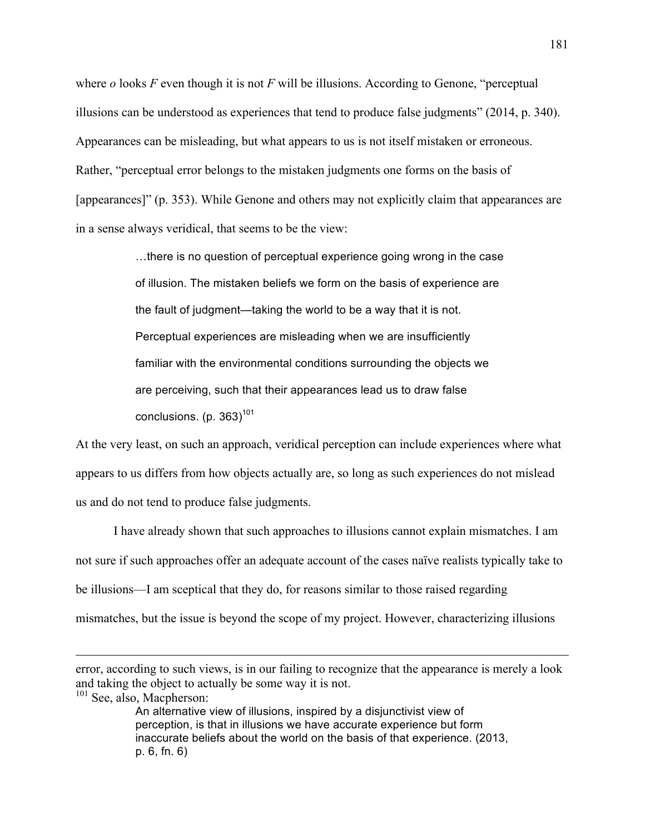where *o* looks *F* even though it is not *F* will be illusions. According to Genone, "perceptual" illusions can be understood as experiences that tend to produce false judgments" (2014, p. 340). Appearances can be misleading, but what appears to us is not itself mistaken or erroneous. Rather, "perceptual error belongs to the mistaken judgments one forms on the basis of [appearances]" (p. 353). While Genone and others may not explicitly claim that appearances are in a sense always veridical, that seems to be the view:

> …there is no question of perceptual experience going wrong in the case of illusion. The mistaken beliefs we form on the basis of experience are the fault of judgment—taking the world to be a way that it is not. Perceptual experiences are misleading when we are insufficiently familiar with the environmental conditions surrounding the objects we are perceiving, such that their appearances lead us to draw false conclusions. (p.  $363)$ <sup>101</sup>

At the very least, on such an approach, veridical perception can include experiences where what appears to us differs from how objects actually are, so long as such experiences do not mislead us and do not tend to produce false judgments.

I have already shown that such approaches to illusions cannot explain mismatches. I am not sure if such approaches offer an adequate account of the cases naïve realists typically take to be illusions—I am sceptical that they do, for reasons similar to those raised regarding mismatches, but the issue is beyond the scope of my project. However, characterizing illusions

<u> Alexandro de la contrada de la contrada de la contrada de la contrada de la contrada de la contrada de la co</u>

error, according to such views, is in our failing to recognize that the appearance is merely a look and taking the object to actually be some way it is not.

<sup>&</sup>lt;sup>101</sup> See, also, Macpherson:

An alternative view of illusions, inspired by a disjunctivist view of perception, is that in illusions we have accurate experience but form inaccurate beliefs about the world on the basis of that experience. (2013, p. 6, fn. 6)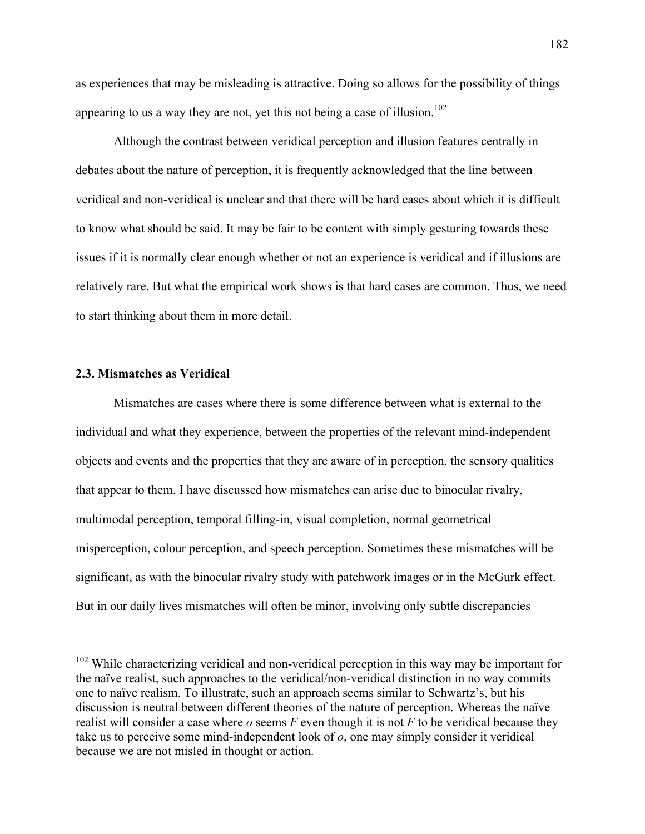as experiences that may be misleading is attractive. Doing so allows for the possibility of things appearing to us a way they are not, yet this not being a case of illusion.<sup>102</sup>

Although the contrast between veridical perception and illusion features centrally in debates about the nature of perception, it is frequently acknowledged that the line between veridical and non-veridical is unclear and that there will be hard cases about which it is difficult to know what should be said. It may be fair to be content with simply gesturing towards these issues if it is normally clear enough whether or not an experience is veridical and if illusions are relatively rare. But what the empirical work shows is that hard cases are common. Thus, we need to start thinking about them in more detail.

## **2.3. Mismatches as Veridical**

Mismatches are cases where there is some difference between what is external to the individual and what they experience, between the properties of the relevant mind-independent objects and events and the properties that they are aware of in perception, the sensory qualities that appear to them. I have discussed how mismatches can arise due to binocular rivalry, multimodal perception, temporal filling-in, visual completion, normal geometrical misperception, colour perception, and speech perception. Sometimes these mismatches will be significant, as with the binocular rivalry study with patchwork images or in the McGurk effect. But in our daily lives mismatches will often be minor, involving only subtle discrepancies

<sup>&</sup>lt;sup>102</sup> While characterizing veridical and non-veridical perception in this way may be important for the naïve realist, such approaches to the veridical/non-veridical distinction in no way commits one to naïve realism. To illustrate, such an approach seems similar to Schwartz's, but his discussion is neutral between different theories of the nature of perception. Whereas the naïve realist will consider a case where *o* seems *F* even though it is not *F* to be veridical because they take us to perceive some mind-independent look of *o*, one may simply consider it veridical because we are not misled in thought or action.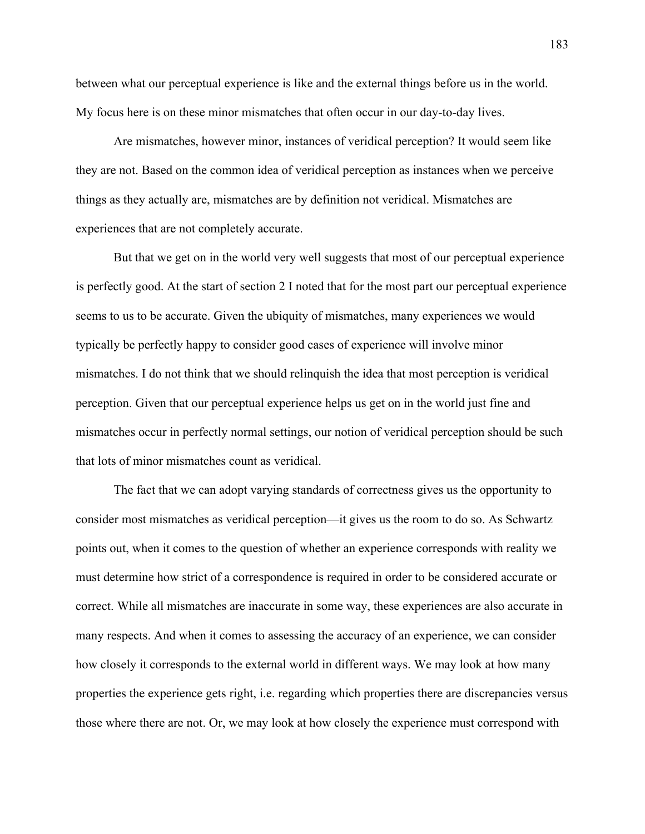between what our perceptual experience is like and the external things before us in the world. My focus here is on these minor mismatches that often occur in our day-to-day lives.

Are mismatches, however minor, instances of veridical perception? It would seem like they are not. Based on the common idea of veridical perception as instances when we perceive things as they actually are, mismatches are by definition not veridical. Mismatches are experiences that are not completely accurate.

But that we get on in the world very well suggests that most of our perceptual experience is perfectly good. At the start of section 2 I noted that for the most part our perceptual experience seems to us to be accurate. Given the ubiquity of mismatches, many experiences we would typically be perfectly happy to consider good cases of experience will involve minor mismatches. I do not think that we should relinquish the idea that most perception is veridical perception. Given that our perceptual experience helps us get on in the world just fine and mismatches occur in perfectly normal settings, our notion of veridical perception should be such that lots of minor mismatches count as veridical.

The fact that we can adopt varying standards of correctness gives us the opportunity to consider most mismatches as veridical perception—it gives us the room to do so. As Schwartz points out, when it comes to the question of whether an experience corresponds with reality we must determine how strict of a correspondence is required in order to be considered accurate or correct. While all mismatches are inaccurate in some way, these experiences are also accurate in many respects. And when it comes to assessing the accuracy of an experience, we can consider how closely it corresponds to the external world in different ways. We may look at how many properties the experience gets right, i.e. regarding which properties there are discrepancies versus those where there are not. Or, we may look at how closely the experience must correspond with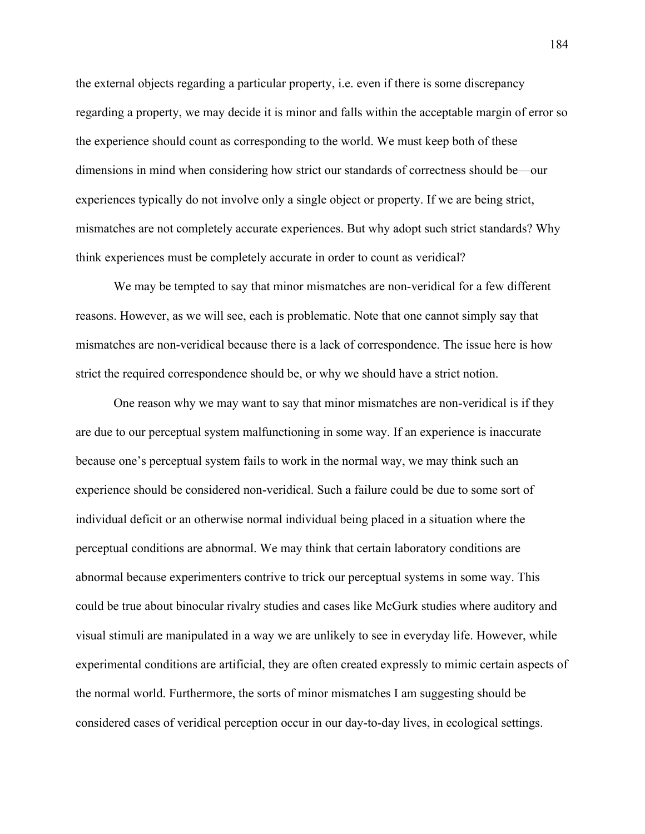the external objects regarding a particular property, i.e. even if there is some discrepancy regarding a property, we may decide it is minor and falls within the acceptable margin of error so the experience should count as corresponding to the world. We must keep both of these dimensions in mind when considering how strict our standards of correctness should be—our experiences typically do not involve only a single object or property. If we are being strict, mismatches are not completely accurate experiences. But why adopt such strict standards? Why think experiences must be completely accurate in order to count as veridical?

We may be tempted to say that minor mismatches are non-veridical for a few different reasons. However, as we will see, each is problematic. Note that one cannot simply say that mismatches are non-veridical because there is a lack of correspondence. The issue here is how strict the required correspondence should be, or why we should have a strict notion.

One reason why we may want to say that minor mismatches are non-veridical is if they are due to our perceptual system malfunctioning in some way. If an experience is inaccurate because one's perceptual system fails to work in the normal way, we may think such an experience should be considered non-veridical. Such a failure could be due to some sort of individual deficit or an otherwise normal individual being placed in a situation where the perceptual conditions are abnormal. We may think that certain laboratory conditions are abnormal because experimenters contrive to trick our perceptual systems in some way. This could be true about binocular rivalry studies and cases like McGurk studies where auditory and visual stimuli are manipulated in a way we are unlikely to see in everyday life. However, while experimental conditions are artificial, they are often created expressly to mimic certain aspects of the normal world. Furthermore, the sorts of minor mismatches I am suggesting should be considered cases of veridical perception occur in our day-to-day lives, in ecological settings.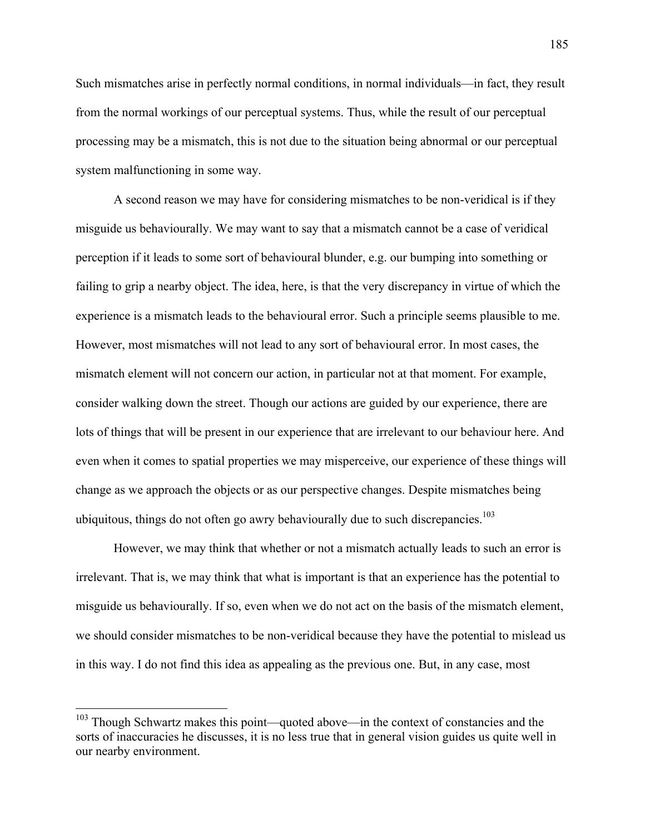Such mismatches arise in perfectly normal conditions, in normal individuals—in fact, they result from the normal workings of our perceptual systems. Thus, while the result of our perceptual processing may be a mismatch, this is not due to the situation being abnormal or our perceptual system malfunctioning in some way.

A second reason we may have for considering mismatches to be non-veridical is if they misguide us behaviourally. We may want to say that a mismatch cannot be a case of veridical perception if it leads to some sort of behavioural blunder, e.g. our bumping into something or failing to grip a nearby object. The idea, here, is that the very discrepancy in virtue of which the experience is a mismatch leads to the behavioural error. Such a principle seems plausible to me. However, most mismatches will not lead to any sort of behavioural error. In most cases, the mismatch element will not concern our action, in particular not at that moment. For example, consider walking down the street. Though our actions are guided by our experience, there are lots of things that will be present in our experience that are irrelevant to our behaviour here. And even when it comes to spatial properties we may misperceive, our experience of these things will change as we approach the objects or as our perspective changes. Despite mismatches being ubiquitous, things do not often go awry behaviourally due to such discrepancies.<sup>103</sup>

However, we may think that whether or not a mismatch actually leads to such an error is irrelevant. That is, we may think that what is important is that an experience has the potential to misguide us behaviourally. If so, even when we do not act on the basis of the mismatch element, we should consider mismatches to be non-veridical because they have the potential to mislead us in this way. I do not find this idea as appealing as the previous one. But, in any case, most

<sup>&</sup>lt;sup>103</sup> Though Schwartz makes this point—quoted above—in the context of constancies and the sorts of inaccuracies he discusses, it is no less true that in general vision guides us quite well in our nearby environment.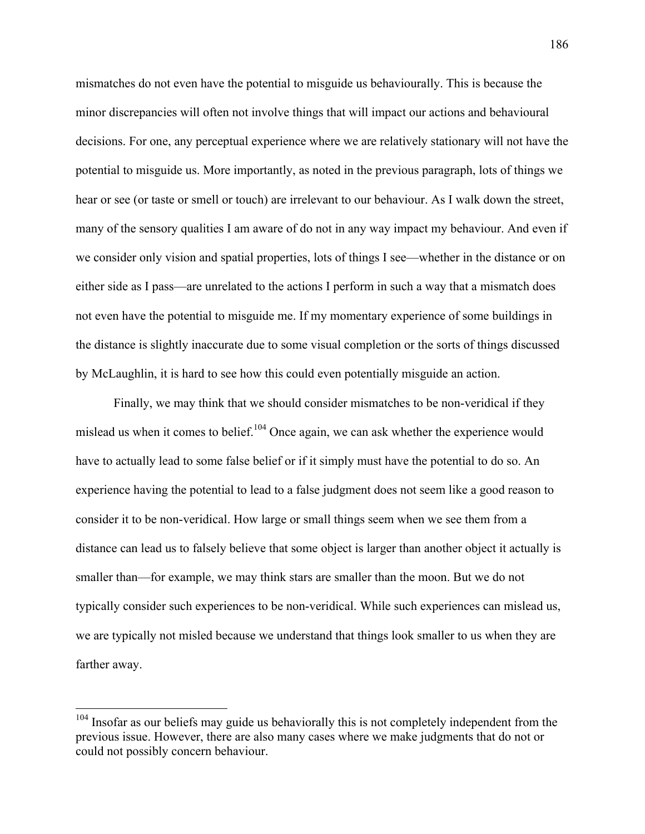mismatches do not even have the potential to misguide us behaviourally. This is because the minor discrepancies will often not involve things that will impact our actions and behavioural decisions. For one, any perceptual experience where we are relatively stationary will not have the potential to misguide us. More importantly, as noted in the previous paragraph, lots of things we hear or see (or taste or smell or touch) are irrelevant to our behaviour. As I walk down the street, many of the sensory qualities I am aware of do not in any way impact my behaviour. And even if we consider only vision and spatial properties, lots of things I see—whether in the distance or on either side as I pass—are unrelated to the actions I perform in such a way that a mismatch does not even have the potential to misguide me. If my momentary experience of some buildings in the distance is slightly inaccurate due to some visual completion or the sorts of things discussed by McLaughlin, it is hard to see how this could even potentially misguide an action.

Finally, we may think that we should consider mismatches to be non-veridical if they mislead us when it comes to belief.<sup>104</sup> Once again, we can ask whether the experience would have to actually lead to some false belief or if it simply must have the potential to do so. An experience having the potential to lead to a false judgment does not seem like a good reason to consider it to be non-veridical. How large or small things seem when we see them from a distance can lead us to falsely believe that some object is larger than another object it actually is smaller than—for example, we may think stars are smaller than the moon. But we do not typically consider such experiences to be non-veridical. While such experiences can mislead us, we are typically not misled because we understand that things look smaller to us when they are farther away.

<sup>&</sup>lt;sup>104</sup> Insofar as our beliefs may guide us behaviorally this is not completely independent from the previous issue. However, there are also many cases where we make judgments that do not or could not possibly concern behaviour.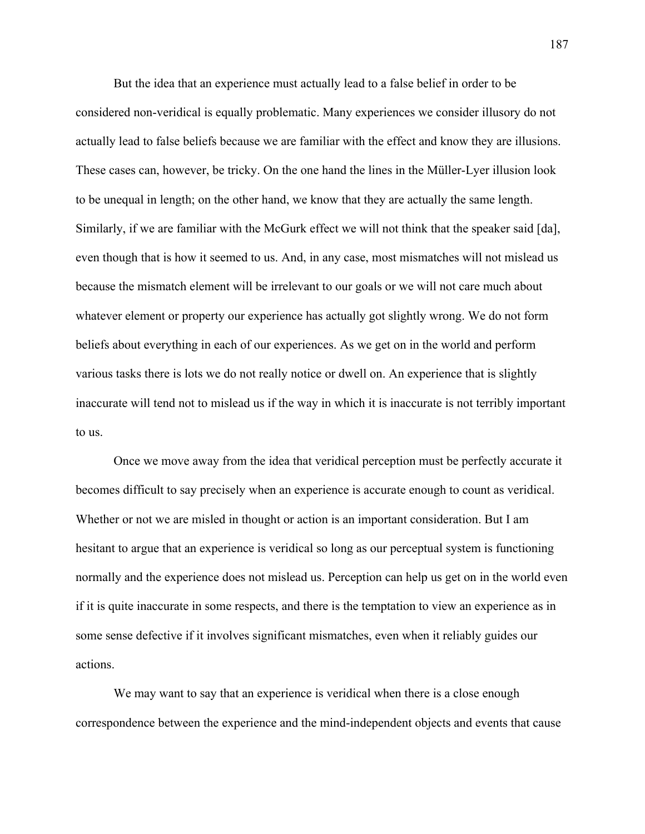But the idea that an experience must actually lead to a false belief in order to be considered non-veridical is equally problematic. Many experiences we consider illusory do not actually lead to false beliefs because we are familiar with the effect and know they are illusions. These cases can, however, be tricky. On the one hand the lines in the Müller-Lyer illusion look to be unequal in length; on the other hand, we know that they are actually the same length. Similarly, if we are familiar with the McGurk effect we will not think that the speaker said [da], even though that is how it seemed to us. And, in any case, most mismatches will not mislead us because the mismatch element will be irrelevant to our goals or we will not care much about whatever element or property our experience has actually got slightly wrong. We do not form beliefs about everything in each of our experiences. As we get on in the world and perform various tasks there is lots we do not really notice or dwell on. An experience that is slightly inaccurate will tend not to mislead us if the way in which it is inaccurate is not terribly important to us.

Once we move away from the idea that veridical perception must be perfectly accurate it becomes difficult to say precisely when an experience is accurate enough to count as veridical. Whether or not we are misled in thought or action is an important consideration. But I am hesitant to argue that an experience is veridical so long as our perceptual system is functioning normally and the experience does not mislead us. Perception can help us get on in the world even if it is quite inaccurate in some respects, and there is the temptation to view an experience as in some sense defective if it involves significant mismatches, even when it reliably guides our actions.

We may want to say that an experience is veridical when there is a close enough correspondence between the experience and the mind-independent objects and events that cause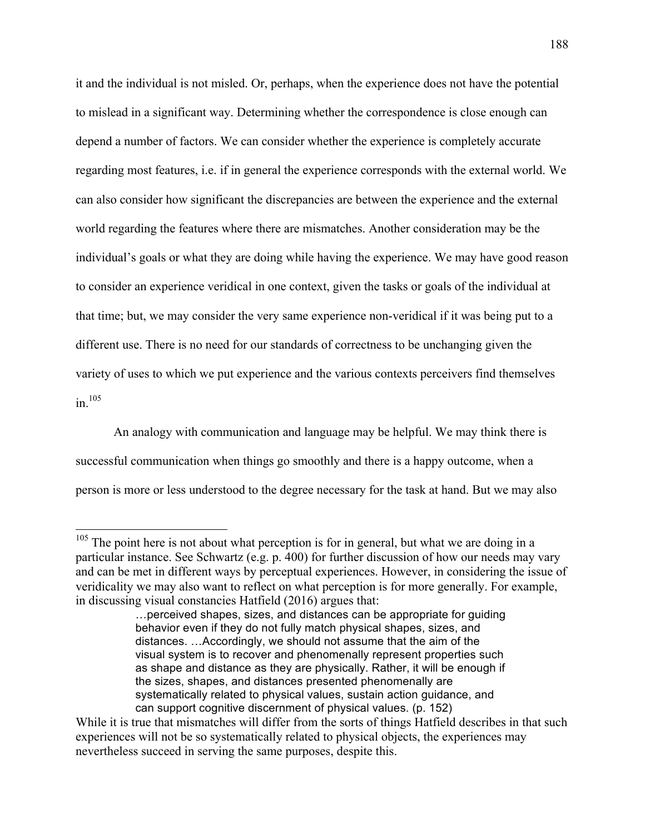it and the individual is not misled. Or, perhaps, when the experience does not have the potential to mislead in a significant way. Determining whether the correspondence is close enough can depend a number of factors. We can consider whether the experience is completely accurate regarding most features, i.e. if in general the experience corresponds with the external world. We can also consider how significant the discrepancies are between the experience and the external world regarding the features where there are mismatches. Another consideration may be the individual's goals or what they are doing while having the experience. We may have good reason to consider an experience veridical in one context, given the tasks or goals of the individual at that time; but, we may consider the very same experience non-veridical if it was being put to a different use. There is no need for our standards of correctness to be unchanging given the variety of uses to which we put experience and the various contexts perceivers find themselves in 105

An analogy with communication and language may be helpful. We may think there is successful communication when things go smoothly and there is a happy outcome, when a person is more or less understood to the degree necessary for the task at hand. But we may also

<sup>&</sup>lt;sup>105</sup> The point here is not about what perception is for in general, but what we are doing in a particular instance. See Schwartz (e.g. p. 400) for further discussion of how our needs may vary and can be met in different ways by perceptual experiences. However, in considering the issue of veridicality we may also want to reflect on what perception is for more generally. For example, in discussing visual constancies Hatfield (2016) argues that:

<sup>…</sup>perceived shapes, sizes, and distances can be appropriate for guiding behavior even if they do not fully match physical shapes, sizes, and distances. …Accordingly, we should not assume that the aim of the visual system is to recover and phenomenally represent properties such as shape and distance as they are physically. Rather, it will be enough if the sizes, shapes, and distances presented phenomenally are systematically related to physical values, sustain action guidance, and can support cognitive discernment of physical values. (p. 152)

While it is true that mismatches will differ from the sorts of things Hatfield describes in that such experiences will not be so systematically related to physical objects, the experiences may nevertheless succeed in serving the same purposes, despite this.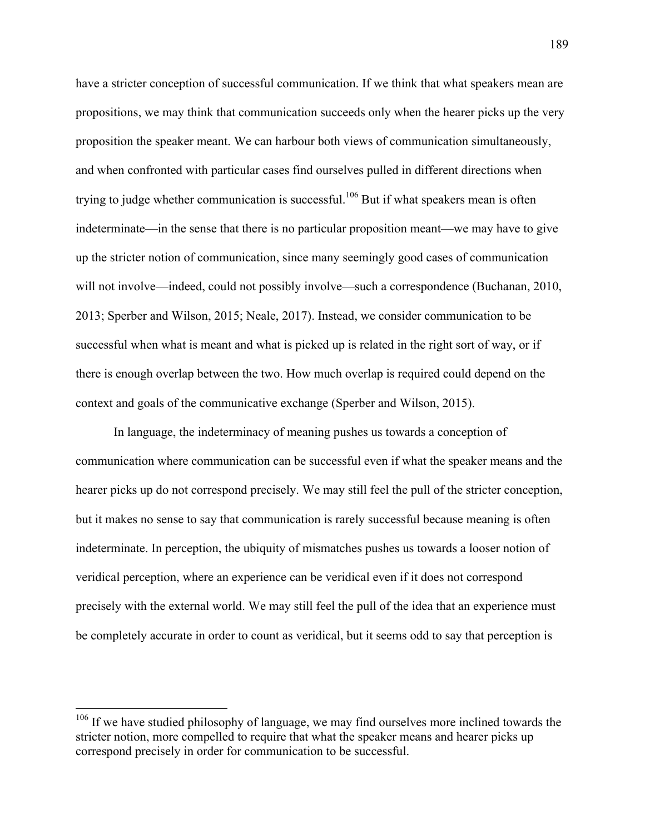have a stricter conception of successful communication. If we think that what speakers mean are propositions, we may think that communication succeeds only when the hearer picks up the very proposition the speaker meant. We can harbour both views of communication simultaneously, and when confronted with particular cases find ourselves pulled in different directions when trying to judge whether communication is successful.<sup>106</sup> But if what speakers mean is often indeterminate—in the sense that there is no particular proposition meant—we may have to give up the stricter notion of communication, since many seemingly good cases of communication will not involve—indeed, could not possibly involve—such a correspondence (Buchanan, 2010, 2013; Sperber and Wilson, 2015; Neale, 2017). Instead, we consider communication to be successful when what is meant and what is picked up is related in the right sort of way, or if there is enough overlap between the two. How much overlap is required could depend on the context and goals of the communicative exchange (Sperber and Wilson, 2015).

In language, the indeterminacy of meaning pushes us towards a conception of communication where communication can be successful even if what the speaker means and the hearer picks up do not correspond precisely. We may still feel the pull of the stricter conception, but it makes no sense to say that communication is rarely successful because meaning is often indeterminate. In perception, the ubiquity of mismatches pushes us towards a looser notion of veridical perception, where an experience can be veridical even if it does not correspond precisely with the external world. We may still feel the pull of the idea that an experience must be completely accurate in order to count as veridical, but it seems odd to say that perception is

 $106$  If we have studied philosophy of language, we may find ourselves more inclined towards the stricter notion, more compelled to require that what the speaker means and hearer picks up correspond precisely in order for communication to be successful.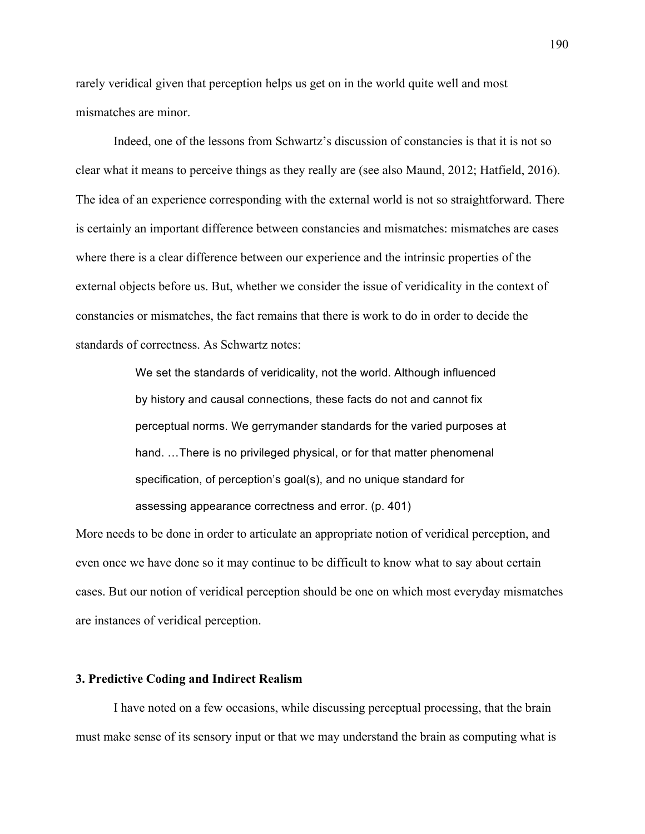rarely veridical given that perception helps us get on in the world quite well and most mismatches are minor.

Indeed, one of the lessons from Schwartz's discussion of constancies is that it is not so clear what it means to perceive things as they really are (see also Maund, 2012; Hatfield, 2016). The idea of an experience corresponding with the external world is not so straightforward. There is certainly an important difference between constancies and mismatches: mismatches are cases where there is a clear difference between our experience and the intrinsic properties of the external objects before us. But, whether we consider the issue of veridicality in the context of constancies or mismatches, the fact remains that there is work to do in order to decide the standards of correctness. As Schwartz notes:

> We set the standards of veridicality, not the world. Although influenced by history and causal connections, these facts do not and cannot fix perceptual norms. We gerrymander standards for the varied purposes at hand. …There is no privileged physical, or for that matter phenomenal specification, of perception's goal(s), and no unique standard for assessing appearance correctness and error. (p. 401)

More needs to be done in order to articulate an appropriate notion of veridical perception, and even once we have done so it may continue to be difficult to know what to say about certain cases. But our notion of veridical perception should be one on which most everyday mismatches are instances of veridical perception.

#### **3. Predictive Coding and Indirect Realism**

I have noted on a few occasions, while discussing perceptual processing, that the brain must make sense of its sensory input or that we may understand the brain as computing what is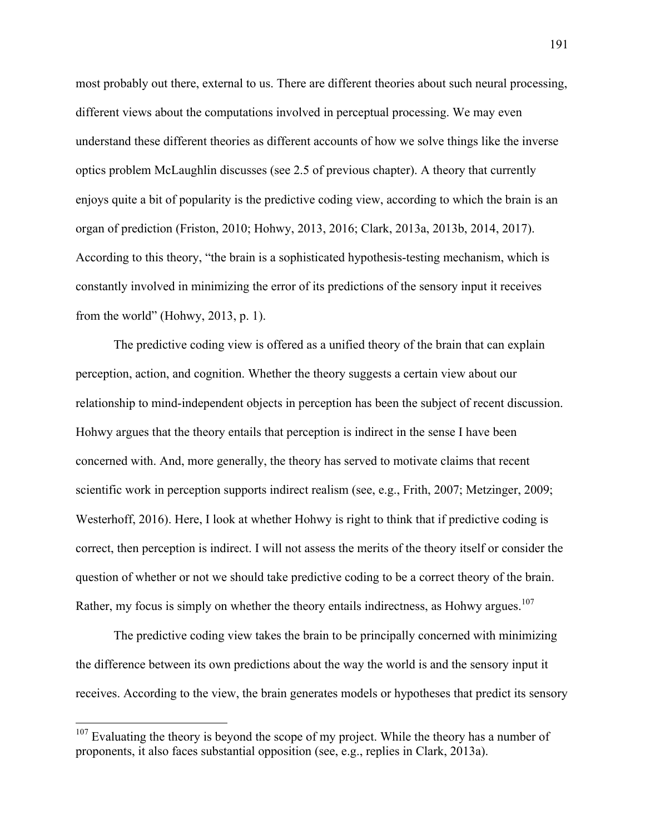most probably out there, external to us. There are different theories about such neural processing, different views about the computations involved in perceptual processing. We may even understand these different theories as different accounts of how we solve things like the inverse optics problem McLaughlin discusses (see 2.5 of previous chapter). A theory that currently enjoys quite a bit of popularity is the predictive coding view, according to which the brain is an organ of prediction (Friston, 2010; Hohwy, 2013, 2016; Clark, 2013a, 2013b, 2014, 2017). According to this theory, "the brain is a sophisticated hypothesis-testing mechanism, which is constantly involved in minimizing the error of its predictions of the sensory input it receives from the world" (Hohwy, 2013, p. 1).

The predictive coding view is offered as a unified theory of the brain that can explain perception, action, and cognition. Whether the theory suggests a certain view about our relationship to mind-independent objects in perception has been the subject of recent discussion. Hohwy argues that the theory entails that perception is indirect in the sense I have been concerned with. And, more generally, the theory has served to motivate claims that recent scientific work in perception supports indirect realism (see, e.g., Frith, 2007; Metzinger, 2009; Westerhoff, 2016). Here, I look at whether Hohwy is right to think that if predictive coding is correct, then perception is indirect. I will not assess the merits of the theory itself or consider the question of whether or not we should take predictive coding to be a correct theory of the brain. Rather, my focus is simply on whether the theory entails indirectness, as Hohwy argues.<sup>107</sup>

The predictive coding view takes the brain to be principally concerned with minimizing the difference between its own predictions about the way the world is and the sensory input it receives. According to the view, the brain generates models or hypotheses that predict its sensory

<sup>&</sup>lt;sup>107</sup> Evaluating the theory is beyond the scope of my project. While the theory has a number of proponents, it also faces substantial opposition (see, e.g., replies in Clark, 2013a).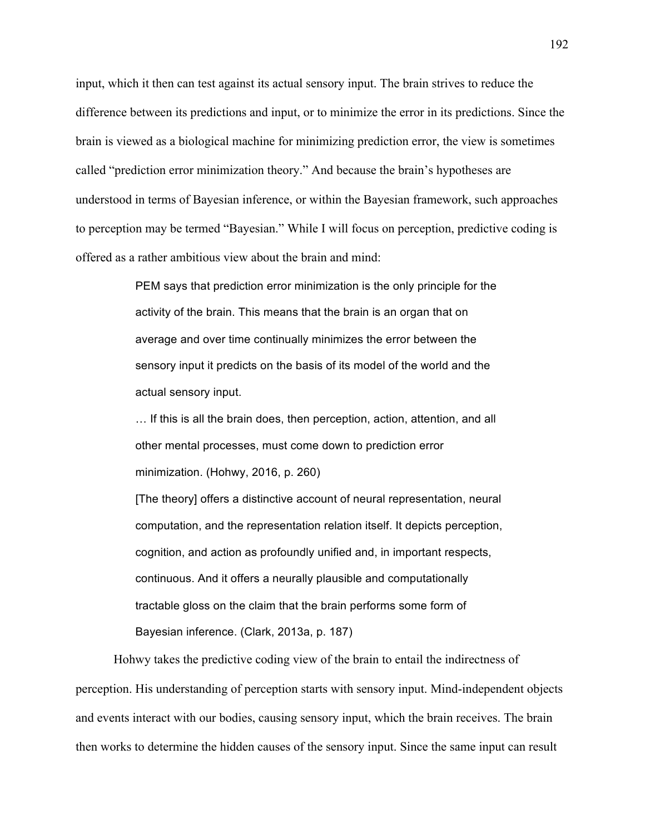input, which it then can test against its actual sensory input. The brain strives to reduce the difference between its predictions and input, or to minimize the error in its predictions. Since the brain is viewed as a biological machine for minimizing prediction error, the view is sometimes called "prediction error minimization theory." And because the brain's hypotheses are understood in terms of Bayesian inference, or within the Bayesian framework, such approaches to perception may be termed "Bayesian." While I will focus on perception, predictive coding is offered as a rather ambitious view about the brain and mind:

> PEM says that prediction error minimization is the only principle for the activity of the brain. This means that the brain is an organ that on average and over time continually minimizes the error between the sensory input it predicts on the basis of its model of the world and the actual sensory input.

> … If this is all the brain does, then perception, action, attention, and all other mental processes, must come down to prediction error minimization. (Hohwy, 2016, p. 260)

[The theory] offers a distinctive account of neural representation, neural computation, and the representation relation itself. It depicts perception, cognition, and action as profoundly unified and, in important respects, continuous. And it offers a neurally plausible and computationally tractable gloss on the claim that the brain performs some form of Bayesian inference. (Clark, 2013a, p. 187)

Hohwy takes the predictive coding view of the brain to entail the indirectness of perception. His understanding of perception starts with sensory input. Mind-independent objects and events interact with our bodies, causing sensory input, which the brain receives. The brain then works to determine the hidden causes of the sensory input. Since the same input can result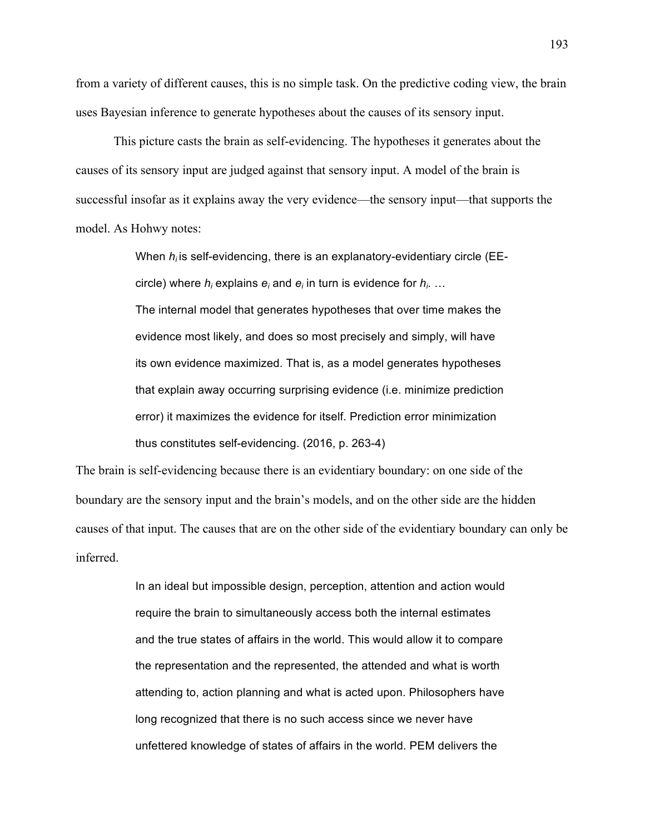from a variety of different causes, this is no simple task. On the predictive coding view, the brain uses Bayesian inference to generate hypotheses about the causes of its sensory input.

This picture casts the brain as self-evidencing. The hypotheses it generates about the causes of its sensory input are judged against that sensory input. A model of the brain is successful insofar as it explains away the very evidence—the sensory input—that supports the model. As Hohwy notes:

> When  $h_i$  is self-evidencing, there is an explanatory-evidentiary circle (EEcircle) where  $h_i$  explains  $e_i$  and  $e_i$  in turn is evidence for  $h_i$ ...

The internal model that generates hypotheses that over time makes the evidence most likely, and does so most precisely and simply, will have its own evidence maximized. That is, as a model generates hypotheses that explain away occurring surprising evidence (i.e. minimize prediction error) it maximizes the evidence for itself. Prediction error minimization thus constitutes self-evidencing. (2016, p. 263-4)

The brain is self-evidencing because there is an evidentiary boundary: on one side of the boundary are the sensory input and the brain's models, and on the other side are the hidden causes of that input. The causes that are on the other side of the evidentiary boundary can only be inferred.

> In an ideal but impossible design, perception, attention and action would require the brain to simultaneously access both the internal estimates and the true states of affairs in the world. This would allow it to compare the representation and the represented, the attended and what is worth attending to, action planning and what is acted upon. Philosophers have long recognized that there is no such access since we never have unfettered knowledge of states of affairs in the world. PEM delivers the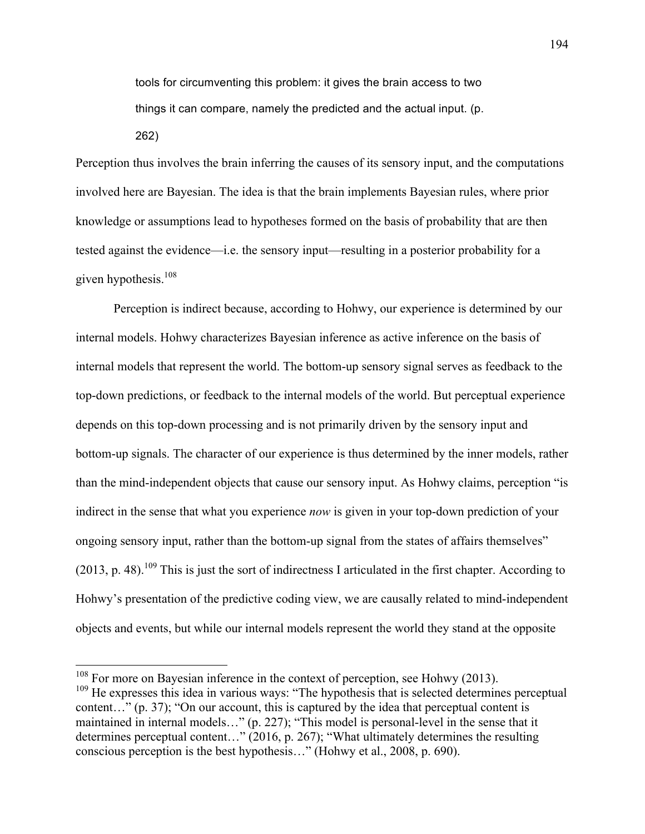tools for circumventing this problem: it gives the brain access to two things it can compare, namely the predicted and the actual input. (p. 262)

Perception thus involves the brain inferring the causes of its sensory input, and the computations involved here are Bayesian. The idea is that the brain implements Bayesian rules, where prior knowledge or assumptions lead to hypotheses formed on the basis of probability that are then tested against the evidence—i.e. the sensory input—resulting in a posterior probability for a given hypothesis.<sup>108</sup>

Perception is indirect because, according to Hohwy, our experience is determined by our internal models. Hohwy characterizes Bayesian inference as active inference on the basis of internal models that represent the world. The bottom-up sensory signal serves as feedback to the top-down predictions, or feedback to the internal models of the world. But perceptual experience depends on this top-down processing and is not primarily driven by the sensory input and bottom-up signals. The character of our experience is thus determined by the inner models, rather than the mind-independent objects that cause our sensory input. As Hohwy claims, perception "is indirect in the sense that what you experience *now* is given in your top-down prediction of your ongoing sensory input, rather than the bottom-up signal from the states of affairs themselves"  $(2013, p. 48)$ .<sup>109</sup> This is just the sort of indirectness I articulated in the first chapter. According to Hohwy's presentation of the predictive coding view, we are causally related to mind-independent objects and events, but while our internal models represent the world they stand at the opposite

<sup>&</sup>lt;sup>108</sup> For more on Bayesian inference in the context of perception, see Hohwy (2013).

<sup>&</sup>lt;sup>109</sup> He expresses this idea in various ways: "The hypothesis that is selected determines perceptual content…" (p. 37); "On our account, this is captured by the idea that perceptual content is maintained in internal models…" (p. 227); "This model is personal-level in the sense that it determines perceptual content…" (2016, p. 267); "What ultimately determines the resulting conscious perception is the best hypothesis…" (Hohwy et al., 2008, p. 690).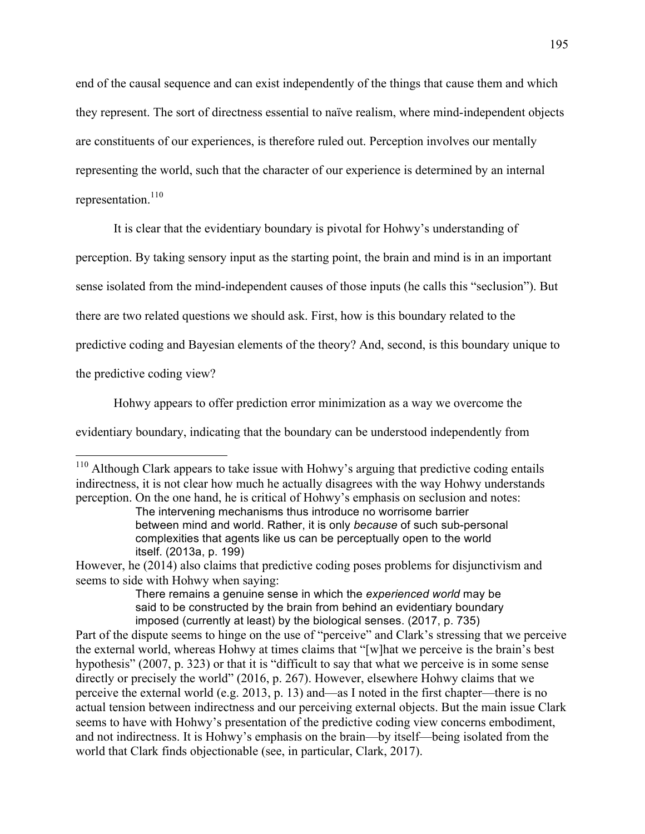end of the causal sequence and can exist independently of the things that cause them and which they represent. The sort of directness essential to naïve realism, where mind-independent objects are constituents of our experiences, is therefore ruled out. Perception involves our mentally representing the world, such that the character of our experience is determined by an internal representation.<sup>110</sup>

It is clear that the evidentiary boundary is pivotal for Hohwy's understanding of

perception. By taking sensory input as the starting point, the brain and mind is in an important

sense isolated from the mind-independent causes of those inputs (he calls this "seclusion"). But

there are two related questions we should ask. First, how is this boundary related to the

predictive coding and Bayesian elements of the theory? And, second, is this boundary unique to

the predictive coding view?

Hohwy appears to offer prediction error minimization as a way we overcome the

evidentiary boundary, indicating that the boundary can be understood independently from

<sup>&</sup>lt;sup>110</sup> Although Clark appears to take issue with Hohwy's arguing that predictive coding entails indirectness, it is not clear how much he actually disagrees with the way Hohwy understands perception. On the one hand, he is critical of Hohwy's emphasis on seclusion and notes:

The intervening mechanisms thus introduce no worrisome barrier between mind and world. Rather, it is only *because* of such sub-personal complexities that agents like us can be perceptually open to the world itself. (2013a, p. 199)

However, he (2014) also claims that predictive coding poses problems for disjunctivism and seems to side with Hohwy when saying:

There remains a genuine sense in which the *experienced world* may be said to be constructed by the brain from behind an evidentiary boundary imposed (currently at least) by the biological senses. (2017, p. 735)

Part of the dispute seems to hinge on the use of "perceive" and Clark's stressing that we perceive the external world, whereas Hohwy at times claims that "[w]hat we perceive is the brain's best hypothesis" (2007, p. 323) or that it is "difficult to say that what we perceive is in some sense directly or precisely the world" (2016, p. 267). However, elsewhere Hohwy claims that we perceive the external world (e.g. 2013, p. 13) and—as I noted in the first chapter—there is no actual tension between indirectness and our perceiving external objects. But the main issue Clark seems to have with Hohwy's presentation of the predictive coding view concerns embodiment, and not indirectness. It is Hohwy's emphasis on the brain—by itself—being isolated from the world that Clark finds objectionable (see, in particular, Clark, 2017).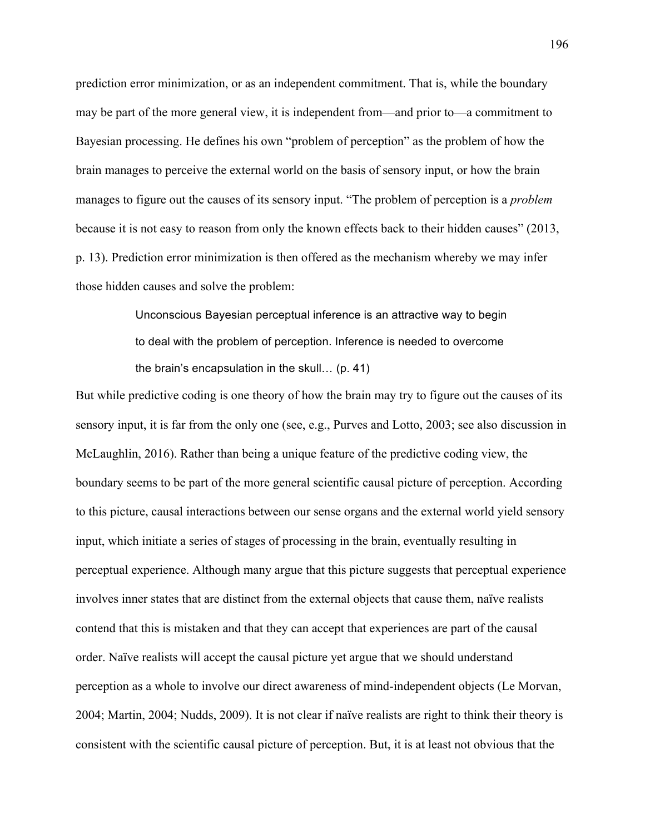prediction error minimization, or as an independent commitment. That is, while the boundary may be part of the more general view, it is independent from—and prior to—a commitment to Bayesian processing. He defines his own "problem of perception" as the problem of how the brain manages to perceive the external world on the basis of sensory input, or how the brain manages to figure out the causes of its sensory input. "The problem of perception is a *problem* because it is not easy to reason from only the known effects back to their hidden causes" (2013, p. 13). Prediction error minimization is then offered as the mechanism whereby we may infer those hidden causes and solve the problem:

> Unconscious Bayesian perceptual inference is an attractive way to begin to deal with the problem of perception. Inference is needed to overcome the brain's encapsulation in the skull… (p. 41)

But while predictive coding is one theory of how the brain may try to figure out the causes of its sensory input, it is far from the only one (see, e.g., Purves and Lotto, 2003; see also discussion in McLaughlin, 2016). Rather than being a unique feature of the predictive coding view, the boundary seems to be part of the more general scientific causal picture of perception. According to this picture, causal interactions between our sense organs and the external world yield sensory input, which initiate a series of stages of processing in the brain, eventually resulting in perceptual experience. Although many argue that this picture suggests that perceptual experience involves inner states that are distinct from the external objects that cause them, naïve realists contend that this is mistaken and that they can accept that experiences are part of the causal order. Naïve realists will accept the causal picture yet argue that we should understand perception as a whole to involve our direct awareness of mind-independent objects (Le Morvan, 2004; Martin, 2004; Nudds, 2009). It is not clear if naïve realists are right to think their theory is consistent with the scientific causal picture of perception. But, it is at least not obvious that the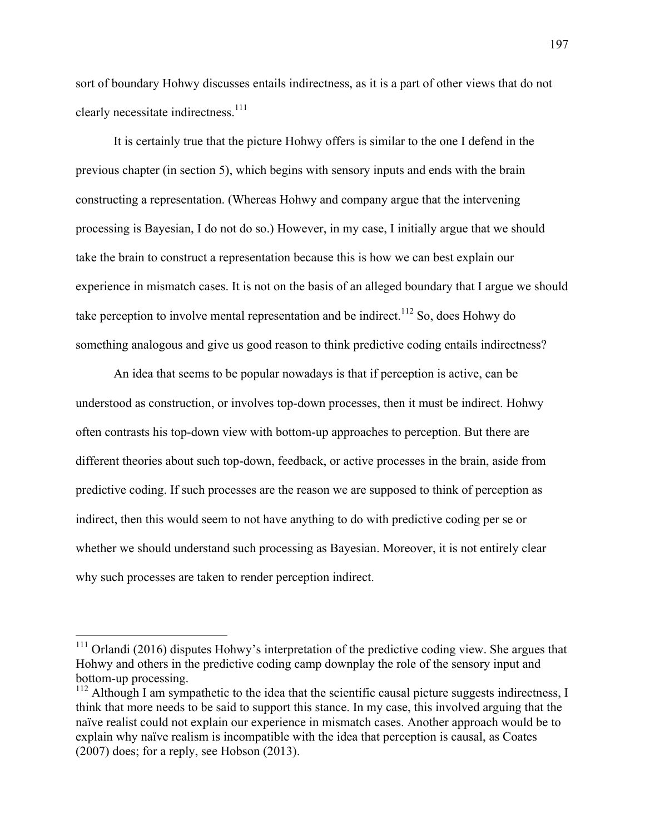sort of boundary Hohwy discusses entails indirectness, as it is a part of other views that do not clearly necessitate indirectness.<sup>111</sup>

It is certainly true that the picture Hohwy offers is similar to the one I defend in the previous chapter (in section 5), which begins with sensory inputs and ends with the brain constructing a representation. (Whereas Hohwy and company argue that the intervening processing is Bayesian, I do not do so.) However, in my case, I initially argue that we should take the brain to construct a representation because this is how we can best explain our experience in mismatch cases. It is not on the basis of an alleged boundary that I argue we should take perception to involve mental representation and be indirect.<sup>112</sup> So, does Hohwy do something analogous and give us good reason to think predictive coding entails indirectness?

An idea that seems to be popular nowadays is that if perception is active, can be understood as construction, or involves top-down processes, then it must be indirect. Hohwy often contrasts his top-down view with bottom-up approaches to perception. But there are different theories about such top-down, feedback, or active processes in the brain, aside from predictive coding. If such processes are the reason we are supposed to think of perception as indirect, then this would seem to not have anything to do with predictive coding per se or whether we should understand such processing as Bayesian. Moreover, it is not entirely clear why such processes are taken to render perception indirect.

<sup>&</sup>lt;sup>111</sup> Orlandi (2016) disputes Hohwy's interpretation of the predictive coding view. She argues that Hohwy and others in the predictive coding camp downplay the role of the sensory input and bottom-up processing.

<sup>&</sup>lt;sup>112</sup> Although I am sympathetic to the idea that the scientific causal picture suggests indirectness, I think that more needs to be said to support this stance. In my case, this involved arguing that the naïve realist could not explain our experience in mismatch cases. Another approach would be to explain why naïve realism is incompatible with the idea that perception is causal, as Coates (2007) does; for a reply, see Hobson (2013).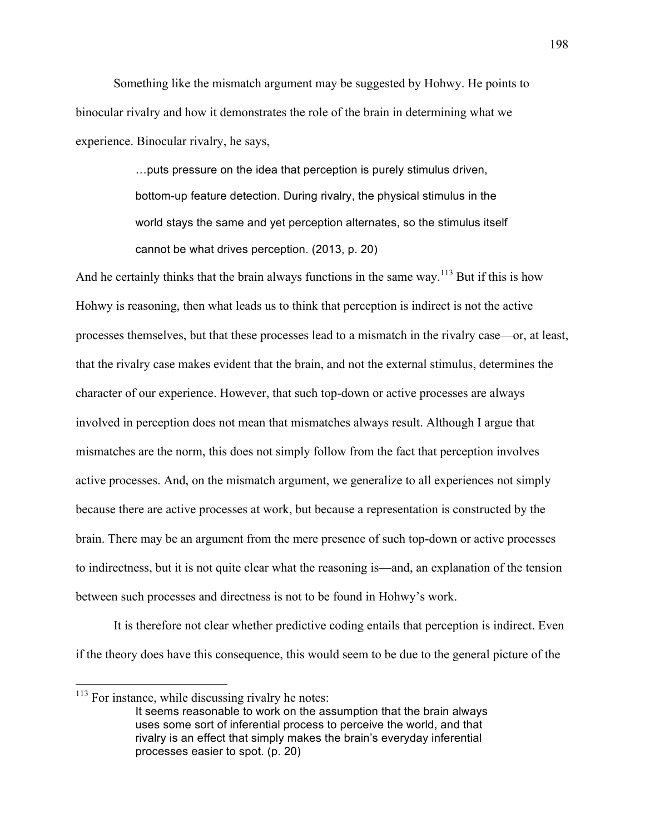Something like the mismatch argument may be suggested by Hohwy. He points to binocular rivalry and how it demonstrates the role of the brain in determining what we experience. Binocular rivalry, he says,

> …puts pressure on the idea that perception is purely stimulus driven, bottom-up feature detection. During rivalry, the physical stimulus in the world stays the same and yet perception alternates, so the stimulus itself cannot be what drives perception. (2013, p. 20)

And he certainly thinks that the brain always functions in the same way.<sup>113</sup> But if this is how Hohwy is reasoning, then what leads us to think that perception is indirect is not the active processes themselves, but that these processes lead to a mismatch in the rivalry case—or, at least, that the rivalry case makes evident that the brain, and not the external stimulus, determines the character of our experience. However, that such top-down or active processes are always involved in perception does not mean that mismatches always result. Although I argue that mismatches are the norm, this does not simply follow from the fact that perception involves active processes. And, on the mismatch argument, we generalize to all experiences not simply because there are active processes at work, but because a representation is constructed by the brain. There may be an argument from the mere presence of such top-down or active processes to indirectness, but it is not quite clear what the reasoning is—and, an explanation of the tension between such processes and directness is not to be found in Hohwy's work.

It is therefore not clear whether predictive coding entails that perception is indirect. Even if the theory does have this consequence, this would seem to be due to the general picture of the

<sup>&</sup>lt;sup>113</sup> For instance, while discussing rivalry he notes: It seems reasonable to work on the assumption that the brain always uses some sort of inferential process to perceive the world, and that rivalry is an effect that simply makes the brain's everyday inferential processes easier to spot. (p. 20)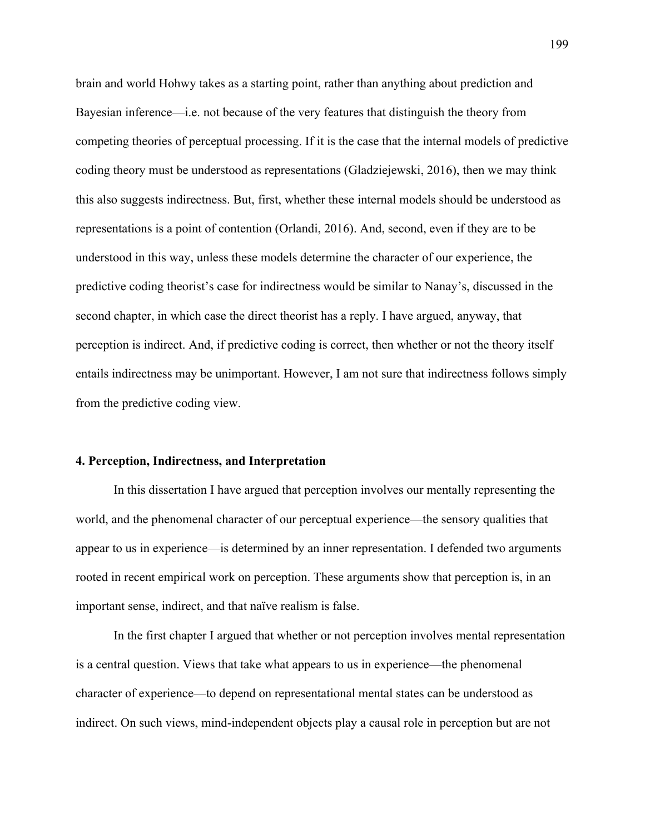brain and world Hohwy takes as a starting point, rather than anything about prediction and Bayesian inference—i.e. not because of the very features that distinguish the theory from competing theories of perceptual processing. If it is the case that the internal models of predictive coding theory must be understood as representations (Gladziejewski, 2016), then we may think this also suggests indirectness. But, first, whether these internal models should be understood as representations is a point of contention (Orlandi, 2016). And, second, even if they are to be understood in this way, unless these models determine the character of our experience, the predictive coding theorist's case for indirectness would be similar to Nanay's, discussed in the second chapter, in which case the direct theorist has a reply. I have argued, anyway, that perception is indirect. And, if predictive coding is correct, then whether or not the theory itself entails indirectness may be unimportant. However, I am not sure that indirectness follows simply from the predictive coding view.

#### **4. Perception, Indirectness, and Interpretation**

In this dissertation I have argued that perception involves our mentally representing the world, and the phenomenal character of our perceptual experience—the sensory qualities that appear to us in experience—is determined by an inner representation. I defended two arguments rooted in recent empirical work on perception. These arguments show that perception is, in an important sense, indirect, and that naïve realism is false.

In the first chapter I argued that whether or not perception involves mental representation is a central question. Views that take what appears to us in experience—the phenomenal character of experience—to depend on representational mental states can be understood as indirect. On such views, mind-independent objects play a causal role in perception but are not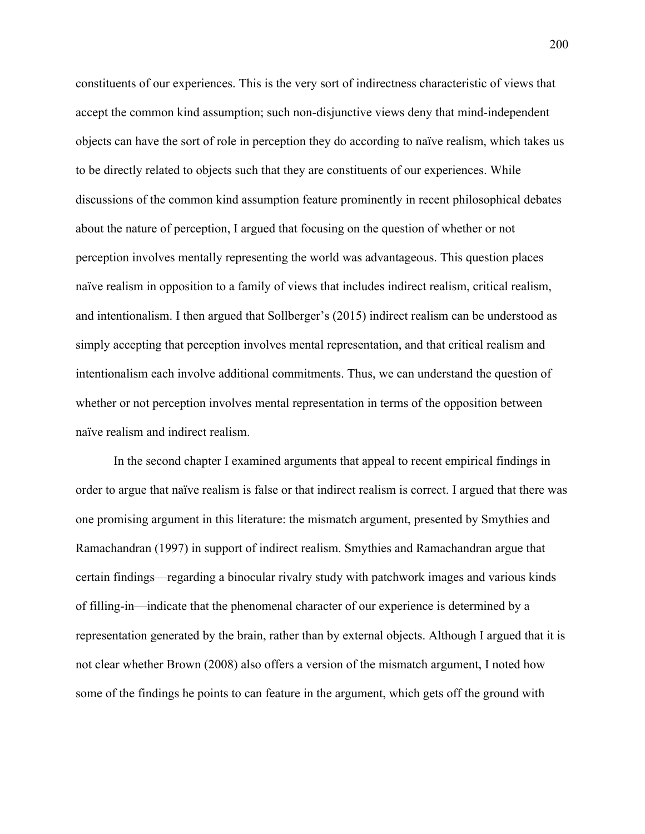constituents of our experiences. This is the very sort of indirectness characteristic of views that accept the common kind assumption; such non-disjunctive views deny that mind-independent objects can have the sort of role in perception they do according to naïve realism, which takes us to be directly related to objects such that they are constituents of our experiences. While discussions of the common kind assumption feature prominently in recent philosophical debates about the nature of perception, I argued that focusing on the question of whether or not perception involves mentally representing the world was advantageous. This question places naïve realism in opposition to a family of views that includes indirect realism, critical realism, and intentionalism. I then argued that Sollberger's (2015) indirect realism can be understood as simply accepting that perception involves mental representation, and that critical realism and intentionalism each involve additional commitments. Thus, we can understand the question of whether or not perception involves mental representation in terms of the opposition between naïve realism and indirect realism.

In the second chapter I examined arguments that appeal to recent empirical findings in order to argue that naïve realism is false or that indirect realism is correct. I argued that there was one promising argument in this literature: the mismatch argument, presented by Smythies and Ramachandran (1997) in support of indirect realism. Smythies and Ramachandran argue that certain findings—regarding a binocular rivalry study with patchwork images and various kinds of filling-in—indicate that the phenomenal character of our experience is determined by a representation generated by the brain, rather than by external objects. Although I argued that it is not clear whether Brown (2008) also offers a version of the mismatch argument, I noted how some of the findings he points to can feature in the argument, which gets off the ground with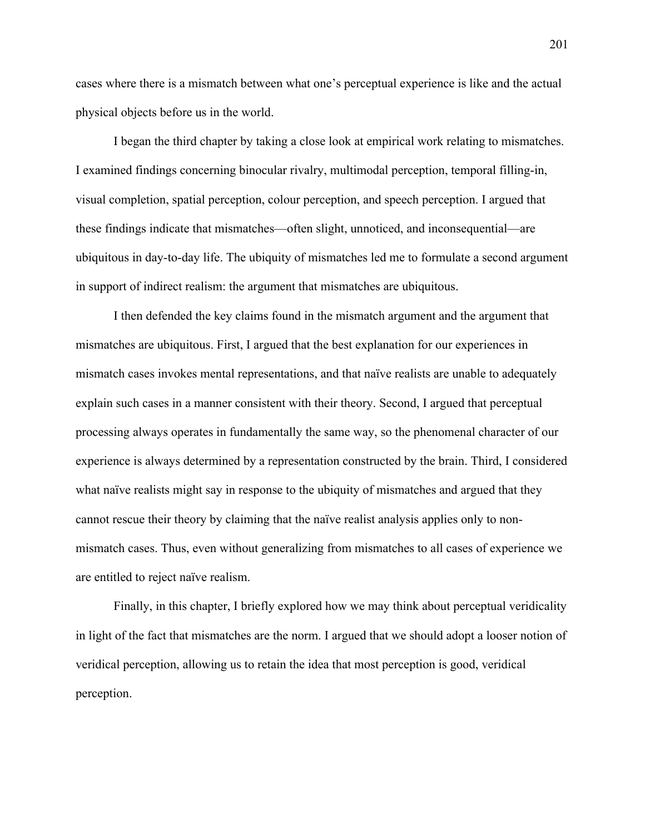cases where there is a mismatch between what one's perceptual experience is like and the actual physical objects before us in the world.

I began the third chapter by taking a close look at empirical work relating to mismatches. I examined findings concerning binocular rivalry, multimodal perception, temporal filling-in, visual completion, spatial perception, colour perception, and speech perception. I argued that these findings indicate that mismatches—often slight, unnoticed, and inconsequential—are ubiquitous in day-to-day life. The ubiquity of mismatches led me to formulate a second argument in support of indirect realism: the argument that mismatches are ubiquitous.

I then defended the key claims found in the mismatch argument and the argument that mismatches are ubiquitous. First, I argued that the best explanation for our experiences in mismatch cases invokes mental representations, and that naïve realists are unable to adequately explain such cases in a manner consistent with their theory. Second, I argued that perceptual processing always operates in fundamentally the same way, so the phenomenal character of our experience is always determined by a representation constructed by the brain. Third, I considered what naïve realists might say in response to the ubiquity of mismatches and argued that they cannot rescue their theory by claiming that the naïve realist analysis applies only to nonmismatch cases. Thus, even without generalizing from mismatches to all cases of experience we are entitled to reject naïve realism.

Finally, in this chapter, I briefly explored how we may think about perceptual veridicality in light of the fact that mismatches are the norm. I argued that we should adopt a looser notion of veridical perception, allowing us to retain the idea that most perception is good, veridical perception.

201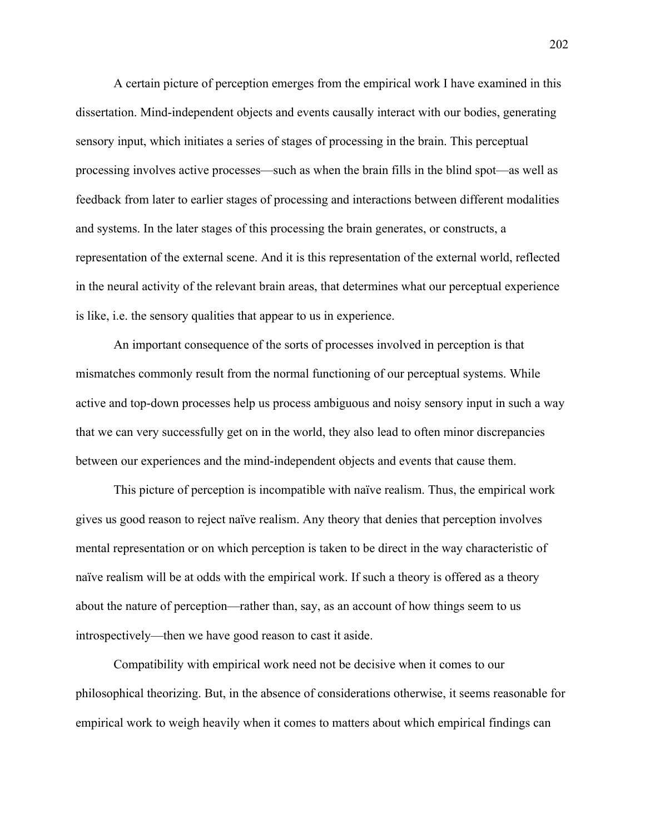A certain picture of perception emerges from the empirical work I have examined in this dissertation. Mind-independent objects and events causally interact with our bodies, generating sensory input, which initiates a series of stages of processing in the brain. This perceptual processing involves active processes—such as when the brain fills in the blind spot—as well as feedback from later to earlier stages of processing and interactions between different modalities and systems. In the later stages of this processing the brain generates, or constructs, a representation of the external scene. And it is this representation of the external world, reflected in the neural activity of the relevant brain areas, that determines what our perceptual experience is like, i.e. the sensory qualities that appear to us in experience.

An important consequence of the sorts of processes involved in perception is that mismatches commonly result from the normal functioning of our perceptual systems. While active and top-down processes help us process ambiguous and noisy sensory input in such a way that we can very successfully get on in the world, they also lead to often minor discrepancies between our experiences and the mind-independent objects and events that cause them.

This picture of perception is incompatible with naïve realism. Thus, the empirical work gives us good reason to reject naïve realism. Any theory that denies that perception involves mental representation or on which perception is taken to be direct in the way characteristic of naïve realism will be at odds with the empirical work. If such a theory is offered as a theory about the nature of perception—rather than, say, as an account of how things seem to us introspectively—then we have good reason to cast it aside.

Compatibility with empirical work need not be decisive when it comes to our philosophical theorizing. But, in the absence of considerations otherwise, it seems reasonable for empirical work to weigh heavily when it comes to matters about which empirical findings can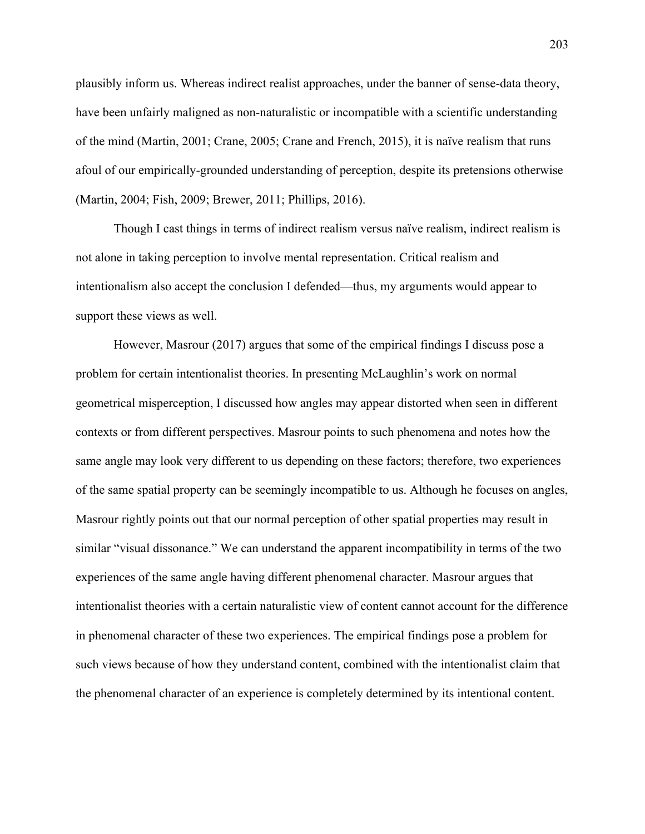plausibly inform us. Whereas indirect realist approaches, under the banner of sense-data theory, have been unfairly maligned as non-naturalistic or incompatible with a scientific understanding of the mind (Martin, 2001; Crane, 2005; Crane and French, 2015), it is naïve realism that runs afoul of our empirically-grounded understanding of perception, despite its pretensions otherwise (Martin, 2004; Fish, 2009; Brewer, 2011; Phillips, 2016).

Though I cast things in terms of indirect realism versus naïve realism, indirect realism is not alone in taking perception to involve mental representation. Critical realism and intentionalism also accept the conclusion I defended—thus, my arguments would appear to support these views as well.

However, Masrour (2017) argues that some of the empirical findings I discuss pose a problem for certain intentionalist theories. In presenting McLaughlin's work on normal geometrical misperception, I discussed how angles may appear distorted when seen in different contexts or from different perspectives. Masrour points to such phenomena and notes how the same angle may look very different to us depending on these factors; therefore, two experiences of the same spatial property can be seemingly incompatible to us. Although he focuses on angles, Masrour rightly points out that our normal perception of other spatial properties may result in similar "visual dissonance." We can understand the apparent incompatibility in terms of the two experiences of the same angle having different phenomenal character. Masrour argues that intentionalist theories with a certain naturalistic view of content cannot account for the difference in phenomenal character of these two experiences. The empirical findings pose a problem for such views because of how they understand content, combined with the intentionalist claim that the phenomenal character of an experience is completely determined by its intentional content.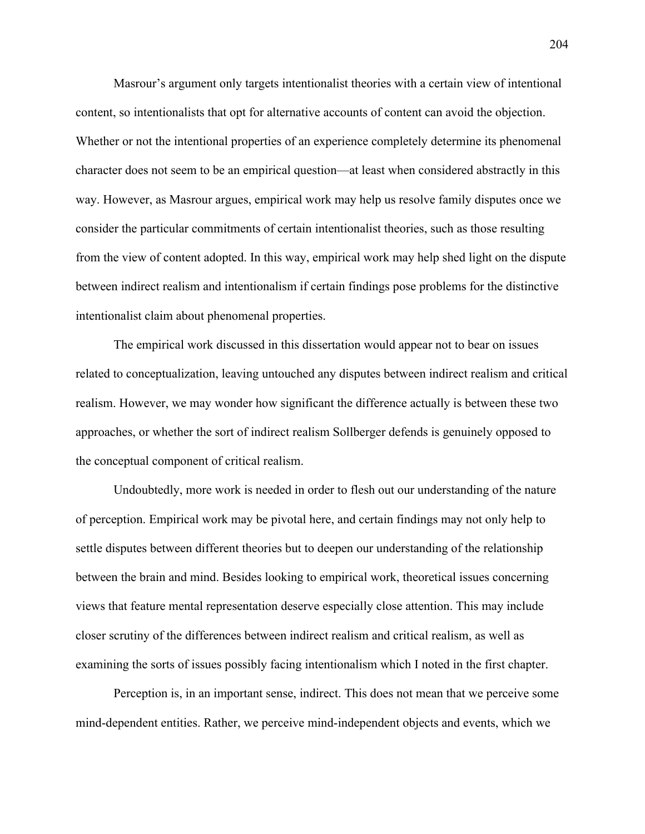Masrour's argument only targets intentionalist theories with a certain view of intentional content, so intentionalists that opt for alternative accounts of content can avoid the objection. Whether or not the intentional properties of an experience completely determine its phenomenal character does not seem to be an empirical question—at least when considered abstractly in this way. However, as Masrour argues, empirical work may help us resolve family disputes once we consider the particular commitments of certain intentionalist theories, such as those resulting from the view of content adopted. In this way, empirical work may help shed light on the dispute between indirect realism and intentionalism if certain findings pose problems for the distinctive intentionalist claim about phenomenal properties.

The empirical work discussed in this dissertation would appear not to bear on issues related to conceptualization, leaving untouched any disputes between indirect realism and critical realism. However, we may wonder how significant the difference actually is between these two approaches, or whether the sort of indirect realism Sollberger defends is genuinely opposed to the conceptual component of critical realism.

Undoubtedly, more work is needed in order to flesh out our understanding of the nature of perception. Empirical work may be pivotal here, and certain findings may not only help to settle disputes between different theories but to deepen our understanding of the relationship between the brain and mind. Besides looking to empirical work, theoretical issues concerning views that feature mental representation deserve especially close attention. This may include closer scrutiny of the differences between indirect realism and critical realism, as well as examining the sorts of issues possibly facing intentionalism which I noted in the first chapter.

Perception is, in an important sense, indirect. This does not mean that we perceive some mind-dependent entities. Rather, we perceive mind-independent objects and events, which we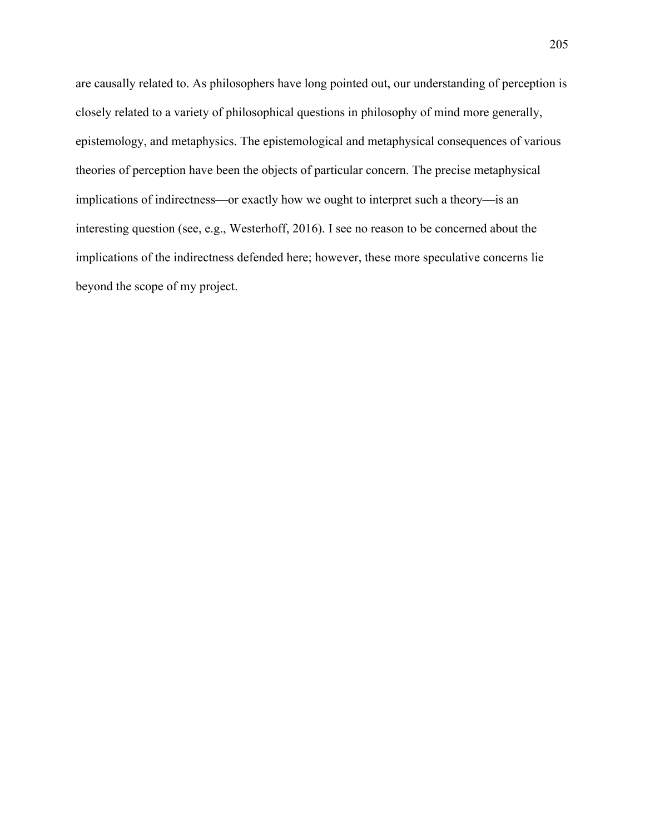are causally related to. As philosophers have long pointed out, our understanding of perception is closely related to a variety of philosophical questions in philosophy of mind more generally, epistemology, and metaphysics. The epistemological and metaphysical consequences of various theories of perception have been the objects of particular concern. The precise metaphysical implications of indirectness—or exactly how we ought to interpret such a theory—is an interesting question (see, e.g., Westerhoff, 2016). I see no reason to be concerned about the implications of the indirectness defended here; however, these more speculative concerns lie beyond the scope of my project.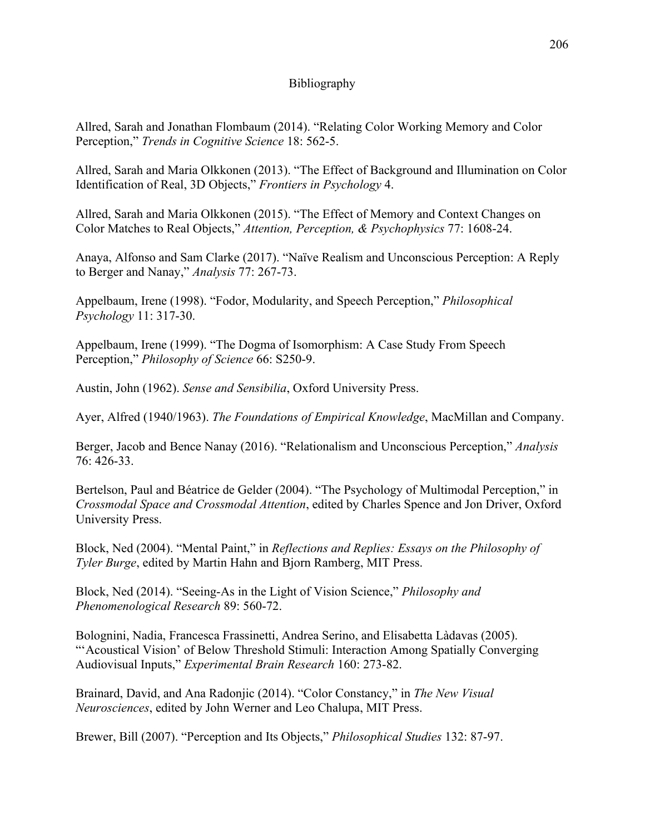# Bibliography

Allred, Sarah and Jonathan Flombaum (2014). "Relating Color Working Memory and Color Perception," *Trends in Cognitive Science* 18: 562-5.

Allred, Sarah and Maria Olkkonen (2013). "The Effect of Background and Illumination on Color Identification of Real, 3D Objects," *Frontiers in Psychology* 4.

Allred, Sarah and Maria Olkkonen (2015). "The Effect of Memory and Context Changes on Color Matches to Real Objects," *Attention, Perception, & Psychophysics* 77: 1608-24.

Anaya, Alfonso and Sam Clarke (2017). "Naïve Realism and Unconscious Perception: A Reply to Berger and Nanay," *Analysis* 77: 267-73.

Appelbaum, Irene (1998). "Fodor, Modularity, and Speech Perception," *Philosophical Psychology* 11: 317-30.

Appelbaum, Irene (1999). "The Dogma of Isomorphism: A Case Study From Speech Perception," *Philosophy of Science* 66: S250-9.

Austin, John (1962). *Sense and Sensibilia*, Oxford University Press.

Ayer, Alfred (1940/1963). *The Foundations of Empirical Knowledge*, MacMillan and Company.

Berger, Jacob and Bence Nanay (2016). "Relationalism and Unconscious Perception," *Analysis* 76: 426-33.

Bertelson, Paul and Béatrice de Gelder (2004). "The Psychology of Multimodal Perception," in *Crossmodal Space and Crossmodal Attention*, edited by Charles Spence and Jon Driver, Oxford University Press.

Block, Ned (2004). "Mental Paint," in *Reflections and Replies: Essays on the Philosophy of Tyler Burge*, edited by Martin Hahn and Bjorn Ramberg, MIT Press.

Block, Ned (2014). "Seeing-As in the Light of Vision Science," *Philosophy and Phenomenological Research* 89: 560-72.

Bolognini, Nadia, Francesca Frassinetti, Andrea Serino, and Elisabetta Làdavas (2005). "'Acoustical Vision' of Below Threshold Stimuli: Interaction Among Spatially Converging Audiovisual Inputs," *Experimental Brain Research* 160: 273-82.

Brainard, David, and Ana Radonjic (2014). "Color Constancy," in *The New Visual Neurosciences*, edited by John Werner and Leo Chalupa, MIT Press.

Brewer, Bill (2007). "Perception and Its Objects," *Philosophical Studies* 132: 87-97.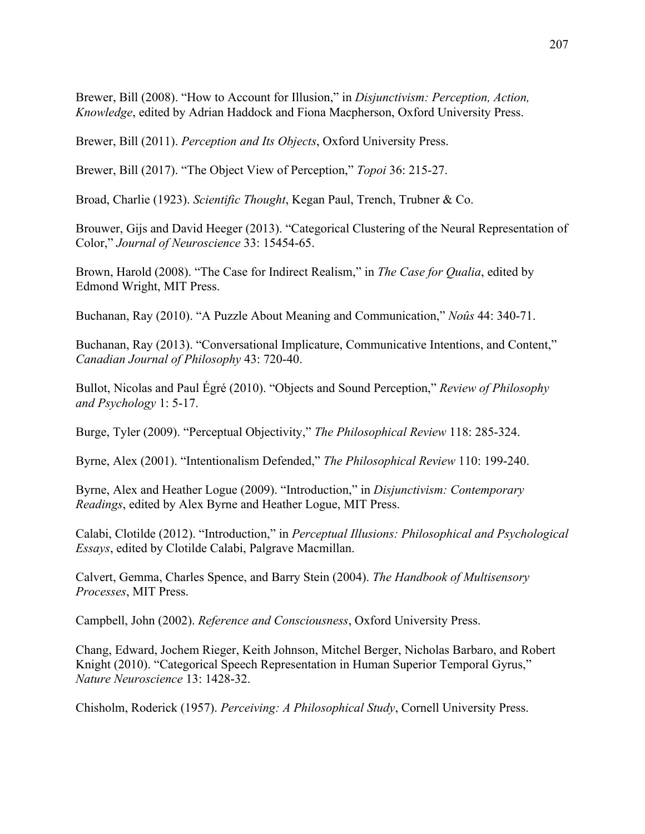Brewer, Bill (2008). "How to Account for Illusion," in *Disjunctivism: Perception, Action, Knowledge*, edited by Adrian Haddock and Fiona Macpherson, Oxford University Press.

Brewer, Bill (2011). *Perception and Its Objects*, Oxford University Press.

Brewer, Bill (2017). "The Object View of Perception," *Topoi* 36: 215-27.

Broad, Charlie (1923). *Scientific Thought*, Kegan Paul, Trench, Trubner & Co.

Brouwer, Gijs and David Heeger (2013). "Categorical Clustering of the Neural Representation of Color," *Journal of Neuroscience* 33: 15454-65.

Brown, Harold (2008). "The Case for Indirect Realism," in *The Case for Qualia*, edited by Edmond Wright, MIT Press.

Buchanan, Ray (2010). "A Puzzle About Meaning and Communication," *Noûs* 44: 340-71.

Buchanan, Ray (2013). "Conversational Implicature, Communicative Intentions, and Content," *Canadian Journal of Philosophy* 43: 720-40.

Bullot, Nicolas and Paul Égré (2010). "Objects and Sound Perception," *Review of Philosophy and Psychology* 1: 5-17.

Burge, Tyler (2009). "Perceptual Objectivity," *The Philosophical Review* 118: 285-324.

Byrne, Alex (2001). "Intentionalism Defended," *The Philosophical Review* 110: 199-240.

Byrne, Alex and Heather Logue (2009). "Introduction," in *Disjunctivism: Contemporary Readings*, edited by Alex Byrne and Heather Logue, MIT Press.

Calabi, Clotilde (2012). "Introduction," in *Perceptual Illusions: Philosophical and Psychological Essays*, edited by Clotilde Calabi, Palgrave Macmillan.

Calvert, Gemma, Charles Spence, and Barry Stein (2004). *The Handbook of Multisensory Processes*, MIT Press.

Campbell, John (2002). *Reference and Consciousness*, Oxford University Press.

Chang, Edward, Jochem Rieger, Keith Johnson, Mitchel Berger, Nicholas Barbaro, and Robert Knight (2010). "Categorical Speech Representation in Human Superior Temporal Gyrus," *Nature Neuroscience* 13: 1428-32.

Chisholm, Roderick (1957). *Perceiving: A Philosophical Study*, Cornell University Press.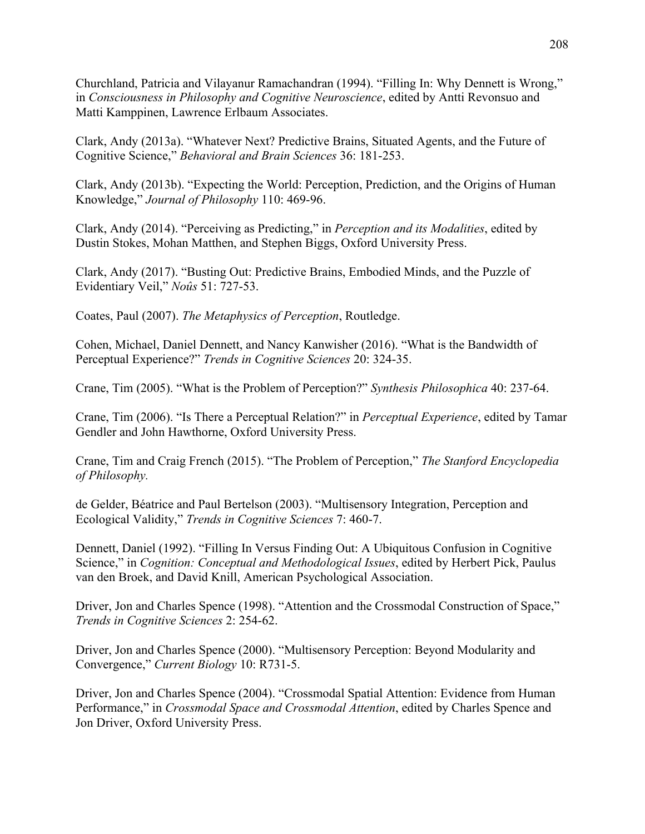Churchland, Patricia and Vilayanur Ramachandran (1994). "Filling In: Why Dennett is Wrong," in *Consciousness in Philosophy and Cognitive Neuroscience*, edited by Antti Revonsuo and Matti Kamppinen, Lawrence Erlbaum Associates.

Clark, Andy (2013a). "Whatever Next? Predictive Brains, Situated Agents, and the Future of Cognitive Science," *Behavioral and Brain Sciences* 36: 181-253.

Clark, Andy (2013b). "Expecting the World: Perception, Prediction, and the Origins of Human Knowledge," *Journal of Philosophy* 110: 469-96.

Clark, Andy (2014). "Perceiving as Predicting," in *Perception and its Modalities*, edited by Dustin Stokes, Mohan Matthen, and Stephen Biggs, Oxford University Press.

Clark, Andy (2017). "Busting Out: Predictive Brains, Embodied Minds, and the Puzzle of Evidentiary Veil," *Noûs* 51: 727-53.

Coates, Paul (2007). *The Metaphysics of Perception*, Routledge.

Cohen, Michael, Daniel Dennett, and Nancy Kanwisher (2016). "What is the Bandwidth of Perceptual Experience?" *Trends in Cognitive Sciences* 20: 324-35.

Crane, Tim (2005). "What is the Problem of Perception?" *Synthesis Philosophica* 40: 237-64.

Crane, Tim (2006). "Is There a Perceptual Relation?" in *Perceptual Experience*, edited by Tamar Gendler and John Hawthorne, Oxford University Press.

Crane, Tim and Craig French (2015). "The Problem of Perception," *The Stanford Encyclopedia of Philosophy.*

de Gelder, Béatrice and Paul Bertelson (2003). "Multisensory Integration, Perception and Ecological Validity," *Trends in Cognitive Sciences* 7: 460-7.

Dennett, Daniel (1992). "Filling In Versus Finding Out: A Ubiquitous Confusion in Cognitive Science," in *Cognition: Conceptual and Methodological Issues*, edited by Herbert Pick, Paulus van den Broek, and David Knill, American Psychological Association.

Driver, Jon and Charles Spence (1998). "Attention and the Crossmodal Construction of Space," *Trends in Cognitive Sciences* 2: 254-62.

Driver, Jon and Charles Spence (2000). "Multisensory Perception: Beyond Modularity and Convergence," *Current Biology* 10: R731-5.

Driver, Jon and Charles Spence (2004). "Crossmodal Spatial Attention: Evidence from Human Performance," in *Crossmodal Space and Crossmodal Attention*, edited by Charles Spence and Jon Driver, Oxford University Press.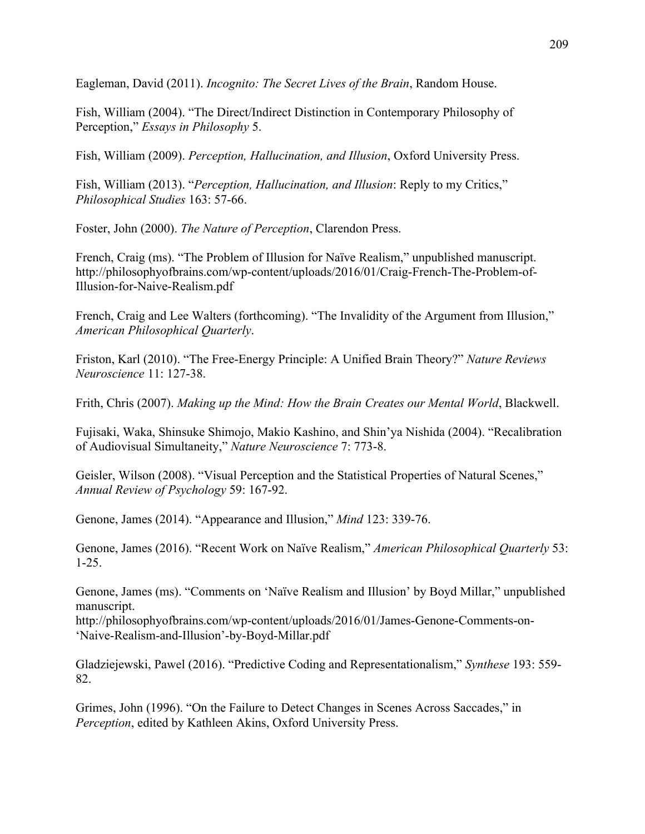Eagleman, David (2011). *Incognito: The Secret Lives of the Brain*, Random House.

Fish, William (2004). "The Direct/Indirect Distinction in Contemporary Philosophy of Perception," *Essays in Philosophy* 5.

Fish, William (2009). *Perception, Hallucination, and Illusion*, Oxford University Press.

Fish, William (2013). "*Perception, Hallucination, and Illusion*: Reply to my Critics," *Philosophical Studies* 163: 57-66.

Foster, John (2000). *The Nature of Perception*, Clarendon Press.

French, Craig (ms). "The Problem of Illusion for Naïve Realism," unpublished manuscript. http://philosophyofbrains.com/wp-content/uploads/2016/01/Craig-French-The-Problem-of-Illusion-for-Naive-Realism.pdf

French, Craig and Lee Walters (forthcoming). "The Invalidity of the Argument from Illusion," *American Philosophical Quarterly*.

Friston, Karl (2010). "The Free-Energy Principle: A Unified Brain Theory?" *Nature Reviews Neuroscience* 11: 127-38.

Frith, Chris (2007). *Making up the Mind: How the Brain Creates our Mental World*, Blackwell.

Fujisaki, Waka, Shinsuke Shimojo, Makio Kashino, and Shin'ya Nishida (2004). "Recalibration of Audiovisual Simultaneity," *Nature Neuroscience* 7: 773-8.

Geisler, Wilson (2008). "Visual Perception and the Statistical Properties of Natural Scenes," *Annual Review of Psychology* 59: 167-92.

Genone, James (2014). "Appearance and Illusion," *Mind* 123: 339-76.

Genone, James (2016). "Recent Work on Naïve Realism," *American Philosophical Quarterly* 53: 1-25.

Genone, James (ms). "Comments on 'Naïve Realism and Illusion' by Boyd Millar," unpublished manuscript.

http://philosophyofbrains.com/wp-content/uploads/2016/01/James-Genone-Comments-on- 'Naive-Realism-and-Illusion'-by-Boyd-Millar.pdf

Gladziejewski, Pawel (2016). "Predictive Coding and Representationalism," *Synthese* 193: 559- 82.

Grimes, John (1996). "On the Failure to Detect Changes in Scenes Across Saccades," in *Perception*, edited by Kathleen Akins, Oxford University Press.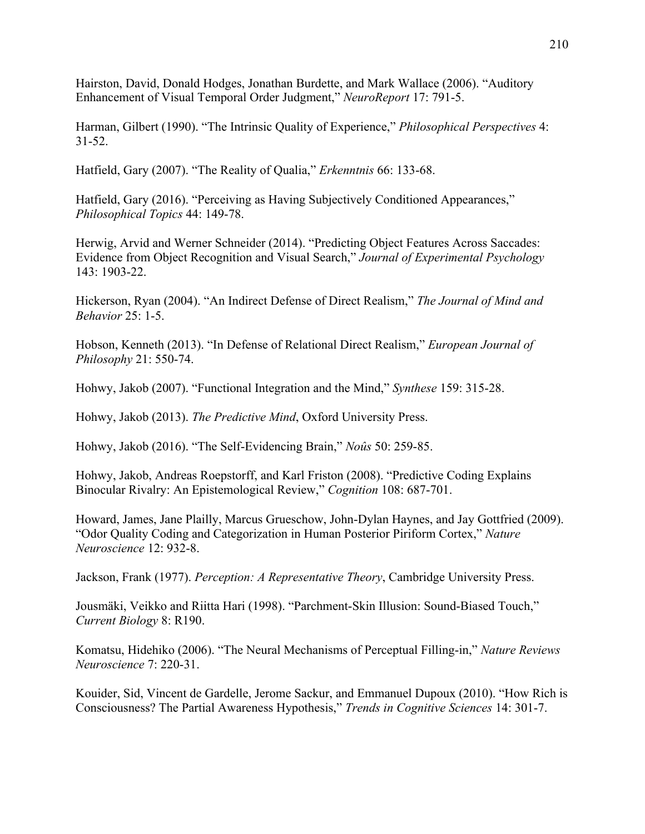Hairston, David, Donald Hodges, Jonathan Burdette, and Mark Wallace (2006). "Auditory Enhancement of Visual Temporal Order Judgment," *NeuroReport* 17: 791-5.

Harman, Gilbert (1990). "The Intrinsic Quality of Experience," *Philosophical Perspectives* 4: 31-52.

Hatfield, Gary (2007). "The Reality of Qualia," *Erkenntnis* 66: 133-68.

Hatfield, Gary (2016). "Perceiving as Having Subjectively Conditioned Appearances," *Philosophical Topics* 44: 149-78.

Herwig, Arvid and Werner Schneider (2014). "Predicting Object Features Across Saccades: Evidence from Object Recognition and Visual Search," *Journal of Experimental Psychology*  143: 1903-22.

Hickerson, Ryan (2004). "An Indirect Defense of Direct Realism," *The Journal of Mind and Behavior* 25: 1-5.

Hobson, Kenneth (2013). "In Defense of Relational Direct Realism," *European Journal of Philosophy* 21: 550-74.

Hohwy, Jakob (2007). "Functional Integration and the Mind," *Synthese* 159: 315-28.

Hohwy, Jakob (2013). *The Predictive Mind*, Oxford University Press.

Hohwy, Jakob (2016). "The Self-Evidencing Brain," *Noûs* 50: 259-85.

Hohwy, Jakob, Andreas Roepstorff, and Karl Friston (2008). "Predictive Coding Explains Binocular Rivalry: An Epistemological Review," *Cognition* 108: 687-701.

Howard, James, Jane Plailly, Marcus Grueschow, John-Dylan Haynes, and Jay Gottfried (2009). "Odor Quality Coding and Categorization in Human Posterior Piriform Cortex," *Nature Neuroscience* 12: 932-8.

Jackson, Frank (1977). *Perception: A Representative Theory*, Cambridge University Press.

Jousmäki, Veikko and Riitta Hari (1998). "Parchment-Skin Illusion: Sound-Biased Touch," *Current Biology* 8: R190.

Komatsu, Hidehiko (2006). "The Neural Mechanisms of Perceptual Filling-in," *Nature Reviews Neuroscience* 7: 220-31.

Kouider, Sid, Vincent de Gardelle, Jerome Sackur, and Emmanuel Dupoux (2010). "How Rich is Consciousness? The Partial Awareness Hypothesis," *Trends in Cognitive Sciences* 14: 301-7.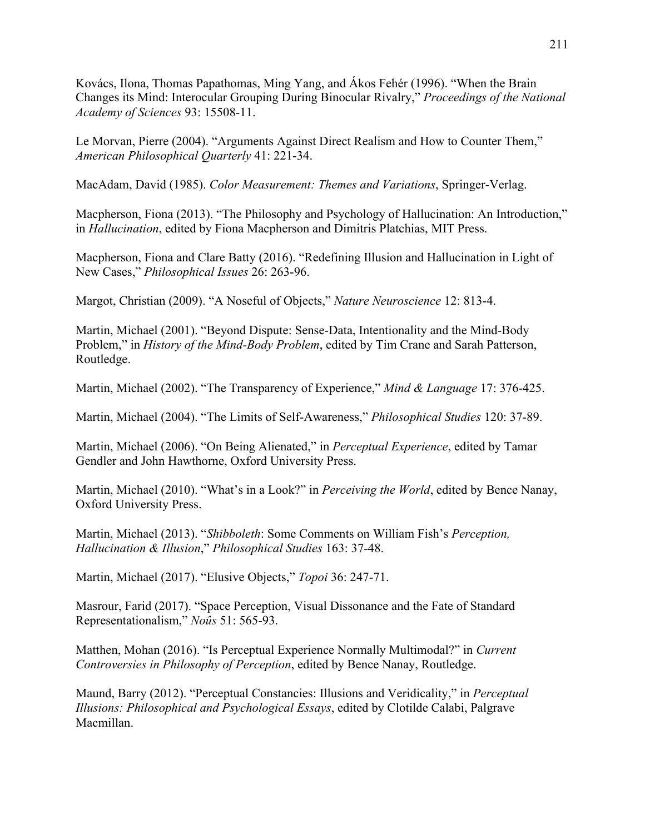Kovács, Ilona, Thomas Papathomas, Ming Yang, and Ákos Fehér (1996). "When the Brain Changes its Mind: Interocular Grouping During Binocular Rivalry," *Proceedings of the National Academy of Sciences* 93: 15508-11.

Le Morvan, Pierre (2004). "Arguments Against Direct Realism and How to Counter Them," *American Philosophical Quarterly* 41: 221-34.

MacAdam, David (1985). *Color Measurement: Themes and Variations*, Springer-Verlag.

Macpherson, Fiona (2013). "The Philosophy and Psychology of Hallucination: An Introduction," in *Hallucination*, edited by Fiona Macpherson and Dimitris Platchias, MIT Press.

Macpherson, Fiona and Clare Batty (2016). "Redefining Illusion and Hallucination in Light of New Cases," *Philosophical Issues* 26: 263-96.

Margot, Christian (2009). "A Noseful of Objects," *Nature Neuroscience* 12: 813-4.

Martin, Michael (2001). "Beyond Dispute: Sense-Data, Intentionality and the Mind-Body Problem," in *History of the Mind-Body Problem*, edited by Tim Crane and Sarah Patterson, Routledge.

Martin, Michael (2002). "The Transparency of Experience," *Mind & Language* 17: 376-425.

Martin, Michael (2004). "The Limits of Self-Awareness," *Philosophical Studies* 120: 37-89.

Martin, Michael (2006). "On Being Alienated," in *Perceptual Experience*, edited by Tamar Gendler and John Hawthorne, Oxford University Press.

Martin, Michael (2010). "What's in a Look?" in *Perceiving the World*, edited by Bence Nanay, Oxford University Press.

Martin, Michael (2013). "*Shibboleth*: Some Comments on William Fish's *Perception, Hallucination & Illusion*," *Philosophical Studies* 163: 37-48.

Martin, Michael (2017). "Elusive Objects," *Topoi* 36: 247-71.

Masrour, Farid (2017). "Space Perception, Visual Dissonance and the Fate of Standard Representationalism," *Noûs* 51: 565-93.

Matthen, Mohan (2016). "Is Perceptual Experience Normally Multimodal?" in *Current Controversies in Philosophy of Perception*, edited by Bence Nanay, Routledge.

Maund, Barry (2012). "Perceptual Constancies: Illusions and Veridicality," in *Perceptual Illusions: Philosophical and Psychological Essays*, edited by Clotilde Calabi, Palgrave Macmillan.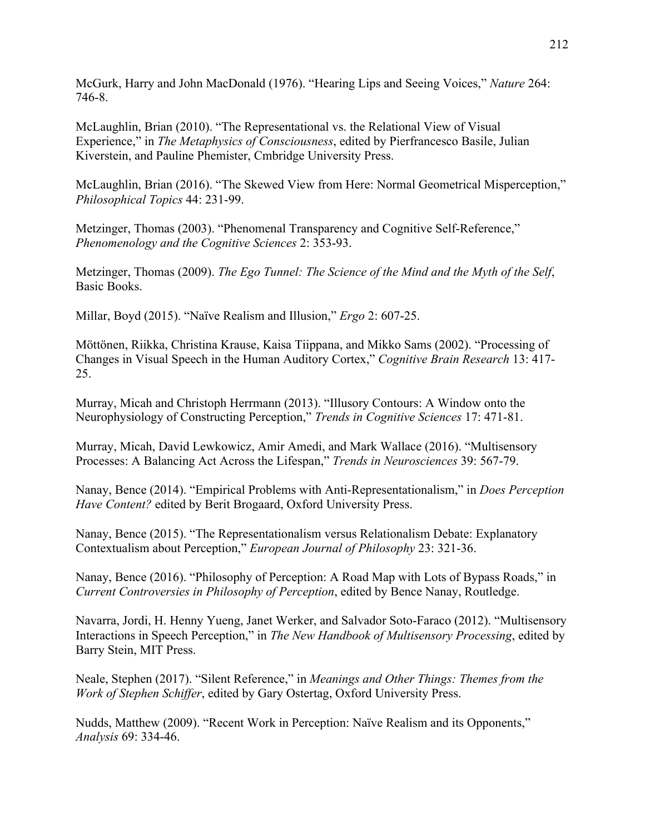McGurk, Harry and John MacDonald (1976). "Hearing Lips and Seeing Voices," *Nature* 264: 746-8.

McLaughlin, Brian (2010). "The Representational vs. the Relational View of Visual Experience," in *The Metaphysics of Consciousness*, edited by Pierfrancesco Basile, Julian Kiverstein, and Pauline Phemister, Cmbridge University Press.

McLaughlin, Brian (2016). "The Skewed View from Here: Normal Geometrical Misperception," *Philosophical Topics* 44: 231-99.

Metzinger, Thomas (2003). "Phenomenal Transparency and Cognitive Self-Reference," *Phenomenology and the Cognitive Sciences* 2: 353-93.

Metzinger, Thomas (2009). *The Ego Tunnel: The Science of the Mind and the Myth of the Self*, Basic Books.

Millar, Boyd (2015). "Naïve Realism and Illusion," *Ergo* 2: 607-25.

Möttönen, Riikka, Christina Krause, Kaisa Tiippana, and Mikko Sams (2002). "Processing of Changes in Visual Speech in the Human Auditory Cortex," *Cognitive Brain Research* 13: 417- 25.

Murray, Micah and Christoph Herrmann (2013). "Illusory Contours: A Window onto the Neurophysiology of Constructing Perception," *Trends in Cognitive Sciences* 17: 471-81.

Murray, Micah, David Lewkowicz, Amir Amedi, and Mark Wallace (2016). "Multisensory Processes: A Balancing Act Across the Lifespan," *Trends in Neurosciences* 39: 567-79.

Nanay, Bence (2014). "Empirical Problems with Anti-Representationalism," in *Does Perception Have Content?* edited by Berit Brogaard, Oxford University Press.

Nanay, Bence (2015). "The Representationalism versus Relationalism Debate: Explanatory Contextualism about Perception," *European Journal of Philosophy* 23: 321-36.

Nanay, Bence (2016). "Philosophy of Perception: A Road Map with Lots of Bypass Roads," in *Current Controversies in Philosophy of Perception*, edited by Bence Nanay, Routledge.

Navarra, Jordi, H. Henny Yueng, Janet Werker, and Salvador Soto-Faraco (2012). "Multisensory Interactions in Speech Perception," in *The New Handbook of Multisensory Processing*, edited by Barry Stein, MIT Press.

Neale, Stephen (2017). "Silent Reference," in *Meanings and Other Things: Themes from the Work of Stephen Schiffer*, edited by Gary Ostertag, Oxford University Press.

Nudds, Matthew (2009). "Recent Work in Perception: Naïve Realism and its Opponents," *Analysis* 69: 334-46.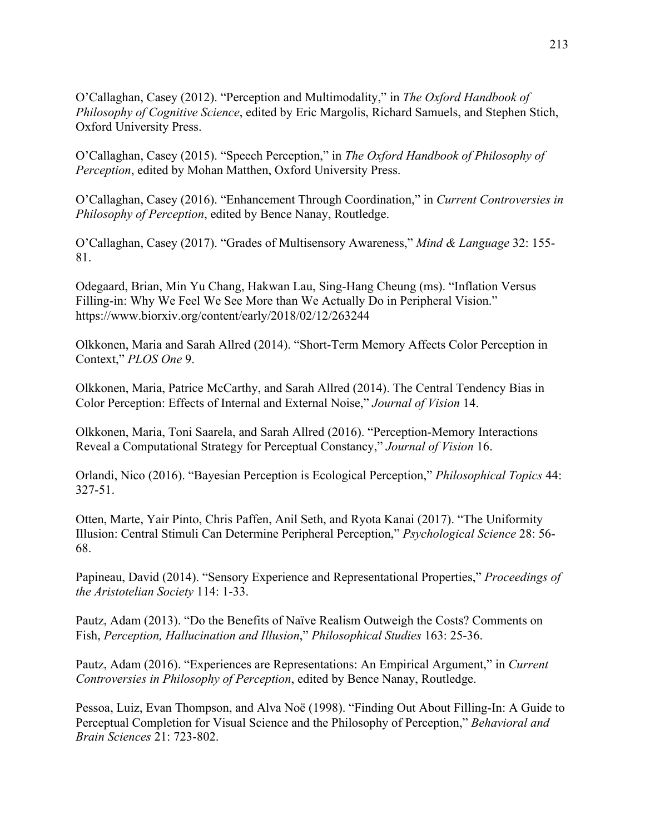O'Callaghan, Casey (2012). "Perception and Multimodality," in *The Oxford Handbook of Philosophy of Cognitive Science*, edited by Eric Margolis, Richard Samuels, and Stephen Stich, Oxford University Press.

O'Callaghan, Casey (2015). "Speech Perception," in *The Oxford Handbook of Philosophy of Perception*, edited by Mohan Matthen, Oxford University Press.

O'Callaghan, Casey (2016). "Enhancement Through Coordination," in *Current Controversies in Philosophy of Perception*, edited by Bence Nanay, Routledge.

O'Callaghan, Casey (2017). "Grades of Multisensory Awareness," *Mind & Language* 32: 155- 81.

Odegaard, Brian, Min Yu Chang, Hakwan Lau, Sing-Hang Cheung (ms). "Inflation Versus Filling-in: Why We Feel We See More than We Actually Do in Peripheral Vision." https://www.biorxiv.org/content/early/2018/02/12/263244

Olkkonen, Maria and Sarah Allred (2014). "Short-Term Memory Affects Color Perception in Context," *PLOS One* 9.

Olkkonen, Maria, Patrice McCarthy, and Sarah Allred (2014). The Central Tendency Bias in Color Perception: Effects of Internal and External Noise," *Journal of Vision* 14.

Olkkonen, Maria, Toni Saarela, and Sarah Allred (2016). "Perception-Memory Interactions Reveal a Computational Strategy for Perceptual Constancy," *Journal of Vision* 16.

Orlandi, Nico (2016). "Bayesian Perception is Ecological Perception," *Philosophical Topics* 44: 327-51.

Otten, Marte, Yair Pinto, Chris Paffen, Anil Seth, and Ryota Kanai (2017). "The Uniformity Illusion: Central Stimuli Can Determine Peripheral Perception," *Psychological Science* 28: 56- 68.

Papineau, David (2014). "Sensory Experience and Representational Properties," *Proceedings of the Aristotelian Society* 114: 1-33.

Pautz, Adam (2013). "Do the Benefits of Naïve Realism Outweigh the Costs? Comments on Fish, *Perception, Hallucination and Illusion*," *Philosophical Studies* 163: 25-36.

Pautz, Adam (2016). "Experiences are Representations: An Empirical Argument," in *Current Controversies in Philosophy of Perception*, edited by Bence Nanay, Routledge.

Pessoa, Luiz, Evan Thompson, and Alva Noë (1998). "Finding Out About Filling-In: A Guide to Perceptual Completion for Visual Science and the Philosophy of Perception," *Behavioral and Brain Sciences* 21: 723-802.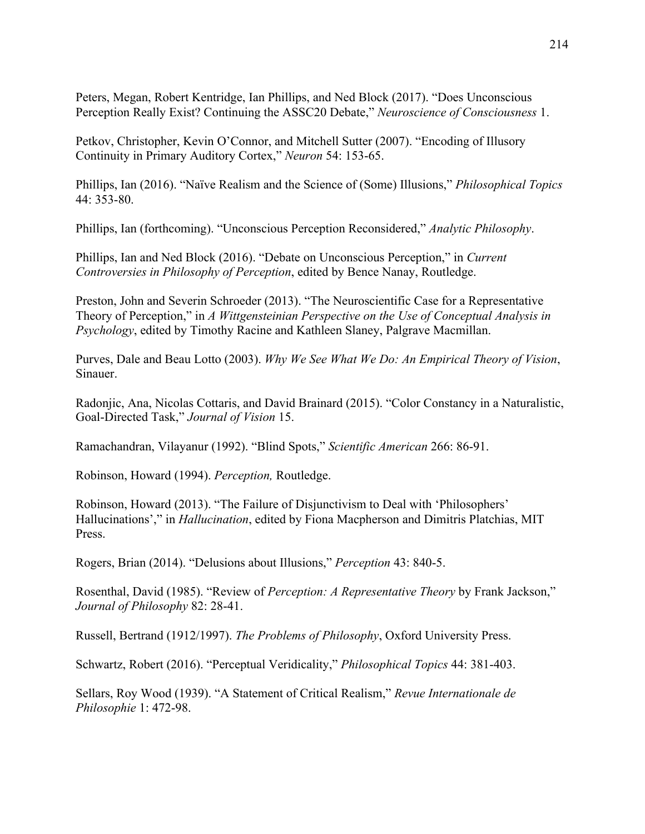Peters, Megan, Robert Kentridge, Ian Phillips, and Ned Block (2017). "Does Unconscious Perception Really Exist? Continuing the ASSC20 Debate," *Neuroscience of Consciousness* 1.

Petkov, Christopher, Kevin O'Connor, and Mitchell Sutter (2007). "Encoding of Illusory Continuity in Primary Auditory Cortex," *Neuron* 54: 153-65.

Phillips, Ian (2016). "Naïve Realism and the Science of (Some) Illusions," *Philosophical Topics* 44: 353-80.

Phillips, Ian (forthcoming). "Unconscious Perception Reconsidered," *Analytic Philosophy*.

Phillips, Ian and Ned Block (2016). "Debate on Unconscious Perception," in *Current Controversies in Philosophy of Perception*, edited by Bence Nanay, Routledge.

Preston, John and Severin Schroeder (2013). "The Neuroscientific Case for a Representative Theory of Perception," in *A Wittgensteinian Perspective on the Use of Conceptual Analysis in Psychology*, edited by Timothy Racine and Kathleen Slaney, Palgrave Macmillan.

Purves, Dale and Beau Lotto (2003). *Why We See What We Do: An Empirical Theory of Vision*, Sinauer.

Radonjic, Ana, Nicolas Cottaris, and David Brainard (2015). "Color Constancy in a Naturalistic, Goal-Directed Task," *Journal of Vision* 15.

Ramachandran, Vilayanur (1992). "Blind Spots," *Scientific American* 266: 86-91.

Robinson, Howard (1994). *Perception,* Routledge.

Robinson, Howard (2013). "The Failure of Disjunctivism to Deal with 'Philosophers' Hallucinations'," in *Hallucination*, edited by Fiona Macpherson and Dimitris Platchias, MIT Press.

Rogers, Brian (2014). "Delusions about Illusions," *Perception* 43: 840-5.

Rosenthal, David (1985). "Review of *Perception: A Representative Theory* by Frank Jackson," *Journal of Philosophy* 82: 28-41.

Russell, Bertrand (1912/1997). *The Problems of Philosophy*, Oxford University Press.

Schwartz, Robert (2016). "Perceptual Veridicality," *Philosophical Topics* 44: 381-403.

Sellars, Roy Wood (1939). "A Statement of Critical Realism," *Revue Internationale de Philosophie* 1: 472-98.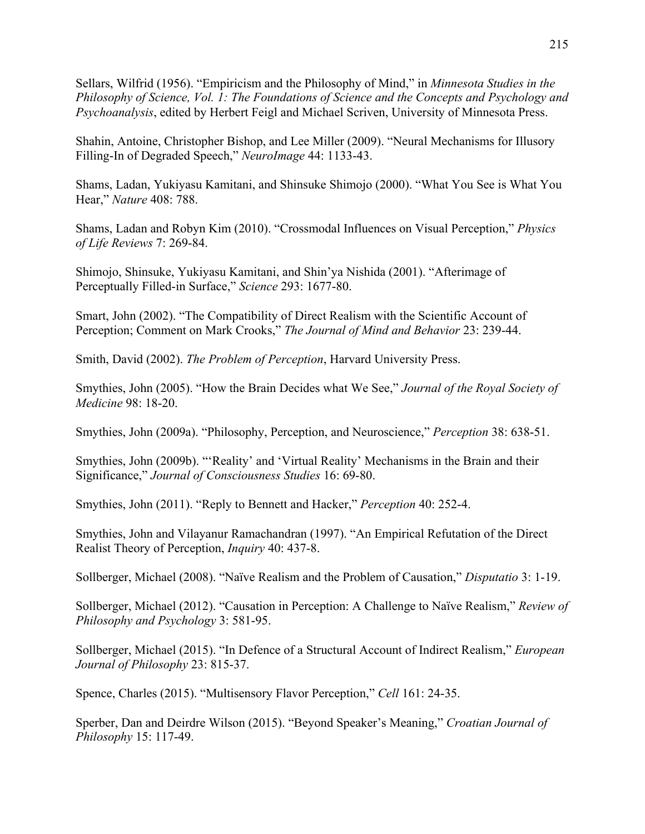Sellars, Wilfrid (1956). "Empiricism and the Philosophy of Mind," in *Minnesota Studies in the Philosophy of Science, Vol. 1: The Foundations of Science and the Concepts and Psychology and Psychoanalysis*, edited by Herbert Feigl and Michael Scriven, University of Minnesota Press.

Shahin, Antoine, Christopher Bishop, and Lee Miller (2009). "Neural Mechanisms for Illusory Filling-In of Degraded Speech," *NeuroImage* 44: 1133-43.

Shams, Ladan, Yukiyasu Kamitani, and Shinsuke Shimojo (2000). "What You See is What You Hear," *Nature* 408: 788.

Shams, Ladan and Robyn Kim (2010). "Crossmodal Influences on Visual Perception," *Physics of Life Reviews* 7: 269-84.

Shimojo, Shinsuke, Yukiyasu Kamitani, and Shin'ya Nishida (2001). "Afterimage of Perceptually Filled-in Surface," *Science* 293: 1677-80.

Smart, John (2002). "The Compatibility of Direct Realism with the Scientific Account of Perception; Comment on Mark Crooks," *The Journal of Mind and Behavior* 23: 239-44.

Smith, David (2002). *The Problem of Perception*, Harvard University Press.

Smythies, John (2005). "How the Brain Decides what We See," *Journal of the Royal Society of Medicine* 98: 18-20.

Smythies, John (2009a). "Philosophy, Perception, and Neuroscience," *Perception* 38: 638-51.

Smythies, John (2009b). "'Reality' and 'Virtual Reality' Mechanisms in the Brain and their Significance," *Journal of Consciousness Studies* 16: 69-80.

Smythies, John (2011). "Reply to Bennett and Hacker," *Perception* 40: 252-4.

Smythies, John and Vilayanur Ramachandran (1997). "An Empirical Refutation of the Direct Realist Theory of Perception, *Inquiry* 40: 437-8.

Sollberger, Michael (2008). "Naïve Realism and the Problem of Causation," *Disputatio* 3: 1-19.

Sollberger, Michael (2012). "Causation in Perception: A Challenge to Naïve Realism," *Review of Philosophy and Psychology* 3: 581-95.

Sollberger, Michael (2015). "In Defence of a Structural Account of Indirect Realism," *European Journal of Philosophy* 23: 815-37.

Spence, Charles (2015). "Multisensory Flavor Perception," *Cell* 161: 24-35.

Sperber, Dan and Deirdre Wilson (2015). "Beyond Speaker's Meaning," *Croatian Journal of Philosophy* 15: 117-49.